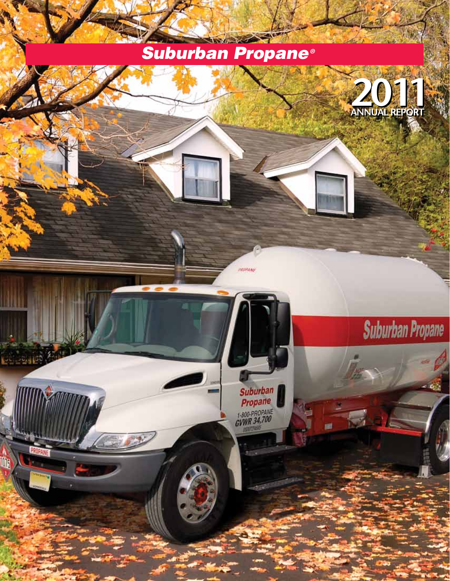# *Suburban Propane ®*

**HOPANY** 

Suburban<br>Propane<br>1-800-PROPANE<br>GVWR 34,700



# **Suburban Propane**

يتجانبه م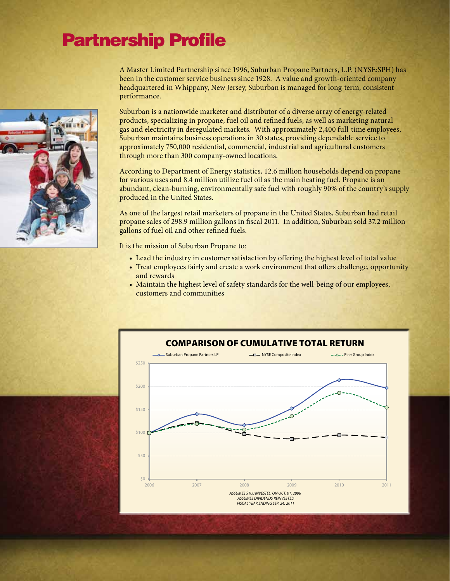# Partnership Profile

A Master Limited Partnership since 1996, Suburban Propane Partners, L.P. (NYSE:SPH) has been in the customer service business since 1928. A value and growth-oriented company headquartered in Whippany, New Jersey, Suburban is managed for long-term, consistent performance.

Suburban is a nationwide marketer and distributor of a diverse array of energy-related products, specializing in propane, fuel oil and refined fuels, as well as marketing natural gas and electricity in deregulated markets. With approximately 2,400 full-time employees, Suburban maintains business operations in 30 states, providing dependable service to approximately 750,000 residential, commercial, industrial and agricultural customers through more than 300 company-owned locations.

According to Department of Energy statistics, 12.6 million households depend on propane for various uses and 8.4 million utilize fuel oil as the main heating fuel. Propane is an abundant, clean-burning, environmentally safe fuel with roughly 90% of the country's supply produced in the United States.

As one of the largest retail marketers of propane in the United States, Suburban had retail propane sales of 298.9 million gallons in fiscal 2011. In addition, Suburban sold 37.2 million gallons of fuel oil and other refined fuels.

It is the mission of Suburban Propane to:

- Lead the industry in customer satisfaction by offering the highest level of total value
- Treat employees fairly and create a work environment that offers challenge, opportunity and rewards
- Maintain the highest level of safety standards for the well-being of our employees, customers and communities



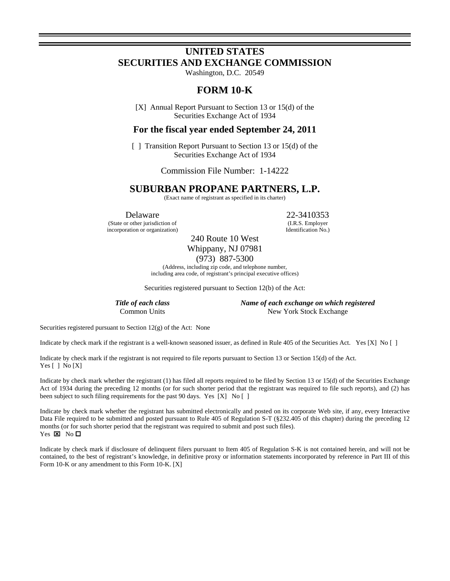# **UNITED STATES SECURITIES AND EXCHANGE COMMISSION**

Washington, D.C. 20549

# **FORM 10-K**

[X] Annual Report Pursuant to Section 13 or 15(d) of the Securities Exchange Act of 1934

# **For the fiscal year ended September 24, 2011**

[ ] Transition Report Pursuant to Section 13 or 15(d) of the Securities Exchange Act of 1934

# Commission File Number: 1-14222

# **SUBURBAN PROPANE PARTNERS, L.P.**

(Exact name of registrant as specified in its charter)

(State or other jurisdiction of (I.R.S. Employer incorporation or organization) (I.R.S. Employer incorporation or organization)

Delaware 22-3410353<br>or other jurisdiction of the state of the contract of the contract of the contract of the contract of the contract of the contract of the contract of the contract of the contract of the contract of the

240 Route 10 West

Whippany, NJ 07981

# (973) 887-5300

(Address, including zip code, and telephone number, including area code, of registrant's principal executive offices)

Securities registered pursuant to Section 12(b) of the Act:

*Title of each class Name of each exchange on which registered*  Common Units New York Stock Exchange

Securities registered pursuant to Section 12(g) of the Act: None

Indicate by check mark if the registrant is a well-known seasoned issuer, as defined in Rule 405 of the Securities Act. Yes [X] No [ ]

Indicate by check mark if the registrant is not required to file reports pursuant to Section 13 or Section 15(d) of the Act. Yes [ ] No [X]

Indicate by check mark whether the registrant (1) has filed all reports required to be filed by Section 13 or 15(d) of the Securities Exchange Act of 1934 during the preceding 12 months (or for such shorter period that the registrant was required to file such reports), and (2) has been subject to such filing requirements for the past 90 days. Yes [X] No [ ]

Indicate by check mark whether the registrant has submitted electronically and posted on its corporate Web site, if any, every Interactive Data File required to be submitted and posted pursuant to Rule 405 of Regulation S-T (§232.405 of this chapter) during the preceding 12 months (or for such shorter period that the registrant was required to submit and post such files). Yes  $\boxtimes$  No  $\square$ 

Indicate by check mark if disclosure of delinquent filers pursuant to Item 405 of Regulation S-K is not contained herein, and will not be contained, to the best of registrant's knowledge, in definitive proxy or information statements incorporated by reference in Part III of this Form 10-K or any amendment to this Form 10-K. [X]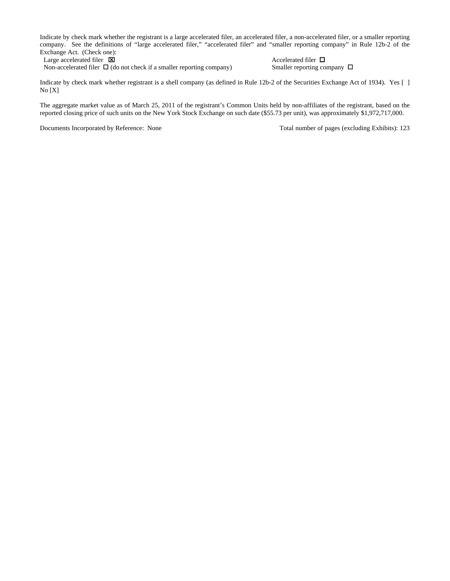Indicate by check mark whether the registrant is a large accelerated filer, an accelerated filer, a non-accelerated filer, or a smaller reporting company. See the definitions of "large accelerated filer," "accelerated filer" and "smaller reporting company" in Rule 12b-2 of the Exchange Act. (Check one):

Large accelerated filer  $\boxtimes$ 

Non-accelerated filer  $\Box$  (do not check if a smaller reporting company) Smaller reporting company  $\Box$ 

Indicate by check mark whether registrant is a shell company (as defined in Rule 12b-2 of the Securities Exchange Act of 1934). Yes [ ] No [X]

The aggregate market value as of March 25, 2011 of the registrant's Common Units held by non-affiliates of the registrant, based on the reported closing price of such units on the New York Stock Exchange on such date (\$55.73 per unit), was approximately \$1,972,717,000.

Documents Incorporated by Reference: None Total number of pages (excluding Exhibits): 123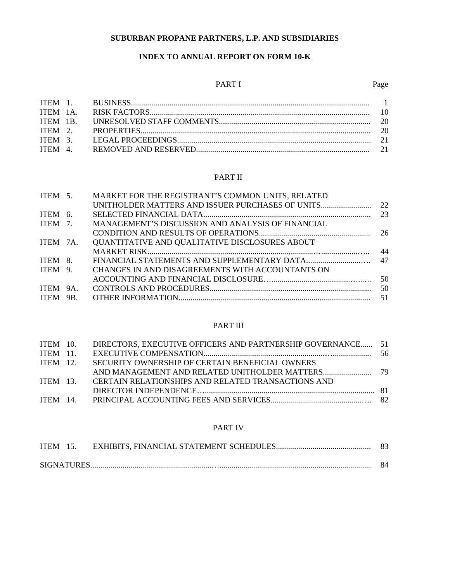# **SUBURBAN PROPANE PARTNERS, L.P. AND SUBSIDIARIES**

# **INDEX TO ANNUAL REPORT ON FORM 10-K**

#### PART I Page

# PART II

| ITEM 5.  | MARKET FOR THE REGISTRANT'S COMMON UNITS, RELATED |    |
|----------|---------------------------------------------------|----|
|          |                                                   |    |
| ITEM 6.  |                                                   | 23 |
| ITEM 7.  | MANAGEMENT'S DISCUSSION AND ANALYSIS OF FINANCIAL |    |
|          |                                                   | 26 |
| ITEM 7A. | QUANTITATIVE AND QUALITATIVE DISCLOSURES ABOUT    |    |
|          |                                                   | 44 |
| ITEM 8.  |                                                   |    |
| ITEM 9.  | CHANGES IN AND DISAGREEMENTS WITH ACCOUNTANTS ON  |    |
|          |                                                   | 50 |
| ITEM 9A. |                                                   | 50 |
| ITEM 9B. |                                                   |    |
|          |                                                   |    |

# PART III

|                 | ITEM 10. DIRECTORS, EXECUTIVE OFFICERS AND PARTNERSHIP GOVERNANCE 51 |  |
|-----------------|----------------------------------------------------------------------|--|
|                 |                                                                      |  |
| <b>ITEM</b> 12. | SECURITY OWNERSHIP OF CERTAIN BENEFICIAL OWNERS                      |  |
|                 |                                                                      |  |
|                 | ITEM 13. CERTAIN RELATIONSHIPS AND RELATED TRANSACTIONS AND          |  |
|                 |                                                                      |  |
|                 |                                                                      |  |
|                 |                                                                      |  |

# PART IV

| ITEM $15$ . |  |  |
|-------------|--|--|
|             |  |  |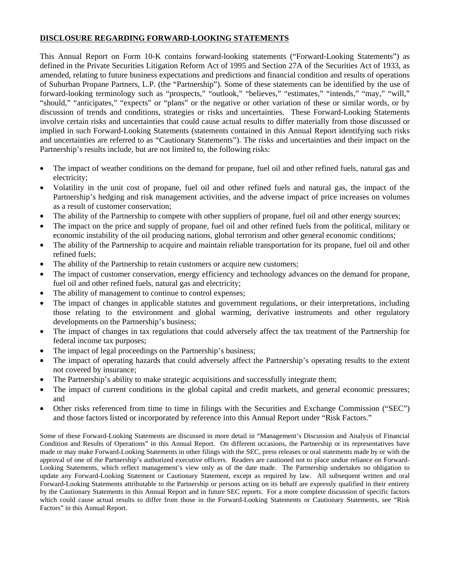# **DISCLOSURE REGARDING FORWARD-LOOKING STATEMENTS**

This Annual Report on Form 10-K contains forward-looking statements ("Forward-Looking Statements") as defined in the Private Securities Litigation Reform Act of 1995 and Section 27A of the Securities Act of 1933, as amended, relating to future business expectations and predictions and financial condition and results of operations of Suburban Propane Partners, L.P. (the "Partnership"). Some of these statements can be identified by the use of forward-looking terminology such as "prospects," "outlook," "believes," "estimates," "intends," "may," "will," "should," "anticipates," "expects" or "plans" or the negative or other variation of these or similar words, or by discussion of trends and conditions, strategies or risks and uncertainties. These Forward-Looking Statements involve certain risks and uncertainties that could cause actual results to differ materially from those discussed or implied in such Forward-Looking Statements (statements contained in this Annual Report identifying such risks and uncertainties are referred to as "Cautionary Statements"). The risks and uncertainties and their impact on the Partnership's results include, but are not limited to, the following risks:

- The impact of weather conditions on the demand for propane, fuel oil and other refined fuels, natural gas and electricity;
- Volatility in the unit cost of propane, fuel oil and other refined fuels and natural gas, the impact of the Partnership's hedging and risk management activities, and the adverse impact of price increases on volumes as a result of customer conservation;
- The ability of the Partnership to compete with other suppliers of propane, fuel oil and other energy sources;
- The impact on the price and supply of propane, fuel oil and other refined fuels from the political, military or economic instability of the oil producing nations, global terrorism and other general economic conditions;
- The ability of the Partnership to acquire and maintain reliable transportation for its propane, fuel oil and other refined fuels;
- The ability of the Partnership to retain customers or acquire new customers;
- The impact of customer conservation, energy efficiency and technology advances on the demand for propane, fuel oil and other refined fuels, natural gas and electricity;
- The ability of management to continue to control expenses;
- The impact of changes in applicable statutes and government regulations, or their interpretations, including those relating to the environment and global warming, derivative instruments and other regulatory developments on the Partnership's business;
- The impact of changes in tax regulations that could adversely affect the tax treatment of the Partnership for federal income tax purposes;
- The impact of legal proceedings on the Partnership's business;
- The impact of operating hazards that could adversely affect the Partnership's operating results to the extent not covered by insurance;
- The Partnership's ability to make strategic acquisitions and successfully integrate them;
- The impact of current conditions in the global capital and credit markets, and general economic pressures; and
- Other risks referenced from time to time in filings with the Securities and Exchange Commission ("SEC") and those factors listed or incorporated by reference into this Annual Report under "Risk Factors."

Some of these Forward-Looking Statements are discussed in more detail in "Management's Discussion and Analysis of Financial Condition and Results of Operations" in this Annual Report. On different occasions, the Partnership or its representatives have made or may make Forward-Looking Statements in other filings with the SEC, press releases or oral statements made by or with the approval of one of the Partnership's authorized executive officers. Readers are cautioned not to place undue reliance on Forward-Looking Statements, which reflect management's view only as of the date made. The Partnership undertakes no obligation to update any Forward-Looking Statement or Cautionary Statement, except as required by law. All subsequent written and oral Forward-Looking Statements attributable to the Partnership or persons acting on its behalf are expressly qualified in their entirety by the Cautionary Statements in this Annual Report and in future SEC reports. For a more complete discussion of specific factors which could cause actual results to differ from those in the Forward-Looking Statements or Cautionary Statements, see "Risk Factors" in this Annual Report.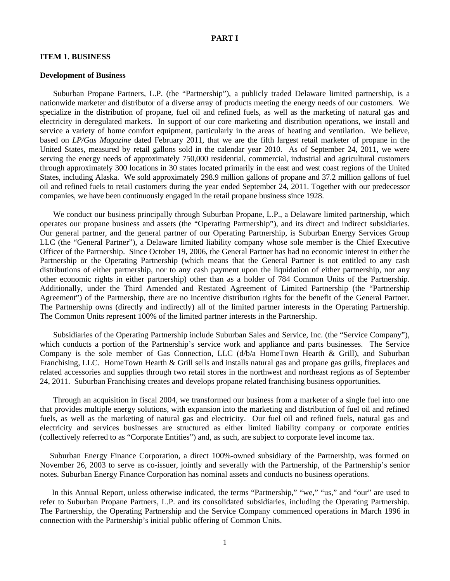#### **PART I**

# **ITEM 1. BUSINESS**

#### **Development of Business**

 Suburban Propane Partners, L.P. (the "Partnership"), a publicly traded Delaware limited partnership, is a nationwide marketer and distributor of a diverse array of products meeting the energy needs of our customers. We specialize in the distribution of propane, fuel oil and refined fuels, as well as the marketing of natural gas and electricity in deregulated markets. In support of our core marketing and distribution operations, we install and service a variety of home comfort equipment, particularly in the areas of heating and ventilation. We believe, based on *LP/Gas Magazine* dated February 2011, that we are the fifth largest retail marketer of propane in the United States, measured by retail gallons sold in the calendar year 2010. As of September 24, 2011, we were serving the energy needs of approximately 750,000 residential, commercial, industrial and agricultural customers through approximately 300 locations in 30 states located primarily in the east and west coast regions of the United States, including Alaska. We sold approximately 298.9 million gallons of propane and 37.2 million gallons of fuel oil and refined fuels to retail customers during the year ended September 24, 2011. Together with our predecessor companies, we have been continuously engaged in the retail propane business since 1928.

 We conduct our business principally through Suburban Propane, L.P., a Delaware limited partnership, which operates our propane business and assets (the "Operating Partnership"), and its direct and indirect subsidiaries. Our general partner, and the general partner of our Operating Partnership, is Suburban Energy Services Group LLC (the "General Partner"), a Delaware limited liability company whose sole member is the Chief Executive Officer of the Partnership. Since October 19, 2006, the General Partner has had no economic interest in either the Partnership or the Operating Partnership (which means that the General Partner is not entitled to any cash distributions of either partnership, nor to any cash payment upon the liquidation of either partnership, nor any other economic rights in either partnership) other than as a holder of 784 Common Units of the Partnership. Additionally, under the Third Amended and Restated Agreement of Limited Partnership (the "Partnership Agreement") of the Partnership, there are no incentive distribution rights for the benefit of the General Partner. The Partnership owns (directly and indirectly) all of the limited partner interests in the Operating Partnership. The Common Units represent 100% of the limited partner interests in the Partnership.

 Subsidiaries of the Operating Partnership include Suburban Sales and Service, Inc. (the "Service Company"), which conducts a portion of the Partnership's service work and appliance and parts businesses. The Service Company is the sole member of Gas Connection, LLC (d/b/a HomeTown Hearth & Grill), and Suburban Franchising, LLC. HomeTown Hearth & Grill sells and installs natural gas and propane gas grills, fireplaces and related accessories and supplies through two retail stores in the northwest and northeast regions as of September 24, 2011. Suburban Franchising creates and develops propane related franchising business opportunities.

 Through an acquisition in fiscal 2004, we transformed our business from a marketer of a single fuel into one that provides multiple energy solutions, with expansion into the marketing and distribution of fuel oil and refined fuels, as well as the marketing of natural gas and electricity. Our fuel oil and refined fuels, natural gas and electricity and services businesses are structured as either limited liability company or corporate entities (collectively referred to as "Corporate Entities") and, as such, are subject to corporate level income tax.

Suburban Energy Finance Corporation, a direct 100%-owned subsidiary of the Partnership, was formed on November 26, 2003 to serve as co-issuer, jointly and severally with the Partnership, of the Partnership's senior notes. Suburban Energy Finance Corporation has nominal assets and conducts no business operations.

 In this Annual Report, unless otherwise indicated, the terms "Partnership," "we," "us," and "our" are used to refer to Suburban Propane Partners, L.P. and its consolidated subsidiaries, including the Operating Partnership. The Partnership, the Operating Partnership and the Service Company commenced operations in March 1996 in connection with the Partnership's initial public offering of Common Units.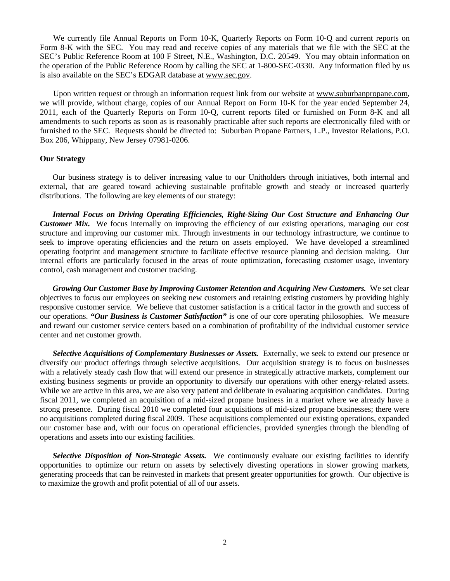We currently file Annual Reports on Form 10-K, Quarterly Reports on Form 10-Q and current reports on Form 8-K with the SEC. You may read and receive copies of any materials that we file with the SEC at the SEC's Public Reference Room at 100 F Street, N.E., Washington, D.C. 20549. You may obtain information on the operation of the Public Reference Room by calling the SEC at 1-800-SEC-0330. Any information filed by us is also available on the SEC's EDGAR database at www.sec.gov.

Upon written request or through an information request link from our website at www.suburbanpropane.com, we will provide, without charge, copies of our Annual Report on Form 10-K for the year ended September 24, 2011, each of the Quarterly Reports on Form 10-Q, current reports filed or furnished on Form 8-K and all amendments to such reports as soon as is reasonably practicable after such reports are electronically filed with or furnished to the SEC. Requests should be directed to: Suburban Propane Partners, L.P., Investor Relations, P.O. Box 206, Whippany, New Jersey 07981-0206.

#### **Our Strategy**

 Our business strategy is to deliver increasing value to our Unitholders through initiatives, both internal and external, that are geared toward achieving sustainable profitable growth and steady or increased quarterly distributions. The following are key elements of our strategy:

*Internal Focus on Driving Operating Efficiencies, Right-Sizing Our Cost Structure and Enhancing Our Customer Mix.* We focus internally on improving the efficiency of our existing operations, managing our cost structure and improving our customer mix. Through investments in our technology infrastructure, we continue to seek to improve operating efficiencies and the return on assets employed. We have developed a streamlined operating footprint and management structure to facilitate effective resource planning and decision making. Our internal efforts are particularly focused in the areas of route optimization, forecasting customer usage, inventory control, cash management and customer tracking.

*Growing Our Customer Base by Improving Customer Retention and Acquiring New Customers.* We set clear objectives to focus our employees on seeking new customers and retaining existing customers by providing highly responsive customer service. We believe that customer satisfaction is a critical factor in the growth and success of our operations. *"Our Business is Customer Satisfaction"* is one of our core operating philosophies. We measure and reward our customer service centers based on a combination of profitability of the individual customer service center and net customer growth.

 *Selective Acquisitions of Complementary Businesses or Assets.* Externally, we seek to extend our presence or diversify our product offerings through selective acquisitions. Our acquisition strategy is to focus on businesses with a relatively steady cash flow that will extend our presence in strategically attractive markets, complement our existing business segments or provide an opportunity to diversify our operations with other energy-related assets. While we are active in this area, we are also very patient and deliberate in evaluating acquisition candidates. During fiscal 2011, we completed an acquisition of a mid-sized propane business in a market where we already have a strong presence. During fiscal 2010 we completed four acquisitions of mid-sized propane businesses; there were no acquisitions completed during fiscal 2009. These acquisitions complemented our existing operations, expanded our customer base and, with our focus on operational efficiencies, provided synergies through the blending of operations and assets into our existing facilities.

*Selective Disposition of Non-Strategic Assets.* We continuously evaluate our existing facilities to identify opportunities to optimize our return on assets by selectively divesting operations in slower growing markets, generating proceeds that can be reinvested in markets that present greater opportunities for growth. Our objective is to maximize the growth and profit potential of all of our assets.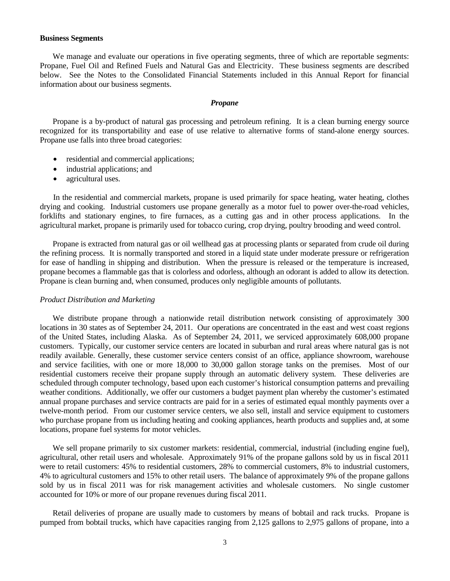#### **Business Segments**

 We manage and evaluate our operations in five operating segments, three of which are reportable segments: Propane, Fuel Oil and Refined Fuels and Natural Gas and Electricity. These business segments are described below. See the Notes to the Consolidated Financial Statements included in this Annual Report for financial information about our business segments.

#### *Propane*

 Propane is a by-product of natural gas processing and petroleum refining. It is a clean burning energy source recognized for its transportability and ease of use relative to alternative forms of stand-alone energy sources. Propane use falls into three broad categories:

- residential and commercial applications;
- industrial applications; and
- agricultural uses.

 In the residential and commercial markets, propane is used primarily for space heating, water heating, clothes drying and cooking. Industrial customers use propane generally as a motor fuel to power over-the-road vehicles, forklifts and stationary engines, to fire furnaces, as a cutting gas and in other process applications. In the agricultural market, propane is primarily used for tobacco curing, crop drying, poultry brooding and weed control.

 Propane is extracted from natural gas or oil wellhead gas at processing plants or separated from crude oil during the refining process. It is normally transported and stored in a liquid state under moderate pressure or refrigeration for ease of handling in shipping and distribution. When the pressure is released or the temperature is increased, propane becomes a flammable gas that is colorless and odorless, although an odorant is added to allow its detection. Propane is clean burning and, when consumed, produces only negligible amounts of pollutants.

#### *Product Distribution and Marketing*

 We distribute propane through a nationwide retail distribution network consisting of approximately 300 locations in 30 states as of September 24, 2011. Our operations are concentrated in the east and west coast regions of the United States, including Alaska. As of September 24, 2011, we serviced approximately 608,000 propane customers. Typically, our customer service centers are located in suburban and rural areas where natural gas is not readily available. Generally, these customer service centers consist of an office, appliance showroom, warehouse and service facilities, with one or more 18,000 to 30,000 gallon storage tanks on the premises. Most of our residential customers receive their propane supply through an automatic delivery system. These deliveries are scheduled through computer technology, based upon each customer's historical consumption patterns and prevailing weather conditions. Additionally, we offer our customers a budget payment plan whereby the customer's estimated annual propane purchases and service contracts are paid for in a series of estimated equal monthly payments over a twelve-month period. From our customer service centers, we also sell, install and service equipment to customers who purchase propane from us including heating and cooking appliances, hearth products and supplies and, at some locations, propane fuel systems for motor vehicles.

 We sell propane primarily to six customer markets: residential, commercial, industrial (including engine fuel), agricultural, other retail users and wholesale. Approximately 91% of the propane gallons sold by us in fiscal 2011 were to retail customers: 45% to residential customers, 28% to commercial customers, 8% to industrial customers, 4% to agricultural customers and 15% to other retail users. The balance of approximately 9% of the propane gallons sold by us in fiscal 2011 was for risk management activities and wholesale customers. No single customer accounted for 10% or more of our propane revenues during fiscal 2011.

 Retail deliveries of propane are usually made to customers by means of bobtail and rack trucks. Propane is pumped from bobtail trucks, which have capacities ranging from 2,125 gallons to 2,975 gallons of propane, into a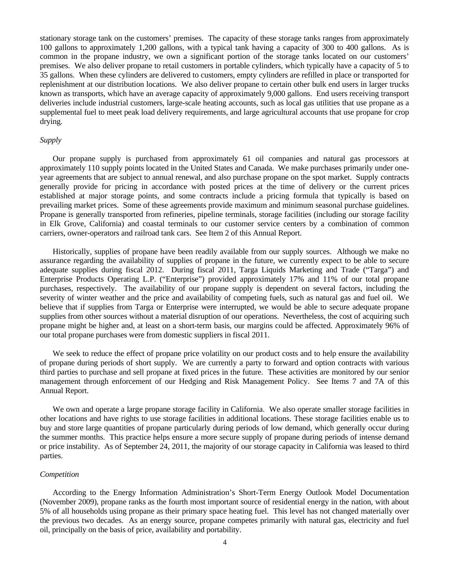stationary storage tank on the customers' premises. The capacity of these storage tanks ranges from approximately 100 gallons to approximately 1,200 gallons, with a typical tank having a capacity of 300 to 400 gallons. As is common in the propane industry, we own a significant portion of the storage tanks located on our customers' premises. We also deliver propane to retail customers in portable cylinders, which typically have a capacity of 5 to 35 gallons. When these cylinders are delivered to customers, empty cylinders are refilled in place or transported for replenishment at our distribution locations. We also deliver propane to certain other bulk end users in larger trucks known as transports, which have an average capacity of approximately 9,000 gallons. End users receiving transport deliveries include industrial customers, large-scale heating accounts, such as local gas utilities that use propane as a supplemental fuel to meet peak load delivery requirements, and large agricultural accounts that use propane for crop drying.

#### *Supply*

 Our propane supply is purchased from approximately 61 oil companies and natural gas processors at approximately 110 supply points located in the United States and Canada. We make purchases primarily under oneyear agreements that are subject to annual renewal, and also purchase propane on the spot market. Supply contracts generally provide for pricing in accordance with posted prices at the time of delivery or the current prices established at major storage points, and some contracts include a pricing formula that typically is based on prevailing market prices. Some of these agreements provide maximum and minimum seasonal purchase guidelines. Propane is generally transported from refineries, pipeline terminals, storage facilities (including our storage facility in Elk Grove, California) and coastal terminals to our customer service centers by a combination of common carriers, owner-operators and railroad tank cars. See Item 2 of this Annual Report.

 Historically, supplies of propane have been readily available from our supply sources. Although we make no assurance regarding the availability of supplies of propane in the future, we currently expect to be able to secure adequate supplies during fiscal 2012. During fiscal 2011, Targa Liquids Marketing and Trade ("Targa") and Enterprise Products Operating L.P. ("Enterprise") provided approximately 17% and 11% of our total propane purchases, respectively. The availability of our propane supply is dependent on several factors, including the severity of winter weather and the price and availability of competing fuels, such as natural gas and fuel oil. We believe that if supplies from Targa or Enterprise were interrupted, we would be able to secure adequate propane supplies from other sources without a material disruption of our operations. Nevertheless, the cost of acquiring such propane might be higher and, at least on a short-term basis, our margins could be affected. Approximately 96% of our total propane purchases were from domestic suppliers in fiscal 2011.

We seek to reduce the effect of propane price volatility on our product costs and to help ensure the availability of propane during periods of short supply. We are currently a party to forward and option contracts with various third parties to purchase and sell propane at fixed prices in the future. These activities are monitored by our senior management through enforcement of our Hedging and Risk Management Policy. See Items 7 and 7A of this Annual Report.

We own and operate a large propane storage facility in California. We also operate smaller storage facilities in other locations and have rights to use storage facilities in additional locations. These storage facilities enable us to buy and store large quantities of propane particularly during periods of low demand, which generally occur during the summer months. This practice helps ensure a more secure supply of propane during periods of intense demand or price instability. As of September 24, 2011, the majority of our storage capacity in California was leased to third parties.

# *Competition*

 According to the Energy Information Administration's Short-Term Energy Outlook Model Documentation (November 2009), propane ranks as the fourth most important source of residential energy in the nation, with about 5% of all households using propane as their primary space heating fuel. This level has not changed materially over the previous two decades. As an energy source, propane competes primarily with natural gas, electricity and fuel oil, principally on the basis of price, availability and portability.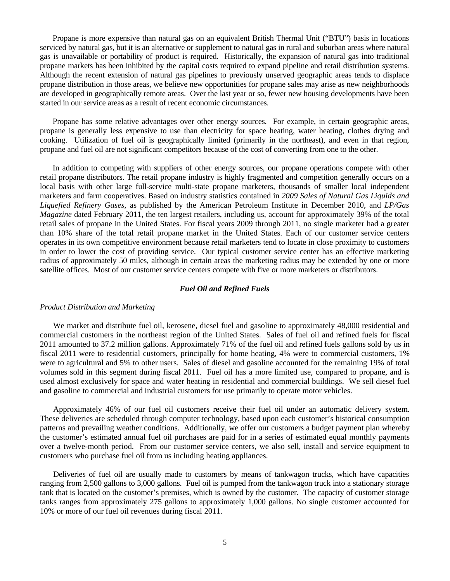Propane is more expensive than natural gas on an equivalent British Thermal Unit ("BTU") basis in locations serviced by natural gas, but it is an alternative or supplement to natural gas in rural and suburban areas where natural gas is unavailable or portability of product is required. Historically, the expansion of natural gas into traditional propane markets has been inhibited by the capital costs required to expand pipeline and retail distribution systems. Although the recent extension of natural gas pipelines to previously unserved geographic areas tends to displace propane distribution in those areas, we believe new opportunities for propane sales may arise as new neighborhoods are developed in geographically remote areas. Over the last year or so, fewer new housing developments have been started in our service areas as a result of recent economic circumstances.

 Propane has some relative advantages over other energy sources. For example, in certain geographic areas, propane is generally less expensive to use than electricity for space heating, water heating, clothes drying and cooking. Utilization of fuel oil is geographically limited (primarily in the northeast), and even in that region, propane and fuel oil are not significant competitors because of the cost of converting from one to the other.

 In addition to competing with suppliers of other energy sources, our propane operations compete with other retail propane distributors. The retail propane industry is highly fragmented and competition generally occurs on a local basis with other large full-service multi-state propane marketers, thousands of smaller local independent marketers and farm cooperatives. Based on industry statistics contained in *2009 Sales of Natural Gas Liquids and Liquefied Refinery Gases*, as published by the American Petroleum Institute in December 2010, and *LP/Gas Magazine* dated February 2011, the ten largest retailers, including us, account for approximately 39% of the total retail sales of propane in the United States. For fiscal years 2009 through 2011, no single marketer had a greater than 10% share of the total retail propane market in the United States. Each of our customer service centers operates in its own competitive environment because retail marketers tend to locate in close proximity to customers in order to lower the cost of providing service. Our typical customer service center has an effective marketing radius of approximately 50 miles, although in certain areas the marketing radius may be extended by one or more satellite offices. Most of our customer service centers compete with five or more marketers or distributors.

#### *Fuel Oil and Refined Fuels*

#### *Product Distribution and Marketing*

We market and distribute fuel oil, kerosene, diesel fuel and gasoline to approximately 48,000 residential and commercial customers in the northeast region of the United States. Sales of fuel oil and refined fuels for fiscal 2011 amounted to 37.2 million gallons. Approximately 71% of the fuel oil and refined fuels gallons sold by us in fiscal 2011 were to residential customers, principally for home heating, 4% were to commercial customers, 1% were to agricultural and 5% to other users. Sales of diesel and gasoline accounted for the remaining 19% of total volumes sold in this segment during fiscal 2011. Fuel oil has a more limited use, compared to propane, and is used almost exclusively for space and water heating in residential and commercial buildings. We sell diesel fuel and gasoline to commercial and industrial customers for use primarily to operate motor vehicles.

Approximately 46% of our fuel oil customers receive their fuel oil under an automatic delivery system. These deliveries are scheduled through computer technology, based upon each customer's historical consumption patterns and prevailing weather conditions. Additionally, we offer our customers a budget payment plan whereby the customer's estimated annual fuel oil purchases are paid for in a series of estimated equal monthly payments over a twelve-month period. From our customer service centers, we also sell, install and service equipment to customers who purchase fuel oil from us including heating appliances.

Deliveries of fuel oil are usually made to customers by means of tankwagon trucks, which have capacities ranging from 2,500 gallons to 3,000 gallons. Fuel oil is pumped from the tankwagon truck into a stationary storage tank that is located on the customer's premises, which is owned by the customer. The capacity of customer storage tanks ranges from approximately 275 gallons to approximately 1,000 gallons. No single customer accounted for 10% or more of our fuel oil revenues during fiscal 2011.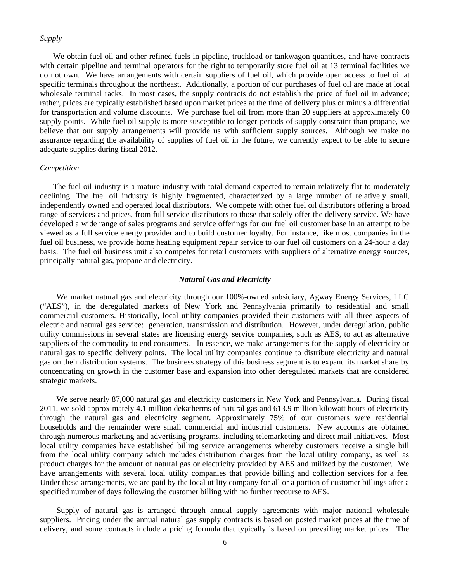#### *Supply*

We obtain fuel oil and other refined fuels in pipeline, truckload or tankwagon quantities, and have contracts with certain pipeline and terminal operators for the right to temporarily store fuel oil at 13 terminal facilities we do not own. We have arrangements with certain suppliers of fuel oil, which provide open access to fuel oil at specific terminals throughout the northeast. Additionally, a portion of our purchases of fuel oil are made at local wholesale terminal racks. In most cases, the supply contracts do not establish the price of fuel oil in advance; rather, prices are typically established based upon market prices at the time of delivery plus or minus a differential for transportation and volume discounts. We purchase fuel oil from more than 20 suppliers at approximately 60 supply points. While fuel oil supply is more susceptible to longer periods of supply constraint than propane, we believe that our supply arrangements will provide us with sufficient supply sources. Although we make no assurance regarding the availability of supplies of fuel oil in the future, we currently expect to be able to secure adequate supplies during fiscal 2012.

#### *Competition*

The fuel oil industry is a mature industry with total demand expected to remain relatively flat to moderately declining. The fuel oil industry is highly fragmented, characterized by a large number of relatively small, independently owned and operated local distributors. We compete with other fuel oil distributors offering a broad range of services and prices, from full service distributors to those that solely offer the delivery service. We have developed a wide range of sales programs and service offerings for our fuel oil customer base in an attempt to be viewed as a full service energy provider and to build customer loyalty. For instance, like most companies in the fuel oil business, we provide home heating equipment repair service to our fuel oil customers on a 24-hour a day basis. The fuel oil business unit also competes for retail customers with suppliers of alternative energy sources, principally natural gas, propane and electricity.

# *Natural Gas and Electricity*

We market natural gas and electricity through our 100%-owned subsidiary, Agway Energy Services, LLC ("AES"), in the deregulated markets of New York and Pennsylvania primarily to residential and small commercial customers. Historically, local utility companies provided their customers with all three aspects of electric and natural gas service: generation, transmission and distribution. However, under deregulation, public utility commissions in several states are licensing energy service companies, such as AES, to act as alternative suppliers of the commodity to end consumers. In essence, we make arrangements for the supply of electricity or natural gas to specific delivery points. The local utility companies continue to distribute electricity and natural gas on their distribution systems. The business strategy of this business segment is to expand its market share by concentrating on growth in the customer base and expansion into other deregulated markets that are considered strategic markets.

We serve nearly 87,000 natural gas and electricity customers in New York and Pennsylvania. During fiscal 2011, we sold approximately 4.1 million dekatherms of natural gas and 613.9 million kilowatt hours of electricity through the natural gas and electricity segment. Approximately 75% of our customers were residential households and the remainder were small commercial and industrial customers. New accounts are obtained through numerous marketing and advertising programs, including telemarketing and direct mail initiatives. Most local utility companies have established billing service arrangements whereby customers receive a single bill from the local utility company which includes distribution charges from the local utility company, as well as product charges for the amount of natural gas or electricity provided by AES and utilized by the customer. We have arrangements with several local utility companies that provide billing and collection services for a fee. Under these arrangements, we are paid by the local utility company for all or a portion of customer billings after a specified number of days following the customer billing with no further recourse to AES.

Supply of natural gas is arranged through annual supply agreements with major national wholesale suppliers. Pricing under the annual natural gas supply contracts is based on posted market prices at the time of delivery, and some contracts include a pricing formula that typically is based on prevailing market prices. The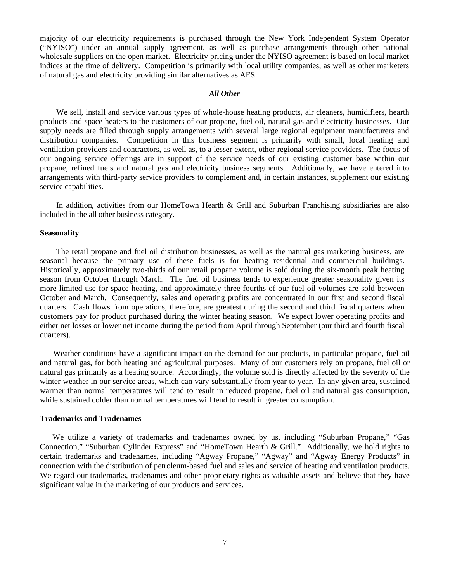majority of our electricity requirements is purchased through the New York Independent System Operator ("NYISO") under an annual supply agreement, as well as purchase arrangements through other national wholesale suppliers on the open market. Electricity pricing under the NYISO agreement is based on local market indices at the time of delivery. Competition is primarily with local utility companies, as well as other marketers of natural gas and electricity providing similar alternatives as AES.

# *All Other*

We sell, install and service various types of whole-house heating products, air cleaners, humidifiers, hearth products and space heaters to the customers of our propane, fuel oil, natural gas and electricity businesses. Our supply needs are filled through supply arrangements with several large regional equipment manufacturers and distribution companies. Competition in this business segment is primarily with small, local heating and ventilation providers and contractors, as well as, to a lesser extent, other regional service providers. The focus of our ongoing service offerings are in support of the service needs of our existing customer base within our propane, refined fuels and natural gas and electricity business segments. Additionally, we have entered into arrangements with third-party service providers to complement and, in certain instances, supplement our existing service capabilities.

In addition, activities from our HomeTown Hearth & Grill and Suburban Franchising subsidiaries are also included in the all other business category.

#### **Seasonality**

The retail propane and fuel oil distribution businesses, as well as the natural gas marketing business, are seasonal because the primary use of these fuels is for heating residential and commercial buildings. Historically, approximately two-thirds of our retail propane volume is sold during the six-month peak heating season from October through March. The fuel oil business tends to experience greater seasonality given its more limited use for space heating, and approximately three-fourths of our fuel oil volumes are sold between October and March. Consequently, sales and operating profits are concentrated in our first and second fiscal quarters. Cash flows from operations, therefore, are greatest during the second and third fiscal quarters when customers pay for product purchased during the winter heating season. We expect lower operating profits and either net losses or lower net income during the period from April through September (our third and fourth fiscal quarters).

Weather conditions have a significant impact on the demand for our products, in particular propane, fuel oil and natural gas, for both heating and agricultural purposes. Many of our customers rely on propane, fuel oil or natural gas primarily as a heating source. Accordingly, the volume sold is directly affected by the severity of the winter weather in our service areas, which can vary substantially from year to year. In any given area, sustained warmer than normal temperatures will tend to result in reduced propane, fuel oil and natural gas consumption, while sustained colder than normal temperatures will tend to result in greater consumption.

#### **Trademarks and Tradenames**

 We utilize a variety of trademarks and tradenames owned by us, including "Suburban Propane," "Gas Connection," "Suburban Cylinder Express" and "HomeTown Hearth & Grill." Additionally, we hold rights to certain trademarks and tradenames, including "Agway Propane," "Agway" and "Agway Energy Products" in connection with the distribution of petroleum-based fuel and sales and service of heating and ventilation products. We regard our trademarks, tradenames and other proprietary rights as valuable assets and believe that they have significant value in the marketing of our products and services.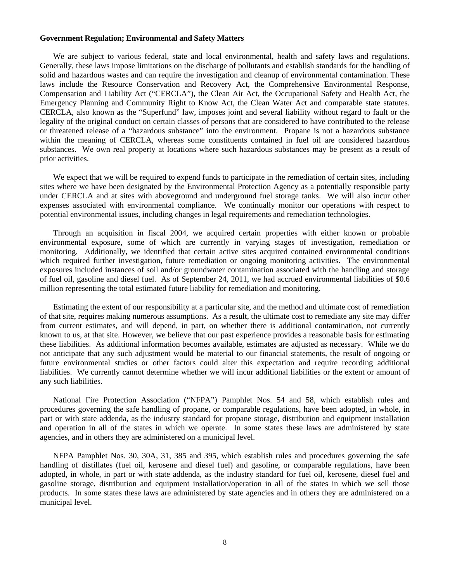#### **Government Regulation; Environmental and Safety Matters**

 We are subject to various federal, state and local environmental, health and safety laws and regulations. Generally, these laws impose limitations on the discharge of pollutants and establish standards for the handling of solid and hazardous wastes and can require the investigation and cleanup of environmental contamination. These laws include the Resource Conservation and Recovery Act, the Comprehensive Environmental Response, Compensation and Liability Act ("CERCLA"), the Clean Air Act, the Occupational Safety and Health Act, the Emergency Planning and Community Right to Know Act, the Clean Water Act and comparable state statutes. CERCLA, also known as the "Superfund" law, imposes joint and several liability without regard to fault or the legality of the original conduct on certain classes of persons that are considered to have contributed to the release or threatened release of a "hazardous substance" into the environment. Propane is not a hazardous substance within the meaning of CERCLA, whereas some constituents contained in fuel oil are considered hazardous substances. We own real property at locations where such hazardous substances may be present as a result of prior activities.

We expect that we will be required to expend funds to participate in the remediation of certain sites, including sites where we have been designated by the Environmental Protection Agency as a potentially responsible party under CERCLA and at sites with aboveground and underground fuel storage tanks. We will also incur other expenses associated with environmental compliance. We continually monitor our operations with respect to potential environmental issues, including changes in legal requirements and remediation technologies.

Through an acquisition in fiscal 2004, we acquired certain properties with either known or probable environmental exposure, some of which are currently in varying stages of investigation, remediation or monitoring. Additionally, we identified that certain active sites acquired contained environmental conditions which required further investigation, future remediation or ongoing monitoring activities. The environmental exposures included instances of soil and/or groundwater contamination associated with the handling and storage of fuel oil, gasoline and diesel fuel. As of September 24, 2011, we had accrued environmental liabilities of \$0.6 million representing the total estimated future liability for remediation and monitoring.

Estimating the extent of our responsibility at a particular site, and the method and ultimate cost of remediation of that site, requires making numerous assumptions. As a result, the ultimate cost to remediate any site may differ from current estimates, and will depend, in part, on whether there is additional contamination, not currently known to us, at that site. However, we believe that our past experience provides a reasonable basis for estimating these liabilities. As additional information becomes available, estimates are adjusted as necessary. While we do not anticipate that any such adjustment would be material to our financial statements, the result of ongoing or future environmental studies or other factors could alter this expectation and require recording additional liabilities. We currently cannot determine whether we will incur additional liabilities or the extent or amount of any such liabilities.

 National Fire Protection Association ("NFPA") Pamphlet Nos. 54 and 58, which establish rules and procedures governing the safe handling of propane, or comparable regulations, have been adopted, in whole, in part or with state addenda, as the industry standard for propane storage, distribution and equipment installation and operation in all of the states in which we operate. In some states these laws are administered by state agencies, and in others they are administered on a municipal level.

 NFPA Pamphlet Nos. 30, 30A, 31, 385 and 395, which establish rules and procedures governing the safe handling of distillates (fuel oil, kerosene and diesel fuel) and gasoline, or comparable regulations, have been adopted, in whole, in part or with state addenda, as the industry standard for fuel oil, kerosene, diesel fuel and gasoline storage, distribution and equipment installation/operation in all of the states in which we sell those products. In some states these laws are administered by state agencies and in others they are administered on a municipal level.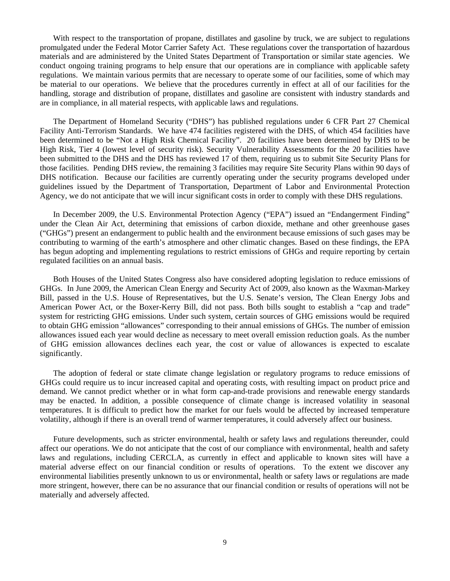With respect to the transportation of propane, distillates and gasoline by truck, we are subject to regulations promulgated under the Federal Motor Carrier Safety Act. These regulations cover the transportation of hazardous materials and are administered by the United States Department of Transportation or similar state agencies. We conduct ongoing training programs to help ensure that our operations are in compliance with applicable safety regulations. We maintain various permits that are necessary to operate some of our facilities, some of which may be material to our operations. We believe that the procedures currently in effect at all of our facilities for the handling, storage and distribution of propane, distillates and gasoline are consistent with industry standards and are in compliance, in all material respects, with applicable laws and regulations.

 The Department of Homeland Security ("DHS") has published regulations under 6 CFR Part 27 Chemical Facility Anti-Terrorism Standards. We have 474 facilities registered with the DHS, of which 454 facilities have been determined to be "Not a High Risk Chemical Facility". 20 facilities have been determined by DHS to be High Risk, Tier 4 (lowest level of security risk). Security Vulnerability Assessments for the 20 facilities have been submitted to the DHS and the DHS has reviewed 17 of them, requiring us to submit Site Security Plans for those facilities. Pending DHS review, the remaining 3 facilities may require Site Security Plans within 90 days of DHS notification. Because our facilities are currently operating under the security programs developed under guidelines issued by the Department of Transportation, Department of Labor and Environmental Protection Agency, we do not anticipate that we will incur significant costs in order to comply with these DHS regulations.

In December 2009, the U.S. Environmental Protection Agency ("EPA") issued an "Endangerment Finding" under the Clean Air Act, determining that emissions of carbon dioxide, methane and other greenhouse gases ("GHGs") present an endangerment to public health and the environment because emissions of such gases may be contributing to warming of the earth's atmosphere and other climatic changes. Based on these findings, the EPA has begun adopting and implementing regulations to restrict emissions of GHGs and require reporting by certain regulated facilities on an annual basis.

Both Houses of the United States Congress also have considered adopting legislation to reduce emissions of GHGs. In June 2009, the American Clean Energy and Security Act of 2009, also known as the Waxman-Markey Bill, passed in the U.S. House of Representatives, but the U.S. Senate's version, The Clean Energy Jobs and American Power Act, or the Boxer-Kerry Bill, did not pass. Both bills sought to establish a "cap and trade" system for restricting GHG emissions. Under such system, certain sources of GHG emissions would be required to obtain GHG emission "allowances" corresponding to their annual emissions of GHGs. The number of emission allowances issued each year would decline as necessary to meet overall emission reduction goals. As the number of GHG emission allowances declines each year, the cost or value of allowances is expected to escalate significantly.

The adoption of federal or state climate change legislation or regulatory programs to reduce emissions of GHGs could require us to incur increased capital and operating costs, with resulting impact on product price and demand. We cannot predict whether or in what form cap-and-trade provisions and renewable energy standards may be enacted. In addition, a possible consequence of climate change is increased volatility in seasonal temperatures. It is difficult to predict how the market for our fuels would be affected by increased temperature volatility, although if there is an overall trend of warmer temperatures, it could adversely affect our business.

 Future developments, such as stricter environmental, health or safety laws and regulations thereunder, could affect our operations. We do not anticipate that the cost of our compliance with environmental, health and safety laws and regulations, including CERCLA, as currently in effect and applicable to known sites will have a material adverse effect on our financial condition or results of operations. To the extent we discover any environmental liabilities presently unknown to us or environmental, health or safety laws or regulations are made more stringent, however, there can be no assurance that our financial condition or results of operations will not be materially and adversely affected.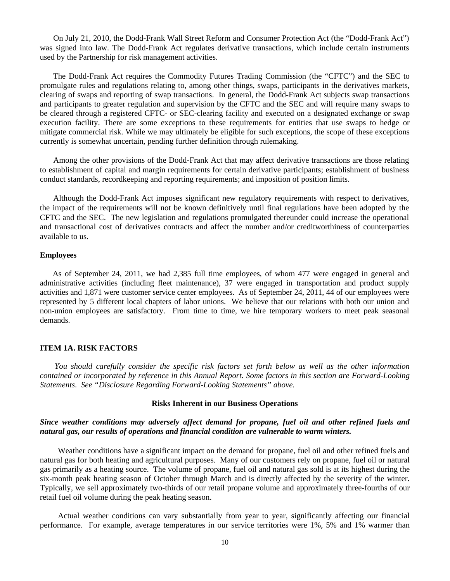On July 21, 2010, the Dodd-Frank Wall Street Reform and Consumer Protection Act (the "Dodd-Frank Act") was signed into law. The Dodd-Frank Act regulates derivative transactions, which include certain instruments used by the Partnership for risk management activities.

The Dodd-Frank Act requires the Commodity Futures Trading Commission (the "CFTC") and the SEC to promulgate rules and regulations relating to, among other things, swaps, participants in the derivatives markets, clearing of swaps and reporting of swap transactions. In general, the Dodd-Frank Act subjects swap transactions and participants to greater regulation and supervision by the CFTC and the SEC and will require many swaps to be cleared through a registered CFTC- or SEC-clearing facility and executed on a designated exchange or swap execution facility. There are some exceptions to these requirements for entities that use swaps to hedge or mitigate commercial risk. While we may ultimately be eligible for such exceptions, the scope of these exceptions currently is somewhat uncertain, pending further definition through rulemaking.

Among the other provisions of the Dodd-Frank Act that may affect derivative transactions are those relating to establishment of capital and margin requirements for certain derivative participants; establishment of business conduct standards, recordkeeping and reporting requirements; and imposition of position limits.

Although the Dodd-Frank Act imposes significant new regulatory requirements with respect to derivatives, the impact of the requirements will not be known definitively until final regulations have been adopted by the CFTC and the SEC. The new legislation and regulations promulgated thereunder could increase the operational and transactional cost of derivatives contracts and affect the number and/or creditworthiness of counterparties available to us.

#### **Employees**

 As of September 24, 2011, we had 2,385 full time employees, of whom 477 were engaged in general and administrative activities (including fleet maintenance), 37 were engaged in transportation and product supply activities and 1,871 were customer service center employees. As of September 24, 2011, 44 of our employees were represented by 5 different local chapters of labor unions. We believe that our relations with both our union and non-union employees are satisfactory. From time to time, we hire temporary workers to meet peak seasonal demands.

# **ITEM 1A. RISK FACTORS**

*You should carefully consider the specific risk factors set forth below as well as the other information contained or incorporated by reference in this Annual Report. Some factors in this section are Forward-Looking Statements*. *See "Disclosure Regarding Forward-Looking Statements" above*.

# **Risks Inherent in our Business Operations**

*Since weather conditions may adversely affect demand for propane, fuel oil and other refined fuels and natural gas, our results of operations and financial condition are vulnerable to warm winters.*

Weather conditions have a significant impact on the demand for propane, fuel oil and other refined fuels and natural gas for both heating and agricultural purposes. Many of our customers rely on propane, fuel oil or natural gas primarily as a heating source. The volume of propane, fuel oil and natural gas sold is at its highest during the six-month peak heating season of October through March and is directly affected by the severity of the winter. Typically, we sell approximately two-thirds of our retail propane volume and approximately three-fourths of our retail fuel oil volume during the peak heating season.

Actual weather conditions can vary substantially from year to year, significantly affecting our financial performance. For example, average temperatures in our service territories were 1%, 5% and 1% warmer than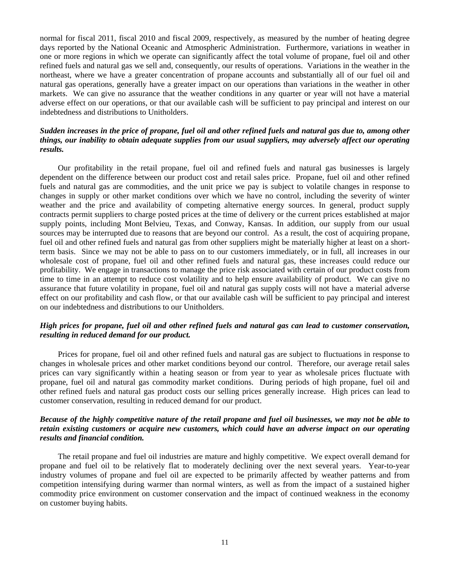normal for fiscal 2011, fiscal 2010 and fiscal 2009, respectively, as measured by the number of heating degree days reported by the National Oceanic and Atmospheric Administration. Furthermore, variations in weather in one or more regions in which we operate can significantly affect the total volume of propane, fuel oil and other refined fuels and natural gas we sell and, consequently, our results of operations. Variations in the weather in the northeast, where we have a greater concentration of propane accounts and substantially all of our fuel oil and natural gas operations, generally have a greater impact on our operations than variations in the weather in other markets. We can give no assurance that the weather conditions in any quarter or year will not have a material adverse effect on our operations, or that our available cash will be sufficient to pay principal and interest on our indebtedness and distributions to Unitholders.

# *Sudden increases in the price of propane, fuel oil and other refined fuels and natural gas due to, among other things, our inability to obtain adequate supplies from our usual suppliers, may adversely affect our operating results.*

Our profitability in the retail propane, fuel oil and refined fuels and natural gas businesses is largely dependent on the difference between our product cost and retail sales price. Propane, fuel oil and other refined fuels and natural gas are commodities, and the unit price we pay is subject to volatile changes in response to changes in supply or other market conditions over which we have no control, including the severity of winter weather and the price and availability of competing alternative energy sources. In general, product supply contracts permit suppliers to charge posted prices at the time of delivery or the current prices established at major supply points, including Mont Belvieu, Texas, and Conway, Kansas. In addition, our supply from our usual sources may be interrupted due to reasons that are beyond our control. As a result, the cost of acquiring propane, fuel oil and other refined fuels and natural gas from other suppliers might be materially higher at least on a shortterm basis. Since we may not be able to pass on to our customers immediately, or in full, all increases in our wholesale cost of propane, fuel oil and other refined fuels and natural gas, these increases could reduce our profitability. We engage in transactions to manage the price risk associated with certain of our product costs from time to time in an attempt to reduce cost volatility and to help ensure availability of product. We can give no assurance that future volatility in propane, fuel oil and natural gas supply costs will not have a material adverse effect on our profitability and cash flow, or that our available cash will be sufficient to pay principal and interest on our indebtedness and distributions to our Unitholders.

# *High prices for propane, fuel oil and other refined fuels and natural gas can lead to customer conservation, resulting in reduced demand for our product.*

Prices for propane, fuel oil and other refined fuels and natural gas are subject to fluctuations in response to changes in wholesale prices and other market conditions beyond our control. Therefore, our average retail sales prices can vary significantly within a heating season or from year to year as wholesale prices fluctuate with propane, fuel oil and natural gas commodity market conditions. During periods of high propane, fuel oil and other refined fuels and natural gas product costs our selling prices generally increase. High prices can lead to customer conservation, resulting in reduced demand for our product.

# *Because of the highly competitive nature of the retail propane and fuel oil businesses, we may not be able to retain existing customers or acquire new customers, which could have an adverse impact on our operating results and financial condition.*

The retail propane and fuel oil industries are mature and highly competitive. We expect overall demand for propane and fuel oil to be relatively flat to moderately declining over the next several years. Year-to-year industry volumes of propane and fuel oil are expected to be primarily affected by weather patterns and from competition intensifying during warmer than normal winters, as well as from the impact of a sustained higher commodity price environment on customer conservation and the impact of continued weakness in the economy on customer buying habits.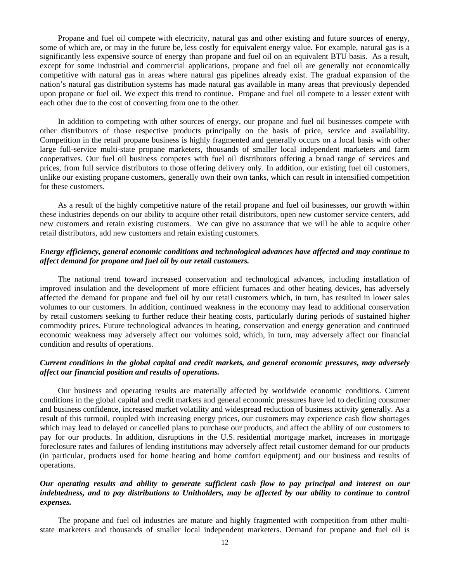Propane and fuel oil compete with electricity, natural gas and other existing and future sources of energy, some of which are, or may in the future be, less costly for equivalent energy value. For example, natural gas is a significantly less expensive source of energy than propane and fuel oil on an equivalent BTU basis. As a result, except for some industrial and commercial applications, propane and fuel oil are generally not economically competitive with natural gas in areas where natural gas pipelines already exist. The gradual expansion of the nation's natural gas distribution systems has made natural gas available in many areas that previously depended upon propane or fuel oil. We expect this trend to continue. Propane and fuel oil compete to a lesser extent with each other due to the cost of converting from one to the other.

In addition to competing with other sources of energy, our propane and fuel oil businesses compete with other distributors of those respective products principally on the basis of price, service and availability. Competition in the retail propane business is highly fragmented and generally occurs on a local basis with other large full-service multi-state propane marketers, thousands of smaller local independent marketers and farm cooperatives. Our fuel oil business competes with fuel oil distributors offering a broad range of services and prices, from full service distributors to those offering delivery only. In addition, our existing fuel oil customers, unlike our existing propane customers, generally own their own tanks, which can result in intensified competition for these customers.

As a result of the highly competitive nature of the retail propane and fuel oil businesses, our growth within these industries depends on our ability to acquire other retail distributors, open new customer service centers, add new customers and retain existing customers. We can give no assurance that we will be able to acquire other retail distributors, add new customers and retain existing customers.

# *Energy efficiency, general economic conditions and technological advances have affected and may continue to affect demand for propane and fuel oil by our retail customers.*

The national trend toward increased conservation and technological advances, including installation of improved insulation and the development of more efficient furnaces and other heating devices, has adversely affected the demand for propane and fuel oil by our retail customers which, in turn, has resulted in lower sales volumes to our customers. In addition, continued weakness in the economy may lead to additional conservation by retail customers seeking to further reduce their heating costs, particularly during periods of sustained higher commodity prices. Future technological advances in heating, conservation and energy generation and continued economic weakness may adversely affect our volumes sold, which, in turn, may adversely affect our financial condition and results of operations.

# *Current conditions in the global capital and credit markets, and general economic pressures, may adversely affect our financial position and results of operations.*

Our business and operating results are materially affected by worldwide economic conditions. Current conditions in the global capital and credit markets and general economic pressures have led to declining consumer and business confidence, increased market volatility and widespread reduction of business activity generally. As a result of this turmoil, coupled with increasing energy prices, our customers may experience cash flow shortages which may lead to delayed or cancelled plans to purchase our products, and affect the ability of our customers to pay for our products. In addition, disruptions in the U.S. residential mortgage market, increases in mortgage foreclosure rates and failures of lending institutions may adversely affect retail customer demand for our products (in particular, products used for home heating and home comfort equipment) and our business and results of operations.

# *Our operating results and ability to generate sufficient cash flow to pay principal and interest on our indebtedness, and to pay distributions to Unitholders, may be affected by our ability to continue to control expenses.*

The propane and fuel oil industries are mature and highly fragmented with competition from other multistate marketers and thousands of smaller local independent marketers. Demand for propane and fuel oil is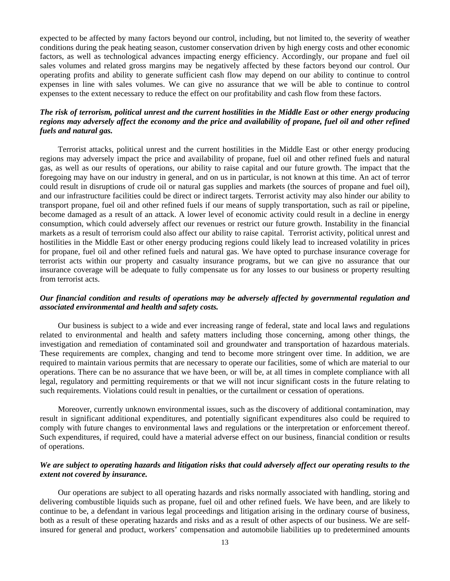expected to be affected by many factors beyond our control, including, but not limited to, the severity of weather conditions during the peak heating season, customer conservation driven by high energy costs and other economic factors, as well as technological advances impacting energy efficiency. Accordingly, our propane and fuel oil sales volumes and related gross margins may be negatively affected by these factors beyond our control. Our operating profits and ability to generate sufficient cash flow may depend on our ability to continue to control expenses in line with sales volumes. We can give no assurance that we will be able to continue to control expenses to the extent necessary to reduce the effect on our profitability and cash flow from these factors.

# *The risk of terrorism, political unrest and the current hostilities in the Middle East or other energy producing regions may adversely affect the economy and the price and availability of propane, fuel oil and other refined fuels and natural gas.*

Terrorist attacks, political unrest and the current hostilities in the Middle East or other energy producing regions may adversely impact the price and availability of propane, fuel oil and other refined fuels and natural gas, as well as our results of operations, our ability to raise capital and our future growth. The impact that the foregoing may have on our industry in general, and on us in particular, is not known at this time. An act of terror could result in disruptions of crude oil or natural gas supplies and markets (the sources of propane and fuel oil), and our infrastructure facilities could be direct or indirect targets. Terrorist activity may also hinder our ability to transport propane, fuel oil and other refined fuels if our means of supply transportation, such as rail or pipeline, become damaged as a result of an attack. A lower level of economic activity could result in a decline in energy consumption, which could adversely affect our revenues or restrict our future growth. Instability in the financial markets as a result of terrorism could also affect our ability to raise capital. Terrorist activity, political unrest and hostilities in the Middle East or other energy producing regions could likely lead to increased volatility in prices for propane, fuel oil and other refined fuels and natural gas. We have opted to purchase insurance coverage for terrorist acts within our property and casualty insurance programs, but we can give no assurance that our insurance coverage will be adequate to fully compensate us for any losses to our business or property resulting from terrorist acts.

# *Our financial condition and results of operations may be adversely affected by governmental regulation and associated environmental and health and safety costs.*

Our business is subject to a wide and ever increasing range of federal, state and local laws and regulations related to environmental and health and safety matters including those concerning, among other things, the investigation and remediation of contaminated soil and groundwater and transportation of hazardous materials. These requirements are complex, changing and tend to become more stringent over time. In addition, we are required to maintain various permits that are necessary to operate our facilities, some of which are material to our operations. There can be no assurance that we have been, or will be, at all times in complete compliance with all legal, regulatory and permitting requirements or that we will not incur significant costs in the future relating to such requirements. Violations could result in penalties, or the curtailment or cessation of operations.

Moreover, currently unknown environmental issues, such as the discovery of additional contamination, may result in significant additional expenditures, and potentially significant expenditures also could be required to comply with future changes to environmental laws and regulations or the interpretation or enforcement thereof. Such expenditures, if required, could have a material adverse effect on our business, financial condition or results of operations.

# *We are subject to operating hazards and litigation risks that could adversely affect our operating results to the extent not covered by insurance.*

Our operations are subject to all operating hazards and risks normally associated with handling, storing and delivering combustible liquids such as propane, fuel oil and other refined fuels. We have been, and are likely to continue to be, a defendant in various legal proceedings and litigation arising in the ordinary course of business, both as a result of these operating hazards and risks and as a result of other aspects of our business. We are selfinsured for general and product, workers' compensation and automobile liabilities up to predetermined amounts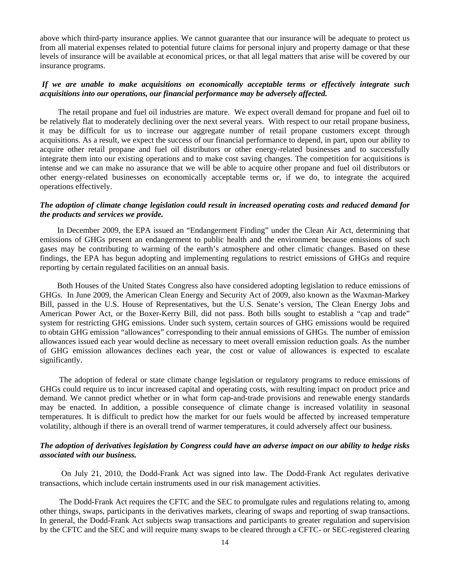above which third-party insurance applies. We cannot guarantee that our insurance will be adequate to protect us from all material expenses related to potential future claims for personal injury and property damage or that these levels of insurance will be available at economical prices, or that all legal matters that arise will be covered by our insurance programs.

# *If we are unable to make acquisitions on economically acceptable terms or effectively integrate such acquisitions into our operations, our financial performance may be adversely affected.*

The retail propane and fuel oil industries are mature. We expect overall demand for propane and fuel oil to be relatively flat to moderately declining over the next several years. With respect to our retail propane business, it may be difficult for us to increase our aggregate number of retail propane customers except through acquisitions. As a result, we expect the success of our financial performance to depend, in part, upon our ability to acquire other retail propane and fuel oil distributors or other energy-related businesses and to successfully integrate them into our existing operations and to make cost saving changes. The competition for acquisitions is intense and we can make no assurance that we will be able to acquire other propane and fuel oil distributors or other energy-related businesses on economically acceptable terms or, if we do, to integrate the acquired operations effectively.

# *The adoption of climate change legislation could result in increased operating costs and reduced demand for the products and services we provide.*

 In December 2009, the EPA issued an "Endangerment Finding" under the Clean Air Act, determining that emissions of GHGs present an endangerment to public health and the environment because emissions of such gases may be contributing to warming of the earth's atmosphere and other climatic changes. Based on these findings, the EPA has begun adopting and implementing regulations to restrict emissions of GHGs and require reporting by certain regulated facilities on an annual basis.

 Both Houses of the United States Congress also have considered adopting legislation to reduce emissions of GHGs. In June 2009, the American Clean Energy and Security Act of 2009, also known as the Waxman-Markey Bill, passed in the U.S. House of Representatives, but the U.S. Senate's version, The Clean Energy Jobs and American Power Act, or the Boxer-Kerry Bill, did not pass. Both bills sought to establish a "cap and trade" system for restricting GHG emissions. Under such system, certain sources of GHG emissions would be required to obtain GHG emission "allowances" corresponding to their annual emissions of GHGs. The number of emission allowances issued each year would decline as necessary to meet overall emission reduction goals. As the number of GHG emission allowances declines each year, the cost or value of allowances is expected to escalate significantly.

 The adoption of federal or state climate change legislation or regulatory programs to reduce emissions of GHGs could require us to incur increased capital and operating costs, with resulting impact on product price and demand. We cannot predict whether or in what form cap-and-trade provisions and renewable energy standards may be enacted. In addition, a possible consequence of climate change is increased volatility in seasonal temperatures. It is difficult to predict how the market for our fuels would be affected by increased temperature volatility, although if there is an overall trend of warmer temperatures, it could adversely affect our business.

# *The adoption of derivatives legislation by Congress could have an adverse impact on our ability to hedge risks associated with our business.*

 On July 21, 2010, the Dodd-Frank Act was signed into law. The Dodd-Frank Act regulates derivative transactions, which include certain instruments used in our risk management activities.

 The Dodd-Frank Act requires the CFTC and the SEC to promulgate rules and regulations relating to, among other things, swaps, participants in the derivatives markets, clearing of swaps and reporting of swap transactions. In general, the Dodd-Frank Act subjects swap transactions and participants to greater regulation and supervision by the CFTC and the SEC and will require many swaps to be cleared through a CFTC- or SEC-registered clearing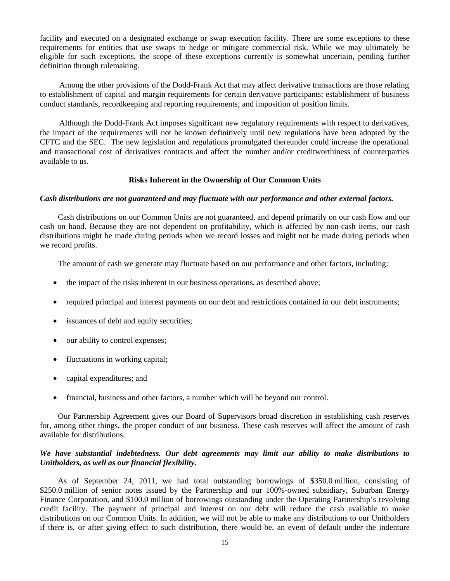facility and executed on a designated exchange or swap execution facility. There are some exceptions to these requirements for entities that use swaps to hedge or mitigate commercial risk. While we may ultimately be eligible for such exceptions, the scope of these exceptions currently is somewhat uncertain, pending further definition through rulemaking.

 Among the other provisions of the Dodd-Frank Act that may affect derivative transactions are those relating to establishment of capital and margin requirements for certain derivative participants; establishment of business conduct standards, recordkeeping and reporting requirements; and imposition of position limits.

 Although the Dodd-Frank Act imposes significant new regulatory requirements with respect to derivatives, the impact of the requirements will not be known definitively until new regulations have been adopted by the CFTC and the SEC. The new legislation and regulations promulgated thereunder could increase the operational and transactional cost of derivatives contracts and affect the number and/or creditworthiness of counterparties available to us.

#### **Risks Inherent in the Ownership of Our Common Units**

#### *Cash distributions are not guaranteed and may fluctuate with our performance and other external factors.*

Cash distributions on our Common Units are not guaranteed, and depend primarily on our cash flow and our cash on hand. Because they are not dependent on profitability, which is affected by non-cash items, our cash distributions might be made during periods when we record losses and might not be made during periods when we record profits.

The amount of cash we generate may fluctuate based on our performance and other factors, including:

- the impact of the risks inherent in our business operations, as described above;
- required principal and interest payments on our debt and restrictions contained in our debt instruments;
- issuances of debt and equity securities;
- our ability to control expenses;
- fluctuations in working capital;
- capital expenditures; and
- financial, business and other factors, a number which will be beyond our control.

Our Partnership Agreement gives our Board of Supervisors broad discretion in establishing cash reserves for, among other things, the proper conduct of our business. These cash reserves will affect the amount of cash available for distributions.

# *We have substantial indebtedness. Our debt agreements may limit our ability to make distributions to Unitholders, as well as our financial flexibility.*

As of September 24, 2011, we had total outstanding borrowings of \$350.0 million, consisting of \$250.0 million of senior notes issued by the Partnership and our 100%-owned subsidiary, Suburban Energy Finance Corporation, and \$100.0 million of borrowings outstanding under the Operating Partnership's revolving credit facility. The payment of principal and interest on our debt will reduce the cash available to make distributions on our Common Units. In addition, we will not be able to make any distributions to our Unitholders if there is, or after giving effect to such distribution, there would be, an event of default under the indenture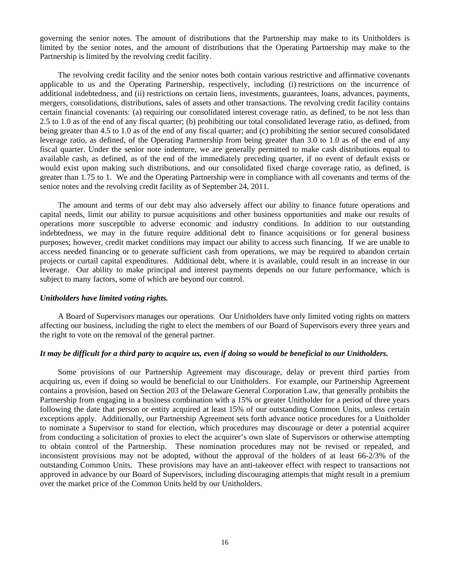governing the senior notes. The amount of distributions that the Partnership may make to its Unitholders is limited by the senior notes, and the amount of distributions that the Operating Partnership may make to the Partnership is limited by the revolving credit facility.

The revolving credit facility and the senior notes both contain various restrictive and affirmative covenants applicable to us and the Operating Partnership, respectively, including (i) restrictions on the incurrence of additional indebtedness, and (ii) restrictions on certain liens, investments, guarantees, loans, advances, payments, mergers, consolidations, distributions, sales of assets and other transactions. The revolving credit facility contains certain financial covenants: (a) requiring our consolidated interest coverage ratio, as defined, to be not less than 2.5 to 1.0 as of the end of any fiscal quarter; (b) prohibiting our total consolidated leverage ratio, as defined, from being greater than 4.5 to 1.0 as of the end of any fiscal quarter; and (c) prohibiting the senior secured consolidated leverage ratio, as defined, of the Operating Partnership from being greater than 3.0 to 1.0 as of the end of any fiscal quarter. Under the senior note indenture, we are generally permitted to make cash distributions equal to available cash, as defined, as of the end of the immediately preceding quarter, if no event of default exists or would exist upon making such distributions, and our consolidated fixed charge coverage ratio, as defined, is greater than 1.75 to 1. We and the Operating Partnership were in compliance with all covenants and terms of the senior notes and the revolving credit facility as of September 24, 2011.

The amount and terms of our debt may also adversely affect our ability to finance future operations and capital needs, limit our ability to pursue acquisitions and other business opportunities and make our results of operations more susceptible to adverse economic and industry conditions. In addition to our outstanding indebtedness, we may in the future require additional debt to finance acquisitions or for general business purposes; however, credit market conditions may impact our ability to access such financing. If we are unable to access needed financing or to generate sufficient cash from operations, we may be required to abandon certain projects or curtail capital expenditures. Additional debt, where it is available, could result in an increase in our leverage. Our ability to make principal and interest payments depends on our future performance, which is subject to many factors, some of which are beyond our control.

#### *Unitholders have limited voting rights.*

A Board of Supervisors manages our operations. Our Unitholders have only limited voting rights on matters affecting our business, including the right to elect the members of our Board of Supervisors every three years and the right to vote on the removal of the general partner.

# *It may be difficult for a third party to acquire us, even if doing so would be beneficial to our Unitholders.*

Some provisions of our Partnership Agreement may discourage, delay or prevent third parties from acquiring us, even if doing so would be beneficial to our Unitholders. For example, our Partnership Agreement contains a provision, based on Section 203 of the Delaware General Corporation Law, that generally prohibits the Partnership from engaging in a business combination with a 15% or greater Unitholder for a period of three years following the date that person or entity acquired at least 15% of our outstanding Common Units, unless certain exceptions apply. Additionally, our Partnership Agreement sets forth advance notice procedures for a Unitholder to nominate a Supervisor to stand for election, which procedures may discourage or deter a potential acquirer from conducting a solicitation of proxies to elect the acquirer's own slate of Supervisors or otherwise attempting to obtain control of the Partnership. These nomination procedures may not be revised or repealed, and inconsistent provisions may not be adopted, without the approval of the holders of at least 66-2/3% of the outstanding Common Units. These provisions may have an anti-takeover effect with respect to transactions not approved in advance by our Board of Supervisors, including discouraging attempts that might result in a premium over the market price of the Common Units held by our Unitholders.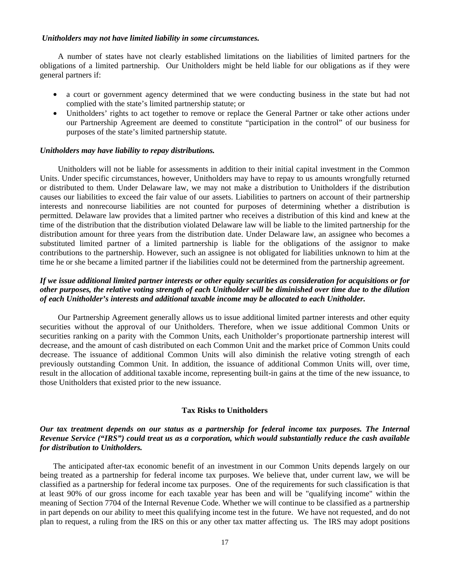#### *Unitholders may not have limited liability in some circumstances.*

A number of states have not clearly established limitations on the liabilities of limited partners for the obligations of a limited partnership. Our Unitholders might be held liable for our obligations as if they were general partners if:

- a court or government agency determined that we were conducting business in the state but had not complied with the state's limited partnership statute; or
- Unitholders' rights to act together to remove or replace the General Partner or take other actions under our Partnership Agreement are deemed to constitute "participation in the control" of our business for purposes of the state's limited partnership statute.

#### *Unitholders may have liability to repay distributions.*

Unitholders will not be liable for assessments in addition to their initial capital investment in the Common Units. Under specific circumstances, however, Unitholders may have to repay to us amounts wrongfully returned or distributed to them. Under Delaware law, we may not make a distribution to Unitholders if the distribution causes our liabilities to exceed the fair value of our assets. Liabilities to partners on account of their partnership interests and nonrecourse liabilities are not counted for purposes of determining whether a distribution is permitted. Delaware law provides that a limited partner who receives a distribution of this kind and knew at the time of the distribution that the distribution violated Delaware law will be liable to the limited partnership for the distribution amount for three years from the distribution date. Under Delaware law, an assignee who becomes a substituted limited partner of a limited partnership is liable for the obligations of the assignor to make contributions to the partnership. However, such an assignee is not obligated for liabilities unknown to him at the time he or she became a limited partner if the liabilities could not be determined from the partnership agreement.

# *If we issue additional limited partner interests or other equity securities as consideration for acquisitions or for other purposes, the relative voting strength of each Unitholder will be diminished over time due to the dilution of each Unitholder's interests and additional taxable income may be allocated to each Unitholder.*

Our Partnership Agreement generally allows us to issue additional limited partner interests and other equity securities without the approval of our Unitholders. Therefore, when we issue additional Common Units or securities ranking on a parity with the Common Units, each Unitholder's proportionate partnership interest will decrease, and the amount of cash distributed on each Common Unit and the market price of Common Units could decrease. The issuance of additional Common Units will also diminish the relative voting strength of each previously outstanding Common Unit. In addition, the issuance of additional Common Units will, over time, result in the allocation of additional taxable income, representing built-in gains at the time of the new issuance, to those Unitholders that existed prior to the new issuance.

#### **Tax Risks to Unitholders**

# *Our tax treatment depends on our status as a partnership for federal income tax purposes. The Internal Revenue Service ("IRS") could treat us as a corporation, which would substantially reduce the cash available for distribution to Unitholders.*

The anticipated after-tax economic benefit of an investment in our Common Units depends largely on our being treated as a partnership for federal income tax purposes. We believe that, under current law, we will be classified as a partnership for federal income tax purposes. One of the requirements for such classification is that at least 90% of our gross income for each taxable year has been and will be "qualifying income" within the meaning of Section 7704 of the Internal Revenue Code. Whether we will continue to be classified as a partnership in part depends on our ability to meet this qualifying income test in the future. We have not requested, and do not plan to request, a ruling from the IRS on this or any other tax matter affecting us. The IRS may adopt positions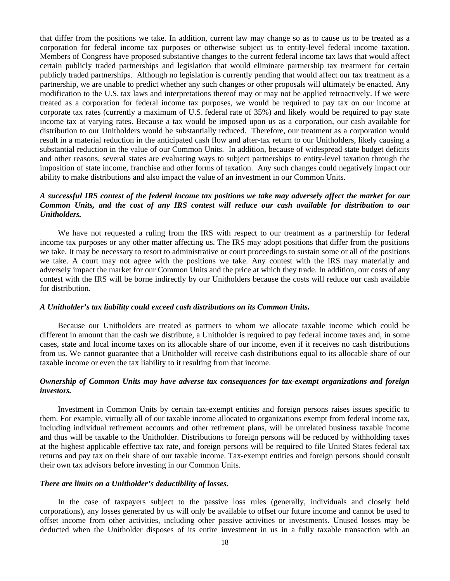that differ from the positions we take. In addition, current law may change so as to cause us to be treated as a corporation for federal income tax purposes or otherwise subject us to entity-level federal income taxation. Members of Congress have proposed substantive changes to the current federal income tax laws that would affect certain publicly traded partnerships and legislation that would eliminate partnership tax treatment for certain publicly traded partnerships. Although no legislation is currently pending that would affect our tax treatment as a partnership, we are unable to predict whether any such changes or other proposals will ultimately be enacted. Any modification to the U.S. tax laws and interpretations thereof may or may not be applied retroactively. If we were treated as a corporation for federal income tax purposes, we would be required to pay tax on our income at corporate tax rates (currently a maximum of U.S. federal rate of 35%) and likely would be required to pay state income tax at varying rates. Because a tax would be imposed upon us as a corporation, our cash available for distribution to our Unitholders would be substantially reduced. Therefore, our treatment as a corporation would result in a material reduction in the anticipated cash flow and after-tax return to our Unitholders, likely causing a substantial reduction in the value of our Common Units. In addition, because of widespread state budget deficits and other reasons, several states are evaluating ways to subject partnerships to entity-level taxation through the imposition of state income, franchise and other forms of taxation. Any such changes could negatively impact our ability to make distributions and also impact the value of an investment in our Common Units.

# *A successful IRS contest of the federal income tax positions we take may adversely affect the market for our Common Units, and the cost of any IRS contest will reduce our cash available for distribution to our Unitholders.*

We have not requested a ruling from the IRS with respect to our treatment as a partnership for federal income tax purposes or any other matter affecting us. The IRS may adopt positions that differ from the positions we take. It may be necessary to resort to administrative or court proceedings to sustain some or all of the positions we take. A court may not agree with the positions we take. Any contest with the IRS may materially and adversely impact the market for our Common Units and the price at which they trade. In addition, our costs of any contest with the IRS will be borne indirectly by our Unitholders because the costs will reduce our cash available for distribution.

#### *A Unitholder's tax liability could exceed cash distributions on its Common Units.*

Because our Unitholders are treated as partners to whom we allocate taxable income which could be different in amount than the cash we distribute, a Unitholder is required to pay federal income taxes and, in some cases, state and local income taxes on its allocable share of our income, even if it receives no cash distributions from us. We cannot guarantee that a Unitholder will receive cash distributions equal to its allocable share of our taxable income or even the tax liability to it resulting from that income.

# *Ownership of Common Units may have adverse tax consequences for tax-exempt organizations and foreign investors.*

Investment in Common Units by certain tax-exempt entities and foreign persons raises issues specific to them. For example, virtually all of our taxable income allocated to organizations exempt from federal income tax, including individual retirement accounts and other retirement plans, will be unrelated business taxable income and thus will be taxable to the Unitholder. Distributions to foreign persons will be reduced by withholding taxes at the highest applicable effective tax rate, and foreign persons will be required to file United States federal tax returns and pay tax on their share of our taxable income. Tax-exempt entities and foreign persons should consult their own tax advisors before investing in our Common Units.

#### *There are limits on a Unitholder's deductibility of losses.*

In the case of taxpayers subject to the passive loss rules (generally, individuals and closely held corporations), any losses generated by us will only be available to offset our future income and cannot be used to offset income from other activities, including other passive activities or investments. Unused losses may be deducted when the Unitholder disposes of its entire investment in us in a fully taxable transaction with an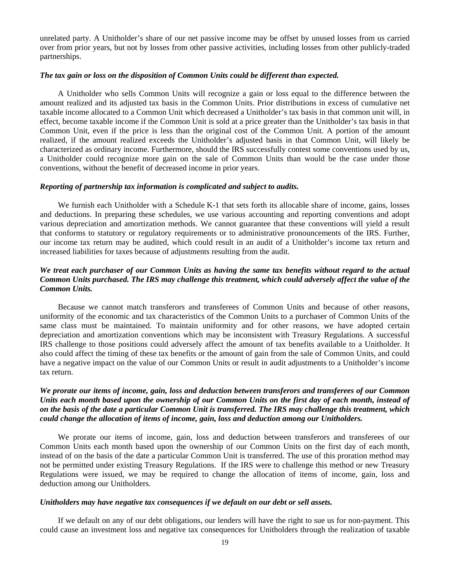unrelated party. A Unitholder's share of our net passive income may be offset by unused losses from us carried over from prior years, but not by losses from other passive activities, including losses from other publicly-traded partnerships.

#### *The tax gain or loss on the disposition of Common Units could be different than expected.*

A Unitholder who sells Common Units will recognize a gain or loss equal to the difference between the amount realized and its adjusted tax basis in the Common Units. Prior distributions in excess of cumulative net taxable income allocated to a Common Unit which decreased a Unitholder's tax basis in that common unit will, in effect, become taxable income if the Common Unit is sold at a price greater than the Unitholder's tax basis in that Common Unit, even if the price is less than the original cost of the Common Unit. A portion of the amount realized, if the amount realized exceeds the Unitholder's adjusted basis in that Common Unit, will likely be characterized as ordinary income. Furthermore, should the IRS successfully contest some conventions used by us, a Unitholder could recognize more gain on the sale of Common Units than would be the case under those conventions, without the benefit of decreased income in prior years.

#### *Reporting of partnership tax information is complicated and subject to audits.*

We furnish each Unitholder with a Schedule K-1 that sets forth its allocable share of income, gains, losses and deductions. In preparing these schedules, we use various accounting and reporting conventions and adopt various depreciation and amortization methods. We cannot guarantee that these conventions will yield a result that conforms to statutory or regulatory requirements or to administrative pronouncements of the IRS. Further, our income tax return may be audited, which could result in an audit of a Unitholder's income tax return and increased liabilities for taxes because of adjustments resulting from the audit.

# *We treat each purchaser of our Common Units as having the same tax benefits without regard to the actual Common Units purchased. The IRS may challenge this treatment, which could adversely affect the value of the Common Units.*

Because we cannot match transferors and transferees of Common Units and because of other reasons, uniformity of the economic and tax characteristics of the Common Units to a purchaser of Common Units of the same class must be maintained. To maintain uniformity and for other reasons, we have adopted certain depreciation and amortization conventions which may be inconsistent with Treasury Regulations. A successful IRS challenge to those positions could adversely affect the amount of tax benefits available to a Unitholder. It also could affect the timing of these tax benefits or the amount of gain from the sale of Common Units, and could have a negative impact on the value of our Common Units or result in audit adjustments to a Unitholder's income tax return.

# *We prorate our items of income, gain, loss and deduction between transferors and transferees of our Common Units each month based upon the ownership of our Common Units on the first day of each month, instead of on the basis of the date a particular Common Unit is transferred. The IRS may challenge this treatment, which could change the allocation of items of income, gain, loss and deduction among our Unitholders.*

We prorate our items of income, gain, loss and deduction between transferors and transferees of our Common Units each month based upon the ownership of our Common Units on the first day of each month, instead of on the basis of the date a particular Common Unit is transferred. The use of this proration method may not be permitted under existing Treasury Regulations. If the IRS were to challenge this method or new Treasury Regulations were issued, we may be required to change the allocation of items of income, gain, loss and deduction among our Unitholders.

#### *Unitholders may have negative tax consequences if we default on our debt or sell assets.*

If we default on any of our debt obligations, our lenders will have the right to sue us for non-payment. This could cause an investment loss and negative tax consequences for Unitholders through the realization of taxable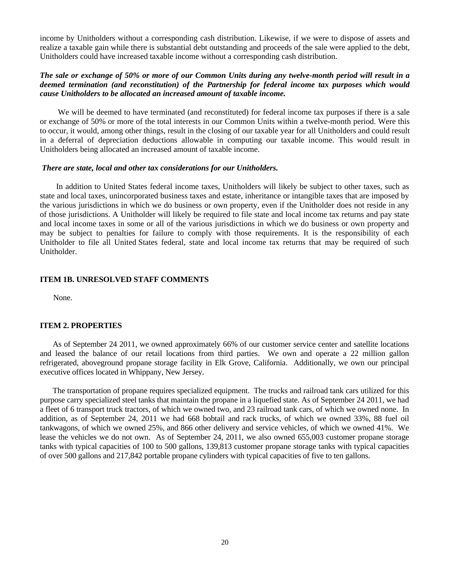income by Unitholders without a corresponding cash distribution. Likewise, if we were to dispose of assets and realize a taxable gain while there is substantial debt outstanding and proceeds of the sale were applied to the debt, Unitholders could have increased taxable income without a corresponding cash distribution.

# *The sale or exchange of 50% or more of our Common Units during any twelve-month period will result in a deemed termination (and reconstitution) of the Partnership for federal income tax purposes which would cause Unitholders to be allocated an increased amount of taxable income.*

We will be deemed to have terminated (and reconstituted) for federal income tax purposes if there is a sale or exchange of 50% or more of the total interests in our Common Units within a twelve-month period. Were this to occur, it would, among other things, result in the closing of our taxable year for all Unitholders and could result in a deferral of depreciation deductions allowable in computing our taxable income. This would result in Unitholders being allocated an increased amount of taxable income.

#### *There are state, local and other tax considerations for our Unitholders.*

 In addition to United States federal income taxes, Unitholders will likely be subject to other taxes, such as state and local taxes, unincorporated business taxes and estate, inheritance or intangible taxes that are imposed by the various jurisdictions in which we do business or own property, even if the Unitholder does not reside in any of those jurisdictions. A Unitholder will likely be required to file state and local income tax returns and pay state and local income taxes in some or all of the various jurisdictions in which we do business or own property and may be subject to penalties for failure to comply with those requirements. It is the responsibility of each Unitholder to file all United States federal, state and local income tax returns that may be required of such Unitholder.

# **ITEM 1B. UNRESOLVED STAFF COMMENTS**

None.

# **ITEM 2. PROPERTIES**

 As of September 24 2011, we owned approximately 66% of our customer service center and satellite locations and leased the balance of our retail locations from third parties. We own and operate a 22 million gallon refrigerated, aboveground propane storage facility in Elk Grove, California. Additionally, we own our principal executive offices located in Whippany, New Jersey.

 The transportation of propane requires specialized equipment. The trucks and railroad tank cars utilized for this purpose carry specialized steel tanks that maintain the propane in a liquefied state. As of September 24 2011, we had a fleet of 6 transport truck tractors, of which we owned two, and 23 railroad tank cars, of which we owned none. In addition, as of September 24, 2011 we had 668 bobtail and rack trucks, of which we owned 33%, 88 fuel oil tankwagons, of which we owned 25%, and 866 other delivery and service vehicles, of which we owned 41%. We lease the vehicles we do not own. As of September 24, 2011, we also owned 655,003 customer propane storage tanks with typical capacities of 100 to 500 gallons, 139,813 customer propane storage tanks with typical capacities of over 500 gallons and 217,842 portable propane cylinders with typical capacities of five to ten gallons.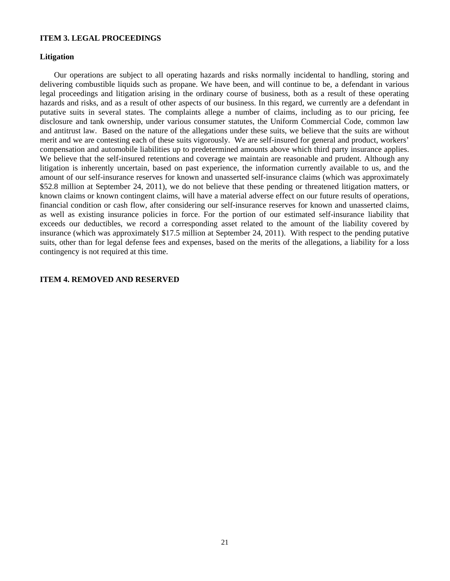#### **ITEM 3. LEGAL PROCEEDINGS**

# **Litigation**

 Our operations are subject to all operating hazards and risks normally incidental to handling, storing and delivering combustible liquids such as propane. We have been, and will continue to be, a defendant in various legal proceedings and litigation arising in the ordinary course of business, both as a result of these operating hazards and risks, and as a result of other aspects of our business. In this regard, we currently are a defendant in putative suits in several states. The complaints allege a number of claims, including as to our pricing, fee disclosure and tank ownership, under various consumer statutes, the Uniform Commercial Code, common law and antitrust law. Based on the nature of the allegations under these suits, we believe that the suits are without merit and we are contesting each of these suits vigorously. We are self-insured for general and product, workers' compensation and automobile liabilities up to predetermined amounts above which third party insurance applies. We believe that the self-insured retentions and coverage we maintain are reasonable and prudent. Although any litigation is inherently uncertain, based on past experience, the information currently available to us, and the amount of our self-insurance reserves for known and unasserted self-insurance claims (which was approximately \$52.8 million at September 24, 2011), we do not believe that these pending or threatened litigation matters, or known claims or known contingent claims, will have a material adverse effect on our future results of operations, financial condition or cash flow, after considering our self-insurance reserves for known and unasserted claims, as well as existing insurance policies in force. For the portion of our estimated self-insurance liability that exceeds our deductibles, we record a corresponding asset related to the amount of the liability covered by insurance (which was approximately \$17.5 million at September 24, 2011). With respect to the pending putative suits, other than for legal defense fees and expenses, based on the merits of the allegations, a liability for a loss contingency is not required at this time.

# **ITEM 4. REMOVED AND RESERVED**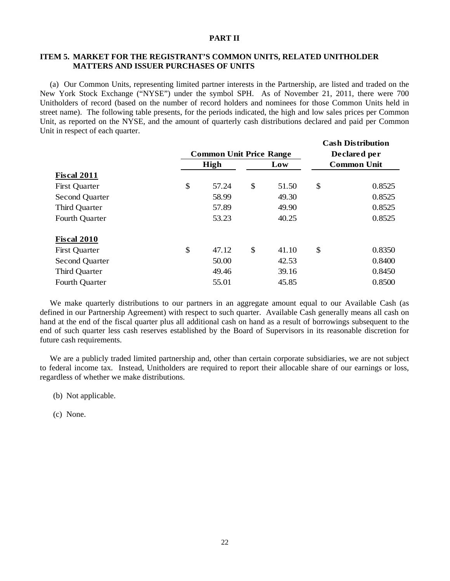# **PART II**

# **ITEM 5. MARKET FOR THE REGISTRANT'S COMMON UNITS, RELATED UNITHOLDER MATTERS AND ISSUER PURCHASES OF UNITS**

(a) Our Common Units, representing limited partner interests in the Partnership, are listed and traded on the New York Stock Exchange ("NYSE") under the symbol SPH. As of November 21, 2011, there were 700 Unitholders of record (based on the number of record holders and nominees for those Common Units held in street name). The following table presents, for the periods indicated, the high and low sales prices per Common Unit, as reported on the NYSE, and the amount of quarterly cash distributions declared and paid per Common Unit in respect of each quarter.

|                       |             |                                |              |                    | <b>Cash Distribution</b> |  |
|-----------------------|-------------|--------------------------------|--------------|--------------------|--------------------------|--|
|                       |             | <b>Common Unit Price Range</b> | Declared per |                    |                          |  |
|                       | <b>High</b> |                                | Low          | <b>Common Unit</b> |                          |  |
| <b>Fiscal 2011</b>    |             |                                |              |                    |                          |  |
| <b>First Quarter</b>  | \$          | 57.24                          | \$<br>51.50  | \$                 | 0.8525                   |  |
| <b>Second Quarter</b> |             | 58.99                          | 49.30        |                    | 0.8525                   |  |
| Third Quarter         |             | 57.89                          | 49.90        |                    | 0.8525                   |  |
| <b>Fourth Quarter</b> |             | 53.23                          | 40.25        |                    | 0.8525                   |  |
| <b>Fiscal 2010</b>    |             |                                |              |                    |                          |  |
| <b>First Quarter</b>  | \$          | 47.12                          | \$<br>41.10  | \$                 | 0.8350                   |  |
| <b>Second Quarter</b> |             | 50.00                          | 42.53        |                    | 0.8400                   |  |
| Third Quarter         |             | 49.46                          | 39.16        |                    | 0.8450                   |  |
| <b>Fourth Quarter</b> |             | 55.01                          | 45.85        |                    | 0.8500                   |  |

We make quarterly distributions to our partners in an aggregate amount equal to our Available Cash (as defined in our Partnership Agreement) with respect to such quarter. Available Cash generally means all cash on hand at the end of the fiscal quarter plus all additional cash on hand as a result of borrowings subsequent to the end of such quarter less cash reserves established by the Board of Supervisors in its reasonable discretion for future cash requirements.

We are a publicly traded limited partnership and, other than certain corporate subsidiaries, we are not subject to federal income tax. Instead, Unitholders are required to report their allocable share of our earnings or loss, regardless of whether we make distributions.

(b) Not applicable.

(c) None.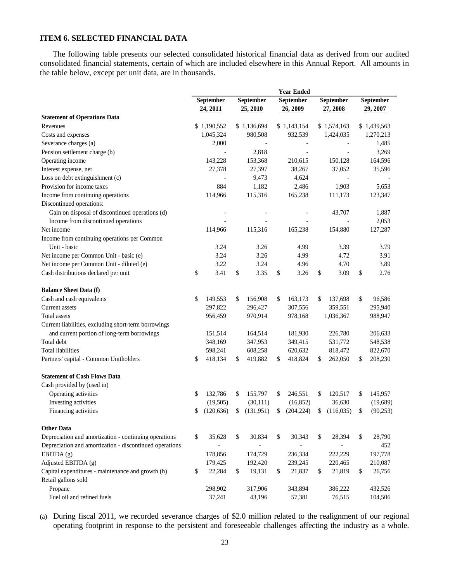# **ITEM 6. SELECTED FINANCIAL DATA**

 The following table presents our selected consolidated historical financial data as derived from our audited consolidated financial statements, certain of which are included elsewhere in this Annual Report. All amounts in the table below, except per unit data, are in thousands.

|                                                         | <b>Year Ended</b> |             |    |                          |    |             |    |                          |    |             |
|---------------------------------------------------------|-------------------|-------------|----|--------------------------|----|-------------|----|--------------------------|----|-------------|
|                                                         |                   | September   |    | September                |    | September   |    | September                |    | September   |
|                                                         |                   | 24, 2011    |    | 25, 2010                 |    | 26, 2009    |    | 27, 2008                 |    | 29, 2007    |
| <b>Statement of Operations Data</b>                     |                   |             |    |                          |    |             |    |                          |    |             |
| Revenues                                                |                   | \$1,190,552 |    | \$1,136,694              |    | \$1,143,154 |    | \$1,574,163              |    | \$1,439,563 |
| Costs and expenses                                      |                   | 1,045,324   |    | 980,508                  |    | 932,539     |    | 1,424,035                |    | 1,270,213   |
| Severance charges (a)                                   |                   | 2,000       |    | $\overline{\phantom{a}}$ |    |             |    | $\overline{\phantom{a}}$ |    | 1,485       |
| Pension settlement charge (b)                           |                   |             |    | 2,818                    |    |             |    |                          |    | 3,269       |
| Operating income                                        |                   | 143,228     |    | 153,368                  |    | 210,615     |    | 150,128                  |    | 164,596     |
| Interest expense, net                                   |                   | 27,378      |    | 27,397                   |    | 38,267      |    | 37,052                   |    | 35,596      |
| Loss on debt extinguishment (c)                         |                   |             |    | 9,473                    |    | 4,624       |    | $\overline{\phantom{a}}$ |    |             |
| Provision for income taxes                              |                   | 884         |    | 1,182                    |    | 2,486       |    | 1,903                    |    | 5,653       |
| Income from continuing operations                       |                   | 114,966     |    | 115,316                  |    | 165,238     |    | 111,173                  |    | 123,347     |
| Discontinued operations:                                |                   |             |    |                          |    |             |    |                          |    |             |
| Gain on disposal of discontinued operations (d)         |                   |             |    |                          |    |             |    | 43,707                   |    | 1,887       |
| Income from discontinued operations                     |                   |             |    |                          |    |             |    |                          |    | 2,053       |
| Net income                                              |                   | 114,966     |    | 115,316                  |    | 165,238     |    | 154,880                  |    | 127,287     |
| Income from continuing operations per Common            |                   |             |    |                          |    |             |    |                          |    |             |
| Unit - basic                                            |                   | 3.24        |    | 3.26                     |    | 4.99        |    | 3.39                     |    | 3.79        |
| Net income per Common Unit - basic (e)                  |                   | 3.24        |    | 3.26                     |    | 4.99        |    | 4.72                     |    | 3.91        |
| Net income per Common Unit - diluted (e)                |                   | 3.22        |    | 3.24                     |    | 4.96        |    | 4.70                     |    | 3.89        |
| Cash distributions declared per unit                    | \$                | 3.41        | \$ | 3.35                     | \$ | 3.26        | \$ | 3.09                     | \$ | 2.76        |
| <b>Balance Sheet Data (f)</b>                           |                   |             |    |                          |    |             |    |                          |    |             |
| Cash and cash equivalents                               | \$                | 149,553     | \$ | 156,908                  | \$ | 163,173     | \$ | 137,698                  | \$ | 96,586      |
| Current assets                                          |                   | 297,822     |    | 296,427                  |    | 307,556     |    | 359,551                  |    | 295,940     |
| Total assets                                            |                   | 956,459     |    | 970,914                  |    | 978,168     |    | 1,036,367                |    | 988,947     |
| Current liabilities, excluding short-term borrowings    |                   |             |    |                          |    |             |    |                          |    |             |
| and current portion of long-term borrowings             |                   | 151,514     |    | 164,514                  |    | 181,930     |    | 226,780                  |    | 206,633     |
| Total debt                                              |                   | 348,169     |    | 347,953                  |    | 349,415     |    | 531,772                  |    | 548,538     |
| Total liabilities                                       |                   | 598,241     |    | 608,258                  |    | 620,632     |    | 818,472                  |    | 822,670     |
| Partners' capital - Common Unitholders                  | \$                | 418,134     | \$ | 419,882                  | \$ | 418,824     | \$ | 262,050                  | \$ | 208,230     |
| <b>Statement of Cash Flows Data</b>                     |                   |             |    |                          |    |             |    |                          |    |             |
| Cash provided by (used in)                              |                   |             |    |                          |    |             |    |                          |    |             |
| Operating activities                                    | \$                | 132,786     | \$ | 155,797                  | \$ | 246,551     | \$ | 120,517                  | \$ | 145,957     |
| Investing activities                                    |                   | (19,505)    |    | (30, 111)                |    | (16, 852)   |    | 36,630                   |    | (19,689)    |
| Financing activities                                    | \$                | (120, 636)  | \$ | (131,951)                | \$ | (204, 224)  | \$ | (116,035)                | \$ | (90, 253)   |
| <b>Other Data</b>                                       |                   |             |    |                          |    |             |    |                          |    |             |
| Depreciation and amortization - continuing operations   | \$                | 35,628      | \$ | 30,834                   | \$ | 30,343      | \$ | 28,394                   | \$ | 28,790      |
| Depreciation and amortization - discontinued operations |                   |             |    |                          |    |             |    |                          |    | 452         |
| EBITDA $(g)$                                            |                   | 178,856     |    | 174,729                  |    | 236,334     |    | 222,229                  |    | 197,778     |
| Adjusted EBITDA (g)                                     |                   | 179,425     |    | 192,420                  |    | 239,245     |    | 220,465                  |    | 210,087     |
| Capital expenditures - maintenance and growth (h)       | \$                | 22,284      | \$ | 19,131                   | \$ | 21,837      |    | 21,819                   | \$ | 26,756      |
| Retail gallons sold                                     |                   |             |    |                          |    |             | \$ |                          |    |             |
|                                                         |                   |             |    |                          |    |             |    |                          |    |             |
| Propane                                                 |                   | 298,902     |    | 317,906                  |    | 343,894     |    | 386,222                  |    | 432,526     |
| Fuel oil and refined fuels                              |                   | 37,241      |    | 43,196                   |    | 57,381      |    | 76,515                   |    | 104,506     |

(a) During fiscal 2011, we recorded severance charges of \$2.0 million related to the realignment of our regional operating footprint in response to the persistent and foreseeable challenges affecting the industry as a whole.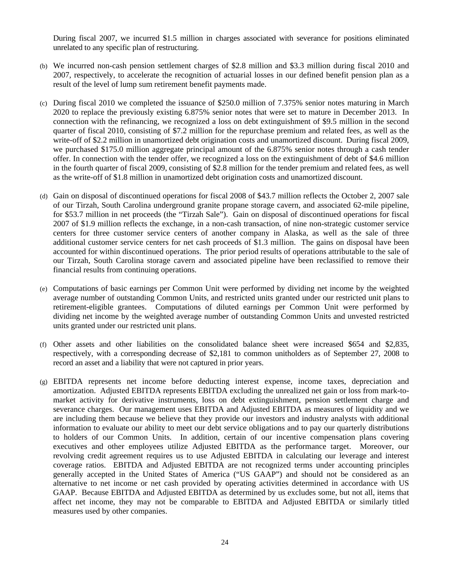During fiscal 2007, we incurred \$1.5 million in charges associated with severance for positions eliminated unrelated to any specific plan of restructuring.

- (b) We incurred non-cash pension settlement charges of \$2.8 million and \$3.3 million during fiscal 2010 and 2007, respectively, to accelerate the recognition of actuarial losses in our defined benefit pension plan as a result of the level of lump sum retirement benefit payments made.
- (c) During fiscal 2010 we completed the issuance of \$250.0 million of 7.375% senior notes maturing in March 2020 to replace the previously existing 6.875% senior notes that were set to mature in December 2013. In connection with the refinancing, we recognized a loss on debt extinguishment of \$9.5 million in the second quarter of fiscal 2010, consisting of \$7.2 million for the repurchase premium and related fees, as well as the write-off of \$2.2 million in unamortized debt origination costs and unamortized discount. During fiscal 2009, we purchased \$175.0 million aggregate principal amount of the 6.875% senior notes through a cash tender offer. In connection with the tender offer, we recognized a loss on the extinguishment of debt of \$4.6 million in the fourth quarter of fiscal 2009, consisting of \$2.8 million for the tender premium and related fees, as well as the write-off of \$1.8 million in unamortized debt origination costs and unamortized discount.
- (d) Gain on disposal of discontinued operations for fiscal 2008 of \$43.7 million reflects the October 2, 2007 sale of our Tirzah, South Carolina underground granite propane storage cavern, and associated 62-mile pipeline, for \$53.7 million in net proceeds (the "Tirzah Sale"). Gain on disposal of discontinued operations for fiscal 2007 of \$1.9 million reflects the exchange, in a non-cash transaction, of nine non-strategic customer service centers for three customer service centers of another company in Alaska, as well as the sale of three additional customer service centers for net cash proceeds of \$1.3 million. The gains on disposal have been accounted for within discontinued operations. The prior period results of operations attributable to the sale of our Tirzah, South Carolina storage cavern and associated pipeline have been reclassified to remove their financial results from continuing operations.
- (e) Computations of basic earnings per Common Unit were performed by dividing net income by the weighted average number of outstanding Common Units, and restricted units granted under our restricted unit plans to retirement-eligible grantees. Computations of diluted earnings per Common Unit were performed by dividing net income by the weighted average number of outstanding Common Units and unvested restricted units granted under our restricted unit plans.
- (f) Other assets and other liabilities on the consolidated balance sheet were increased \$654 and \$2,835, respectively, with a corresponding decrease of \$2,181 to common unitholders as of September 27, 2008 to record an asset and a liability that were not captured in prior years.
- (g) EBITDA represents net income before deducting interest expense, income taxes, depreciation and amortization. Adjusted EBITDA represents EBITDA excluding the unrealized net gain or loss from mark-tomarket activity for derivative instruments, loss on debt extinguishment, pension settlement charge and severance charges. Our management uses EBITDA and Adjusted EBITDA as measures of liquidity and we are including them because we believe that they provide our investors and industry analysts with additional information to evaluate our ability to meet our debt service obligations and to pay our quarterly distributions to holders of our Common Units. In addition, certain of our incentive compensation plans covering executives and other employees utilize Adjusted EBITDA as the performance target. Moreover, our revolving credit agreement requires us to use Adjusted EBITDA in calculating our leverage and interest coverage ratios. EBITDA and Adjusted EBITDA are not recognized terms under accounting principles generally accepted in the United States of America ("US GAAP") and should not be considered as an alternative to net income or net cash provided by operating activities determined in accordance with US GAAP. Because EBITDA and Adjusted EBITDA as determined by us excludes some, but not all, items that affect net income, they may not be comparable to EBITDA and Adjusted EBITDA or similarly titled measures used by other companies.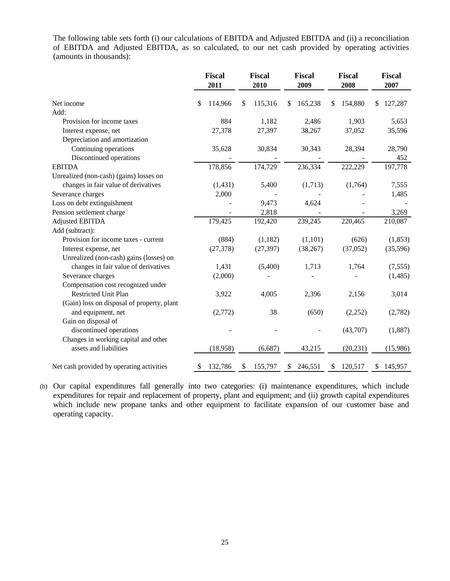The following table sets forth (i) our calculations of EBITDA and Adjusted EBITDA and (ii) a reconciliation of EBITDA and Adjusted EBITDA, as so calculated, to our net cash provided by operating activities (amounts in thousands):

|                                            |    | <b>Fiscal</b><br>2011 |    | <b>Fiscal</b><br>2010 |    | <b>Fiscal</b><br>2009 |    | <b>Fiscal</b><br>2008 |    | <b>Fiscal</b><br>2007 |
|--------------------------------------------|----|-----------------------|----|-----------------------|----|-----------------------|----|-----------------------|----|-----------------------|
| Net income                                 | S  | 114,966               | \$ | 115,316               | S  | 165,238               | S  | 154,880               | S  | 127,287               |
| Add:                                       |    |                       |    |                       |    |                       |    |                       |    |                       |
| Provision for income taxes                 |    | 884                   |    | 1,182                 |    | 2,486                 |    | 1,903                 |    | 5,653                 |
| Interest expense, net                      |    | 27,378                |    | 27,397                |    | 38,267                |    | 37,052                |    | 35,596                |
| Depreciation and amortization              |    |                       |    |                       |    |                       |    |                       |    |                       |
| Continuing operations                      |    | 35,628                |    | 30,834                |    | 30,343                |    | 28,394                |    | 28,790                |
| Discontinued operations                    |    |                       |    |                       |    |                       |    |                       |    | 452                   |
| <b>EBITDA</b>                              |    | 178,856               |    | 174,729               |    | 236,334               |    | 222,229               |    | 197,778               |
| Unrealized (non-cash) (gains) losses on    |    |                       |    |                       |    |                       |    |                       |    |                       |
| changes in fair value of derivatives       |    | (1,431)               |    | 5,400                 |    | (1,713)               |    | (1,764)               |    | 7,555                 |
| Severance charges                          |    | 2,000                 |    |                       |    |                       |    |                       |    | 1,485                 |
| Loss on debt extinguishment                |    |                       |    | 9,473                 |    | 4,624                 |    |                       |    |                       |
| Pension settlement charge                  |    |                       |    | 2,818                 |    |                       |    |                       |    | 3,269                 |
| <b>Adjusted EBITDA</b>                     |    | 179,425               |    | 192,420               |    | 239,245               |    | 220,465               |    | 210,087               |
| Add (subtract):                            |    |                       |    |                       |    |                       |    |                       |    |                       |
| Provision for income taxes - current       |    | (884)                 |    | (1,182)               |    | (1,101)               |    | (626)                 |    | (1, 853)              |
| Interest expense, net                      |    | (27, 378)             |    | (27, 397)             |    | (38, 267)             |    | (37,052)              |    | (35,596)              |
| Unrealized (non-cash) gains (losses) on    |    |                       |    |                       |    |                       |    |                       |    |                       |
| changes in fair value of derivatives       |    | 1,431                 |    | (5,400)               |    | 1,713                 |    | 1,764                 |    | (7,555)               |
| Severance charges                          |    | (2,000)               |    |                       |    |                       |    |                       |    | (1,485)               |
| Compensation cost recognized under         |    |                       |    |                       |    |                       |    |                       |    |                       |
| <b>Restricted Unit Plan</b>                |    | 3,922                 |    | 4,005                 |    | 2,396                 |    | 2,156                 |    | 3,014                 |
| (Gain) loss on disposal of property, plant |    |                       |    |                       |    |                       |    |                       |    |                       |
| and equipment, net                         |    | (2,772)               |    | 38                    |    | (650)                 |    | (2,252)               |    | (2,782)               |
| Gain on disposal of                        |    |                       |    |                       |    |                       |    |                       |    |                       |
| discontinued operations                    |    |                       |    |                       |    |                       |    | (43,707)              |    | (1,887)               |
| Changes in working capital and other       |    |                       |    |                       |    |                       |    |                       |    |                       |
| assets and liabilities                     |    | (18,958)              |    | (6,687)               |    | 43,215                |    | (20, 231)             |    | (15,986)              |
| Net cash provided by operating activities  | \$ | 132,786               | \$ | 155,797               | \$ | 246,551               | \$ | 120,517               | \$ | 145,957               |

(h) Our capital expenditures fall generally into two categories: (i) maintenance expenditures, which include expenditures for repair and replacement of property, plant and equipment; and (ii) growth capital expenditures which include new propane tanks and other equipment to facilitate expansion of our customer base and operating capacity.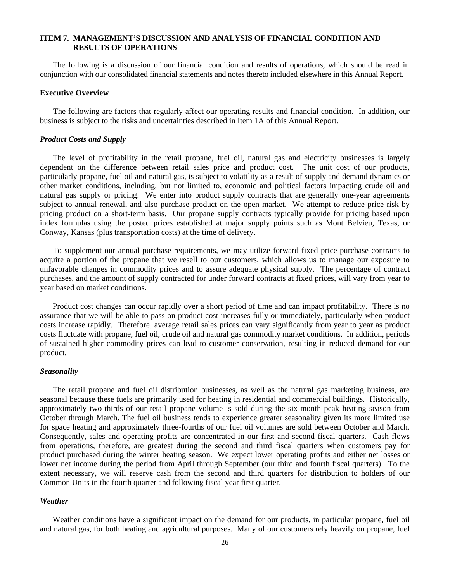# **ITEM 7. MANAGEMENT'S DISCUSSION AND ANALYSIS OF FINANCIAL CONDITION AND RESULTS OF OPERATIONS**

 The following is a discussion of our financial condition and results of operations, which should be read in conjunction with our consolidated financial statements and notes thereto included elsewhere in this Annual Report.

#### **Executive Overview**

 The following are factors that regularly affect our operating results and financial condition. In addition, our business is subject to the risks and uncertainties described in Item 1A of this Annual Report.

#### *Product Costs and Supply*

 The level of profitability in the retail propane, fuel oil, natural gas and electricity businesses is largely dependent on the difference between retail sales price and product cost. The unit cost of our products, particularly propane, fuel oil and natural gas, is subject to volatility as a result of supply and demand dynamics or other market conditions, including, but not limited to, economic and political factors impacting crude oil and natural gas supply or pricing. We enter into product supply contracts that are generally one-year agreements subject to annual renewal, and also purchase product on the open market. We attempt to reduce price risk by pricing product on a short-term basis. Our propane supply contracts typically provide for pricing based upon index formulas using the posted prices established at major supply points such as Mont Belvieu, Texas, or Conway, Kansas (plus transportation costs) at the time of delivery.

 To supplement our annual purchase requirements, we may utilize forward fixed price purchase contracts to acquire a portion of the propane that we resell to our customers, which allows us to manage our exposure to unfavorable changes in commodity prices and to assure adequate physical supply. The percentage of contract purchases, and the amount of supply contracted for under forward contracts at fixed prices, will vary from year to year based on market conditions.

 Product cost changes can occur rapidly over a short period of time and can impact profitability. There is no assurance that we will be able to pass on product cost increases fully or immediately, particularly when product costs increase rapidly. Therefore, average retail sales prices can vary significantly from year to year as product costs fluctuate with propane, fuel oil, crude oil and natural gas commodity market conditions. In addition, periods of sustained higher commodity prices can lead to customer conservation, resulting in reduced demand for our product.

#### *Seasonality*

 The retail propane and fuel oil distribution businesses, as well as the natural gas marketing business, are seasonal because these fuels are primarily used for heating in residential and commercial buildings. Historically, approximately two-thirds of our retail propane volume is sold during the six-month peak heating season from October through March. The fuel oil business tends to experience greater seasonality given its more limited use for space heating and approximately three-fourths of our fuel oil volumes are sold between October and March. Consequently, sales and operating profits are concentrated in our first and second fiscal quarters. Cash flows from operations, therefore, are greatest during the second and third fiscal quarters when customers pay for product purchased during the winter heating season. We expect lower operating profits and either net losses or lower net income during the period from April through September (our third and fourth fiscal quarters). To the extent necessary, we will reserve cash from the second and third quarters for distribution to holders of our Common Units in the fourth quarter and following fiscal year first quarter.

#### *Weather*

 Weather conditions have a significant impact on the demand for our products, in particular propane, fuel oil and natural gas, for both heating and agricultural purposes. Many of our customers rely heavily on propane, fuel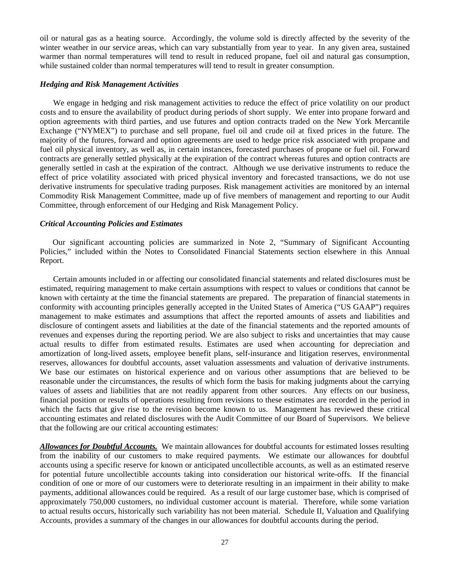oil or natural gas as a heating source. Accordingly, the volume sold is directly affected by the severity of the winter weather in our service areas, which can vary substantially from year to year. In any given area, sustained warmer than normal temperatures will tend to result in reduced propane, fuel oil and natural gas consumption, while sustained colder than normal temperatures will tend to result in greater consumption.

# *Hedging and Risk Management Activities*

We engage in hedging and risk management activities to reduce the effect of price volatility on our product costs and to ensure the availability of product during periods of short supply. We enter into propane forward and option agreements with third parties, and use futures and option contracts traded on the New York Mercantile Exchange ("NYMEX") to purchase and sell propane, fuel oil and crude oil at fixed prices in the future. The majority of the futures, forward and option agreements are used to hedge price risk associated with propane and fuel oil physical inventory, as well as, in certain instances, forecasted purchases of propane or fuel oil. Forward contracts are generally settled physically at the expiration of the contract whereas futures and option contracts are generally settled in cash at the expiration of the contract. Although we use derivative instruments to reduce the effect of price volatility associated with priced physical inventory and forecasted transactions, we do not use derivative instruments for speculative trading purposes. Risk management activities are monitored by an internal Commodity Risk Management Committee, made up of five members of management and reporting to our Audit Committee, through enforcement of our Hedging and Risk Management Policy.

#### *Critical Accounting Policies and Estimates*

 Our significant accounting policies are summarized in Note 2, "Summary of Significant Accounting Policies," included within the Notes to Consolidated Financial Statements section elsewhere in this Annual Report.

 Certain amounts included in or affecting our consolidated financial statements and related disclosures must be estimated, requiring management to make certain assumptions with respect to values or conditions that cannot be known with certainty at the time the financial statements are prepared. The preparation of financial statements in conformity with accounting principles generally accepted in the United States of America ("US GAAP") requires management to make estimates and assumptions that affect the reported amounts of assets and liabilities and disclosure of contingent assets and liabilities at the date of the financial statements and the reported amounts of revenues and expenses during the reporting period. We are also subject to risks and uncertainties that may cause actual results to differ from estimated results. Estimates are used when accounting for depreciation and amortization of long-lived assets, employee benefit plans, self-insurance and litigation reserves, environmental reserves, allowances for doubtful accounts, asset valuation assessments and valuation of derivative instruments. We base our estimates on historical experience and on various other assumptions that are believed to be reasonable under the circumstances, the results of which form the basis for making judgments about the carrying values of assets and liabilities that are not readily apparent from other sources. Any effects on our business, financial position or results of operations resulting from revisions to these estimates are recorded in the period in which the facts that give rise to the revision become known to us. Management has reviewed these critical accounting estimates and related disclosures with the Audit Committee of our Board of Supervisors. We believe that the following are our critical accounting estimates:

*Allowances for Doubtful Accounts.* We maintain allowances for doubtful accounts for estimated losses resulting from the inability of our customers to make required payments. We estimate our allowances for doubtful accounts using a specific reserve for known or anticipated uncollectible accounts, as well as an estimated reserve for potential future uncollectible accounts taking into consideration our historical write-offs. If the financial condition of one or more of our customers were to deteriorate resulting in an impairment in their ability to make payments, additional allowances could be required. As a result of our large customer base, which is comprised of approximately 750,000 customers, no individual customer account is material. Therefore, while some variation to actual results occurs, historically such variability has not been material. Schedule II, Valuation and Qualifying Accounts, provides a summary of the changes in our allowances for doubtful accounts during the period.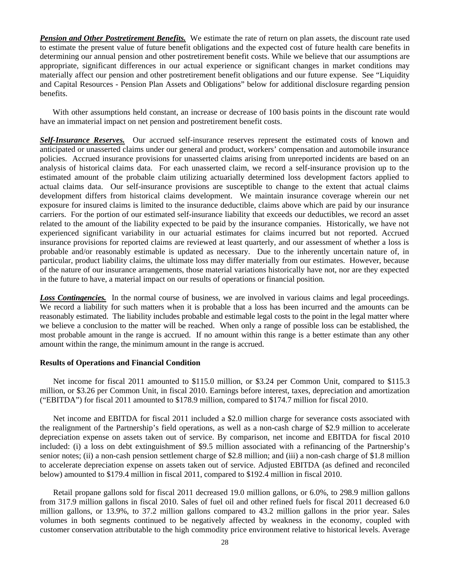*Pension and Other Postretirement Benefits.* We estimate the rate of return on plan assets, the discount rate used to estimate the present value of future benefit obligations and the expected cost of future health care benefits in determining our annual pension and other postretirement benefit costs. While we believe that our assumptions are appropriate, significant differences in our actual experience or significant changes in market conditions may materially affect our pension and other postretirement benefit obligations and our future expense. See "Liquidity and Capital Resources - Pension Plan Assets and Obligations" below for additional disclosure regarding pension benefits.

 With other assumptions held constant, an increase or decrease of 100 basis points in the discount rate would have an immaterial impact on net pension and postretirement benefit costs.

*Self-Insurance Reserves.* Our accrued self-insurance reserves represent the estimated costs of known and anticipated or unasserted claims under our general and product, workers' compensation and automobile insurance policies. Accrued insurance provisions for unasserted claims arising from unreported incidents are based on an analysis of historical claims data. For each unasserted claim, we record a self-insurance provision up to the estimated amount of the probable claim utilizing actuarially determined loss development factors applied to actual claims data. Our self-insurance provisions are susceptible to change to the extent that actual claims development differs from historical claims development. We maintain insurance coverage wherein our net exposure for insured claims is limited to the insurance deductible, claims above which are paid by our insurance carriers. For the portion of our estimated self-insurance liability that exceeds our deductibles, we record an asset related to the amount of the liability expected to be paid by the insurance companies. Historically, we have not experienced significant variability in our actuarial estimates for claims incurred but not reported. Accrued insurance provisions for reported claims are reviewed at least quarterly, and our assessment of whether a loss is probable and/or reasonably estimable is updated as necessary. Due to the inherently uncertain nature of, in particular, product liability claims, the ultimate loss may differ materially from our estimates. However, because of the nature of our insurance arrangements, those material variations historically have not, nor are they expected in the future to have, a material impact on our results of operations or financial position.

Loss Contingencies. In the normal course of business, we are involved in various claims and legal proceedings. We record a liability for such matters when it is probable that a loss has been incurred and the amounts can be reasonably estimated. The liability includes probable and estimable legal costs to the point in the legal matter where we believe a conclusion to the matter will be reached. When only a range of possible loss can be established, the most probable amount in the range is accrued. If no amount within this range is a better estimate than any other amount within the range, the minimum amount in the range is accrued.

# **Results of Operations and Financial Condition**

Net income for fiscal 2011 amounted to \$115.0 million, or \$3.24 per Common Unit, compared to \$115.3 million, or \$3.26 per Common Unit, in fiscal 2010. Earnings before interest, taxes, depreciation and amortization ("EBITDA") for fiscal 2011 amounted to \$178.9 million, compared to \$174.7 million for fiscal 2010.

Net income and EBITDA for fiscal 2011 included a \$2.0 million charge for severance costs associated with the realignment of the Partnership's field operations, as well as a non-cash charge of \$2.9 million to accelerate depreciation expense on assets taken out of service. By comparison, net income and EBITDA for fiscal 2010 included: (i) a loss on debt extinguishment of \$9.5 million associated with a refinancing of the Partnership's senior notes; (ii) a non-cash pension settlement charge of \$2.8 million; and (iii) a non-cash charge of \$1.8 million to accelerate depreciation expense on assets taken out of service. Adjusted EBITDA (as defined and reconciled below) amounted to \$179.4 million in fiscal 2011, compared to \$192.4 million in fiscal 2010.

Retail propane gallons sold for fiscal 2011 decreased 19.0 million gallons, or 6.0%, to 298.9 million gallons from 317.9 million gallons in fiscal 2010. Sales of fuel oil and other refined fuels for fiscal 2011 decreased 6.0 million gallons, or 13.9%, to 37.2 million gallons compared to 43.2 million gallons in the prior year. Sales volumes in both segments continued to be negatively affected by weakness in the economy, coupled with customer conservation attributable to the high commodity price environment relative to historical levels. Average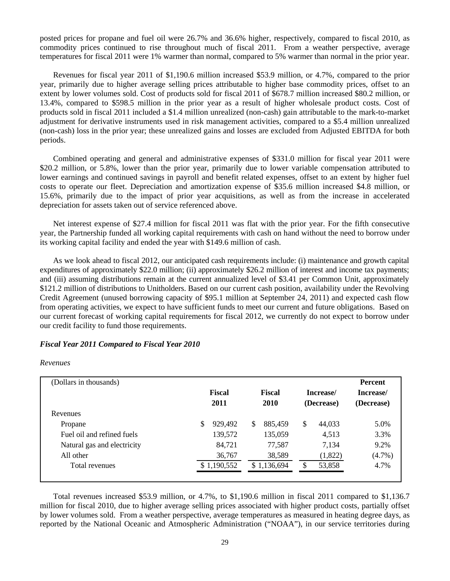posted prices for propane and fuel oil were 26.7% and 36.6% higher, respectively, compared to fiscal 2010, as commodity prices continued to rise throughout much of fiscal 2011. From a weather perspective, average temperatures for fiscal 2011 were 1% warmer than normal, compared to 5% warmer than normal in the prior year.

Revenues for fiscal year 2011 of \$1,190.6 million increased \$53.9 million, or 4.7%, compared to the prior year, primarily due to higher average selling prices attributable to higher base commodity prices, offset to an extent by lower volumes sold. Cost of products sold for fiscal 2011 of \$678.7 million increased \$80.2 million, or 13.4%, compared to \$598.5 million in the prior year as a result of higher wholesale product costs. Cost of products sold in fiscal 2011 included a \$1.4 million unrealized (non-cash) gain attributable to the mark-to-market adjustment for derivative instruments used in risk management activities, compared to a \$5.4 million unrealized (non-cash) loss in the prior year; these unrealized gains and losses are excluded from Adjusted EBITDA for both periods.

Combined operating and general and administrative expenses of \$331.0 million for fiscal year 2011 were \$20.2 million, or 5.8%, lower than the prior year, primarily due to lower variable compensation attributed to lower earnings and continued savings in payroll and benefit related expenses, offset to an extent by higher fuel costs to operate our fleet. Depreciation and amortization expense of \$35.6 million increased \$4.8 million, or 15.6%, primarily due to the impact of prior year acquisitions, as well as from the increase in accelerated depreciation for assets taken out of service referenced above.

Net interest expense of \$27.4 million for fiscal 2011 was flat with the prior year. For the fifth consecutive year, the Partnership funded all working capital requirements with cash on hand without the need to borrow under its working capital facility and ended the year with \$149.6 million of cash.

 As we look ahead to fiscal 2012, our anticipated cash requirements include: (i) maintenance and growth capital expenditures of approximately \$22.0 million; (ii) approximately \$26.2 million of interest and income tax payments; and (iii) assuming distributions remain at the current annualized level of \$3.41 per Common Unit, approximately \$121.2 million of distributions to Unitholders. Based on our current cash position, availability under the Revolving Credit Agreement (unused borrowing capacity of \$95.1 million at September 24, 2011) and expected cash flow from operating activities, we expect to have sufficient funds to meet our current and future obligations. Based on our current forecast of working capital requirements for fiscal 2012, we currently do not expect to borrow under our credit facility to fund those requirements.

# *Fiscal Year 2011 Compared to Fiscal Year 2010*

#### *Revenues*

| (Dollars in thousands)      | <b>Fiscal</b> | <b>Fiscal</b> | Increase/    | <b>Percent</b><br>Increase/ |
|-----------------------------|---------------|---------------|--------------|-----------------------------|
|                             | 2011          | 2010          | (Decrease)   | (Decrease)                  |
| Revenues                    |               |               |              |                             |
| Propane                     | \$<br>929,492 | \$<br>885.459 | \$<br>44,033 | 5.0%                        |
| Fuel oil and refined fuels  | 139,572       | 135,059       | 4,513        | 3.3%                        |
| Natural gas and electricity | 84,721        | 77,587        | 7,134        | 9.2%                        |
| All other                   | 36,767        | 38,589        | (1,822)      | $(4.7\%)$                   |
| Total revenues              | \$1,190,552   | \$1,136,694   | 53,858<br>S  | 4.7%                        |
|                             |               |               |              |                             |

Total revenues increased \$53.9 million, or 4.7%, to \$1,190.6 million in fiscal 2011 compared to \$1,136.7 million for fiscal 2010, due to higher average selling prices associated with higher product costs, partially offset by lower volumes sold. From a weather perspective, average temperatures as measured in heating degree days, as reported by the National Oceanic and Atmospheric Administration ("NOAA"), in our service territories during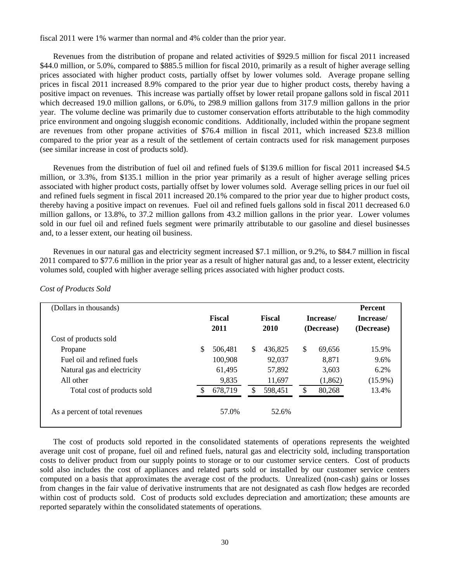fiscal 2011 were 1% warmer than normal and 4% colder than the prior year.

Revenues from the distribution of propane and related activities of \$929.5 million for fiscal 2011 increased \$44.0 million, or 5.0%, compared to \$885.5 million for fiscal 2010, primarily as a result of higher average selling prices associated with higher product costs, partially offset by lower volumes sold. Average propane selling prices in fiscal 2011 increased 8.9% compared to the prior year due to higher product costs, thereby having a positive impact on revenues. This increase was partially offset by lower retail propane gallons sold in fiscal 2011 which decreased 19.0 million gallons, or 6.0%, to 298.9 million gallons from 317.9 million gallons in the prior year. The volume decline was primarily due to customer conservation efforts attributable to the high commodity price environment and ongoing sluggish economic conditions. Additionally, included within the propane segment are revenues from other propane activities of \$76.4 million in fiscal 2011, which increased \$23.8 million compared to the prior year as a result of the settlement of certain contracts used for risk management purposes (see similar increase in cost of products sold).

Revenues from the distribution of fuel oil and refined fuels of \$139.6 million for fiscal 2011 increased \$4.5 million, or 3.3%, from \$135.1 million in the prior year primarily as a result of higher average selling prices associated with higher product costs, partially offset by lower volumes sold. Average selling prices in our fuel oil and refined fuels segment in fiscal 2011 increased 20.1% compared to the prior year due to higher product costs, thereby having a positive impact on revenues. Fuel oil and refined fuels gallons sold in fiscal 2011 decreased 6.0 million gallons, or 13.8%, to 37.2 million gallons from 43.2 million gallons in the prior year. Lower volumes sold in our fuel oil and refined fuels segment were primarily attributable to our gasoline and diesel businesses and, to a lesser extent, our heating oil business.

 Revenues in our natural gas and electricity segment increased \$7.1 million, or 9.2%, to \$84.7 million in fiscal 2011 compared to \$77.6 million in the prior year as a result of higher natural gas and, to a lesser extent, electricity volumes sold, coupled with higher average selling prices associated with higher product costs.

| (Dollars in thousands)         |      |               |      |               |              | <b>Percent</b> |
|--------------------------------|------|---------------|------|---------------|--------------|----------------|
|                                |      | <b>Fiscal</b> |      | <b>Fiscal</b> | Increase/    | Increase/      |
|                                | 2011 |               | 2010 |               | (Decrease)   | (Decrease)     |
| Cost of products sold          |      |               |      |               |              |                |
| Propane                        | \$   | 506.481       | S.   | 436.825       | \$<br>69.656 | 15.9%          |
| Fuel oil and refined fuels     |      | 100,908       |      | 92,037        | 8,871        | 9.6%           |
| Natural gas and electricity    |      | 61,495        |      | 57,892        | 3.603        | 6.2%           |
| All other                      |      | 9,835         |      | 11,697        | (1,862)      | $(15.9\%)$     |
| Total cost of products sold    |      | 678,719       | S    | 598,451       | \$<br>80,268 | 13.4%          |
| As a percent of total revenues |      | 57.0%         |      | 52.6%         |              |                |

# *Cost of Products Sold*

The cost of products sold reported in the consolidated statements of operations represents the weighted average unit cost of propane, fuel oil and refined fuels, natural gas and electricity sold, including transportation costs to deliver product from our supply points to storage or to our customer service centers. Cost of products sold also includes the cost of appliances and related parts sold or installed by our customer service centers computed on a basis that approximates the average cost of the products. Unrealized (non-cash) gains or losses from changes in the fair value of derivative instruments that are not designated as cash flow hedges are recorded within cost of products sold. Cost of products sold excludes depreciation and amortization; these amounts are reported separately within the consolidated statements of operations.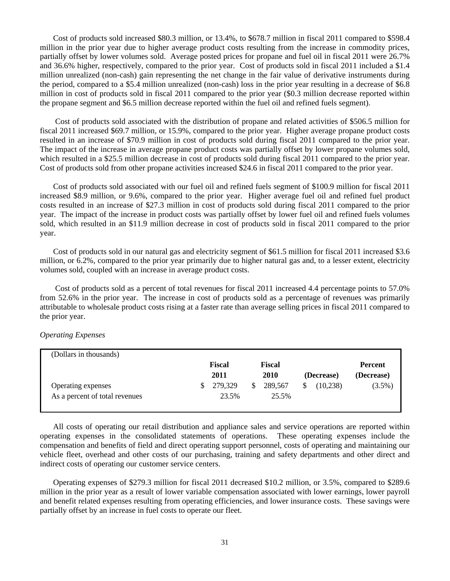Cost of products sold increased \$80.3 million, or 13.4%, to \$678.7 million in fiscal 2011 compared to \$598.4 million in the prior year due to higher average product costs resulting from the increase in commodity prices, partially offset by lower volumes sold. Average posted prices for propane and fuel oil in fiscal 2011 were 26.7% and 36.6% higher, respectively, compared to the prior year. Cost of products sold in fiscal 2011 included a \$1.4 million unrealized (non-cash) gain representing the net change in the fair value of derivative instruments during the period, compared to a \$5.4 million unrealized (non-cash) loss in the prior year resulting in a decrease of \$6.8 million in cost of products sold in fiscal 2011 compared to the prior year (\$0.3 million decrease reported within the propane segment and \$6.5 million decrease reported within the fuel oil and refined fuels segment).

 Cost of products sold associated with the distribution of propane and related activities of \$506.5 million for fiscal 2011 increased \$69.7 million, or 15.9%, compared to the prior year. Higher average propane product costs resulted in an increase of \$70.9 million in cost of products sold during fiscal 2011 compared to the prior year. The impact of the increase in average propane product costs was partially offset by lower propane volumes sold, which resulted in a \$25.5 million decrease in cost of products sold during fiscal 2011 compared to the prior year. Cost of products sold from other propane activities increased \$24.6 in fiscal 2011 compared to the prior year.

Cost of products sold associated with our fuel oil and refined fuels segment of \$100.9 million for fiscal 2011 increased \$8.9 million, or 9.6%, compared to the prior year. Higher average fuel oil and refined fuel product costs resulted in an increase of \$27.3 million in cost of products sold during fiscal 2011 compared to the prior year. The impact of the increase in product costs was partially offset by lower fuel oil and refined fuels volumes sold, which resulted in an \$11.9 million decrease in cost of products sold in fiscal 2011 compared to the prior year.

Cost of products sold in our natural gas and electricity segment of \$61.5 million for fiscal 2011 increased \$3.6 million, or 6.2%, compared to the prior year primarily due to higher natural gas and, to a lesser extent, electricity volumes sold, coupled with an increase in average product costs.

 Cost of products sold as a percent of total revenues for fiscal 2011 increased 4.4 percentage points to 57.0% from 52.6% in the prior year. The increase in cost of products sold as a percentage of revenues was primarily attributable to wholesale product costs rising at a faster rate than average selling prices in fiscal 2011 compared to the prior year.

| (Dollars in thousands)         |               |             |            |                |
|--------------------------------|---------------|-------------|------------|----------------|
|                                | <b>Fiscal</b> | Fiscal      |            | <b>Percent</b> |
|                                | 2011          | <b>2010</b> | (Decrease) | (Decrease)     |
| Operating expenses             | 279,329       | 289,567     | (10.238)   | $(3.5\%)$      |
| As a percent of total revenues | 23.5%         | 25.5%       |            |                |
|                                |               |             |            |                |

# *Operating Expenses*

 All costs of operating our retail distribution and appliance sales and service operations are reported within operating expenses in the consolidated statements of operations. These operating expenses include the compensation and benefits of field and direct operating support personnel, costs of operating and maintaining our vehicle fleet, overhead and other costs of our purchasing, training and safety departments and other direct and indirect costs of operating our customer service centers.

 Operating expenses of \$279.3 million for fiscal 2011 decreased \$10.2 million, or 3.5%, compared to \$289.6 million in the prior year as a result of lower variable compensation associated with lower earnings, lower payroll and benefit related expenses resulting from operating efficiencies, and lower insurance costs. These savings were partially offset by an increase in fuel costs to operate our fleet.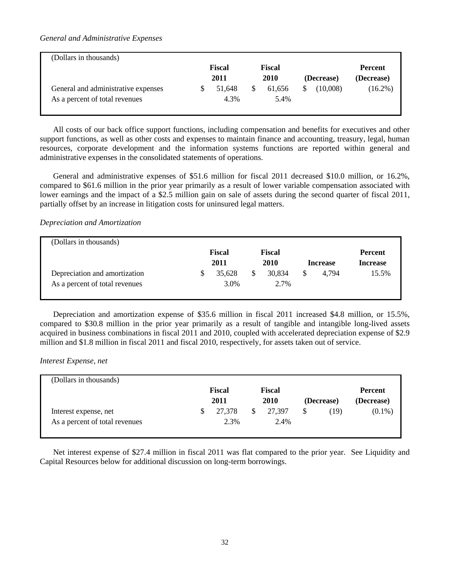# *General and Administrative Expenses*

| (Dollars in thousands)              |               |   |             |            |                |
|-------------------------------------|---------------|---|-------------|------------|----------------|
|                                     | <b>Fiscal</b> |   | Fiscal      |            | <b>Percent</b> |
|                                     | 2011          |   | <b>2010</b> | (Decrease) | (Decrease)     |
| General and administrative expenses | 51,648        | S | 61.656      | (10,008)   | $(16.2\%)$     |
| As a percent of total revenues      | 4.3%          |   | 5.4%        |            |                |
|                                     |               |   |             |            |                |

 All costs of our back office support functions, including compensation and benefits for executives and other support functions, as well as other costs and expenses to maintain finance and accounting, treasury, legal, human resources, corporate development and the information systems functions are reported within general and administrative expenses in the consolidated statements of operations.

 General and administrative expenses of \$51.6 million for fiscal 2011 decreased \$10.0 million, or 16.2%, compared to \$61.6 million in the prior year primarily as a result of lower variable compensation associated with lower earnings and the impact of a \$2.5 million gain on sale of assets during the second quarter of fiscal 2011, partially offset by an increase in litigation costs for uninsured legal matters.

# *Depreciation and Amortization*

| (Dollars in thousands)         | Fiscal | Fiscal       |          | <b>Percent</b>  |
|--------------------------------|--------|--------------|----------|-----------------|
|                                | 2011   | 2010         | Increase | <b>Increase</b> |
| Depreciation and amortization  | 35,628 | \$<br>30,834 | 4.794    | 15.5%           |
| As a percent of total revenues | 3.0%   | 2.7%         |          |                 |

 Depreciation and amortization expense of \$35.6 million in fiscal 2011 increased \$4.8 million, or 15.5%, compared to \$30.8 million in the prior year primarily as a result of tangible and intangible long-lived assets acquired in business combinations in fiscal 2011 and 2010, coupled with accelerated depreciation expense of \$2.9 million and \$1.8 million in fiscal 2011 and fiscal 2010, respectively, for assets taken out of service.

# *Interest Expense, net*

| (Dollars in thousands)         |        |               |            |                |
|--------------------------------|--------|---------------|------------|----------------|
|                                | Fiscal | <b>Fiscal</b> |            | <b>Percent</b> |
|                                | 2011   | 2010          | (Decrease) | (Decrease)     |
| Interest expense, net          | 27,378 | 27,397        | (19)       | $(0.1\%)$      |
| As a percent of total revenues | 2.3%   | 2.4%          |            |                |
|                                |        |               |            |                |

Net interest expense of \$27.4 million in fiscal 2011 was flat compared to the prior year. See Liquidity and Capital Resources below for additional discussion on long-term borrowings.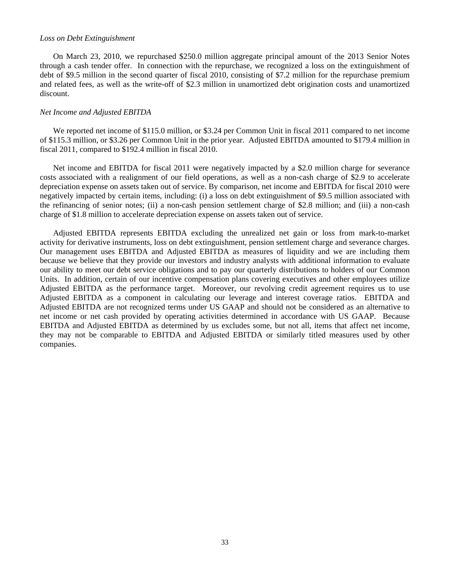#### *Loss on Debt Extinguishment*

 On March 23, 2010, we repurchased \$250.0 million aggregate principal amount of the 2013 Senior Notes through a cash tender offer. In connection with the repurchase, we recognized a loss on the extinguishment of debt of \$9.5 million in the second quarter of fiscal 2010, consisting of \$7.2 million for the repurchase premium and related fees, as well as the write-off of \$2.3 million in unamortized debt origination costs and unamortized discount.

## *Net Income and Adjusted EBITDA*

 We reported net income of \$115.0 million, or \$3.24 per Common Unit in fiscal 2011 compared to net income of \$115.3 million, or \$3.26 per Common Unit in the prior year. Adjusted EBITDA amounted to \$179.4 million in fiscal 2011, compared to \$192.4 million in fiscal 2010.

 Net income and EBITDA for fiscal 2011 were negatively impacted by a \$2.0 million charge for severance costs associated with a realignment of our field operations, as well as a non-cash charge of \$2.9 to accelerate depreciation expense on assets taken out of service. By comparison, net income and EBITDA for fiscal 2010 were negatively impacted by certain items, including: (i) a loss on debt extinguishment of \$9.5 million associated with the refinancing of senior notes; (ii) a non-cash pension settlement charge of \$2.8 million; and (iii) a non-cash charge of \$1.8 million to accelerate depreciation expense on assets taken out of service.

 Adjusted EBITDA represents EBITDA excluding the unrealized net gain or loss from mark-to-market activity for derivative instruments, loss on debt extinguishment, pension settlement charge and severance charges. Our management uses EBITDA and Adjusted EBITDA as measures of liquidity and we are including them because we believe that they provide our investors and industry analysts with additional information to evaluate our ability to meet our debt service obligations and to pay our quarterly distributions to holders of our Common Units. In addition, certain of our incentive compensation plans covering executives and other employees utilize Adjusted EBITDA as the performance target. Moreover, our revolving credit agreement requires us to use Adjusted EBITDA as a component in calculating our leverage and interest coverage ratios. EBITDA and Adjusted EBITDA are not recognized terms under US GAAP and should not be considered as an alternative to net income or net cash provided by operating activities determined in accordance with US GAAP. Because EBITDA and Adjusted EBITDA as determined by us excludes some, but not all, items that affect net income, they may not be comparable to EBITDA and Adjusted EBITDA or similarly titled measures used by other companies.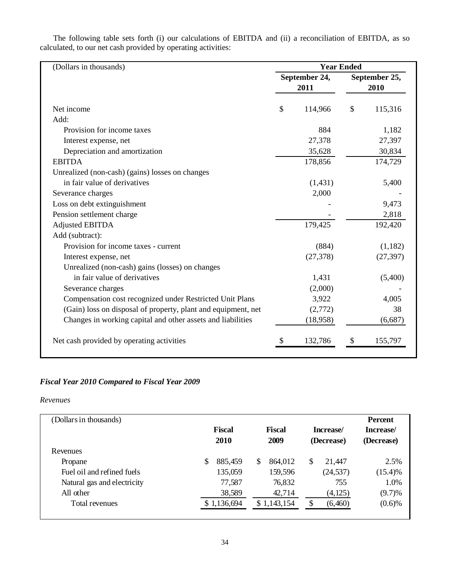| (Dollars in thousands)                                        | <b>Year Ended</b>     |                       |
|---------------------------------------------------------------|-----------------------|-----------------------|
|                                                               | September 24,<br>2011 | September 25,<br>2010 |
| Net income                                                    | \$<br>114,966         | \$<br>115,316         |
| Add:                                                          |                       |                       |
| Provision for income taxes                                    | 884                   | 1,182                 |
| Interest expense, net                                         | 27,378                | 27,397                |
| Depreciation and amortization                                 | 35,628                | 30,834                |
| <b>EBITDA</b>                                                 | 178,856               | 174,729               |
| Unrealized (non-cash) (gains) losses on changes               |                       |                       |
| in fair value of derivatives                                  | (1, 431)              | 5,400                 |
| Severance charges                                             | 2,000                 |                       |
| Loss on debt extinguishment                                   |                       | 9,473                 |
| Pension settlement charge                                     |                       | 2,818                 |
| <b>Adjusted EBITDA</b>                                        | 179,425               | 192,420               |
| Add (subtract):                                               |                       |                       |
| Provision for income taxes - current                          | (884)                 | (1,182)               |
| Interest expense, net                                         | (27, 378)             | (27, 397)             |
| Unrealized (non-cash) gains (losses) on changes               |                       |                       |
| in fair value of derivatives                                  | 1,431                 | (5,400)               |
| Severance charges                                             | (2,000)               |                       |
| Compensation cost recognized under Restricted Unit Plans      | 3,922                 | 4,005                 |
| (Gain) loss on disposal of property, plant and equipment, net | (2,772)               | 38                    |
| Changes in working capital and other assets and liabilities   | (18,958)              | (6,687)               |
| Net cash provided by operating activities                     | \$<br>132,786         | \$<br>155,797         |

 The following table sets forth (i) our calculations of EBITDA and (ii) a reconciliation of EBITDA, as so calculated, to our net cash provided by operating activities:

# *Fiscal Year 2010 Compared to Fiscal Year 2009*

## *Revenues*

| (Dollars in thousands)      | <b>Fiscal</b><br>2010 |         | <b>Fiscal</b><br>2009 |    | Increase/<br>(Decrease) | <b>Percent</b><br>Increase/<br>(Decrease) |
|-----------------------------|-----------------------|---------|-----------------------|----|-------------------------|-------------------------------------------|
| Revenues                    |                       |         |                       |    |                         |                                           |
| Propane                     | \$                    | 885,459 | \$<br>864.012         | S  | 21,447                  | 2.5%                                      |
| Fuel oil and refined fuels  |                       | 135,059 | 159,596               |    | (24, 537)               | (15.4)%                                   |
| Natural gas and electricity |                       | 77,587  | 76,832                |    | 755                     | 1.0%                                      |
| All other                   |                       | 38,589  | 42,714                |    | (4,125)                 | (9.7)%                                    |
| Total revenues              | \$1,136,694           |         | \$1,143,154           | \$ | (6,460)                 | $(0.6)\%$                                 |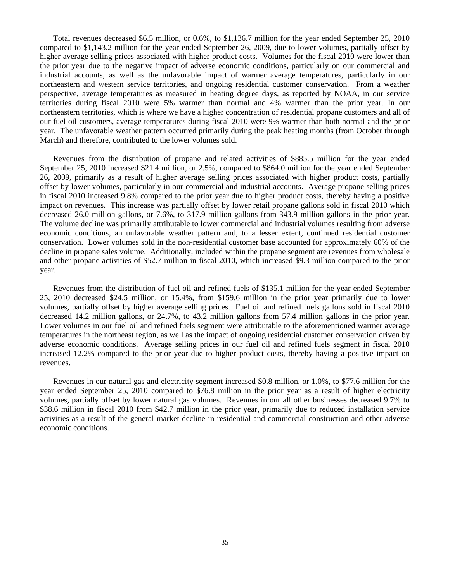Total revenues decreased \$6.5 million, or 0.6%, to \$1,136.7 million for the year ended September 25, 2010 compared to \$1,143.2 million for the year ended September 26, 2009, due to lower volumes, partially offset by higher average selling prices associated with higher product costs. Volumes for the fiscal 2010 were lower than the prior year due to the negative impact of adverse economic conditions, particularly on our commercial and industrial accounts, as well as the unfavorable impact of warmer average temperatures, particularly in our northeastern and western service territories, and ongoing residential customer conservation. From a weather perspective, average temperatures as measured in heating degree days, as reported by NOAA, in our service territories during fiscal 2010 were 5% warmer than normal and 4% warmer than the prior year. In our northeastern territories, which is where we have a higher concentration of residential propane customers and all of our fuel oil customers, average temperatures during fiscal 2010 were 9% warmer than both normal and the prior year. The unfavorable weather pattern occurred primarily during the peak heating months (from October through March) and therefore, contributed to the lower volumes sold.

Revenues from the distribution of propane and related activities of \$885.5 million for the year ended September 25, 2010 increased \$21.4 million, or 2.5%, compared to \$864.0 million for the year ended September 26, 2009, primarily as a result of higher average selling prices associated with higher product costs, partially offset by lower volumes, particularly in our commercial and industrial accounts. Average propane selling prices in fiscal 2010 increased 9.8% compared to the prior year due to higher product costs, thereby having a positive impact on revenues. This increase was partially offset by lower retail propane gallons sold in fiscal 2010 which decreased 26.0 million gallons, or 7.6%, to 317.9 million gallons from 343.9 million gallons in the prior year. The volume decline was primarily attributable to lower commercial and industrial volumes resulting from adverse economic conditions, an unfavorable weather pattern and, to a lesser extent, continued residential customer conservation. Lower volumes sold in the non-residential customer base accounted for approximately 60% of the decline in propane sales volume. Additionally, included within the propane segment are revenues from wholesale and other propane activities of \$52.7 million in fiscal 2010, which increased \$9.3 million compared to the prior year.

Revenues from the distribution of fuel oil and refined fuels of \$135.1 million for the year ended September 25, 2010 decreased \$24.5 million, or 15.4%, from \$159.6 million in the prior year primarily due to lower volumes, partially offset by higher average selling prices. Fuel oil and refined fuels gallons sold in fiscal 2010 decreased 14.2 million gallons, or 24.7%, to 43.2 million gallons from 57.4 million gallons in the prior year. Lower volumes in our fuel oil and refined fuels segment were attributable to the aforementioned warmer average temperatures in the northeast region, as well as the impact of ongoing residential customer conservation driven by adverse economic conditions. Average selling prices in our fuel oil and refined fuels segment in fiscal 2010 increased 12.2% compared to the prior year due to higher product costs, thereby having a positive impact on revenues.

 Revenues in our natural gas and electricity segment increased \$0.8 million, or 1.0%, to \$77.6 million for the year ended September 25, 2010 compared to \$76.8 million in the prior year as a result of higher electricity volumes, partially offset by lower natural gas volumes. Revenues in our all other businesses decreased 9.7% to \$38.6 million in fiscal 2010 from \$42.7 million in the prior year, primarily due to reduced installation service activities as a result of the general market decline in residential and commercial construction and other adverse economic conditions.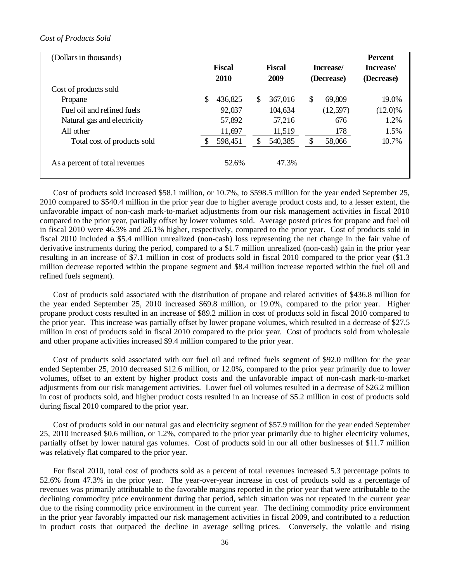## *Cost of Products Sold*

| (Dollars in thousands)         | <b>Fiscal</b><br>2010 | <b>Fiscal</b><br>2009 | Increase/<br>(Decrease) | <b>Percent</b><br>Increase/<br>(Decrease) |
|--------------------------------|-----------------------|-----------------------|-------------------------|-------------------------------------------|
| Cost of products sold          |                       |                       |                         |                                           |
| Propane                        | \$<br>436,825         | \$<br>367,016         | \$<br>69,809            | 19.0%                                     |
| Fuel oil and refined fuels     | 92,037                | 104,634               | (12,597)                | $(12.0)\%$                                |
| Natural gas and electricity    | 57,892                | 57,216                | 676                     | 1.2%                                      |
| All other                      | 11,697                | 11,519                | 178                     | 1.5%                                      |
| Total cost of products sold    | 598,451               | 540,385               | S<br>58,066             | 10.7%                                     |
| As a percent of total revenues | 52.6%                 | 47.3%                 |                         |                                           |

Cost of products sold increased \$58.1 million, or 10.7%, to \$598.5 million for the year ended September 25, 2010 compared to \$540.4 million in the prior year due to higher average product costs and, to a lesser extent, the unfavorable impact of non-cash mark-to-market adjustments from our risk management activities in fiscal 2010 compared to the prior year, partially offset by lower volumes sold. Average posted prices for propane and fuel oil in fiscal 2010 were 46.3% and 26.1% higher, respectively, compared to the prior year. Cost of products sold in fiscal 2010 included a \$5.4 million unrealized (non-cash) loss representing the net change in the fair value of derivative instruments during the period, compared to a \$1.7 million unrealized (non-cash) gain in the prior year resulting in an increase of \$7.1 million in cost of products sold in fiscal 2010 compared to the prior year (\$1.3 million decrease reported within the propane segment and \$8.4 million increase reported within the fuel oil and refined fuels segment).

Cost of products sold associated with the distribution of propane and related activities of \$436.8 million for the year ended September 25, 2010 increased \$69.8 million, or 19.0%, compared to the prior year. Higher propane product costs resulted in an increase of \$89.2 million in cost of products sold in fiscal 2010 compared to the prior year. This increase was partially offset by lower propane volumes, which resulted in a decrease of \$27.5 million in cost of products sold in fiscal 2010 compared to the prior year. Cost of products sold from wholesale and other propane activities increased \$9.4 million compared to the prior year.

Cost of products sold associated with our fuel oil and refined fuels segment of \$92.0 million for the year ended September 25, 2010 decreased \$12.6 million, or 12.0%, compared to the prior year primarily due to lower volumes, offset to an extent by higher product costs and the unfavorable impact of non-cash mark-to-market adjustments from our risk management activities. Lower fuel oil volumes resulted in a decrease of \$26.2 million in cost of products sold, and higher product costs resulted in an increase of \$5.2 million in cost of products sold during fiscal 2010 compared to the prior year.

Cost of products sold in our natural gas and electricity segment of \$57.9 million for the year ended September 25, 2010 increased \$0.6 million, or 1.2%, compared to the prior year primarily due to higher electricity volumes, partially offset by lower natural gas volumes. Cost of products sold in our all other businesses of \$11.7 million was relatively flat compared to the prior year.

For fiscal 2010, total cost of products sold as a percent of total revenues increased 5.3 percentage points to 52.6% from 47.3% in the prior year. The year-over-year increase in cost of products sold as a percentage of revenues was primarily attributable to the favorable margins reported in the prior year that were attributable to the declining commodity price environment during that period, which situation was not repeated in the current year due to the rising commodity price environment in the current year. The declining commodity price environment in the prior year favorably impacted our risk management activities in fiscal 2009, and contributed to a reduction in product costs that outpaced the decline in average selling prices. Conversely, the volatile and rising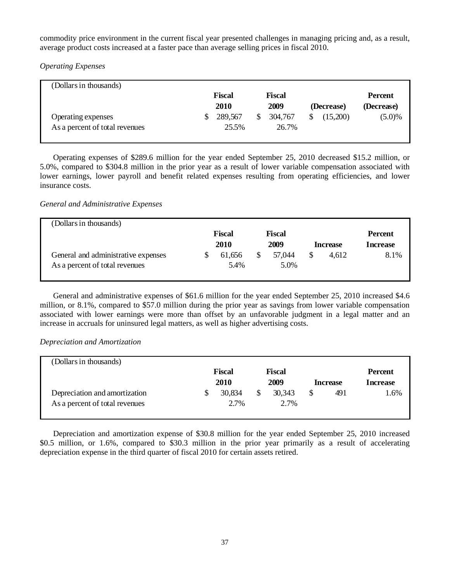commodity price environment in the current fiscal year presented challenges in managing pricing and, as a result, average product costs increased at a faster pace than average selling prices in fiscal 2010.

*Operating Expenses* 

| (Dollars in thousands)         |               |               |            |                |
|--------------------------------|---------------|---------------|------------|----------------|
|                                | <b>Fiscal</b> | <b>Fiscal</b> |            | <b>Percent</b> |
|                                | 2010          | 2009          | (Decrease) | (Decrease)     |
| Operating expenses             | 289,567       | 304,767       | (15,200)   | $(5.0)\%$      |
| As a percent of total revenues | 25.5%         | 26.7%         |            |                |
|                                |               |               |            |                |

 Operating expenses of \$289.6 million for the year ended September 25, 2010 decreased \$15.2 million, or 5.0%, compared to \$304.8 million in the prior year as a result of lower variable compensation associated with lower earnings, lower payroll and benefit related expenses resulting from operating efficiencies, and lower insurance costs.

# *General and Administrative Expenses*

| (Dollars in thousands)                                                | <b>Fiscal</b><br>2010 |   | Fiscal<br>2009 | <b>Increase</b> | <b>Percent</b><br><b>Increase</b> |
|-----------------------------------------------------------------------|-----------------------|---|----------------|-----------------|-----------------------------------|
| General and administrative expenses<br>As a percent of total revenues | 61,656<br>5.4%        | S | 57.044<br>5.0% | 4.612           | 8.1%                              |

 General and administrative expenses of \$61.6 million for the year ended September 25, 2010 increased \$4.6 million, or 8.1%, compared to \$57.0 million during the prior year as savings from lower variable compensation associated with lower earnings were more than offset by an unfavorable judgment in a legal matter and an increase in accruals for uninsured legal matters, as well as higher advertising costs.

# *Depreciation and Amortization*

| (Dollars in thousands)         |        |              |   |                 |                 |
|--------------------------------|--------|--------------|---|-----------------|-----------------|
|                                | Fiscal | Fiscal       |   |                 | <b>Percent</b>  |
|                                | 2010   | 2009         |   | <b>Increase</b> | <b>Increase</b> |
| Depreciation and amortization  | 30,834 | \$<br>30,343 | S | 491             | 1.6%            |
| As a percent of total revenues | 2.7%   | 2.7%         |   |                 |                 |
|                                |        |              |   |                 |                 |

 Depreciation and amortization expense of \$30.8 million for the year ended September 25, 2010 increased \$0.5 million, or 1.6%, compared to \$30.3 million in the prior year primarily as a result of accelerating depreciation expense in the third quarter of fiscal 2010 for certain assets retired.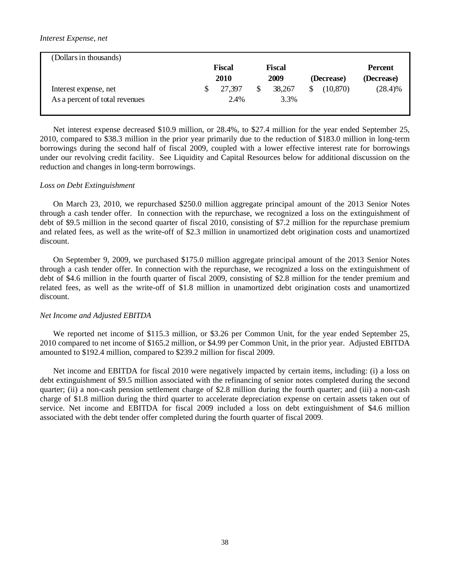## *Interest Expense, net*

|        |               |        |               |           | Percent    |
|--------|---------------|--------|---------------|-----------|------------|
| 2010   |               | 2009   |               |           | (Decrease) |
| 27,397 | S             | 38,267 |               | (10, 870) | (28.4)%    |
| 2.4%   |               | 3.3%   |               |           |            |
|        | <b>Fiscal</b> |        | <b>Fiscal</b> |           | (Decrease) |

 Net interest expense decreased \$10.9 million, or 28.4%, to \$27.4 million for the year ended September 25, 2010, compared to \$38.3 million in the prior year primarily due to the reduction of \$183.0 million in long-term borrowings during the second half of fiscal 2009, coupled with a lower effective interest rate for borrowings under our revolving credit facility. See Liquidity and Capital Resources below for additional discussion on the reduction and changes in long-term borrowings.

## *Loss on Debt Extinguishment*

 On March 23, 2010, we repurchased \$250.0 million aggregate principal amount of the 2013 Senior Notes through a cash tender offer. In connection with the repurchase, we recognized a loss on the extinguishment of debt of \$9.5 million in the second quarter of fiscal 2010, consisting of \$7.2 million for the repurchase premium and related fees, as well as the write-off of \$2.3 million in unamortized debt origination costs and unamortized discount.

On September 9, 2009, we purchased \$175.0 million aggregate principal amount of the 2013 Senior Notes through a cash tender offer. In connection with the repurchase, we recognized a loss on the extinguishment of debt of \$4.6 million in the fourth quarter of fiscal 2009, consisting of \$2.8 million for the tender premium and related fees, as well as the write-off of \$1.8 million in unamortized debt origination costs and unamortized discount.

#### *Net Income and Adjusted EBITDA*

We reported net income of \$115.3 million, or \$3.26 per Common Unit, for the year ended September 25, 2010 compared to net income of \$165.2 million, or \$4.99 per Common Unit, in the prior year. Adjusted EBITDA amounted to \$192.4 million, compared to \$239.2 million for fiscal 2009.

 Net income and EBITDA for fiscal 2010 were negatively impacted by certain items, including: (i) a loss on debt extinguishment of \$9.5 million associated with the refinancing of senior notes completed during the second quarter; (ii) a non-cash pension settlement charge of \$2.8 million during the fourth quarter; and (iii) a non-cash charge of \$1.8 million during the third quarter to accelerate depreciation expense on certain assets taken out of service. Net income and EBITDA for fiscal 2009 included a loss on debt extinguishment of \$4.6 million associated with the debt tender offer completed during the fourth quarter of fiscal 2009.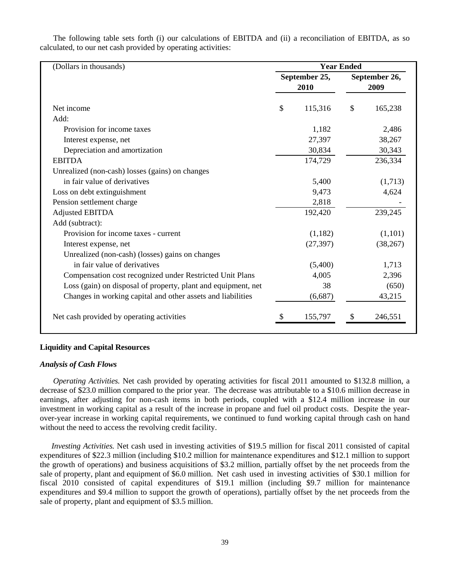| (Dollars in thousands)                                        | <b>Year Ended</b> |                       |    |                       |  |  |  |
|---------------------------------------------------------------|-------------------|-----------------------|----|-----------------------|--|--|--|
|                                                               |                   | September 25,<br>2010 |    | September 26,<br>2009 |  |  |  |
| Net income                                                    | \$                | 115,316               | \$ | 165,238               |  |  |  |
| Add:                                                          |                   |                       |    |                       |  |  |  |
| Provision for income taxes                                    |                   | 1,182                 |    | 2,486                 |  |  |  |
| Interest expense, net                                         |                   | 27,397                |    | 38,267                |  |  |  |
| Depreciation and amortization                                 |                   | 30,834                |    | 30,343                |  |  |  |
| <b>EBITDA</b>                                                 |                   | 174,729               |    | 236,334               |  |  |  |
| Unrealized (non-cash) losses (gains) on changes               |                   |                       |    |                       |  |  |  |
| in fair value of derivatives                                  |                   | 5,400                 |    | (1,713)               |  |  |  |
| Loss on debt extinguishment                                   |                   | 9,473                 |    | 4,624                 |  |  |  |
| Pension settlement charge                                     |                   | 2,818                 |    |                       |  |  |  |
| <b>Adjusted EBITDA</b>                                        |                   | 192,420               |    | 239,245               |  |  |  |
| Add (subtract):                                               |                   |                       |    |                       |  |  |  |
| Provision for income taxes - current                          |                   | (1,182)               |    | (1,101)               |  |  |  |
| Interest expense, net                                         |                   | (27, 397)             |    | (38, 267)             |  |  |  |
| Unrealized (non-cash) (losses) gains on changes               |                   |                       |    |                       |  |  |  |
| in fair value of derivatives                                  |                   | (5,400)               |    | 1,713                 |  |  |  |
| Compensation cost recognized under Restricted Unit Plans      |                   | 4,005                 |    | 2,396                 |  |  |  |
| Loss (gain) on disposal of property, plant and equipment, net |                   | 38                    |    | (650)                 |  |  |  |
| Changes in working capital and other assets and liabilities   |                   | (6,687)               |    | 43,215                |  |  |  |
| Net cash provided by operating activities                     | \$                | 155,797               | \$ | 246,551               |  |  |  |

 The following table sets forth (i) our calculations of EBITDA and (ii) a reconciliation of EBITDA, as so calculated, to our net cash provided by operating activities:

## **Liquidity and Capital Resources**

## *Analysis of Cash Flows*

*Operating Activities.* Net cash provided by operating activities for fiscal 2011 amounted to \$132.8 million, a decrease of \$23.0 million compared to the prior year. The decrease was attributable to a \$10.6 million decrease in earnings, after adjusting for non-cash items in both periods, coupled with a \$12.4 million increase in our investment in working capital as a result of the increase in propane and fuel oil product costs. Despite the yearover-year increase in working capital requirements, we continued to fund working capital through cash on hand without the need to access the revolving credit facility.

 *Investing Activities.* Net cash used in investing activities of \$19.5 million for fiscal 2011 consisted of capital expenditures of \$22.3 million (including \$10.2 million for maintenance expenditures and \$12.1 million to support the growth of operations) and business acquisitions of \$3.2 million, partially offset by the net proceeds from the sale of property, plant and equipment of \$6.0 million. Net cash used in investing activities of \$30.1 million for fiscal 2010 consisted of capital expenditures of \$19.1 million (including \$9.7 million for maintenance expenditures and \$9.4 million to support the growth of operations), partially offset by the net proceeds from the sale of property, plant and equipment of \$3.5 million.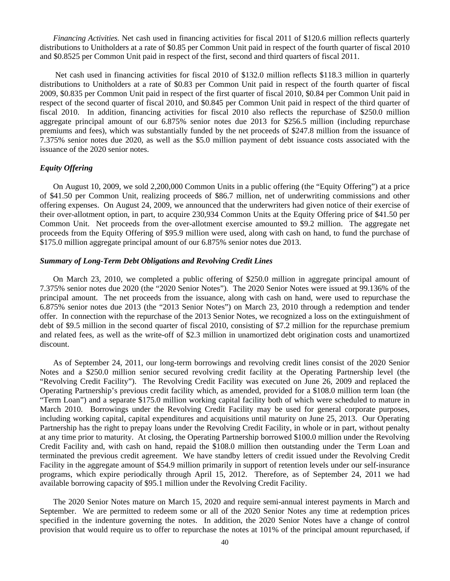*Financing Activities.* Net cash used in financing activities for fiscal 2011 of \$120.6 million reflects quarterly distributions to Unitholders at a rate of \$0.85 per Common Unit paid in respect of the fourth quarter of fiscal 2010 and \$0.8525 per Common Unit paid in respect of the first, second and third quarters of fiscal 2011.

 Net cash used in financing activities for fiscal 2010 of \$132.0 million reflects \$118.3 million in quarterly distributions to Unitholders at a rate of \$0.83 per Common Unit paid in respect of the fourth quarter of fiscal 2009, \$0.835 per Common Unit paid in respect of the first quarter of fiscal 2010, \$0.84 per Common Unit paid in respect of the second quarter of fiscal 2010, and \$0.845 per Common Unit paid in respect of the third quarter of fiscal 2010. In addition, financing activities for fiscal 2010 also reflects the repurchase of \$250.0 million aggregate principal amount of our 6.875% senior notes due 2013 for \$256.5 million (including repurchase premiums and fees), which was substantially funded by the net proceeds of \$247.8 million from the issuance of 7.375% senior notes due 2020, as well as the \$5.0 million payment of debt issuance costs associated with the issuance of the 2020 senior notes.

## *Equity Offering*

 On August 10, 2009, we sold 2,200,000 Common Units in a public offering (the "Equity Offering") at a price of \$41.50 per Common Unit, realizing proceeds of \$86.7 million, net of underwriting commissions and other offering expenses. On August 24, 2009, we announced that the underwriters had given notice of their exercise of their over-allotment option, in part, to acquire 230,934 Common Units at the Equity Offering price of \$41.50 per Common Unit. Net proceeds from the over-allotment exercise amounted to \$9.2 million. The aggregate net proceeds from the Equity Offering of \$95.9 million were used, along with cash on hand, to fund the purchase of \$175.0 million aggregate principal amount of our 6.875% senior notes due 2013.

## *Summary of Long-Term Debt Obligations and Revolving Credit Lines*

On March 23, 2010, we completed a public offering of \$250.0 million in aggregate principal amount of 7.375% senior notes due 2020 (the "2020 Senior Notes"). The 2020 Senior Notes were issued at 99.136% of the principal amount. The net proceeds from the issuance, along with cash on hand, were used to repurchase the 6.875% senior notes due 2013 (the "2013 Senior Notes") on March 23, 2010 through a redemption and tender offer. In connection with the repurchase of the 2013 Senior Notes, we recognized a loss on the extinguishment of debt of \$9.5 million in the second quarter of fiscal 2010, consisting of \$7.2 million for the repurchase premium and related fees, as well as the write-off of \$2.3 million in unamortized debt origination costs and unamortized discount.

As of September 24, 2011, our long-term borrowings and revolving credit lines consist of the 2020 Senior Notes and a \$250.0 million senior secured revolving credit facility at the Operating Partnership level (the "Revolving Credit Facility"). The Revolving Credit Facility was executed on June 26, 2009 and replaced the Operating Partnership's previous credit facility which, as amended, provided for a \$108.0 million term loan (the "Term Loan") and a separate \$175.0 million working capital facility both of which were scheduled to mature in March 2010. Borrowings under the Revolving Credit Facility may be used for general corporate purposes, including working capital, capital expenditures and acquisitions until maturity on June 25, 2013. Our Operating Partnership has the right to prepay loans under the Revolving Credit Facility, in whole or in part, without penalty at any time prior to maturity. At closing, the Operating Partnership borrowed \$100.0 million under the Revolving Credit Facility and, with cash on hand, repaid the \$108.0 million then outstanding under the Term Loan and terminated the previous credit agreement. We have standby letters of credit issued under the Revolving Credit Facility in the aggregate amount of \$54.9 million primarily in support of retention levels under our self-insurance programs, which expire periodically through April 15, 2012. Therefore, as of September 24, 2011 we had available borrowing capacity of \$95.1 million under the Revolving Credit Facility.

The 2020 Senior Notes mature on March 15, 2020 and require semi-annual interest payments in March and September. We are permitted to redeem some or all of the 2020 Senior Notes any time at redemption prices specified in the indenture governing the notes. In addition, the 2020 Senior Notes have a change of control provision that would require us to offer to repurchase the notes at 101% of the principal amount repurchased, if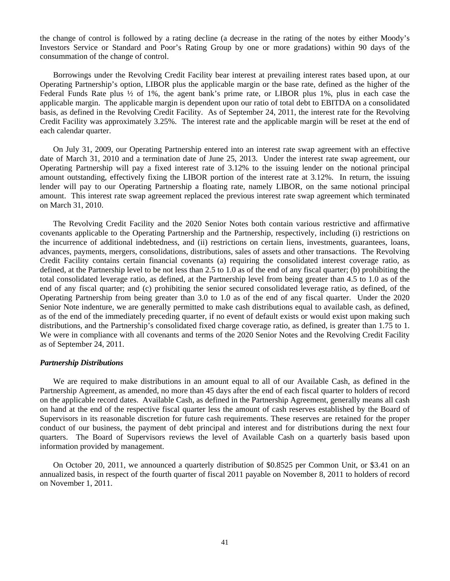the change of control is followed by a rating decline (a decrease in the rating of the notes by either Moody's Investors Service or Standard and Poor's Rating Group by one or more gradations) within 90 days of the consummation of the change of control.

Borrowings under the Revolving Credit Facility bear interest at prevailing interest rates based upon, at our Operating Partnership's option, LIBOR plus the applicable margin or the base rate, defined as the higher of the Federal Funds Rate plus ½ of 1%, the agent bank's prime rate, or LIBOR plus 1%, plus in each case the applicable margin. The applicable margin is dependent upon our ratio of total debt to EBITDA on a consolidated basis, as defined in the Revolving Credit Facility. As of September 24, 2011, the interest rate for the Revolving Credit Facility was approximately 3.25%. The interest rate and the applicable margin will be reset at the end of each calendar quarter.

On July 31, 2009, our Operating Partnership entered into an interest rate swap agreement with an effective date of March 31, 2010 and a termination date of June 25, 2013. Under the interest rate swap agreement, our Operating Partnership will pay a fixed interest rate of 3.12% to the issuing lender on the notional principal amount outstanding, effectively fixing the LIBOR portion of the interest rate at 3.12%. In return, the issuing lender will pay to our Operating Partnership a floating rate, namely LIBOR, on the same notional principal amount. This interest rate swap agreement replaced the previous interest rate swap agreement which terminated on March 31, 2010.

The Revolving Credit Facility and the 2020 Senior Notes both contain various restrictive and affirmative covenants applicable to the Operating Partnership and the Partnership, respectively, including (i) restrictions on the incurrence of additional indebtedness, and (ii) restrictions on certain liens, investments, guarantees, loans, advances, payments, mergers, consolidations, distributions, sales of assets and other transactions. The Revolving Credit Facility contains certain financial covenants (a) requiring the consolidated interest coverage ratio, as defined, at the Partnership level to be not less than 2.5 to 1.0 as of the end of any fiscal quarter; (b) prohibiting the total consolidated leverage ratio, as defined, at the Partnership level from being greater than 4.5 to 1.0 as of the end of any fiscal quarter; and (c) prohibiting the senior secured consolidated leverage ratio, as defined, of the Operating Partnership from being greater than 3.0 to 1.0 as of the end of any fiscal quarter. Under the 2020 Senior Note indenture, we are generally permitted to make cash distributions equal to available cash, as defined, as of the end of the immediately preceding quarter, if no event of default exists or would exist upon making such distributions, and the Partnership's consolidated fixed charge coverage ratio, as defined, is greater than 1.75 to 1. We were in compliance with all covenants and terms of the 2020 Senior Notes and the Revolving Credit Facility as of September 24, 2011.

### *Partnership Distributions*

We are required to make distributions in an amount equal to all of our Available Cash, as defined in the Partnership Agreement, as amended, no more than 45 days after the end of each fiscal quarter to holders of record on the applicable record dates. Available Cash, as defined in the Partnership Agreement, generally means all cash on hand at the end of the respective fiscal quarter less the amount of cash reserves established by the Board of Supervisors in its reasonable discretion for future cash requirements. These reserves are retained for the proper conduct of our business, the payment of debt principal and interest and for distributions during the next four quarters. The Board of Supervisors reviews the level of Available Cash on a quarterly basis based upon information provided by management.

On October 20, 2011, we announced a quarterly distribution of \$0.8525 per Common Unit, or \$3.41 on an annualized basis, in respect of the fourth quarter of fiscal 2011 payable on November 8, 2011 to holders of record on November 1, 2011.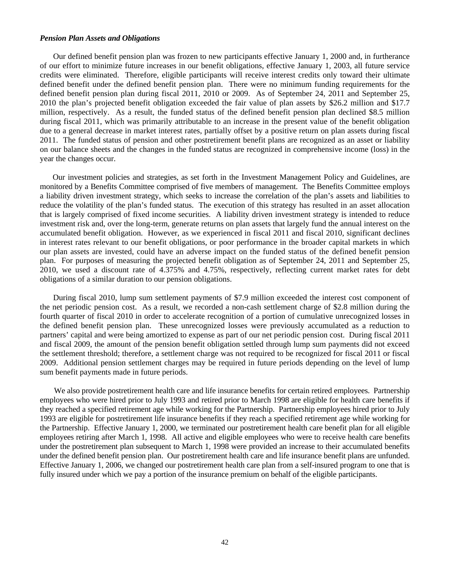#### *Pension Plan Assets and Obligations*

 Our defined benefit pension plan was frozen to new participants effective January 1, 2000 and, in furtherance of our effort to minimize future increases in our benefit obligations, effective January 1, 2003, all future service credits were eliminated. Therefore, eligible participants will receive interest credits only toward their ultimate defined benefit under the defined benefit pension plan. There were no minimum funding requirements for the defined benefit pension plan during fiscal 2011, 2010 or 2009. As of September 24, 2011 and September 25, 2010 the plan's projected benefit obligation exceeded the fair value of plan assets by \$26.2 million and \$17.7 million, respectively. As a result, the funded status of the defined benefit pension plan declined \$8.5 million during fiscal 2011, which was primarily attributable to an increase in the present value of the benefit obligation due to a general decrease in market interest rates, partially offset by a positive return on plan assets during fiscal 2011. The funded status of pension and other postretirement benefit plans are recognized as an asset or liability on our balance sheets and the changes in the funded status are recognized in comprehensive income (loss) in the year the changes occur.

 Our investment policies and strategies, as set forth in the Investment Management Policy and Guidelines, are monitored by a Benefits Committee comprised of five members of management. The Benefits Committee employs a liability driven investment strategy, which seeks to increase the correlation of the plan's assets and liabilities to reduce the volatility of the plan's funded status. The execution of this strategy has resulted in an asset allocation that is largely comprised of fixed income securities. A liability driven investment strategy is intended to reduce investment risk and, over the long-term, generate returns on plan assets that largely fund the annual interest on the accumulated benefit obligation. However, as we experienced in fiscal 2011 and fiscal 2010, significant declines in interest rates relevant to our benefit obligations, or poor performance in the broader capital markets in which our plan assets are invested, could have an adverse impact on the funded status of the defined benefit pension plan. For purposes of measuring the projected benefit obligation as of September 24, 2011 and September 25, 2010, we used a discount rate of 4.375% and 4.75%, respectively, reflecting current market rates for debt obligations of a similar duration to our pension obligations.

 During fiscal 2010, lump sum settlement payments of \$7.9 million exceeded the interest cost component of the net periodic pension cost. As a result, we recorded a non-cash settlement charge of \$2.8 million during the fourth quarter of fiscal 2010 in order to accelerate recognition of a portion of cumulative unrecognized losses in the defined benefit pension plan. These unrecognized losses were previously accumulated as a reduction to partners' capital and were being amortized to expense as part of our net periodic pension cost. During fiscal 2011 and fiscal 2009, the amount of the pension benefit obligation settled through lump sum payments did not exceed the settlement threshold; therefore, a settlement charge was not required to be recognized for fiscal 2011 or fiscal 2009. Additional pension settlement charges may be required in future periods depending on the level of lump sum benefit payments made in future periods.

We also provide postretirement health care and life insurance benefits for certain retired employees. Partnership employees who were hired prior to July 1993 and retired prior to March 1998 are eligible for health care benefits if they reached a specified retirement age while working for the Partnership. Partnership employees hired prior to July 1993 are eligible for postretirement life insurance benefits if they reach a specified retirement age while working for the Partnership. Effective January 1, 2000, we terminated our postretirement health care benefit plan for all eligible employees retiring after March 1, 1998. All active and eligible employees who were to receive health care benefits under the postretirement plan subsequent to March 1, 1998 were provided an increase to their accumulated benefits under the defined benefit pension plan. Our postretirement health care and life insurance benefit plans are unfunded. Effective January 1, 2006, we changed our postretirement health care plan from a self-insured program to one that is fully insured under which we pay a portion of the insurance premium on behalf of the eligible participants.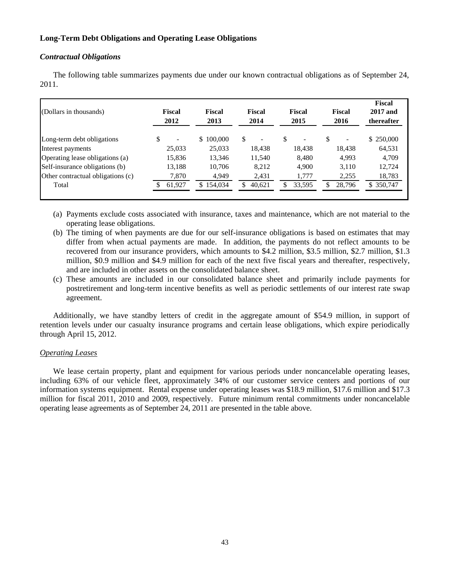# **Long-Term Debt Obligations and Operating Lease Obligations**

# *Contractual Obligations*

 The following table summarizes payments due under our known contractual obligations as of September 24, 2011.

| 2012   | <b>Fiscal</b><br>2013 | <b>Fiscal</b><br>2014 | <b>Fiscal</b><br>2015               | Fiscal<br>2016                  | <b>2017</b> and<br>thereafter |
|--------|-----------------------|-----------------------|-------------------------------------|---------------------------------|-------------------------------|
| ۰      | \$100,000             | \$                    | \$.<br>$\qquad \qquad \blacksquare$ | <sup>\$</sup><br>$\overline{a}$ | \$ 250,000                    |
| 25,033 | 25,033                | 18,438                | 18,438                              | 18,438                          | 64,531                        |
| 15,836 | 13,346                | 11.540                | 8,480                               | 4,993                           | 4,709                         |
| 13,188 | 10,706                | 8,212                 | 4,900                               | 3,110                           | 12,724                        |
| 7,870  | 4,949                 | 2,431                 | 1,777                               | 2,255                           | 18,783                        |
| 61,927 | 154,034               | 40,621                | 33,595                              | 28,796                          | \$ 350,747                    |
|        | \$                    |                       |                                     |                                 |                               |

(a) Payments exclude costs associated with insurance, taxes and maintenance, which are not material to the operating lease obligations.

- (b) The timing of when payments are due for our self-insurance obligations is based on estimates that may differ from when actual payments are made. In addition, the payments do not reflect amounts to be recovered from our insurance providers, which amounts to \$4.2 million, \$3.5 million, \$2.7 million, \$1.3 million, \$0.9 million and \$4.9 million for each of the next five fiscal years and thereafter, respectively, and are included in other assets on the consolidated balance sheet.
- (c) These amounts are included in our consolidated balance sheet and primarily include payments for postretirement and long-term incentive benefits as well as periodic settlements of our interest rate swap agreement.

Additionally, we have standby letters of credit in the aggregate amount of \$54.9 million, in support of retention levels under our casualty insurance programs and certain lease obligations, which expire periodically through April 15, 2012.

## *Operating Leases*

 We lease certain property, plant and equipment for various periods under noncancelable operating leases, including 63% of our vehicle fleet, approximately 34% of our customer service centers and portions of our information systems equipment. Rental expense under operating leases was \$18.9 million, \$17.6 million and \$17.3 million for fiscal 2011, 2010 and 2009, respectively. Future minimum rental commitments under noncancelable operating lease agreements as of September 24, 2011 are presented in the table above.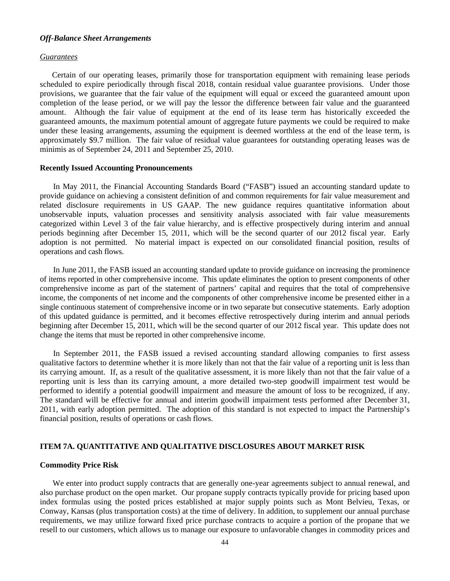## *Off-Balance Sheet Arrangements*

## *Guarantees*

 Certain of our operating leases, primarily those for transportation equipment with remaining lease periods scheduled to expire periodically through fiscal 2018, contain residual value guarantee provisions. Under those provisions, we guarantee that the fair value of the equipment will equal or exceed the guaranteed amount upon completion of the lease period, or we will pay the lessor the difference between fair value and the guaranteed amount. Although the fair value of equipment at the end of its lease term has historically exceeded the guaranteed amounts, the maximum potential amount of aggregate future payments we could be required to make under these leasing arrangements, assuming the equipment is deemed worthless at the end of the lease term, is approximately \$9.7 million. The fair value of residual value guarantees for outstanding operating leases was de minimis as of September 24, 2011 and September 25, 2010.

## **Recently Issued Accounting Pronouncements**

In May 2011, the Financial Accounting Standards Board ("FASB") issued an accounting standard update to provide guidance on achieving a consistent definition of and common requirements for fair value measurement and related disclosure requirements in US GAAP. The new guidance requires quantitative information about unobservable inputs, valuation processes and sensitivity analysis associated with fair value measurements categorized within Level 3 of the fair value hierarchy, and is effective prospectively during interim and annual periods beginning after December 15, 2011, which will be the second quarter of our 2012 fiscal year. Early adoption is not permitted. No material impact is expected on our consolidated financial position, results of operations and cash flows.

In June 2011, the FASB issued an accounting standard update to provide guidance on increasing the prominence of items reported in other comprehensive income. This update eliminates the option to present components of other comprehensive income as part of the statement of partners' capital and requires that the total of comprehensive income, the components of net income and the components of other comprehensive income be presented either in a single continuous statement of comprehensive income or in two separate but consecutive statements. Early adoption of this updated guidance is permitted, and it becomes effective retrospectively during interim and annual periods beginning after December 15, 2011, which will be the second quarter of our 2012 fiscal year. This update does not change the items that must be reported in other comprehensive income.

In September 2011, the FASB issued a revised accounting standard allowing companies to first assess qualitative factors to determine whether it is more likely than not that the fair value of a reporting unit is less than its carrying amount. If, as a result of the qualitative assessment, it is more likely than not that the fair value of a reporting unit is less than its carrying amount, a more detailed two-step goodwill impairment test would be performed to identify a potential goodwill impairment and measure the amount of loss to be recognized, if any. The standard will be effective for annual and interim goodwill impairment tests performed after December 31, 2011, with early adoption permitted. The adoption of this standard is not expected to impact the Partnership's financial position, results of operations or cash flows.

## **ITEM 7A. QUANTITATIVE AND QUALITATIVE DISCLOSURES ABOUT MARKET RISK**

#### **Commodity Price Risk**

 We enter into product supply contracts that are generally one-year agreements subject to annual renewal, and also purchase product on the open market. Our propane supply contracts typically provide for pricing based upon index formulas using the posted prices established at major supply points such as Mont Belvieu, Texas, or Conway, Kansas (plus transportation costs) at the time of delivery. In addition, to supplement our annual purchase requirements, we may utilize forward fixed price purchase contracts to acquire a portion of the propane that we resell to our customers, which allows us to manage our exposure to unfavorable changes in commodity prices and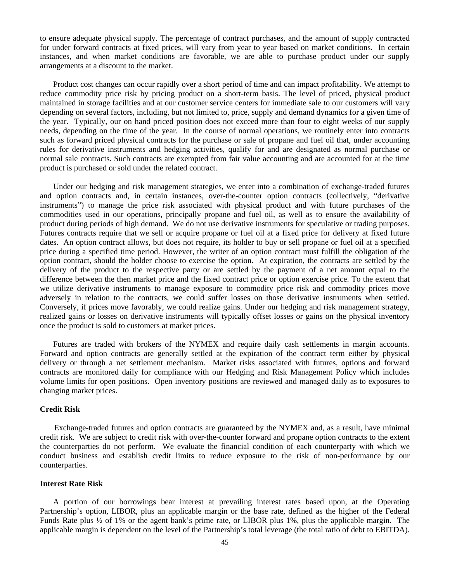to ensure adequate physical supply. The percentage of contract purchases, and the amount of supply contracted for under forward contracts at fixed prices, will vary from year to year based on market conditions. In certain instances, and when market conditions are favorable, we are able to purchase product under our supply arrangements at a discount to the market.

Product cost changes can occur rapidly over a short period of time and can impact profitability. We attempt to reduce commodity price risk by pricing product on a short-term basis. The level of priced, physical product maintained in storage facilities and at our customer service centers for immediate sale to our customers will vary depending on several factors, including, but not limited to, price, supply and demand dynamics for a given time of the year. Typically, our on hand priced position does not exceed more than four to eight weeks of our supply needs, depending on the time of the year. In the course of normal operations, we routinely enter into contracts such as forward priced physical contracts for the purchase or sale of propane and fuel oil that, under accounting rules for derivative instruments and hedging activities, qualify for and are designated as normal purchase or normal sale contracts. Such contracts are exempted from fair value accounting and are accounted for at the time product is purchased or sold under the related contract.

Under our hedging and risk management strategies, we enter into a combination of exchange-traded futures and option contracts and, in certain instances, over-the-counter option contracts (collectively, "derivative instruments") to manage the price risk associated with physical product and with future purchases of the commodities used in our operations, principally propane and fuel oil, as well as to ensure the availability of product during periods of high demand. We do not use derivative instruments for speculative or trading purposes. Futures contracts require that we sell or acquire propane or fuel oil at a fixed price for delivery at fixed future dates. An option contract allows, but does not require, its holder to buy or sell propane or fuel oil at a specified price during a specified time period. However, the writer of an option contract must fulfill the obligation of the option contract, should the holder choose to exercise the option. At expiration, the contracts are settled by the delivery of the product to the respective party or are settled by the payment of a net amount equal to the difference between the then market price and the fixed contract price or option exercise price. To the extent that we utilize derivative instruments to manage exposure to commodity price risk and commodity prices move adversely in relation to the contracts, we could suffer losses on those derivative instruments when settled. Conversely, if prices move favorably, we could realize gains. Under our hedging and risk management strategy, realized gains or losses on derivative instruments will typically offset losses or gains on the physical inventory once the product is sold to customers at market prices.

Futures are traded with brokers of the NYMEX and require daily cash settlements in margin accounts. Forward and option contracts are generally settled at the expiration of the contract term either by physical delivery or through a net settlement mechanism. Market risks associated with futures, options and forward contracts are monitored daily for compliance with our Hedging and Risk Management Policy which includes volume limits for open positions. Open inventory positions are reviewed and managed daily as to exposures to changing market prices.

## **Credit Risk**

 Exchange-traded futures and option contracts are guaranteed by the NYMEX and, as a result, have minimal credit risk. We are subject to credit risk with over-the-counter forward and propane option contracts to the extent the counterparties do not perform. We evaluate the financial condition of each counterparty with which we conduct business and establish credit limits to reduce exposure to the risk of non-performance by our counterparties.

## **Interest Rate Risk**

A portion of our borrowings bear interest at prevailing interest rates based upon, at the Operating Partnership's option, LIBOR, plus an applicable margin or the base rate, defined as the higher of the Federal Funds Rate plus ½ of 1% or the agent bank's prime rate, or LIBOR plus 1%, plus the applicable margin. The applicable margin is dependent on the level of the Partnership's total leverage (the total ratio of debt to EBITDA).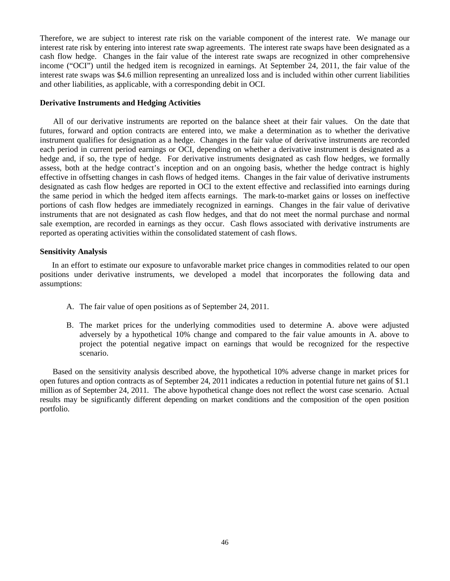Therefore, we are subject to interest rate risk on the variable component of the interest rate. We manage our interest rate risk by entering into interest rate swap agreements. The interest rate swaps have been designated as a cash flow hedge. Changes in the fair value of the interest rate swaps are recognized in other comprehensive income ("OCI") until the hedged item is recognized in earnings. At September 24, 2011, the fair value of the interest rate swaps was \$4.6 million representing an unrealized loss and is included within other current liabilities and other liabilities, as applicable, with a corresponding debit in OCI.

#### **Derivative Instruments and Hedging Activities**

All of our derivative instruments are reported on the balance sheet at their fair values. On the date that futures, forward and option contracts are entered into, we make a determination as to whether the derivative instrument qualifies for designation as a hedge. Changes in the fair value of derivative instruments are recorded each period in current period earnings or OCI, depending on whether a derivative instrument is designated as a hedge and, if so, the type of hedge. For derivative instruments designated as cash flow hedges, we formally assess, both at the hedge contract's inception and on an ongoing basis, whether the hedge contract is highly effective in offsetting changes in cash flows of hedged items. Changes in the fair value of derivative instruments designated as cash flow hedges are reported in OCI to the extent effective and reclassified into earnings during the same period in which the hedged item affects earnings. The mark-to-market gains or losses on ineffective portions of cash flow hedges are immediately recognized in earnings. Changes in the fair value of derivative instruments that are not designated as cash flow hedges, and that do not meet the normal purchase and normal sale exemption, are recorded in earnings as they occur. Cash flows associated with derivative instruments are reported as operating activities within the consolidated statement of cash flows.

## **Sensitivity Analysis**

 In an effort to estimate our exposure to unfavorable market price changes in commodities related to our open positions under derivative instruments, we developed a model that incorporates the following data and assumptions:

- A. The fair value of open positions as of September 24, 2011.
- B. The market prices for the underlying commodities used to determine A. above were adjusted adversely by a hypothetical 10% change and compared to the fair value amounts in A. above to project the potential negative impact on earnings that would be recognized for the respective scenario.

 Based on the sensitivity analysis described above, the hypothetical 10% adverse change in market prices for open futures and option contracts as of September 24, 2011 indicates a reduction in potential future net gains of \$1.1 million as of September 24, 2011. The above hypothetical change does not reflect the worst case scenario. Actual results may be significantly different depending on market conditions and the composition of the open position portfolio.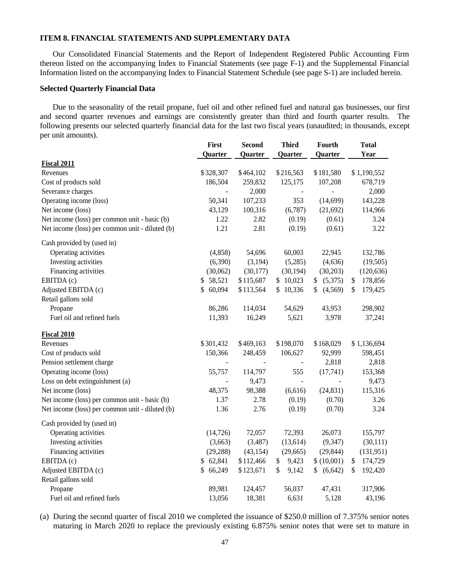## **ITEM 8. FINANCIAL STATEMENTS AND SUPPLEMENTARY DATA**

 Our Consolidated Financial Statements and the Report of Independent Registered Public Accounting Firm thereon listed on the accompanying Index to Financial Statements (see page F-1) and the Supplemental Financial Information listed on the accompanying Index to Financial Statement Schedule (see page S-1) are included herein.

# **Selected Quarterly Financial Data**

 Due to the seasonality of the retail propane, fuel oil and other refined fuel and natural gas businesses, our first and second quarter revenues and earnings are consistently greater than third and fourth quarter results. The following presents our selected quarterly financial data for the last two fiscal years (unaudited; in thousands, except per unit amounts).

|                                                 | First        | <b>Second</b> | <b>Third</b>          | Fourth         | <b>Total</b>  |
|-------------------------------------------------|--------------|---------------|-----------------------|----------------|---------------|
|                                                 | Quarter      | Quarter       | Quarter               | Quarter        | Year          |
| <b>Fiscal 2011</b>                              |              |               |                       |                |               |
| Revenues                                        | \$328,307    | \$464,102     | \$216,563             | \$181,580      | \$1,190,552   |
| Cost of products sold                           | 186,504      | 259,832       | 125,175               | 107,208        | 678,719       |
| Severance charges                               |              | 2,000         |                       |                | 2,000         |
| Operating income (loss)                         | 50,341       | 107,233       | 353                   | (14,699)       | 143,228       |
| Net income (loss)                               | 43,129       | 100,316       | (6,787)               | (21,692)       | 114,966       |
| Net income (loss) per common unit - basic (b)   | 1.22         | 2.82          | (0.19)                | (0.61)         | 3.24          |
| Net income (loss) per common unit - diluted (b) | 1.21         | 2.81          | (0.19)                | (0.61)         | 3.22          |
| Cash provided by (used in)                      |              |               |                       |                |               |
| Operating activities                            | (4, 858)     | 54,696        | 60,003                | 22,945         | 132,786       |
| Investing activities                            | (6,390)      | (3,194)       | (5,285)               | (4,636)        | (19,505)      |
| Financing activities                            | (30,062)     | (30, 177)     | (30, 194)             | (30,203)       | (120, 636)    |
| EBITDA (c)                                      | 58,521<br>\$ | \$115,687     | \$10,023              | (5,375)<br>\$  | \$<br>178,856 |
| Adjusted EBITDA (c)                             | \$<br>60,094 | \$113,564     | \$10,336              | \$<br>(4,569)  | \$<br>179,425 |
| Retail gallons sold                             |              |               |                       |                |               |
| Propane                                         | 86,286       | 114,034       | 54,629                | 43,953         | 298,902       |
| Fuel oil and refined fuels                      | 11,393       | 16,249        | 5,621                 | 3,978          | 37,241        |
| <b>Fiscal 2010</b>                              |              |               |                       |                |               |
| Revenues                                        | \$301,432    | \$469,163     | \$198,070             | \$168,029      | \$1,136,694   |
| Cost of products sold                           | 150,366      | 248,459       | 106,627               | 92,999         | 598,451       |
| Pension settlement charge                       |              | $\Box$        | $\Box$                | 2,818          | 2,818         |
| Operating income (loss)                         | 55,757       | 114,797       | 555                   | (17, 741)      | 153,368       |
| Loss on debt extinguishment (a)                 |              | 9,473         | $\mathbb{Z}^2$        | $\overline{a}$ | 9,473         |
| Net income (loss)                               | 48,375       | 98,388        | (6,616)               | (24, 831)      | 115,316       |
| Net income (loss) per common unit - basic (b)   | 1.37         | 2.78          | (0.19)                | (0.70)         | 3.26          |
| Net income (loss) per common unit - diluted (b) | 1.36         | 2.76          | (0.19)                | (0.70)         | 3.24          |
| Cash provided by (used in)                      |              |               |                       |                |               |
| Operating activities                            | (14, 726)    | 72,057        | 72,393                | 26,073         | 155,797       |
| Investing activities                            | (3,663)      | (3,487)       | (13, 614)             | (9, 347)       | (30,111)      |
| Financing activities                            | (29, 288)    | (43, 154)     | (29, 665)             | (29, 844)      | (131, 951)    |
| EBITDA (c)                                      | 62,841<br>\$ | \$112,466     | \$<br>9,423           | \$(10,001)     | \$<br>174,729 |
| Adjusted EBITDA (c)                             | 66,249<br>\$ | \$123,671     | $\mathbb{S}$<br>9,142 | (6,642)<br>\$  | \$<br>192,420 |
| Retail gallons sold                             |              |               |                       |                |               |
| Propane                                         | 89,981       | 124,457       | 56,037                | 47,431         | 317,906       |
| Fuel oil and refined fuels                      | 13,056       | 18,381        | 6,631                 | 5,128          | 43,196        |

(a) During the second quarter of fiscal 2010 we completed the issuance of \$250.0 million of 7.375% senior notes maturing in March 2020 to replace the previously existing 6.875% senior notes that were set to mature in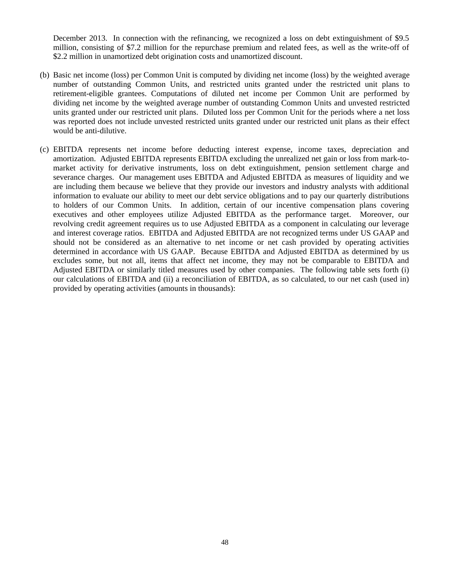December 2013. In connection with the refinancing, we recognized a loss on debt extinguishment of \$9.5 million, consisting of \$7.2 million for the repurchase premium and related fees, as well as the write-off of \$2.2 million in unamortized debt origination costs and unamortized discount.

- (b) Basic net income (loss) per Common Unit is computed by dividing net income (loss) by the weighted average number of outstanding Common Units, and restricted units granted under the restricted unit plans to retirement-eligible grantees. Computations of diluted net income per Common Unit are performed by dividing net income by the weighted average number of outstanding Common Units and unvested restricted units granted under our restricted unit plans. Diluted loss per Common Unit for the periods where a net loss was reported does not include unvested restricted units granted under our restricted unit plans as their effect would be anti-dilutive.
- (c) EBITDA represents net income before deducting interest expense, income taxes, depreciation and amortization. Adjusted EBITDA represents EBITDA excluding the unrealized net gain or loss from mark-tomarket activity for derivative instruments, loss on debt extinguishment, pension settlement charge and severance charges. Our management uses EBITDA and Adjusted EBITDA as measures of liquidity and we are including them because we believe that they provide our investors and industry analysts with additional information to evaluate our ability to meet our debt service obligations and to pay our quarterly distributions to holders of our Common Units. In addition, certain of our incentive compensation plans covering executives and other employees utilize Adjusted EBITDA as the performance target. Moreover, our revolving credit agreement requires us to use Adjusted EBITDA as a component in calculating our leverage and interest coverage ratios. EBITDA and Adjusted EBITDA are not recognized terms under US GAAP and should not be considered as an alternative to net income or net cash provided by operating activities determined in accordance with US GAAP. Because EBITDA and Adjusted EBITDA as determined by us excludes some, but not all, items that affect net income, they may not be comparable to EBITDA and Adjusted EBITDA or similarly titled measures used by other companies. The following table sets forth (i) our calculations of EBITDA and (ii) a reconciliation of EBITDA, as so calculated, to our net cash (used in) provided by operating activities (amounts in thousands):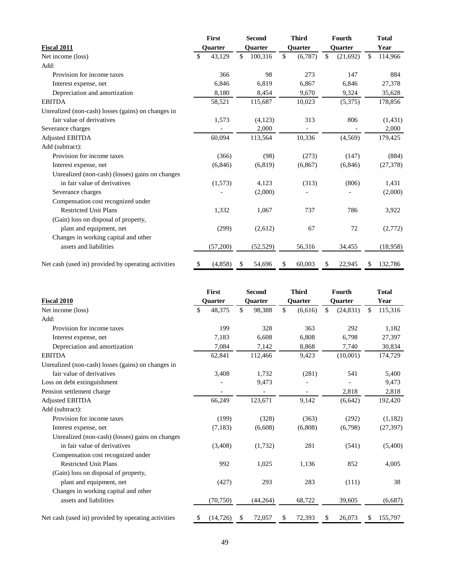|                                                     | First         |    | <b>Second</b> | <b>Third</b>  | Fourth         |    | <b>Total</b> |
|-----------------------------------------------------|---------------|----|---------------|---------------|----------------|----|--------------|
| <b>Fiscal 2011</b>                                  | Quarter       |    | Quarter       | Quarter       | <b>Quarter</b> |    | Year         |
| Net income (loss)                                   | \$<br>43,129  | \$ | 100,316       | \$<br>(6,787) | \$<br>(21,692) | \$ | 114,966      |
| Add:                                                |               |    |               |               |                |    |              |
| Provision for income taxes                          | 366           |    | 98            | 273           | 147            |    | 884          |
| Interest expense, net                               | 6,846         |    | 6,819         | 6,867         | 6,846          |    | 27,378       |
| Depreciation and amortization                       | 8,180         |    | 8,454         | 9,670         | 9,324          |    | 35,628       |
| <b>EBITDA</b>                                       | 58,521        |    | 115,687       | 10,023        | (5,375)        |    | 178,856      |
| Unrealized (non-cash) losses (gains) on changes in  |               |    |               |               |                |    |              |
| fair value of derivatives                           | 1,573         |    | (4,123)       | 313           | 806            |    | (1, 431)     |
| Severance charges                                   |               |    | 2,000         |               |                |    | 2,000        |
| <b>Adjusted EBITDA</b>                              | 60,094        |    | 113,564       | 10,336        | (4,569)        |    | 179,425      |
| Add (subtract):                                     |               |    |               |               |                |    |              |
| Provision for income taxes                          | (366)         |    | (98)          | (273)         | (147)          |    | (884)        |
| Interest expense, net                               | (6, 846)      |    | (6, 819)      | (6, 867)      | (6, 846)       |    | (27, 378)    |
| Unrealized (non-cash) (losses) gains on changes     |               |    |               |               |                |    |              |
| in fair value of derivatives                        | (1,573)       |    | 4,123         | (313)         | (806)          |    | 1,431        |
| Severance charges                                   |               |    | (2,000)       |               |                |    | (2,000)      |
| Compensation cost recognized under                  |               |    |               |               |                |    |              |
| <b>Restricted Unit Plans</b>                        | 1,332         |    | 1,067         | 737           | 786            |    | 3,922        |
| (Gain) loss on disposal of property,                |               |    |               |               |                |    |              |
| plant and equipment, net                            | (299)         |    | (2,612)       | 67            | 72             |    | (2,772)      |
| Changes in working capital and other                |               |    |               |               |                |    |              |
| assets and liabilities                              | (57,200)      |    | (52, 529)     | 56,316        | 34,455         |    | (18,958)     |
| Net cash (used in) provided by operating activities | \$<br>(4,858) | S  | 54,696        | \$<br>60,003  | \$<br>22,945   | S  | 132,786      |

|                                                     | First           | <b>Second</b>            | <b>Third</b>   | Fourth          | <b>Total</b>  |
|-----------------------------------------------------|-----------------|--------------------------|----------------|-----------------|---------------|
| <b>Fiscal 2010</b>                                  | <b>Ouarter</b>  | <b>Ouarter</b>           | <b>Ouarter</b> | <b>Ouarter</b>  | Year          |
| Net income (loss)                                   | \$<br>48,375    | \$<br>98,388             | \$<br>(6,616)  | \$<br>(24, 831) | \$<br>115,316 |
| Add:                                                |                 |                          |                |                 |               |
| Provision for income taxes                          | 199             | 328                      | 363            | 292             | 1,182         |
| Interest expense, net                               | 7,183           | 6.608                    | 6,808          | 6,798           | 27,397        |
| Depreciation and amortization                       | 7,084           | 7,142                    | 8,868          | 7,740           | 30,834        |
| <b>EBITDA</b>                                       | 62,841          | 112,466                  | 9,423          | (10,001)        | 174,729       |
| Unrealized (non-cash) losses (gains) on changes in  |                 |                          |                |                 |               |
| fair value of derivatives                           | 3,408           | 1,732                    | (281)          | 541             | 5,400         |
| Loss on debt extinguishment                         |                 | 9,473                    |                |                 | 9,473         |
| Pension settlement charge                           |                 | $\overline{\phantom{0}}$ |                | 2,818           | 2,818         |
| <b>Adjusted EBITDA</b>                              | 66,249          | 123,671                  | 9,142          | (6,642)         | 192,420       |
| Add (subtract):                                     |                 |                          |                |                 |               |
| Provision for income taxes                          | (199)           | (328)                    | (363)          | (292)           | (1,182)       |
| Interest expense, net                               | (7,183)         | (6,608)                  | (6,808)        | (6,798)         | (27, 397)     |
| Unrealized (non-cash) (losses) gains on changes     |                 |                          |                |                 |               |
| in fair value of derivatives                        | (3,408)         | (1,732)                  | 281            | (541)           | (5,400)       |
| Compensation cost recognized under                  |                 |                          |                |                 |               |
| <b>Restricted Unit Plans</b>                        | 992             | 1,025                    | 1,136          | 852             | 4,005         |
| (Gain) loss on disposal of property,                |                 |                          |                |                 |               |
| plant and equipment, net                            | (427)           | 293                      | 283            | (111)           | 38            |
| Changes in working capital and other                |                 |                          |                |                 |               |
| assets and liabilities                              | (70, 750)       | (44, 264)                | 68,722         | 39,605          | (6,687)       |
| Net cash (used in) provided by operating activities | \$<br>(14, 726) | \$<br>72,057             | \$<br>72,393   | \$<br>26,073    | 155,797       |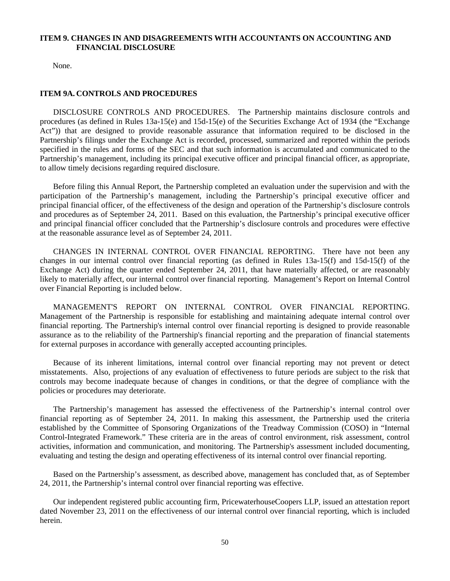# **ITEM 9. CHANGES IN AND DISAGREEMENTS WITH ACCOUNTANTS ON ACCOUNTING AND FINANCIAL DISCLOSURE**

None.

## **ITEM 9A. CONTROLS AND PROCEDURES**

DISCLOSURE CONTROLS AND PROCEDURES. The Partnership maintains disclosure controls and procedures (as defined in Rules 13a-15(e) and 15d-15(e) of the Securities Exchange Act of 1934 (the "Exchange Act")) that are designed to provide reasonable assurance that information required to be disclosed in the Partnership's filings under the Exchange Act is recorded, processed, summarized and reported within the periods specified in the rules and forms of the SEC and that such information is accumulated and communicated to the Partnership's management, including its principal executive officer and principal financial officer, as appropriate, to allow timely decisions regarding required disclosure.

Before filing this Annual Report, the Partnership completed an evaluation under the supervision and with the participation of the Partnership's management, including the Partnership's principal executive officer and principal financial officer, of the effectiveness of the design and operation of the Partnership's disclosure controls and procedures as of September 24, 2011. Based on this evaluation, the Partnership's principal executive officer and principal financial officer concluded that the Partnership's disclosure controls and procedures were effective at the reasonable assurance level as of September 24, 2011.

CHANGES IN INTERNAL CONTROL OVER FINANCIAL REPORTING. There have not been any changes in our internal control over financial reporting (as defined in Rules 13a-15(f) and 15d-15(f) of the Exchange Act) during the quarter ended September 24, 2011, that have materially affected, or are reasonably likely to materially affect, our internal control over financial reporting. Management's Report on Internal Control over Financial Reporting is included below.

 MANAGEMENT'S REPORT ON INTERNAL CONTROL OVER FINANCIAL REPORTING. Management of the Partnership is responsible for establishing and maintaining adequate internal control over financial reporting. The Partnership's internal control over financial reporting is designed to provide reasonable assurance as to the reliability of the Partnership's financial reporting and the preparation of financial statements for external purposes in accordance with generally accepted accounting principles.

Because of its inherent limitations, internal control over financial reporting may not prevent or detect misstatements. Also, projections of any evaluation of effectiveness to future periods are subject to the risk that controls may become inadequate because of changes in conditions, or that the degree of compliance with the policies or procedures may deteriorate.

The Partnership's management has assessed the effectiveness of the Partnership's internal control over financial reporting as of September 24, 2011. In making this assessment, the Partnership used the criteria established by the Committee of Sponsoring Organizations of the Treadway Commission (COSO) in "Internal Control-Integrated Framework." These criteria are in the areas of control environment, risk assessment, control activities, information and communication, and monitoring. The Partnership's assessment included documenting, evaluating and testing the design and operating effectiveness of its internal control over financial reporting.

Based on the Partnership's assessment, as described above, management has concluded that, as of September 24, 2011, the Partnership's internal control over financial reporting was effective.

Our independent registered public accounting firm, PricewaterhouseCoopers LLP, issued an attestation report dated November 23, 2011 on the effectiveness of our internal control over financial reporting, which is included herein.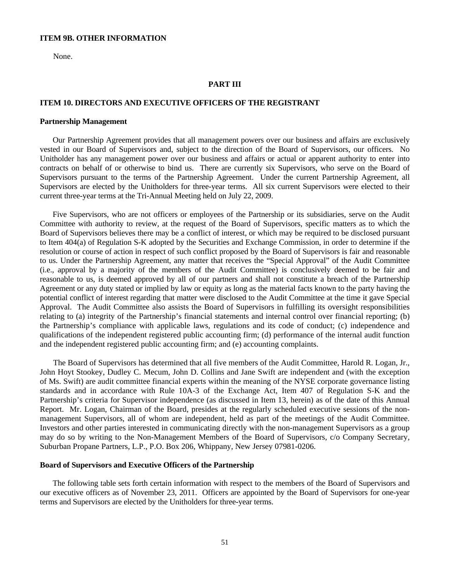#### **ITEM 9B. OTHER INFORMATION**

None.

# **PART III**

## **ITEM 10. DIRECTORS AND EXECUTIVE OFFICERS OF THE REGISTRANT**

#### **Partnership Management**

 Our Partnership Agreement provides that all management powers over our business and affairs are exclusively vested in our Board of Supervisors and, subject to the direction of the Board of Supervisors, our officers. No Unitholder has any management power over our business and affairs or actual or apparent authority to enter into contracts on behalf of or otherwise to bind us. There are currently six Supervisors, who serve on the Board of Supervisors pursuant to the terms of the Partnership Agreement. Under the current Partnership Agreement, all Supervisors are elected by the Unitholders for three-year terms. All six current Supervisors were elected to their current three-year terms at the Tri-Annual Meeting held on July 22, 2009.

 Five Supervisors, who are not officers or employees of the Partnership or its subsidiaries, serve on the Audit Committee with authority to review, at the request of the Board of Supervisors, specific matters as to which the Board of Supervisors believes there may be a conflict of interest, or which may be required to be disclosed pursuant to Item 404(a) of Regulation S-K adopted by the Securities and Exchange Commission, in order to determine if the resolution or course of action in respect of such conflict proposed by the Board of Supervisors is fair and reasonable to us. Under the Partnership Agreement, any matter that receives the "Special Approval" of the Audit Committee (i.e., approval by a majority of the members of the Audit Committee) is conclusively deemed to be fair and reasonable to us, is deemed approved by all of our partners and shall not constitute a breach of the Partnership Agreement or any duty stated or implied by law or equity as long as the material facts known to the party having the potential conflict of interest regarding that matter were disclosed to the Audit Committee at the time it gave Special Approval. The Audit Committee also assists the Board of Supervisors in fulfilling its oversight responsibilities relating to (a) integrity of the Partnership's financial statements and internal control over financial reporting; (b) the Partnership's compliance with applicable laws, regulations and its code of conduct; (c) independence and qualifications of the independent registered public accounting firm; (d) performance of the internal audit function and the independent registered public accounting firm; and (e) accounting complaints.

The Board of Supervisors has determined that all five members of the Audit Committee, Harold R. Logan, Jr., John Hoyt Stookey, Dudley C. Mecum, John D. Collins and Jane Swift are independent and (with the exception of Ms. Swift) are audit committee financial experts within the meaning of the NYSE corporate governance listing standards and in accordance with Rule 10A-3 of the Exchange Act, Item 407 of Regulation S-K and the Partnership's criteria for Supervisor independence (as discussed in Item 13, herein) as of the date of this Annual Report. Mr. Logan, Chairman of the Board, presides at the regularly scheduled executive sessions of the nonmanagement Supervisors, all of whom are independent, held as part of the meetings of the Audit Committee. Investors and other parties interested in communicating directly with the non-management Supervisors as a group may do so by writing to the Non-Management Members of the Board of Supervisors, c/o Company Secretary, Suburban Propane Partners, L.P., P.O. Box 206, Whippany, New Jersey 07981-0206.

#### **Board of Supervisors and Executive Officers of the Partnership**

 The following table sets forth certain information with respect to the members of the Board of Supervisors and our executive officers as of November 23, 2011. Officers are appointed by the Board of Supervisors for one-year terms and Supervisors are elected by the Unitholders for three-year terms.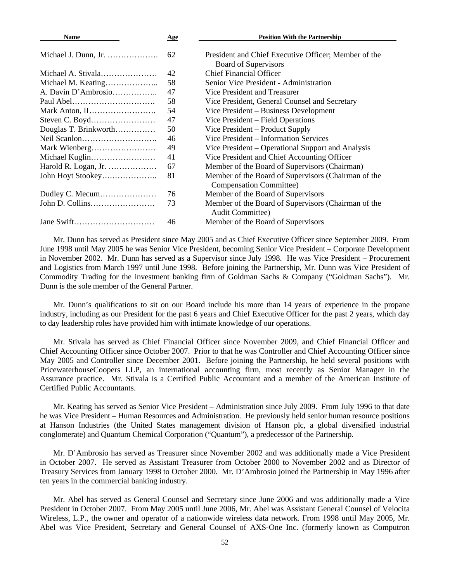| <b>Name</b>           | Age | <b>Position With the Partnership</b>                                                  |
|-----------------------|-----|---------------------------------------------------------------------------------------|
| Michael J. Dunn, Jr.  | 62  | President and Chief Executive Officer; Member of the<br>Board of Supervisors          |
|                       | 42  | <b>Chief Financial Officer</b>                                                        |
|                       | 58  | Senior Vice President - Administration                                                |
|                       | 47  | Vice President and Treasurer                                                          |
|                       | 58  | Vice President, General Counsel and Secretary                                         |
| Mark Anton, II        | 54  | Vice President – Business Development                                                 |
|                       | 47  | Vice President – Field Operations                                                     |
| Douglas T. Brinkworth | 50  | Vice President – Product Supply                                                       |
|                       | 46  | Vice President – Information Services                                                 |
|                       | 49  | Vice President – Operational Support and Analysis                                     |
|                       | 41  | Vice President and Chief Accounting Officer                                           |
| Harold R. Logan, Jr.  | 67  | Member of the Board of Supervisors (Chairman)                                         |
| John Hoyt Stookey     | 81  | Member of the Board of Supervisors (Chairman of the<br><b>Compensation Committee)</b> |
|                       | 76  | Member of the Board of Supervisors                                                    |
| John D. Collins       | 73  | Member of the Board of Supervisors (Chairman of the<br><b>Audit Committee</b> )       |
|                       | 46  | Member of the Board of Supervisors                                                    |

Mr. Dunn has served as President since May 2005 and as Chief Executive Officer since September 2009. From June 1998 until May 2005 he was Senior Vice President, becoming Senior Vice President – Corporate Development in November 2002. Mr. Dunn has served as a Supervisor since July 1998. He was Vice President – Procurement and Logistics from March 1997 until June 1998. Before joining the Partnership, Mr. Dunn was Vice President of Commodity Trading for the investment banking firm of Goldman Sachs & Company ("Goldman Sachs"). Mr. Dunn is the sole member of the General Partner.

Mr. Dunn's qualifications to sit on our Board include his more than 14 years of experience in the propane industry, including as our President for the past 6 years and Chief Executive Officer for the past 2 years, which day to day leadership roles have provided him with intimate knowledge of our operations.

Mr. Stivala has served as Chief Financial Officer since November 2009, and Chief Financial Officer and Chief Accounting Officer since October 2007. Prior to that he was Controller and Chief Accounting Officer since May 2005 and Controller since December 2001. Before joining the Partnership, he held several positions with PricewaterhouseCoopers LLP, an international accounting firm, most recently as Senior Manager in the Assurance practice. Mr. Stivala is a Certified Public Accountant and a member of the American Institute of Certified Public Accountants.

Mr. Keating has served as Senior Vice President – Administration since July 2009. From July 1996 to that date he was Vice President – Human Resources and Administration. He previously held senior human resource positions at Hanson Industries (the United States management division of Hanson plc, a global diversified industrial conglomerate) and Quantum Chemical Corporation ("Quantum"), a predecessor of the Partnership.

Mr. D'Ambrosio has served as Treasurer since November 2002 and was additionally made a Vice President in October 2007. He served as Assistant Treasurer from October 2000 to November 2002 and as Director of Treasury Services from January 1998 to October 2000. Mr. D'Ambrosio joined the Partnership in May 1996 after ten years in the commercial banking industry.

Mr. Abel has served as General Counsel and Secretary since June 2006 and was additionally made a Vice President in October 2007. From May 2005 until June 2006, Mr. Abel was Assistant General Counsel of Velocita Wireless, L.P., the owner and operator of a nationwide wireless data network. From 1998 until May 2005, Mr. Abel was Vice President, Secretary and General Counsel of AXS-One Inc. (formerly known as Computron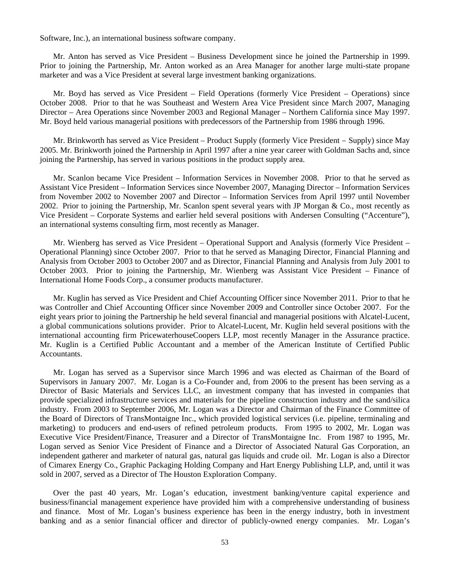Software, Inc.), an international business software company.

Mr. Anton has served as Vice President – Business Development since he joined the Partnership in 1999. Prior to joining the Partnership, Mr. Anton worked as an Area Manager for another large multi-state propane marketer and was a Vice President at several large investment banking organizations.

Mr. Boyd has served as Vice President – Field Operations (formerly Vice President – Operations) since October 2008. Prior to that he was Southeast and Western Area Vice President since March 2007, Managing Director – Area Operations since November 2003 and Regional Manager – Northern California since May 1997. Mr. Boyd held various managerial positions with predecessors of the Partnership from 1986 through 1996.

Mr. Brinkworth has served as Vice President – Product Supply (formerly Vice President – Supply) since May 2005. Mr. Brinkworth joined the Partnership in April 1997 after a nine year career with Goldman Sachs and, since joining the Partnership, has served in various positions in the product supply area.

Mr. Scanlon became Vice President – Information Services in November 2008. Prior to that he served as Assistant Vice President – Information Services since November 2007, Managing Director – Information Services from November 2002 to November 2007 and Director – Information Services from April 1997 until November 2002. Prior to joining the Partnership, Mr. Scanlon spent several years with JP Morgan & Co., most recently as Vice President – Corporate Systems and earlier held several positions with Andersen Consulting ("Accenture"), an international systems consulting firm, most recently as Manager.

Mr. Wienberg has served as Vice President – Operational Support and Analysis (formerly Vice President – Operational Planning) since October 2007. Prior to that he served as Managing Director, Financial Planning and Analysis from October 2003 to October 2007 and as Director, Financial Planning and Analysis from July 2001 to October 2003. Prior to joining the Partnership, Mr. Wienberg was Assistant Vice President – Finance of International Home Foods Corp., a consumer products manufacturer.

Mr. Kuglin has served as Vice President and Chief Accounting Officer since November 2011. Prior to that he was Controller and Chief Accounting Officer since November 2009 and Controller since October 2007. For the eight years prior to joining the Partnership he held several financial and managerial positions with Alcatel-Lucent, a global communications solutions provider. Prior to Alcatel-Lucent, Mr. Kuglin held several positions with the international accounting firm PricewaterhouseCoopers LLP, most recently Manager in the Assurance practice. Mr. Kuglin is a Certified Public Accountant and a member of the American Institute of Certified Public Accountants.

Mr. Logan has served as a Supervisor since March 1996 and was elected as Chairman of the Board of Supervisors in January 2007. Mr. Logan is a Co-Founder and, from 2006 to the present has been serving as a Director of Basic Materials and Services LLC, an investment company that has invested in companies that provide specialized infrastructure services and materials for the pipeline construction industry and the sand/silica industry. From 2003 to September 2006, Mr. Logan was a Director and Chairman of the Finance Committee of the Board of Directors of TransMontaigne Inc., which provided logistical services (i.e. pipeline, terminaling and marketing) to producers and end-users of refined petroleum products. From 1995 to 2002, Mr. Logan was Executive Vice President/Finance, Treasurer and a Director of TransMontaigne Inc. From 1987 to 1995, Mr. Logan served as Senior Vice President of Finance and a Director of Associated Natural Gas Corporation, an independent gatherer and marketer of natural gas, natural gas liquids and crude oil. Mr. Logan is also a Director of Cimarex Energy Co., Graphic Packaging Holding Company and Hart Energy Publishing LLP, and, until it was sold in 2007, served as a Director of The Houston Exploration Company.

Over the past 40 years, Mr. Logan's education, investment banking/venture capital experience and business/financial management experience have provided him with a comprehensive understanding of business and finance. Most of Mr. Logan's business experience has been in the energy industry, both in investment banking and as a senior financial officer and director of publicly-owned energy companies. Mr. Logan's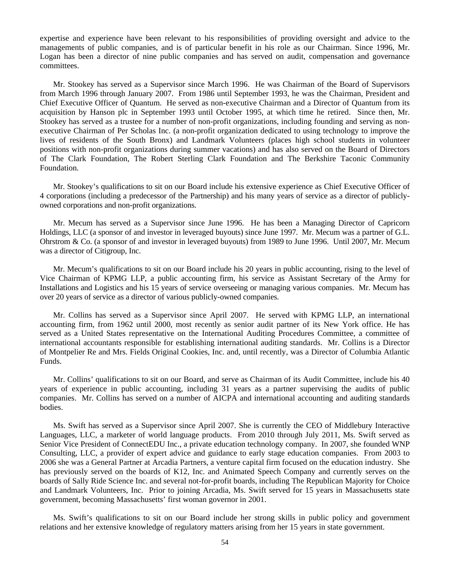expertise and experience have been relevant to his responsibilities of providing oversight and advice to the managements of public companies, and is of particular benefit in his role as our Chairman. Since 1996, Mr. Logan has been a director of nine public companies and has served on audit, compensation and governance committees.

Mr. Stookey has served as a Supervisor since March 1996. He was Chairman of the Board of Supervisors from March 1996 through January 2007. From 1986 until September 1993, he was the Chairman, President and Chief Executive Officer of Quantum. He served as non-executive Chairman and a Director of Quantum from its acquisition by Hanson plc in September 1993 until October 1995, at which time he retired. Since then, Mr. Stookey has served as a trustee for a number of non-profit organizations, including founding and serving as nonexecutive Chairman of Per Scholas Inc. (a non-profit organization dedicated to using technology to improve the lives of residents of the South Bronx) and Landmark Volunteers (places high school students in volunteer positions with non-profit organizations during summer vacations) and has also served on the Board of Directors of The Clark Foundation, The Robert Sterling Clark Foundation and The Berkshire Taconic Community Foundation.

Mr. Stookey's qualifications to sit on our Board include his extensive experience as Chief Executive Officer of 4 corporations (including a predecessor of the Partnership) and his many years of service as a director of publiclyowned corporations and non-profit organizations.

Mr. Mecum has served as a Supervisor since June 1996. He has been a Managing Director of Capricorn Holdings, LLC (a sponsor of and investor in leveraged buyouts) since June 1997. Mr. Mecum was a partner of G.L. Ohrstrom & Co. (a sponsor of and investor in leveraged buyouts) from 1989 to June 1996. Until 2007, Mr. Mecum was a director of Citigroup, Inc.

Mr. Mecum's qualifications to sit on our Board include his 20 years in public accounting, rising to the level of Vice Chairman of KPMG LLP, a public accounting firm, his service as Assistant Secretary of the Army for Installations and Logistics and his 15 years of service overseeing or managing various companies. Mr. Mecum has over 20 years of service as a director of various publicly-owned companies.

Mr. Collins has served as a Supervisor since April 2007. He served with KPMG LLP, an international accounting firm, from 1962 until 2000, most recently as senior audit partner of its New York office. He has served as a United States representative on the International Auditing Procedures Committee, a committee of international accountants responsible for establishing international auditing standards. Mr. Collins is a Director of Montpelier Re and Mrs. Fields Original Cookies, Inc. and, until recently, was a Director of Columbia Atlantic Funds.

Mr. Collins' qualifications to sit on our Board, and serve as Chairman of its Audit Committee, include his 40 years of experience in public accounting, including 31 years as a partner supervising the audits of public companies. Mr. Collins has served on a number of AICPA and international accounting and auditing standards bodies.

Ms. Swift has served as a Supervisor since April 2007. She is currently the CEO of Middlebury Interactive Languages, LLC, a marketer of world language products. From 2010 through July 2011, Ms. Swift served as Senior Vice President of ConnectEDU Inc., a private education technology company. In 2007, she founded WNP Consulting, LLC, a provider of expert advice and guidance to early stage education companies. From 2003 to 2006 she was a General Partner at Arcadia Partners, a venture capital firm focused on the education industry. She has previously served on the boards of K12, Inc. and Animated Speech Company and currently serves on the boards of Sally Ride Science Inc. and several not-for-profit boards, including The Republican Majority for Choice and Landmark Volunteers, Inc. Prior to joining Arcadia, Ms. Swift served for 15 years in Massachusetts state government, becoming Massachusetts' first woman governor in 2001.

Ms. Swift's qualifications to sit on our Board include her strong skills in public policy and government relations and her extensive knowledge of regulatory matters arising from her 15 years in state government.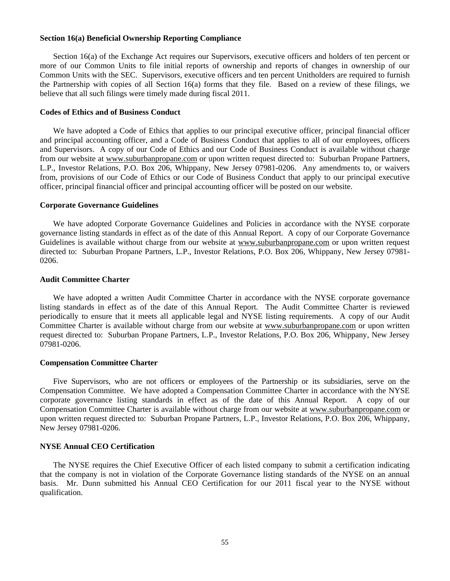## **Section 16(a) Beneficial Ownership Reporting Compliance**

 Section 16(a) of the Exchange Act requires our Supervisors, executive officers and holders of ten percent or more of our Common Units to file initial reports of ownership and reports of changes in ownership of our Common Units with the SEC. Supervisors, executive officers and ten percent Unitholders are required to furnish the Partnership with copies of all Section 16(a) forms that they file. Based on a review of these filings, we believe that all such filings were timely made during fiscal 2011.

#### **Codes of Ethics and of Business Conduct**

 We have adopted a Code of Ethics that applies to our principal executive officer, principal financial officer and principal accounting officer, and a Code of Business Conduct that applies to all of our employees, officers and Supervisors. A copy of our Code of Ethics and our Code of Business Conduct is available without charge from our website at www.suburbanpropane.com or upon written request directed to: Suburban Propane Partners, L.P., Investor Relations, P.O. Box 206, Whippany, New Jersey 07981-0206. Any amendments to, or waivers from, provisions of our Code of Ethics or our Code of Business Conduct that apply to our principal executive officer, principal financial officer and principal accounting officer will be posted on our website.

#### **Corporate Governance Guidelines**

 We have adopted Corporate Governance Guidelines and Policies in accordance with the NYSE corporate governance listing standards in effect as of the date of this Annual Report. A copy of our Corporate Governance Guidelines is available without charge from our website at www.suburbanpropane.com or upon written request directed to: Suburban Propane Partners, L.P., Investor Relations, P.O. Box 206, Whippany, New Jersey 07981- 0206.

## **Audit Committee Charter**

 We have adopted a written Audit Committee Charter in accordance with the NYSE corporate governance listing standards in effect as of the date of this Annual Report. The Audit Committee Charter is reviewed periodically to ensure that it meets all applicable legal and NYSE listing requirements. A copy of our Audit Committee Charter is available without charge from our website at www.suburbanpropane.com or upon written request directed to: Suburban Propane Partners, L.P., Investor Relations, P.O. Box 206, Whippany, New Jersey 07981-0206.

## **Compensation Committee Charter**

 Five Supervisors, who are not officers or employees of the Partnership or its subsidiaries, serve on the Compensation Committee. We have adopted a Compensation Committee Charter in accordance with the NYSE corporate governance listing standards in effect as of the date of this Annual Report. A copy of our Compensation Committee Charter is available without charge from our website at www.suburbanpropane.com or upon written request directed to: Suburban Propane Partners, L.P., Investor Relations, P.O. Box 206, Whippany, New Jersey 07981-0206.

## **NYSE Annual CEO Certification**

 The NYSE requires the Chief Executive Officer of each listed company to submit a certification indicating that the company is not in violation of the Corporate Governance listing standards of the NYSE on an annual basis. Mr. Dunn submitted his Annual CEO Certification for our 2011 fiscal year to the NYSE without qualification.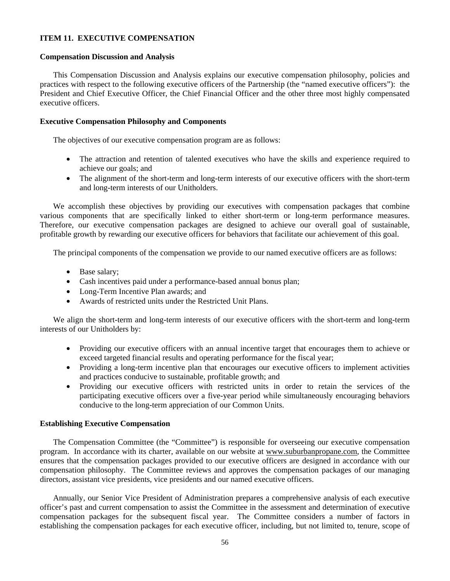# **ITEM 11. EXECUTIVE COMPENSATION**

## **Compensation Discussion and Analysis**

This Compensation Discussion and Analysis explains our executive compensation philosophy, policies and practices with respect to the following executive officers of the Partnership (the "named executive officers"): the President and Chief Executive Officer, the Chief Financial Officer and the other three most highly compensated executive officers.

# **Executive Compensation Philosophy and Components**

The objectives of our executive compensation program are as follows:

- The attraction and retention of talented executives who have the skills and experience required to achieve our goals; and
- The alignment of the short-term and long-term interests of our executive officers with the short-term and long-term interests of our Unitholders.

We accomplish these objectives by providing our executives with compensation packages that combine various components that are specifically linked to either short-term or long-term performance measures. Therefore, our executive compensation packages are designed to achieve our overall goal of sustainable, profitable growth by rewarding our executive officers for behaviors that facilitate our achievement of this goal.

The principal components of the compensation we provide to our named executive officers are as follows:

- Base salary;
- Cash incentives paid under a performance-based annual bonus plan;
- Long-Term Incentive Plan awards; and
- Awards of restricted units under the Restricted Unit Plans.

We align the short-term and long-term interests of our executive officers with the short-term and long-term interests of our Unitholders by:

- Providing our executive officers with an annual incentive target that encourages them to achieve or exceed targeted financial results and operating performance for the fiscal year;
- Providing a long-term incentive plan that encourages our executive officers to implement activities and practices conducive to sustainable, profitable growth; and
- Providing our executive officers with restricted units in order to retain the services of the participating executive officers over a five-year period while simultaneously encouraging behaviors conducive to the long-term appreciation of our Common Units.

## **Establishing Executive Compensation**

The Compensation Committee (the "Committee") is responsible for overseeing our executive compensation program. In accordance with its charter, available on our website at www.suburbanpropane.com, the Committee ensures that the compensation packages provided to our executive officers are designed in accordance with our compensation philosophy. The Committee reviews and approves the compensation packages of our managing directors, assistant vice presidents, vice presidents and our named executive officers.

Annually, our Senior Vice President of Administration prepares a comprehensive analysis of each executive officer's past and current compensation to assist the Committee in the assessment and determination of executive compensation packages for the subsequent fiscal year. The Committee considers a number of factors in establishing the compensation packages for each executive officer, including, but not limited to, tenure, scope of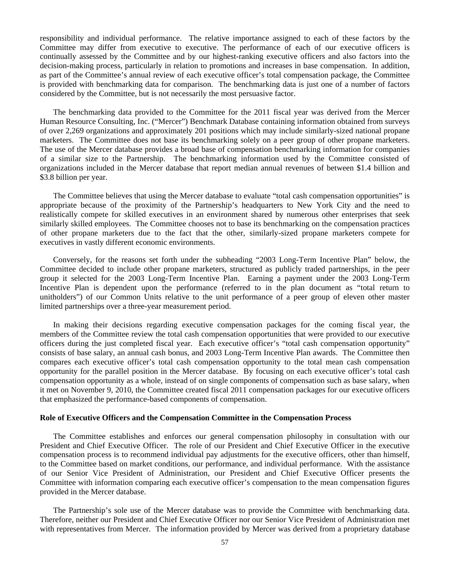responsibility and individual performance. The relative importance assigned to each of these factors by the Committee may differ from executive to executive. The performance of each of our executive officers is continually assessed by the Committee and by our highest-ranking executive officers and also factors into the decision-making process, particularly in relation to promotions and increases in base compensation. In addition, as part of the Committee's annual review of each executive officer's total compensation package, the Committee is provided with benchmarking data for comparison. The benchmarking data is just one of a number of factors considered by the Committee, but is not necessarily the most persuasive factor.

The benchmarking data provided to the Committee for the 2011 fiscal year was derived from the Mercer Human Resource Consulting, Inc. ("Mercer") Benchmark Database containing information obtained from surveys of over 2,269 organizations and approximately 201 positions which may include similarly-sized national propane marketers. The Committee does not base its benchmarking solely on a peer group of other propane marketers. The use of the Mercer database provides a broad base of compensation benchmarking information for companies of a similar size to the Partnership. The benchmarking information used by the Committee consisted of organizations included in the Mercer database that report median annual revenues of between \$1.4 billion and \$3.8 billion per year.

The Committee believes that using the Mercer database to evaluate "total cash compensation opportunities" is appropriate because of the proximity of the Partnership's headquarters to New York City and the need to realistically compete for skilled executives in an environment shared by numerous other enterprises that seek similarly skilled employees. The Committee chooses not to base its benchmarking on the compensation practices of other propane marketers due to the fact that the other, similarly-sized propane marketers compete for executives in vastly different economic environments.

Conversely, for the reasons set forth under the subheading "2003 Long-Term Incentive Plan" below, the Committee decided to include other propane marketers, structured as publicly traded partnerships, in the peer group it selected for the 2003 Long-Term Incentive Plan. Earning a payment under the 2003 Long-Term Incentive Plan is dependent upon the performance (referred to in the plan document as "total return to unitholders") of our Common Units relative to the unit performance of a peer group of eleven other master limited partnerships over a three-year measurement period.

In making their decisions regarding executive compensation packages for the coming fiscal year, the members of the Committee review the total cash compensation opportunities that were provided to our executive officers during the just completed fiscal year. Each executive officer's "total cash compensation opportunity" consists of base salary, an annual cash bonus, and 2003 Long-Term Incentive Plan awards. The Committee then compares each executive officer's total cash compensation opportunity to the total mean cash compensation opportunity for the parallel position in the Mercer database. By focusing on each executive officer's total cash compensation opportunity as a whole, instead of on single components of compensation such as base salary, when it met on November 9, 2010, the Committee created fiscal 2011 compensation packages for our executive officers that emphasized the performance-based components of compensation.

## **Role of Executive Officers and the Compensation Committee in the Compensation Process**

The Committee establishes and enforces our general compensation philosophy in consultation with our President and Chief Executive Officer. The role of our President and Chief Executive Officer in the executive compensation process is to recommend individual pay adjustments for the executive officers, other than himself, to the Committee based on market conditions, our performance, and individual performance. With the assistance of our Senior Vice President of Administration, our President and Chief Executive Officer presents the Committee with information comparing each executive officer's compensation to the mean compensation figures provided in the Mercer database.

The Partnership's sole use of the Mercer database was to provide the Committee with benchmarking data. Therefore, neither our President and Chief Executive Officer nor our Senior Vice President of Administration met with representatives from Mercer. The information provided by Mercer was derived from a proprietary database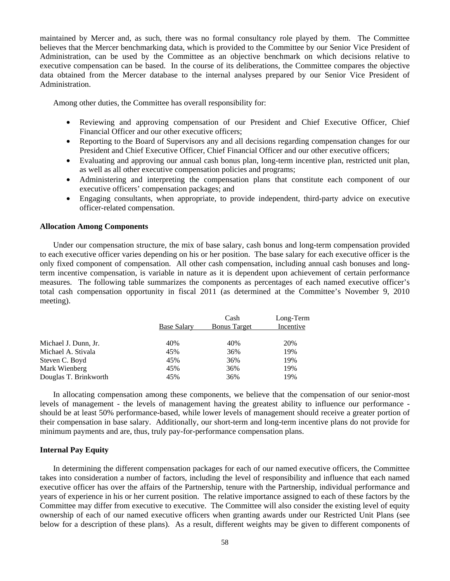maintained by Mercer and, as such, there was no formal consultancy role played by them. The Committee believes that the Mercer benchmarking data, which is provided to the Committee by our Senior Vice President of Administration, can be used by the Committee as an objective benchmark on which decisions relative to executive compensation can be based. In the course of its deliberations, the Committee compares the objective data obtained from the Mercer database to the internal analyses prepared by our Senior Vice President of Administration.

Among other duties, the Committee has overall responsibility for:

- Reviewing and approving compensation of our President and Chief Executive Officer, Chief Financial Officer and our other executive officers;
- Reporting to the Board of Supervisors any and all decisions regarding compensation changes for our President and Chief Executive Officer, Chief Financial Officer and our other executive officers;
- Evaluating and approving our annual cash bonus plan, long-term incentive plan, restricted unit plan, as well as all other executive compensation policies and programs;
- Administering and interpreting the compensation plans that constitute each component of our executive officers' compensation packages; and
- Engaging consultants, when appropriate, to provide independent, third-party advice on executive officer-related compensation.

## **Allocation Among Components**

Under our compensation structure, the mix of base salary, cash bonus and long-term compensation provided to each executive officer varies depending on his or her position. The base salary for each executive officer is the only fixed component of compensation. All other cash compensation, including annual cash bonuses and longterm incentive compensation, is variable in nature as it is dependent upon achievement of certain performance measures. The following table summarizes the components as percentages of each named executive officer's total cash compensation opportunity in fiscal 2011 (as determined at the Committee's November 9, 2010 meeting).

|                       |                    | Cash                | Long-Term |
|-----------------------|--------------------|---------------------|-----------|
|                       | <b>Base Salary</b> | <b>Bonus Target</b> | Incentive |
| Michael J. Dunn, Jr.  | 40%                | 40%                 | 20%       |
| Michael A. Stivala    | 45%                | 36%                 | 19%       |
| Steven C. Boyd        | 45%                | 36%                 | 19%       |
| Mark Wienberg         | 45%                | 36%                 | 19%       |
| Douglas T. Brinkworth | 45%                | 36%                 | 19%       |

In allocating compensation among these components, we believe that the compensation of our senior-most levels of management - the levels of management having the greatest ability to influence our performance should be at least 50% performance-based, while lower levels of management should receive a greater portion of their compensation in base salary. Additionally, our short-term and long-term incentive plans do not provide for minimum payments and are, thus, truly pay-for-performance compensation plans.

## **Internal Pay Equity**

In determining the different compensation packages for each of our named executive officers, the Committee takes into consideration a number of factors, including the level of responsibility and influence that each named executive officer has over the affairs of the Partnership, tenure with the Partnership, individual performance and years of experience in his or her current position. The relative importance assigned to each of these factors by the Committee may differ from executive to executive. The Committee will also consider the existing level of equity ownership of each of our named executive officers when granting awards under our Restricted Unit Plans (see below for a description of these plans). As a result, different weights may be given to different components of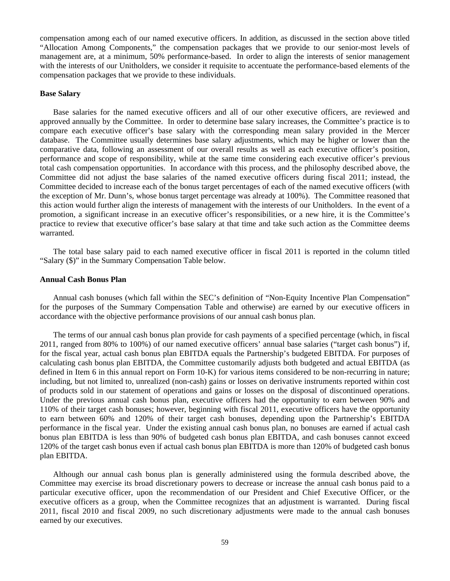compensation among each of our named executive officers. In addition, as discussed in the section above titled "Allocation Among Components," the compensation packages that we provide to our senior-most levels of management are, at a minimum, 50% performance-based. In order to align the interests of senior management with the interests of our Unitholders, we consider it requisite to accentuate the performance-based elements of the compensation packages that we provide to these individuals.

## **Base Salary**

Base salaries for the named executive officers and all of our other executive officers, are reviewed and approved annually by the Committee. In order to determine base salary increases, the Committee's practice is to compare each executive officer's base salary with the corresponding mean salary provided in the Mercer database. The Committee usually determines base salary adjustments, which may be higher or lower than the comparative data, following an assessment of our overall results as well as each executive officer's position, performance and scope of responsibility, while at the same time considering each executive officer's previous total cash compensation opportunities. In accordance with this process, and the philosophy described above, the Committee did not adjust the base salaries of the named executive officers during fiscal 2011; instead, the Committee decided to increase each of the bonus target percentages of each of the named executive officers (with the exception of Mr. Dunn's, whose bonus target percentage was already at 100%). The Committee reasoned that this action would further align the interests of management with the interests of our Unitholders. In the event of a promotion, a significant increase in an executive officer's responsibilities, or a new hire, it is the Committee's practice to review that executive officer's base salary at that time and take such action as the Committee deems warranted.

The total base salary paid to each named executive officer in fiscal 2011 is reported in the column titled "Salary (\$)" in the Summary Compensation Table below.

## **Annual Cash Bonus Plan**

Annual cash bonuses (which fall within the SEC's definition of "Non-Equity Incentive Plan Compensation" for the purposes of the Summary Compensation Table and otherwise) are earned by our executive officers in accordance with the objective performance provisions of our annual cash bonus plan.

The terms of our annual cash bonus plan provide for cash payments of a specified percentage (which, in fiscal 2011, ranged from 80% to 100%) of our named executive officers' annual base salaries ("target cash bonus") if, for the fiscal year, actual cash bonus plan EBITDA equals the Partnership's budgeted EBITDA. For purposes of calculating cash bonus plan EBITDA, the Committee customarily adjusts both budgeted and actual EBITDA (as defined in Item 6 in this annual report on Form 10-K) for various items considered to be non-recurring in nature; including, but not limited to, unrealized (non-cash) gains or losses on derivative instruments reported within cost of products sold in our statement of operations and gains or losses on the disposal of discontinued operations. Under the previous annual cash bonus plan, executive officers had the opportunity to earn between 90% and 110% of their target cash bonuses; however, beginning with fiscal 2011, executive officers have the opportunity to earn between 60% and 120% of their target cash bonuses, depending upon the Partnership's EBITDA performance in the fiscal year. Under the existing annual cash bonus plan, no bonuses are earned if actual cash bonus plan EBITDA is less than 90% of budgeted cash bonus plan EBITDA, and cash bonuses cannot exceed 120% of the target cash bonus even if actual cash bonus plan EBITDA is more than 120% of budgeted cash bonus plan EBITDA.

Although our annual cash bonus plan is generally administered using the formula described above, the Committee may exercise its broad discretionary powers to decrease or increase the annual cash bonus paid to a particular executive officer, upon the recommendation of our President and Chief Executive Officer, or the executive officers as a group, when the Committee recognizes that an adjustment is warranted. During fiscal 2011, fiscal 2010 and fiscal 2009, no such discretionary adjustments were made to the annual cash bonuses earned by our executives.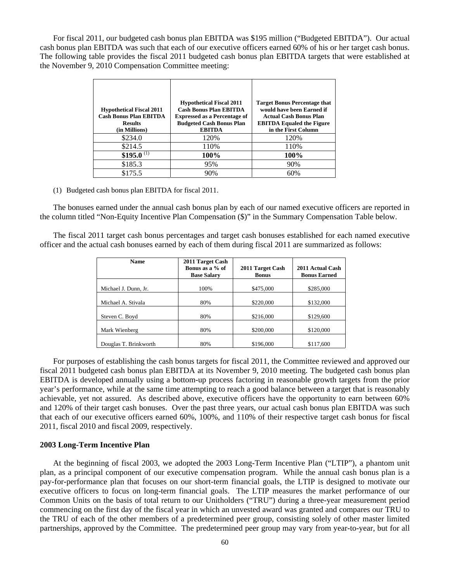For fiscal 2011, our budgeted cash bonus plan EBITDA was \$195 million ("Budgeted EBITDA"). Our actual cash bonus plan EBITDA was such that each of our executive officers earned 60% of his or her target cash bonus. The following table provides the fiscal 2011 budgeted cash bonus plan EBITDA targets that were established at the November 9, 2010 Compensation Committee meeting:

| <b>Hypothetical Fiscal 2011</b><br><b>Cash Bonus Plan EBITDA</b><br><b>Results</b><br>(in Millions) | <b>Hypothetical Fiscal 2011</b><br><b>Cash Bonus Plan EBITDA</b><br><b>Expressed as a Percentage of</b><br><b>Budgeted Cash Bonus Plan</b><br><b>EBITDA</b> | <b>Target Bonus Percentage that</b><br>would have been Earned if<br><b>Actual Cash Bonus Plan</b><br><b>EBITDA Equaled the Figure</b><br>in the First Column |
|-----------------------------------------------------------------------------------------------------|-------------------------------------------------------------------------------------------------------------------------------------------------------------|--------------------------------------------------------------------------------------------------------------------------------------------------------------|
| \$234.0                                                                                             | 120%                                                                                                                                                        | 120%                                                                                                                                                         |
| \$214.5                                                                                             | 110%                                                                                                                                                        | 110%                                                                                                                                                         |
| \$195.0 <sup>(1)</sup>                                                                              | 100%                                                                                                                                                        | 100%                                                                                                                                                         |
| \$185.3                                                                                             | 95%                                                                                                                                                         | 90%                                                                                                                                                          |
| \$175.5                                                                                             | 90%                                                                                                                                                         | 60%                                                                                                                                                          |

(1) Budgeted cash bonus plan EBITDA for fiscal 2011.

The bonuses earned under the annual cash bonus plan by each of our named executive officers are reported in the column titled "Non-Equity Incentive Plan Compensation (\$)" in the Summary Compensation Table below.

The fiscal 2011 target cash bonus percentages and target cash bonuses established for each named executive officer and the actual cash bonuses earned by each of them during fiscal 2011 are summarized as follows:

| <b>Name</b>           | 2011 Target Cash<br>Bonus as a % of<br><b>Base Salary</b> | 2011 Target Cash<br><b>Bonus</b> | 2011 Actual Cash<br><b>Bonus Earned</b> |
|-----------------------|-----------------------------------------------------------|----------------------------------|-----------------------------------------|
| Michael J. Dunn, Jr.  | 100%                                                      | \$475,000                        | \$285,000                               |
| Michael A. Stivala    | 80%                                                       | \$220,000                        | \$132,000                               |
| Steven C. Boyd        | 80%                                                       | \$216,000                        | \$129,600                               |
| Mark Wienberg         | 80%                                                       | \$200,000                        | \$120,000                               |
| Douglas T. Brinkworth | 80%                                                       | \$196,000                        | \$117,600                               |

For purposes of establishing the cash bonus targets for fiscal 2011, the Committee reviewed and approved our fiscal 2011 budgeted cash bonus plan EBITDA at its November 9, 2010 meeting. The budgeted cash bonus plan EBITDA is developed annually using a bottom-up process factoring in reasonable growth targets from the prior year's performance, while at the same time attempting to reach a good balance between a target that is reasonably achievable, yet not assured. As described above, executive officers have the opportunity to earn between 60% and 120% of their target cash bonuses. Over the past three years, our actual cash bonus plan EBITDA was such that each of our executive officers earned 60%, 100%, and 110% of their respective target cash bonus for fiscal 2011, fiscal 2010 and fiscal 2009, respectively.

### **2003 Long-Term Incentive Plan**

At the beginning of fiscal 2003, we adopted the 2003 Long-Term Incentive Plan ("LTIP"), a phantom unit plan, as a principal component of our executive compensation program. While the annual cash bonus plan is a pay-for-performance plan that focuses on our short-term financial goals, the LTIP is designed to motivate our executive officers to focus on long-term financial goals. The LTIP measures the market performance of our Common Units on the basis of total return to our Unitholders ("TRU") during a three-year measurement period commencing on the first day of the fiscal year in which an unvested award was granted and compares our TRU to the TRU of each of the other members of a predetermined peer group, consisting solely of other master limited partnerships, approved by the Committee. The predetermined peer group may vary from year-to-year, but for all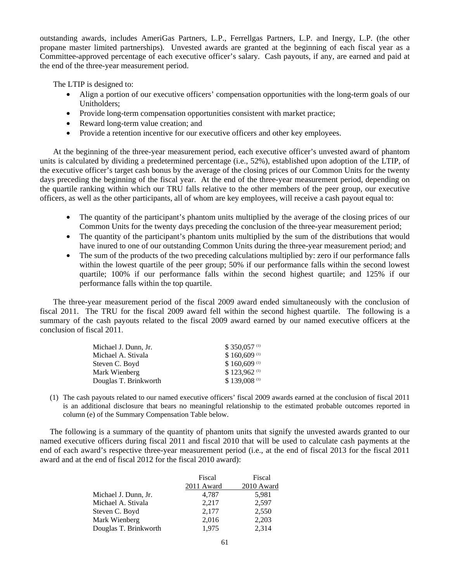outstanding awards, includes AmeriGas Partners, L.P., Ferrellgas Partners, L.P. and Inergy, L.P. (the other propane master limited partnerships). Unvested awards are granted at the beginning of each fiscal year as a Committee-approved percentage of each executive officer's salary. Cash payouts, if any, are earned and paid at the end of the three-year measurement period.

The LTIP is designed to:

- Align a portion of our executive officers' compensation opportunities with the long-term goals of our Unitholders;
- Provide long-term compensation opportunities consistent with market practice;
- Reward long-term value creation; and
- Provide a retention incentive for our executive officers and other key employees.

At the beginning of the three-year measurement period, each executive officer's unvested award of phantom units is calculated by dividing a predetermined percentage (i.e., 52%), established upon adoption of the LTIP, of the executive officer's target cash bonus by the average of the closing prices of our Common Units for the twenty days preceding the beginning of the fiscal year. At the end of the three-year measurement period, depending on the quartile ranking within which our TRU falls relative to the other members of the peer group, our executive officers, as well as the other participants, all of whom are key employees, will receive a cash payout equal to:

- The quantity of the participant's phantom units multiplied by the average of the closing prices of our Common Units for the twenty days preceding the conclusion of the three-year measurement period;
- The quantity of the participant's phantom units multiplied by the sum of the distributions that would have inured to one of our outstanding Common Units during the three-year measurement period; and
- The sum of the products of the two preceding calculations multiplied by: zero if our performance falls within the lowest quartile of the peer group; 50% if our performance falls within the second lowest quartile; 100% if our performance falls within the second highest quartile; and 125% if our performance falls within the top quartile.

The three-year measurement period of the fiscal 2009 award ended simultaneously with the conclusion of fiscal 2011. The TRU for the fiscal 2009 award fell within the second highest quartile. The following is a summary of the cash payouts related to the fiscal 2009 award earned by our named executive officers at the conclusion of fiscal 2011.

| Michael J. Dunn, Jr.  | \$350.057 <sup>(1)</sup>  |
|-----------------------|---------------------------|
| Michael A. Stivala    | $$160,609$ <sup>(1)</sup> |
| Steven C. Boyd        | $$160,609$ <sup>(1)</sup> |
| Mark Wienberg         | $$123,962$ <sup>(1)</sup> |
| Douglas T. Brinkworth | \$139,008 (1)             |

(1) The cash payouts related to our named executive officers' fiscal 2009 awards earned at the conclusion of fiscal 2011 is an additional disclosure that bears no meaningful relationship to the estimated probable outcomes reported in column (e) of the Summary Compensation Table below.

The following is a summary of the quantity of phantom units that signify the unvested awards granted to our named executive officers during fiscal 2011 and fiscal 2010 that will be used to calculate cash payments at the end of each award's respective three-year measurement period (i.e., at the end of fiscal 2013 for the fiscal 2011 award and at the end of fiscal 2012 for the fiscal 2010 award):

|                       | Fiscal     | Fiscal     |
|-----------------------|------------|------------|
|                       | 2011 Award | 2010 Award |
| Michael J. Dunn, Jr.  | 4,787      | 5,981      |
| Michael A. Stivala    | 2,217      | 2,597      |
| Steven C. Boyd        | 2,177      | 2,550      |
| Mark Wienberg         | 2,016      | 2,203      |
| Douglas T. Brinkworth | 1,975      | 2,314      |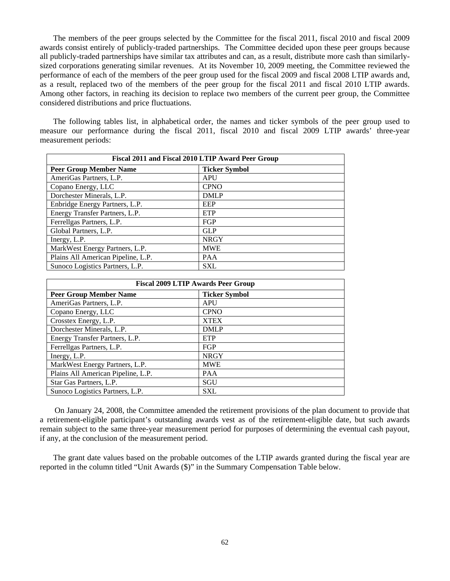The members of the peer groups selected by the Committee for the fiscal 2011, fiscal 2010 and fiscal 2009 awards consist entirely of publicly-traded partnerships. The Committee decided upon these peer groups because all publicly-traded partnerships have similar tax attributes and can, as a result, distribute more cash than similarlysized corporations generating similar revenues. At its November 10, 2009 meeting, the Committee reviewed the performance of each of the members of the peer group used for the fiscal 2009 and fiscal 2008 LTIP awards and, as a result, replaced two of the members of the peer group for the fiscal 2011 and fiscal 2010 LTIP awards. Among other factors, in reaching its decision to replace two members of the current peer group, the Committee considered distributions and price fluctuations.

The following tables list, in alphabetical order, the names and ticker symbols of the peer group used to measure our performance during the fiscal 2011, fiscal 2010 and fiscal 2009 LTIP awards' three-year measurement periods:

| Fiscal 2011 and Fiscal 2010 LTIP Award Peer Group |                      |  |  |
|---------------------------------------------------|----------------------|--|--|
| <b>Peer Group Member Name</b>                     | <b>Ticker Symbol</b> |  |  |
| AmeriGas Partners, L.P.                           | <b>APU</b>           |  |  |
| Copano Energy, LLC                                | <b>CPNO</b>          |  |  |
| Dorchester Minerals, L.P.                         | <b>DMLP</b>          |  |  |
| Enbridge Energy Partners, L.P.                    | <b>EEP</b>           |  |  |
| Energy Transfer Partners, L.P.                    | <b>ETP</b>           |  |  |
| Ferrellgas Partners, L.P.                         | <b>FGP</b>           |  |  |
| Global Partners, L.P.                             | <b>GLP</b>           |  |  |
| Inergy, L.P.                                      | <b>NRGY</b>          |  |  |
| MarkWest Energy Partners, L.P.                    | <b>MWE</b>           |  |  |
| Plains All American Pipeline, L.P.                | <b>PAA</b>           |  |  |
| Sunoco Logistics Partners, L.P.                   | <b>SXL</b>           |  |  |

| <b>Fiscal 2009 LTIP Awards Peer Group</b> |                      |  |  |
|-------------------------------------------|----------------------|--|--|
| <b>Peer Group Member Name</b>             | <b>Ticker Symbol</b> |  |  |
| AmeriGas Partners, L.P.                   | APU                  |  |  |
| Copano Energy, LLC                        | <b>CPNO</b>          |  |  |
| Crosstex Energy, L.P.                     | <b>XTEX</b>          |  |  |
| Dorchester Minerals, L.P.                 | <b>DMLP</b>          |  |  |
| Energy Transfer Partners, L.P.            | <b>ETP</b>           |  |  |
| Ferrellgas Partners, L.P.                 | FGP                  |  |  |
| Inergy, L.P.                              | <b>NRGY</b>          |  |  |
| MarkWest Energy Partners, L.P.            | <b>MWE</b>           |  |  |
| Plains All American Pipeline, L.P.        | <b>PAA</b>           |  |  |
| Star Gas Partners, L.P.                   | SGU                  |  |  |
| Sunoco Logistics Partners, L.P.           | <b>SXL</b>           |  |  |

On January 24, 2008, the Committee amended the retirement provisions of the plan document to provide that a retirement-eligible participant's outstanding awards vest as of the retirement-eligible date, but such awards remain subject to the same three-year measurement period for purposes of determining the eventual cash payout, if any, at the conclusion of the measurement period.

The grant date values based on the probable outcomes of the LTIP awards granted during the fiscal year are reported in the column titled "Unit Awards (\$)" in the Summary Compensation Table below.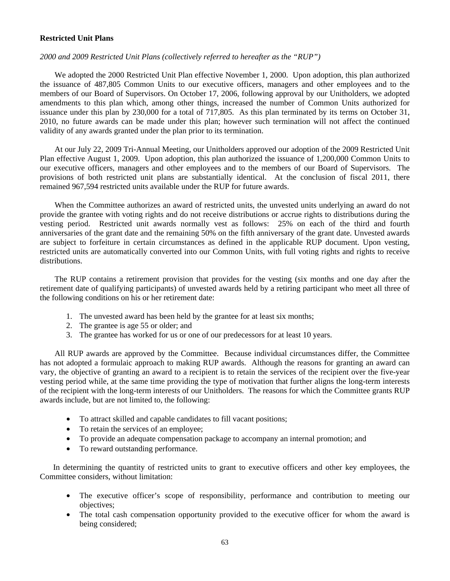# **Restricted Unit Plans**

# *2000 and 2009 Restricted Unit Plans (collectively referred to hereafter as the "RUP")*

We adopted the 2000 Restricted Unit Plan effective November 1, 2000. Upon adoption, this plan authorized the issuance of 487,805 Common Units to our executive officers, managers and other employees and to the members of our Board of Supervisors. On October 17, 2006, following approval by our Unitholders, we adopted amendments to this plan which, among other things, increased the number of Common Units authorized for issuance under this plan by 230,000 for a total of 717,805. As this plan terminated by its terms on October 31, 2010, no future awards can be made under this plan; however such termination will not affect the continued validity of any awards granted under the plan prior to its termination.

At our July 22, 2009 Tri-Annual Meeting, our Unitholders approved our adoption of the 2009 Restricted Unit Plan effective August 1, 2009. Upon adoption, this plan authorized the issuance of 1,200,000 Common Units to our executive officers, managers and other employees and to the members of our Board of Supervisors. The provisions of both restricted unit plans are substantially identical. At the conclusion of fiscal 2011, there remained 967,594 restricted units available under the RUP for future awards.

When the Committee authorizes an award of restricted units, the unvested units underlying an award do not provide the grantee with voting rights and do not receive distributions or accrue rights to distributions during the vesting period. Restricted unit awards normally vest as follows: 25% on each of the third and fourth anniversaries of the grant date and the remaining 50% on the fifth anniversary of the grant date. Unvested awards are subject to forfeiture in certain circumstances as defined in the applicable RUP document. Upon vesting, restricted units are automatically converted into our Common Units, with full voting rights and rights to receive distributions.

The RUP contains a retirement provision that provides for the vesting (six months and one day after the retirement date of qualifying participants) of unvested awards held by a retiring participant who meet all three of the following conditions on his or her retirement date:

- 1. The unvested award has been held by the grantee for at least six months;
- 2. The grantee is age 55 or older; and
- 3. The grantee has worked for us or one of our predecessors for at least 10 years.

All RUP awards are approved by the Committee. Because individual circumstances differ, the Committee has not adopted a formulaic approach to making RUP awards. Although the reasons for granting an award can vary, the objective of granting an award to a recipient is to retain the services of the recipient over the five-year vesting period while, at the same time providing the type of motivation that further aligns the long-term interests of the recipient with the long-term interests of our Unitholders. The reasons for which the Committee grants RUP awards include, but are not limited to, the following:

- To attract skilled and capable candidates to fill vacant positions;
- To retain the services of an employee;
- To provide an adequate compensation package to accompany an internal promotion; and
- To reward outstanding performance.

In determining the quantity of restricted units to grant to executive officers and other key employees, the Committee considers, without limitation:

- The executive officer's scope of responsibility, performance and contribution to meeting our objectives;
- The total cash compensation opportunity provided to the executive officer for whom the award is being considered;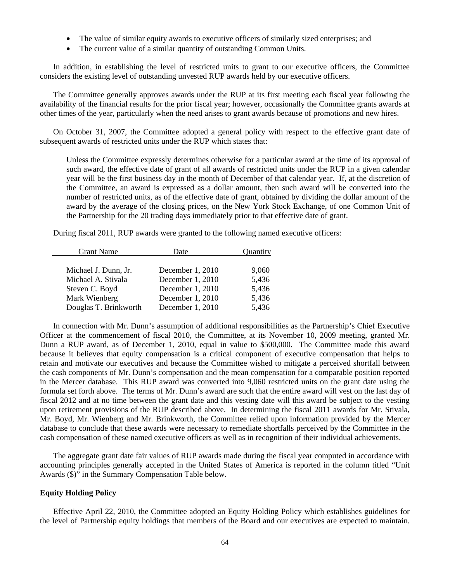- The value of similar equity awards to executive officers of similarly sized enterprises; and
- The current value of a similar quantity of outstanding Common Units.

In addition, in establishing the level of restricted units to grant to our executive officers, the Committee considers the existing level of outstanding unvested RUP awards held by our executive officers.

The Committee generally approves awards under the RUP at its first meeting each fiscal year following the availability of the financial results for the prior fiscal year; however, occasionally the Committee grants awards at other times of the year, particularly when the need arises to grant awards because of promotions and new hires.

On October 31, 2007, the Committee adopted a general policy with respect to the effective grant date of subsequent awards of restricted units under the RUP which states that:

Unless the Committee expressly determines otherwise for a particular award at the time of its approval of such award, the effective date of grant of all awards of restricted units under the RUP in a given calendar year will be the first business day in the month of December of that calendar year. If, at the discretion of the Committee, an award is expressed as a dollar amount, then such award will be converted into the number of restricted units, as of the effective date of grant, obtained by dividing the dollar amount of the award by the average of the closing prices, on the New York Stock Exchange, of one Common Unit of the Partnership for the 20 trading days immediately prior to that effective date of grant.

During fiscal 2011, RUP awards were granted to the following named executive officers:

| <b>Grant Name</b>     | Date             | Quantity |
|-----------------------|------------------|----------|
|                       |                  |          |
| Michael J. Dunn, Jr.  | December 1, 2010 | 9,060    |
| Michael A. Stivala    | December 1, 2010 | 5,436    |
| Steven C. Boyd        | December 1, 2010 | 5,436    |
| Mark Wienberg         | December 1, 2010 | 5,436    |
| Douglas T. Brinkworth | December 1, 2010 | 5,436    |

In connection with Mr. Dunn's assumption of additional responsibilities as the Partnership's Chief Executive Officer at the commencement of fiscal 2010, the Committee, at its November 10, 2009 meeting, granted Mr. Dunn a RUP award, as of December 1, 2010, equal in value to \$500,000. The Committee made this award because it believes that equity compensation is a critical component of executive compensation that helps to retain and motivate our executives and because the Committee wished to mitigate a perceived shortfall between the cash components of Mr. Dunn's compensation and the mean compensation for a comparable position reported in the Mercer database. This RUP award was converted into 9,060 restricted units on the grant date using the formula set forth above. The terms of Mr. Dunn's award are such that the entire award will vest on the last day of fiscal 2012 and at no time between the grant date and this vesting date will this award be subject to the vesting upon retirement provisions of the RUP described above. In determining the fiscal 2011 awards for Mr. Stivala, Mr. Boyd, Mr. Wienberg and Mr. Brinkworth, the Committee relied upon information provided by the Mercer database to conclude that these awards were necessary to remediate shortfalls perceived by the Committee in the cash compensation of these named executive officers as well as in recognition of their individual achievements.

The aggregate grant date fair values of RUP awards made during the fiscal year computed in accordance with accounting principles generally accepted in the United States of America is reported in the column titled "Unit Awards (\$)" in the Summary Compensation Table below.

## **Equity Holding Policy**

Effective April 22, 2010, the Committee adopted an Equity Holding Policy which establishes guidelines for the level of Partnership equity holdings that members of the Board and our executives are expected to maintain.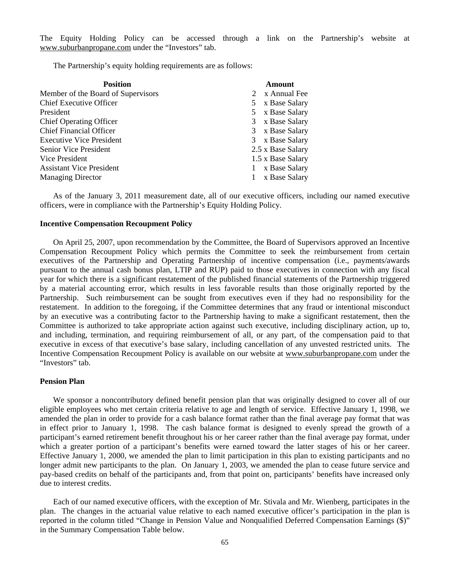The Equity Holding Policy can be accessed through a link on the Partnership's website at www.suburbanpropane.com under the "Investors" tab.

The Partnership's equity holding requirements are as follows:

| <b>Position</b>                    |   | Amount            |
|------------------------------------|---|-------------------|
| Member of the Board of Supervisors |   | 2 x Annual Fee    |
| <b>Chief Executive Officer</b>     | 5 | x Base Salary     |
| President                          |   | x Base Salary     |
| <b>Chief Operating Officer</b>     | 3 | x Base Salary     |
| <b>Chief Financial Officer</b>     |   | 3 x Base Salary   |
| <b>Executive Vice President</b>    |   | 3 x Base Salary   |
| Senior Vice President              |   | 2.5 x Base Salary |
| Vice President                     |   | 1.5 x Base Salary |
| <b>Assistant Vice President</b>    |   | x Base Salary     |
| <b>Managing Director</b>           |   | x Base Salary     |

As of the January 3, 2011 measurement date, all of our executive officers, including our named executive officers, were in compliance with the Partnership's Equity Holding Policy.

#### **Incentive Compensation Recoupment Policy**

On April 25, 2007, upon recommendation by the Committee, the Board of Supervisors approved an Incentive Compensation Recoupment Policy which permits the Committee to seek the reimbursement from certain executives of the Partnership and Operating Partnership of incentive compensation (i.e., payments/awards pursuant to the annual cash bonus plan, LTIP and RUP) paid to those executives in connection with any fiscal year for which there is a significant restatement of the published financial statements of the Partnership triggered by a material accounting error, which results in less favorable results than those originally reported by the Partnership. Such reimbursement can be sought from executives even if they had no responsibility for the restatement. In addition to the foregoing, if the Committee determines that any fraud or intentional misconduct by an executive was a contributing factor to the Partnership having to make a significant restatement, then the Committee is authorized to take appropriate action against such executive, including disciplinary action, up to, and including, termination, and requiring reimbursement of all, or any part, of the compensation paid to that executive in excess of that executive's base salary, including cancellation of any unvested restricted units. The Incentive Compensation Recoupment Policy is available on our website at www.suburbanpropane.com under the "Investors" tab.

## **Pension Plan**

We sponsor a noncontributory defined benefit pension plan that was originally designed to cover all of our eligible employees who met certain criteria relative to age and length of service. Effective January 1, 1998, we amended the plan in order to provide for a cash balance format rather than the final average pay format that was in effect prior to January 1, 1998. The cash balance format is designed to evenly spread the growth of a participant's earned retirement benefit throughout his or her career rather than the final average pay format, under which a greater portion of a participant's benefits were earned toward the latter stages of his or her career. Effective January 1, 2000, we amended the plan to limit participation in this plan to existing participants and no longer admit new participants to the plan. On January 1, 2003, we amended the plan to cease future service and pay-based credits on behalf of the participants and, from that point on, participants' benefits have increased only due to interest credits.

Each of our named executive officers, with the exception of Mr. Stivala and Mr. Wienberg, participates in the plan. The changes in the actuarial value relative to each named executive officer's participation in the plan is reported in the column titled "Change in Pension Value and Nonqualified Deferred Compensation Earnings (\$)" in the Summary Compensation Table below.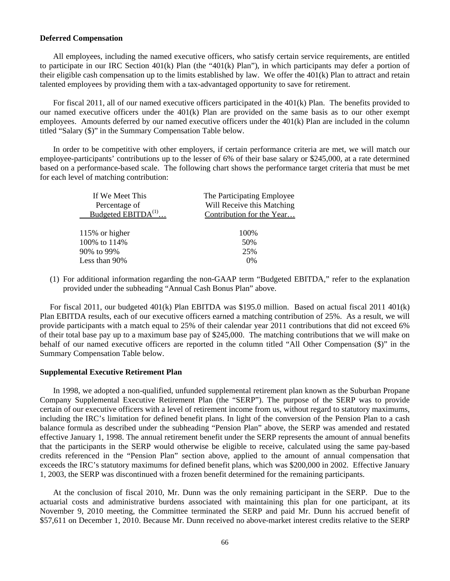## **Deferred Compensation**

All employees, including the named executive officers, who satisfy certain service requirements, are entitled to participate in our IRC Section 401(k) Plan (the "401(k) Plan"), in which participants may defer a portion of their eligible cash compensation up to the limits established by law. We offer the 401(k) Plan to attract and retain talented employees by providing them with a tax-advantaged opportunity to save for retirement.

For fiscal 2011, all of our named executive officers participated in the 401(k) Plan. The benefits provided to our named executive officers under the 401(k) Plan are provided on the same basis as to our other exempt employees. Amounts deferred by our named executive officers under the 401(k) Plan are included in the column titled "Salary (\$)" in the Summary Compensation Table below.

In order to be competitive with other employers, if certain performance criteria are met, we will match our employee-participants' contributions up to the lesser of 6% of their base salary or \$245,000, at a rate determined based on a performance-based scale. The following chart shows the performance target criteria that must be met for each level of matching contribution:

| If We Meet This         | The Participating Employee |
|-------------------------|----------------------------|
| Percentage of           | Will Receive this Matching |
| Budgeted $EBITDA^{(1)}$ | Contribution for the Year  |
|                         |                            |
| 115% or higher          | 100%                       |
| 100% to 114%            | 50%                        |
| 90% to 99%              | 25%                        |
| Less than 90%           | 0%                         |

(1) For additional information regarding the non-GAAP term "Budgeted EBITDA," refer to the explanation provided under the subheading "Annual Cash Bonus Plan" above.

For fiscal 2011, our budgeted 401(k) Plan EBITDA was \$195.0 million. Based on actual fiscal 2011 401(k) Plan EBITDA results, each of our executive officers earned a matching contribution of 25%. As a result, we will provide participants with a match equal to 25% of their calendar year 2011 contributions that did not exceed 6% of their total base pay up to a maximum base pay of \$245,000. The matching contributions that we will make on behalf of our named executive officers are reported in the column titled "All Other Compensation (\$)" in the Summary Compensation Table below.

#### **Supplemental Executive Retirement Plan**

In 1998, we adopted a non-qualified, unfunded supplemental retirement plan known as the Suburban Propane Company Supplemental Executive Retirement Plan (the "SERP"). The purpose of the SERP was to provide certain of our executive officers with a level of retirement income from us, without regard to statutory maximums, including the IRC's limitation for defined benefit plans. In light of the conversion of the Pension Plan to a cash balance formula as described under the subheading "Pension Plan" above, the SERP was amended and restated effective January 1, 1998. The annual retirement benefit under the SERP represents the amount of annual benefits that the participants in the SERP would otherwise be eligible to receive, calculated using the same pay-based credits referenced in the "Pension Plan" section above, applied to the amount of annual compensation that exceeds the IRC's statutory maximums for defined benefit plans, which was \$200,000 in 2002. Effective January 1, 2003, the SERP was discontinued with a frozen benefit determined for the remaining participants.

At the conclusion of fiscal 2010, Mr. Dunn was the only remaining participant in the SERP. Due to the actuarial costs and administrative burdens associated with maintaining this plan for one participant, at its November 9, 2010 meeting, the Committee terminated the SERP and paid Mr. Dunn his accrued benefit of \$57,611 on December 1, 2010. Because Mr. Dunn received no above-market interest credits relative to the SERP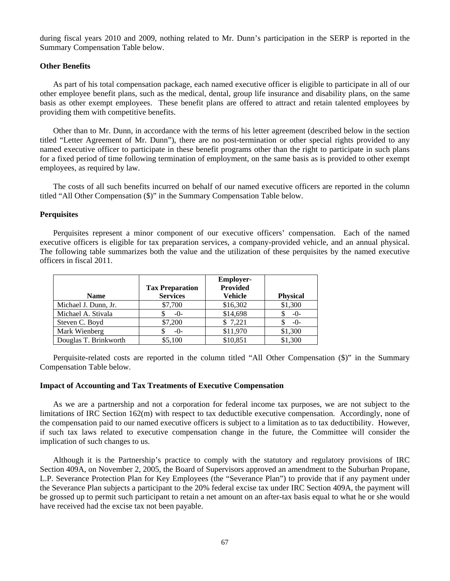during fiscal years 2010 and 2009, nothing related to Mr. Dunn's participation in the SERP is reported in the Summary Compensation Table below.

#### **Other Benefits**

As part of his total compensation package, each named executive officer is eligible to participate in all of our other employee benefit plans, such as the medical, dental, group life insurance and disability plans, on the same basis as other exempt employees. These benefit plans are offered to attract and retain talented employees by providing them with competitive benefits.

Other than to Mr. Dunn, in accordance with the terms of his letter agreement (described below in the section titled "Letter Agreement of Mr. Dunn"), there are no post-termination or other special rights provided to any named executive officer to participate in these benefit programs other than the right to participate in such plans for a fixed period of time following termination of employment, on the same basis as is provided to other exempt employees, as required by law.

The costs of all such benefits incurred on behalf of our named executive officers are reported in the column titled "All Other Compensation (\$)" in the Summary Compensation Table below.

#### **Perquisites**

Perquisites represent a minor component of our executive officers' compensation. Each of the named executive officers is eligible for tax preparation services, a company-provided vehicle, and an annual physical. The following table summarizes both the value and the utilization of these perquisites by the named executive officers in fiscal 2011.

| <b>Name</b>           | <b>Tax Preparation</b><br><b>Services</b> | <b>Employer-</b><br><b>Provided</b><br><b>Vehicle</b> | <b>Physical</b> |
|-----------------------|-------------------------------------------|-------------------------------------------------------|-----------------|
| Michael J. Dunn, Jr.  | \$7,700                                   | \$16,302                                              | \$1,300         |
| Michael A. Stivala    | $-()$ -                                   | \$14,698                                              | $-()$ -         |
| Steven C. Boyd        | \$7,200                                   | \$7,221                                               | $-0-$           |
| Mark Wienberg         | $-0-$                                     | \$11,970                                              | \$1,300         |
| Douglas T. Brinkworth | \$5,100                                   | \$10,851                                              | \$1,300         |

Perquisite-related costs are reported in the column titled "All Other Compensation (\$)" in the Summary Compensation Table below.

#### **Impact of Accounting and Tax Treatments of Executive Compensation**

As we are a partnership and not a corporation for federal income tax purposes, we are not subject to the limitations of IRC Section 162(m) with respect to tax deductible executive compensation. Accordingly, none of the compensation paid to our named executive officers is subject to a limitation as to tax deductibility. However, if such tax laws related to executive compensation change in the future, the Committee will consider the implication of such changes to us.

Although it is the Partnership's practice to comply with the statutory and regulatory provisions of IRC Section 409A, on November 2, 2005, the Board of Supervisors approved an amendment to the Suburban Propane, L.P. Severance Protection Plan for Key Employees (the "Severance Plan") to provide that if any payment under the Severance Plan subjects a participant to the 20% federal excise tax under IRC Section 409A, the payment will be grossed up to permit such participant to retain a net amount on an after-tax basis equal to what he or she would have received had the excise tax not been payable.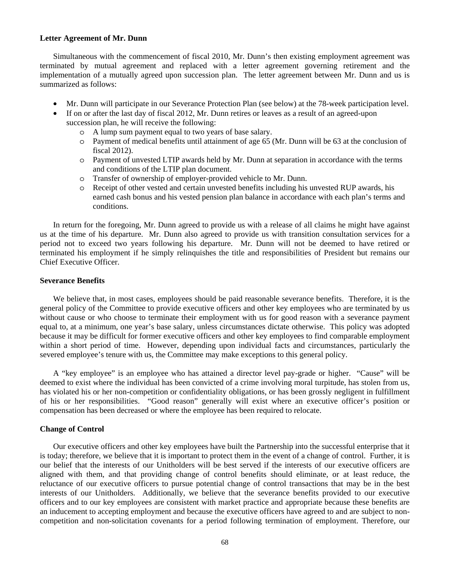#### **Letter Agreement of Mr. Dunn**

Simultaneous with the commencement of fiscal 2010, Mr. Dunn's then existing employment agreement was terminated by mutual agreement and replaced with a letter agreement governing retirement and the implementation of a mutually agreed upon succession plan. The letter agreement between Mr. Dunn and us is summarized as follows:

- Mr. Dunn will participate in our Severance Protection Plan (see below) at the 78-week participation level.
- If on or after the last day of fiscal 2012, Mr. Dunn retires or leaves as a result of an agreed-upon succession plan, he will receive the following:
	- o A lump sum payment equal to two years of base salary.
	- o Payment of medical benefits until attainment of age 65 (Mr. Dunn will be 63 at the conclusion of fiscal 2012).
	- o Payment of unvested LTIP awards held by Mr. Dunn at separation in accordance with the terms and conditions of the LTIP plan document.
	- o Transfer of ownership of employer-provided vehicle to Mr. Dunn.
	- o Receipt of other vested and certain unvested benefits including his unvested RUP awards, his earned cash bonus and his vested pension plan balance in accordance with each plan's terms and conditions.

In return for the foregoing, Mr. Dunn agreed to provide us with a release of all claims he might have against us at the time of his departure. Mr. Dunn also agreed to provide us with transition consultation services for a period not to exceed two years following his departure. Mr. Dunn will not be deemed to have retired or terminated his employment if he simply relinquishes the title and responsibilities of President but remains our Chief Executive Officer.

### **Severance Benefits**

We believe that, in most cases, employees should be paid reasonable severance benefits. Therefore, it is the general policy of the Committee to provide executive officers and other key employees who are terminated by us without cause or who choose to terminate their employment with us for good reason with a severance payment equal to, at a minimum, one year's base salary, unless circumstances dictate otherwise. This policy was adopted because it may be difficult for former executive officers and other key employees to find comparable employment within a short period of time. However, depending upon individual facts and circumstances, particularly the severed employee's tenure with us, the Committee may make exceptions to this general policy.

A "key employee" is an employee who has attained a director level pay-grade or higher. "Cause" will be deemed to exist where the individual has been convicted of a crime involving moral turpitude, has stolen from us, has violated his or her non-competition or confidentiality obligations, or has been grossly negligent in fulfillment of his or her responsibilities. "Good reason" generally will exist where an executive officer's position or compensation has been decreased or where the employee has been required to relocate.

## **Change of Control**

Our executive officers and other key employees have built the Partnership into the successful enterprise that it is today; therefore, we believe that it is important to protect them in the event of a change of control. Further, it is our belief that the interests of our Unitholders will be best served if the interests of our executive officers are aligned with them, and that providing change of control benefits should eliminate, or at least reduce, the reluctance of our executive officers to pursue potential change of control transactions that may be in the best interests of our Unitholders. Additionally, we believe that the severance benefits provided to our executive officers and to our key employees are consistent with market practice and appropriate because these benefits are an inducement to accepting employment and because the executive officers have agreed to and are subject to noncompetition and non-solicitation covenants for a period following termination of employment. Therefore, our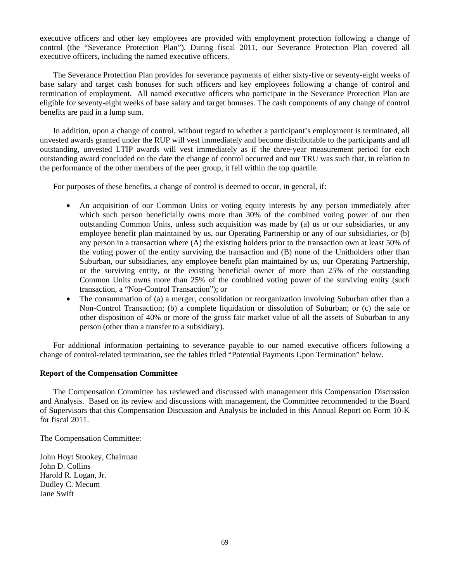executive officers and other key employees are provided with employment protection following a change of control (the "Severance Protection Plan"). During fiscal 2011, our Severance Protection Plan covered all executive officers, including the named executive officers.

The Severance Protection Plan provides for severance payments of either sixty-five or seventy-eight weeks of base salary and target cash bonuses for such officers and key employees following a change of control and termination of employment. All named executive officers who participate in the Severance Protection Plan are eligible for seventy-eight weeks of base salary and target bonuses. The cash components of any change of control benefits are paid in a lump sum.

In addition, upon a change of control, without regard to whether a participant's employment is terminated, all unvested awards granted under the RUP will vest immediately and become distributable to the participants and all outstanding, unvested LTIP awards will vest immediately as if the three-year measurement period for each outstanding award concluded on the date the change of control occurred and our TRU was such that, in relation to the performance of the other members of the peer group, it fell within the top quartile.

For purposes of these benefits, a change of control is deemed to occur, in general, if:

- An acquisition of our Common Units or voting equity interests by any person immediately after which such person beneficially owns more than 30% of the combined voting power of our then outstanding Common Units, unless such acquisition was made by (a) us or our subsidiaries, or any employee benefit plan maintained by us, our Operating Partnership or any of our subsidiaries, or (b) any person in a transaction where (A) the existing holders prior to the transaction own at least 50% of the voting power of the entity surviving the transaction and (B) none of the Unitholders other than Suburban, our subsidiaries, any employee benefit plan maintained by us, our Operating Partnership, or the surviving entity, or the existing beneficial owner of more than 25% of the outstanding Common Units owns more than 25% of the combined voting power of the surviving entity (such transaction, a "Non-Control Transaction"); or
- The consummation of (a) a merger, consolidation or reorganization involving Suburban other than a Non-Control Transaction; (b) a complete liquidation or dissolution of Suburban; or (c) the sale or other disposition of 40% or more of the gross fair market value of all the assets of Suburban to any person (other than a transfer to a subsidiary).

For additional information pertaining to severance payable to our named executive officers following a change of control-related termination, see the tables titled "Potential Payments Upon Termination" below.

### **Report of the Compensation Committee**

The Compensation Committee has reviewed and discussed with management this Compensation Discussion and Analysis. Based on its review and discussions with management, the Committee recommended to the Board of Supervisors that this Compensation Discussion and Analysis be included in this Annual Report on Form 10-K for fiscal 2011.

The Compensation Committee:

John Hoyt Stookey, Chairman John D. Collins Harold R. Logan, Jr. Dudley C. Mecum Jane Swift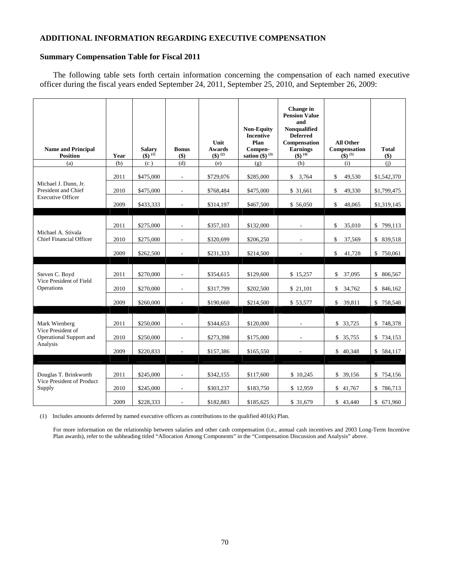### **ADDITIONAL INFORMATION REGARDING EXECUTIVE COMPENSATION**

### **Summary Compensation Table for Fiscal 2011**

The following table sets forth certain information concerning the compensation of each named executive officer during the fiscal years ended September 24, 2011, September 25, 2010, and September 26, 2009:

| <b>Name and Principal</b><br><b>Position</b>         | Year | <b>Salary</b><br>$(3)^{(1)}$ | <b>Bonus</b><br>$($ \$ $)$  | Unit<br><b>Awards</b><br>$$^{(2)}$$ | <b>Non-Equity</b><br><b>Incentive</b><br>Plan<br>Compen-<br>sation $(3)$ <sup>(3)</sup> | <b>Change</b> in<br><b>Pension Value</b><br>and<br>Nonqualified<br><b>Deferred</b><br>Compensation<br><b>Earnings</b><br>$$^{(4)}$$ | <b>All Other</b><br>Compensation<br>$(3)^{(5)}$ | Total<br>$($)$ |
|------------------------------------------------------|------|------------------------------|-----------------------------|-------------------------------------|-----------------------------------------------------------------------------------------|-------------------------------------------------------------------------------------------------------------------------------------|-------------------------------------------------|----------------|
| (a)                                                  | (b)  | (c)                          | (d)                         | (e)                                 | (g)                                                                                     | (h)                                                                                                                                 | (i)                                             | (i)            |
|                                                      | 2011 | \$475,000                    | $\overline{\phantom{a}}$    | \$729,076                           | \$285,000                                                                               | \$<br>3,764                                                                                                                         | \$<br>49,530                                    | \$1,542,370    |
| Michael J. Dunn, Jr.<br>President and Chief          | 2010 | \$475,000                    | $\mathcal{L}_{\mathcal{A}}$ | \$768,484                           | \$475,000                                                                               | \$ 31,661                                                                                                                           | $\mathbb{S}$<br>49,330                          | \$1,799,475    |
| <b>Executive Officer</b>                             | 2009 | \$433,333                    |                             | \$314,197                           | \$467,500                                                                               | \$56,050                                                                                                                            | \$<br>48,065                                    | \$1,319,145    |
| Michael A. Stivala<br><b>Chief Financial Officer</b> | 2011 | \$275,000                    |                             | \$357,103                           | \$132,000                                                                               |                                                                                                                                     | \$<br>35,010                                    | \$799,113      |
|                                                      | 2010 | \$275,000                    | $\mathcal{L}_{\mathcal{A}}$ | \$320,699                           | \$206,250                                                                               | $\sim$                                                                                                                              | 37,569<br>\$                                    | \$839,518      |
|                                                      | 2009 | \$262,500                    |                             | \$231,333                           | \$214,500                                                                               |                                                                                                                                     | $\mathbb{S}$<br>41,728                          | \$750,061      |
| Steven C. Boyd<br>Vice President of Field            | 2011 | \$270,000                    |                             | \$354,615                           | \$129,600                                                                               | \$15,257                                                                                                                            | \$<br>37,095                                    | \$806,567      |
| Operations                                           | 2010 | \$270,000                    | $\overline{\phantom{a}}$    | \$317,799                           | \$202,500                                                                               | \$ 21,101                                                                                                                           | \$<br>34,762                                    | \$846,162      |
|                                                      | 2009 | \$260,000                    |                             | \$190,660                           | \$214,500                                                                               | \$53,577                                                                                                                            | \$39,811                                        | \$758,548      |
| Mark Wienberg<br>Vice President of                   | 2011 | \$250,000                    |                             | \$344,653                           | \$120,000                                                                               |                                                                                                                                     | \$ 33,725                                       | \$748,378      |
| Operational Support and                              | 2010 | \$250,000                    | $\overline{\phantom{a}}$    | \$273,398                           | \$175,000                                                                               |                                                                                                                                     | \$35,755                                        | \$734,153      |
| Analysis                                             | 2009 | \$220,833                    |                             | \$157,386                           | \$165,550                                                                               |                                                                                                                                     | \$40,348                                        | \$584,117      |
| Douglas T. Brinkworth                                | 2011 | \$245,000                    |                             | \$342,155                           | \$117,600                                                                               | \$10,245                                                                                                                            | \$39,156                                        | \$754,156      |
| Vice President of Product<br>Supply                  | 2010 | \$245,000                    | $\overline{\phantom{a}}$    | \$303,237                           | \$183,750                                                                               | \$12,959                                                                                                                            | \$41,767                                        | \$786,713      |
|                                                      | 2009 | \$228,333                    | ÷.                          | \$182,883                           | \$185,625                                                                               | \$ 31,679                                                                                                                           | \$43,440                                        | \$671,960      |

(1) Includes amounts deferred by named executive officers as contributions to the qualified 401(k) Plan.

 For more information on the relationship between salaries and other cash compensation (i.e., annual cash incentives and 2003 Long-Term Incentive Plan awards), refer to the subheading titled "Allocation Among Components" in the "Compensation Discussion and Analysis" above.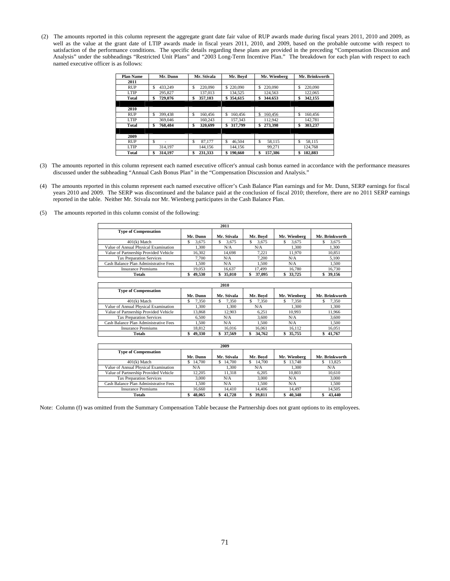(2) The amounts reported in this column represent the aggregate grant date fair value of RUP awards made during fiscal years 2011, 2010 and 2009, as well as the value at the grant date of LTIP awards made in fiscal years 2011, 2010, and 2009, based on the probable outcome with respect to satisfaction of the performance conditions. The specific details regarding these plans are provided in the preceding "Compensation Discussion and Analysis" under the subheadings "Restricted Unit Plans" and "2003 Long-Term Incentive Plan." The breakdown for each plan with respect to each named executive officer is as follows:

| <b>Plan Name</b> | Mr. Dunn      | Mr. Stivala   | Mr. Bovd       | Mr. Wienberg  | Mr. Brinkworth          |
|------------------|---------------|---------------|----------------|---------------|-------------------------|
| 2011             |               |               |                |               |                         |
| <b>RUP</b>       | \$<br>433.249 | \$<br>220,090 | \$220,090      | 220,090<br>S  | \$<br>220,090           |
| <b>LTIP</b>      | 295.827       | 137,013       | 134.525        | 124.563       | 122,065                 |
| Total            | \$<br>729,076 | 357,103<br>\$ | \$354,615      | 344.653<br>\$ | 342,155<br>\$           |
|                  |               |               |                |               |                         |
| 2010             |               |               |                |               |                         |
| RUP              | S<br>399,438  | \$<br>160,456 | \$<br>160,456  | \$<br>160,456 | \$<br>160,456           |
| LTIP             | 369,046       | 160.243       | 157,343        | 112.942       | 142.781                 |
| Total            | \$<br>768,484 | 320,699<br>\$ | 317,799<br>\$  | 273.398<br>\$ | \$<br>303,237           |
|                  |               |               |                |               |                         |
| 2009             |               |               |                |               |                         |
| <b>RUP</b>       | Ŝ             | \$<br>87.177  | \$<br>46.504   | \$<br>58.115  | $\mathcal{S}$<br>58,115 |
| <b>LTIP</b>      | 314.197       | 144.156       | 144.156        | 99.271        | 124.768                 |
| Total            | \$<br>314.197 | \$<br>231.333 | \$.<br>190.660 | \$<br>157.386 | \$<br>182,883           |

- (3) The amounts reported in this column represent each named executive officer's annual cash bonus earned in accordance with the performance measures discussed under the subheading "Annual Cash Bonus Plan" in the "Compensation Discussion and Analysis."
- (4) The amounts reported in this column represent each named executive officer's Cash Balance Plan earnings and for Mr. Dunn, SERP earnings for fiscal years 2010 and 2009. The SERP was discontinued and the balance paid at the conclusion of fiscal 2010; therefore, there are no 2011 SERP earnings reported in the table. Neither Mr. Stivala nor Mr. Wienberg participates in the Cash Balance Plan.
- (5) The amounts reported in this column consist of the following:

|                                       | 2011     |             |          |              |                |  |  |  |  |
|---------------------------------------|----------|-------------|----------|--------------|----------------|--|--|--|--|
| <b>Type of Compensation</b>           |          |             |          |              |                |  |  |  |  |
|                                       | Mr. Dunn | Mr. Stivala | Mr. Boyd | Mr. Wienberg | Mr. Brinkworth |  |  |  |  |
| $401(k)$ Match                        | 3.675    | 3.675       | 3.675    | 3.675        | 3.675          |  |  |  |  |
| Value of Annual Physical Examination  | 1.300    | N/A         | N/A      | 1.300        | 1.300          |  |  |  |  |
| Value of Partnership Provided Vehicle | 16.302   | 14.698      | 7.221    | 11.970       | 10,851         |  |  |  |  |
| <b>Tax Preparation Services</b>       | 7.700    | N/A         | 7.200    | N/A          | 5.100          |  |  |  |  |
| Cash Balance Plan Administrative Fees | 1.500    | N/A         | 1.500    | N/A          | 1.500          |  |  |  |  |
| <b>Insurance Premiums</b>             | 19.053   | 16.637      | 17.499   | 16.780       | 16.730         |  |  |  |  |
| Totals                                | 49.530   | 35.010      | 37.095   | 33,725       | 39.156         |  |  |  |  |

|                                       | 2010     |             |          |              |                |  |  |  |  |  |
|---------------------------------------|----------|-------------|----------|--------------|----------------|--|--|--|--|--|
| <b>Type of Compensation</b>           |          |             |          |              |                |  |  |  |  |  |
|                                       | Mr. Dunn | Mr. Stivala | Mr. Bovd | Mr. Wienberg | Mr. Brinkworth |  |  |  |  |  |
| $401(k)$ Match                        | 7.350    | 7.350       | 7.350    | 7.350        | 7.350          |  |  |  |  |  |
| Value of Annual Physical Examination  | 1.300    | 1.300       | N/A      | 1.300        | 1.300          |  |  |  |  |  |
| Value of Partnership Provided Vehicle | 13,868   | 12.903      | 6.251    | 10.993       | 11,966         |  |  |  |  |  |
| <b>Tax Preparation Services</b>       | 6.500    | N/A         | 3.600    | N/A          | 3.600          |  |  |  |  |  |
| Cash Balance Plan Administrative Fees | 1.500    | N/A         | 1.500    | N/A          | 1.500          |  |  |  |  |  |
| <b>Insurance Premiums</b>             | 18.812   | 16,016      | 16.061   | 16.112       | 16.051         |  |  |  |  |  |
| Totals                                | 49.330   | 37.569      | 34,762   | 35,755       | 41,767         |  |  |  |  |  |

|                                       | 2009     |             |          |              |                |  |  |  |  |  |  |
|---------------------------------------|----------|-------------|----------|--------------|----------------|--|--|--|--|--|--|
| <b>Type of Compensation</b>           |          |             |          |              |                |  |  |  |  |  |  |
|                                       | Mr. Dunn | Mr. Stivala | Mr. Boyd | Mr. Wienberg | Mr. Brinkworth |  |  |  |  |  |  |
| $401(k)$ Match                        | 14.700   | 14.700      | 14.700   | 13.748       | 13,825         |  |  |  |  |  |  |
| Value of Annual Physical Examination  | N/A      | 1.300       | N/A      | 1.300        | N/A            |  |  |  |  |  |  |
| Value of Partnership Provided Vehicle | 12.205   | 11.318      | 6.205    | 10.803       | 10,610         |  |  |  |  |  |  |
| <b>Tax Preparation Services</b>       | 3.000    | N/A         | 3.000    | N/A          | 3,000          |  |  |  |  |  |  |
| Cash Balance Plan Administrative Fees | 1.500    | N/A         | 1.500    | N/A          | 1.500          |  |  |  |  |  |  |
| <b>Insurance Premiums</b>             | 16.660   | 14.410      | 14.406   | 14.497       | 14,505         |  |  |  |  |  |  |
| <b>Totals</b>                         | 48.065   | 41,728      | 39,811   | 40.348       | 43.440         |  |  |  |  |  |  |

Note: Column (f) was omitted from the Summary Compensation Table because the Partnership does not grant options to its employees.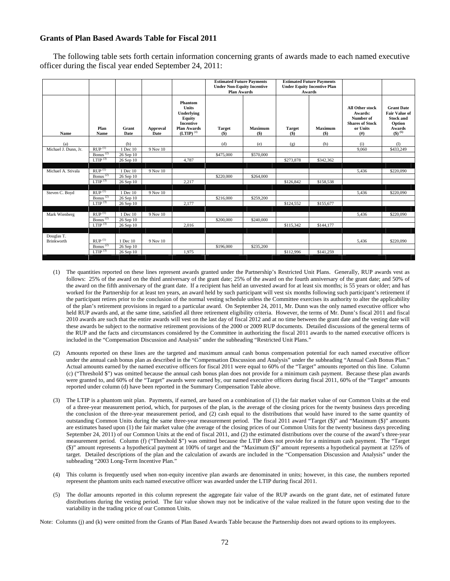### **Grants of Plan Based Awards Table for Fiscal 2011**

The following table sets forth certain information concerning grants of awards made to each named executive officer during the fiscal year ended September 24, 2011:

|                      |                                   |               |                         |                                                                                                                    |                        | <b>Estimated Future Payments</b><br><b>Under Non-Equity Incentive</b><br>Plan Awards |                        | <b>Estimated Future Payments</b><br><b>Under Equity Incentive Plan</b><br><b>Awards</b> |                                                                                             |                                                                                                       |
|----------------------|-----------------------------------|---------------|-------------------------|--------------------------------------------------------------------------------------------------------------------|------------------------|--------------------------------------------------------------------------------------|------------------------|-----------------------------------------------------------------------------------------|---------------------------------------------------------------------------------------------|-------------------------------------------------------------------------------------------------------|
| Name                 | Plan<br>Name                      | Grant<br>Date | <b>Approval</b><br>Date | Phantom<br><b>Units</b><br>Underlying<br><b>Equity</b><br><b>Incentive</b><br><b>Plan Awards</b><br>$(LTIP)^{(4)}$ | <b>Target</b><br>$($)$ | Maximum<br>$($)$                                                                     | <b>Target</b><br>$($)$ | Maximum<br>$($)$                                                                        | <b>All Other stock</b><br>Awards:<br>Number of<br><b>Shares of Stock</b><br>or Units<br>(#) | <b>Grant Date</b><br><b>Fair Value of</b><br><b>Stock and</b><br>Option<br>Awards<br>$($ \$) $^{(5)}$ |
| (a)                  |                                   | (b)           |                         |                                                                                                                    | (d)                    | (e)                                                                                  |                        | (h)                                                                                     | (i)                                                                                         | (1)                                                                                                   |
| Michael J. Dunn, Jr. | RIP <sup>(1)</sup>                | 1 Dec 10      | 9 Nov 10                |                                                                                                                    |                        |                                                                                      | (g)                    |                                                                                         | 9,060                                                                                       | \$433,249                                                                                             |
|                      | Bonus <sup><math>(2)</math></sup> | 26 Sep 10     |                         |                                                                                                                    | \$475,000              | \$570,000                                                                            |                        |                                                                                         |                                                                                             |                                                                                                       |
|                      | LTHP <sup>(3)</sup>               | 26 Sep 10     |                         | 4,787                                                                                                              |                        |                                                                                      | \$273,878              | \$342,362                                                                               |                                                                                             |                                                                                                       |
|                      |                                   |               |                         |                                                                                                                    |                        |                                                                                      |                        |                                                                                         |                                                                                             |                                                                                                       |
| Michael A. Stivala   | $RUP^{(1)}$                       | 1 Dec 10      | 9 Nov 10                |                                                                                                                    |                        |                                                                                      |                        |                                                                                         | 5,436                                                                                       | \$220,090                                                                                             |
|                      | Bonus $(2)$                       | 26 Sep 10     |                         |                                                                                                                    | \$220,000              | \$264,000                                                                            |                        |                                                                                         |                                                                                             |                                                                                                       |
|                      | $L$ TIP $(3)$                     | 26 Sep 10     |                         | 2,217                                                                                                              |                        |                                                                                      | \$126,842              | \$158,538                                                                               |                                                                                             |                                                                                                       |
|                      |                                   |               |                         |                                                                                                                    |                        |                                                                                      |                        |                                                                                         |                                                                                             |                                                                                                       |
| Steven C. Boyd       | $RUP^{(1)}$                       | 1 Dec 10      | 9 Nov 10                |                                                                                                                    |                        |                                                                                      |                        |                                                                                         | 5,436                                                                                       | $\overline{$}220,090$                                                                                 |
|                      | Bonus <sup><math>(2)</math></sup> | 26 Sep 10     |                         |                                                                                                                    | \$216,000              | \$259,200                                                                            |                        |                                                                                         |                                                                                             |                                                                                                       |
|                      | LTIP <sup>(3)</sup>               | 26 Sep 10     |                         | 2.177                                                                                                              |                        |                                                                                      | \$124,552              | \$155,677                                                                               |                                                                                             |                                                                                                       |
|                      |                                   |               |                         |                                                                                                                    |                        |                                                                                      |                        |                                                                                         |                                                                                             |                                                                                                       |
| Mark Wienberg        | $RUP^{(1)}$<br>Bonus $(2)$        | 1 Dec 10      | 9 Nov 10                |                                                                                                                    |                        |                                                                                      |                        |                                                                                         | 5,436                                                                                       | \$220,090                                                                                             |
|                      | $L$ TIP $(3)$                     | 26 Sep 10     |                         | 2.016                                                                                                              | \$200,000              | \$240,000                                                                            | \$115,342              | \$144,177                                                                               |                                                                                             |                                                                                                       |
|                      |                                   | 26 Sep 10     |                         |                                                                                                                    |                        |                                                                                      |                        |                                                                                         |                                                                                             |                                                                                                       |
| Douglas T.           |                                   |               |                         |                                                                                                                    |                        |                                                                                      |                        |                                                                                         |                                                                                             |                                                                                                       |
| Brinkworth           | $RUP$ <sup><math>(1)</math></sup> | 1 Dec 10      | 9 Nov 10                |                                                                                                                    |                        |                                                                                      |                        |                                                                                         | 5,436                                                                                       | \$220,090                                                                                             |
|                      | Bonus $(2)$                       | 26 Sep 10     |                         |                                                                                                                    | \$196,000              | \$235,200                                                                            |                        |                                                                                         |                                                                                             |                                                                                                       |
|                      | $L$ TIP $(3)$                     | 26 Sep 10     |                         | 1,975                                                                                                              |                        |                                                                                      | \$112,996              | \$141,259                                                                               |                                                                                             |                                                                                                       |
|                      |                                   |               |                         |                                                                                                                    |                        |                                                                                      |                        |                                                                                         |                                                                                             |                                                                                                       |

- (1) The quantities reported on these lines represent awards granted under the Partnership's Restricted Unit Plans. Generally, RUP awards vest as follows: 25% of the award on the third anniversary of the grant date; 25% of the award on the fourth anniversary of the grant date; and 50% of the award on the fifth anniversary of the grant date. If a recipient has held an unvested award for at least six months; is 55 years or older; and has worked for the Partnership for at least ten years, an award held by such participant will vest six months following such participant's retirement if the participant retires prior to the conclusion of the normal vesting schedule unless the Committee exercises its authority to alter the applicability of the plan's retirement provisions in regard to a particular award. On September 24, 2011, Mr. Dunn was the only named executive officer who held RUP awards and, at the same time, satisfied all three retirement eligibility criteria. However, the terms of Mr. Dunn's fiscal 2011 and fiscal 2010 awards are such that the entire awards will vest on the last day of fiscal 2012 and at no time between the grant date and the vesting date will these awards be subject to the normative retirement provisions of the 2000 or 2009 RUP documents. Detailed discussions of the general terms of the RUP and the facts and circumstances considered by the Committee in authorizing the fiscal 2011 awards to the named executive officers is included in the "Compensation Discussion and Analysis" under the subheading "Restricted Unit Plans."
- (2) Amounts reported on these lines are the targeted and maximum annual cash bonus compensation potential for each named executive officer under the annual cash bonus plan as described in the "Compensation Discussion and Analysis" under the subheading "Annual Cash Bonus Plan." Actual amounts earned by the named executive officers for fiscal 2011 were equal to 60% of the "Target" amounts reported on this line. Column (c) ("Threshold \$") was omitted because the annual cash bonus plan does not provide for a minimum cash payment. Because these plan awards were granted to, and 60% of the "Target" awards were earned by, our named executive officers during fiscal 2011, 60% of the "Target" amounts reported under column (d) have been reported in the Summary Compensation Table above.
- (3) The LTIP is a phantom unit plan. Payments, if earned, are based on a combination of (1) the fair market value of our Common Units at the end of a three-year measurement period, which, for purposes of the plan, is the average of the closing prices for the twenty business days preceding the conclusion of the three-year measurement period, and (2) cash equal to the distributions that would have inured to the same quantity of outstanding Common Units during the same three-year measurement period. The fiscal 2011 award "Target (\$)" and "Maximum (\$)" amounts are estimates based upon (1) the fair market value (the average of the closing prices of our Common Units for the twenty business days preceding September 24, 2011) of our Common Units at the end of fiscal 2011, and (2) the estimated distributions over the course of the award's three-year measurement period. Column (f) ("Threshold \$") was omitted because the LTIP does not provide for a minimum cash payment. The "Target (\$)" amount represents a hypothetical payment at 100% of target and the "Maximum (\$)" amount represents a hypothetical payment at 125% of target. Detailed descriptions of the plan and the calculation of awards are included in the "Compensation Discussion and Analysis" under the subheading "2003 Long-Term Incentive Plan."
- (4) This column is frequently used when non-equity incentive plan awards are denominated in units; however, in this case, the numbers reported represent the phantom units each named executive officer was awarded under the LTIP during fiscal 2011.
- (5) The dollar amounts reported in this column represent the aggregate fair value of the RUP awards on the grant date, net of estimated future distributions during the vesting period. The fair value shown may not be indicative of the value realized in the future upon vesting due to the variability in the trading price of our Common Units.

Note: Columns (j) and (k) were omitted from the Grants of Plan Based Awards Table because the Partnership does not award options to its employees.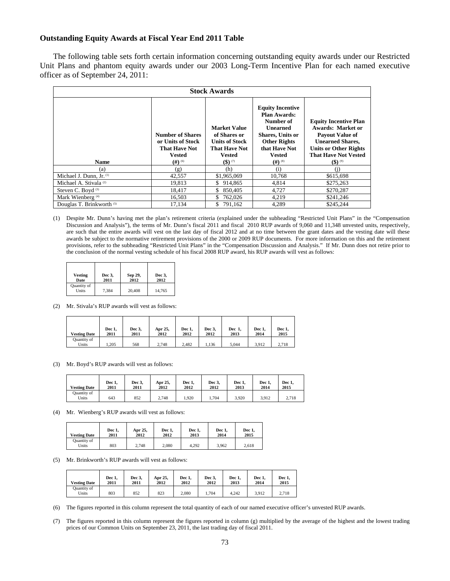### **Outstanding Equity Awards at Fiscal Year End 2011 Table**

The following table sets forth certain information concerning outstanding equity awards under our Restricted Unit Plans and phantom equity awards under our 2003 Long-Term Incentive Plan for each named executive officer as of September 24, 2011:

|                                      |                                                                                | <b>Stock Awards</b>                                                                                   |                                                                                                                                                             |                                                                                                                                                                       |
|--------------------------------------|--------------------------------------------------------------------------------|-------------------------------------------------------------------------------------------------------|-------------------------------------------------------------------------------------------------------------------------------------------------------------|-----------------------------------------------------------------------------------------------------------------------------------------------------------------------|
|                                      | <b>Number of Shares</b><br>or Units of Stock<br><b>That Have Not</b><br>Vested | <b>Market Value</b><br>of Shares or<br><b>Units of Stock</b><br><b>That Have Not</b><br><b>Vested</b> | <b>Equity Incentive</b><br><b>Plan Awards:</b><br>Number of<br><b>Unearned</b><br><b>Shares, Units or</b><br><b>Other Rights</b><br>that Have Not<br>Vested | <b>Equity Incentive Plan</b><br>Awards: Market or<br><b>Payout Value of</b><br><b>Unearned Shares,</b><br><b>Units or Other Rights</b><br><b>That Have Not Vested</b> |
| <b>Name</b>                          | $($ #) $(6)$                                                                   | $($ \$) $($ 7)                                                                                        | $($ #) $(8)$                                                                                                                                                | $($ \$) $(9)$                                                                                                                                                         |
| (a)                                  | (g)                                                                            | (h)                                                                                                   | $\rm(i)$                                                                                                                                                    |                                                                                                                                                                       |
| Michael J. Dunn, Jr. (1)             | 42,557                                                                         | \$1,965,069                                                                                           | 10,768                                                                                                                                                      | \$615,698                                                                                                                                                             |
| Michael A. Stivala <sup>(2)</sup>    | 19,813                                                                         | 914,865<br>\$                                                                                         | 4,814                                                                                                                                                       | \$275,263                                                                                                                                                             |
| Steven C. Boyd $(3)$                 | 18,417                                                                         | 850,405<br>S                                                                                          | 4,727                                                                                                                                                       | \$270,287                                                                                                                                                             |
| Mark Wienberg <sup>(4)</sup>         | 16,503                                                                         | 762,026<br>S                                                                                          | 4,219                                                                                                                                                       | \$241,246                                                                                                                                                             |
| Douglas T. Brinkworth <sup>(5)</sup> | 17,134                                                                         | \$<br>791,162                                                                                         | 4,289                                                                                                                                                       | \$245,244                                                                                                                                                             |

(1) Despite Mr. Dunn's having met the plan's retirement criteria (explained under the subheading "Restricted Unit Plans" in the "Compensation Discussion and Analysis"), the terms of Mr. Dunn's fiscal 2011 and fiscal 2010 RUP awards of 9,060 and 11,348 unvested units, respectively, are such that the entire awards will vest on the last day of fiscal 2012 and at no time between the grant dates and the vesting date will these awards be subject to the normative retirement provisions of the 2000 or 2009 RUP documents. For more information on this and the retirement provisions, refer to the subheading "Restricted Unit Plans" in the "Compensation Discussion and Analysis." If Mr. Dunn does not retire prior to the conclusion of the normal vesting schedule of his fiscal 2008 RUP award, his RUP awards will vest as follows:

| <b>Vesting</b>       | Dec 3, | Sep 29, | Dec 3, |
|----------------------|--------|---------|--------|
| Date                 | 2011   | 2012    | 2012   |
| Quantity of<br>Units | 7.384  | 20.408  | 14.765 |

(2) Mr. Stivala's RUP awards will vest as follows:

| <b>Vesting Date</b>  | Dec 1. | Dec 3. | Apr 25, | Dec 1. | Dec 3. | Dec 1. | Dec 1. | Dec 1. |
|----------------------|--------|--------|---------|--------|--------|--------|--------|--------|
|                      | 2011   | 2011   | 2012    | 2012   | 2012   | 2013   | 2014   | 2015   |
| Quantity of<br>Units | .205   | 568    | 2.748   | 2.482  | 1.136  | 5.044  | 3.912  | 2.718  |

(3) Mr. Boyd's RUP awards will vest as follows:

| <b>Vesting Date</b>  | Dec 1,<br>2011 | Dec 3.<br>2011 | Apr 25,<br>2012 | <b>Dec 1.</b><br>2012 | Dec 3.<br>2012 | Dec 1.<br>2013 | Dec 1.<br>2014 | Dec 1.<br>2015 |
|----------------------|----------------|----------------|-----------------|-----------------------|----------------|----------------|----------------|----------------|
| Quantity of<br>Units | 643            | 852            | 2.748           | 1.920                 | 1.704          | 3.920          | 3.912          | 2.718          |

(4) Mr. Wienberg's RUP awards will vest as follows:

| <b>Vesting Date</b>  | Dec 1, | Apr 25, | Dec 1. | Dec 1. | Dec 1. | Dec 1. |
|----------------------|--------|---------|--------|--------|--------|--------|
|                      | 2011   | 2012    | 2012   | 2013   | 2014   | 2015   |
| Quantity of<br>Units | 803    | 2.748   | 2.080  | 4.292  | 3.962  | 2.618  |

(5) Mr. Brinkworth's RUP awards will vest as follows:

| <b>Vesting Date</b>         | Dec 1.<br>2011 | Dec 3.<br>2011 | Apr 25.<br>2012 | Dec 1.<br>2012 | Dec 3.<br>2012 | <b>Dec 1.</b><br>2013 | Dec 1.<br>2014 | Dec 1.<br>2015 |
|-----------------------------|----------------|----------------|-----------------|----------------|----------------|-----------------------|----------------|----------------|
| <b>Ouantity of</b><br>Units | 803            | 852            | 823             | 2.080          | 1.704          | 4.242                 | 3.912          | 2.718          |

(6) The figures reported in this column represent the total quantity of each of our named executive officer's unvested RUP awards.

(7) The figures reported in this column represent the figures reported in column (g) multiplied by the average of the highest and the lowest trading prices of our Common Units on September 23, 2011, the last trading day of fiscal 2011.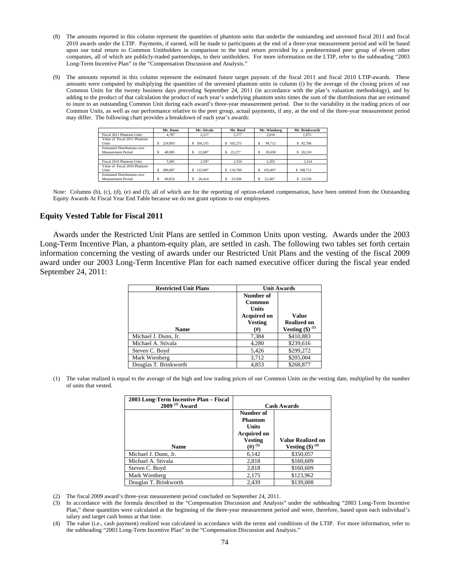- (8) The amounts reported in this column represent the quantities of phantom units that underlie the outstanding and unvested fiscal 2011 and fiscal 2010 awards under the LTIP. Payments, if earned, will be made to participants at the end of a three-year measurement period and will be based upon our total return to Common Unitholders in comparison to the total return provided by a predetermined peer group of eleven other companies, all of which are publicly-traded partnerships, to their unitholders. For more information on the LTIP, refer to the subheading "2003 Long-Term Incentive Plan" in the "Compensation Discussion and Analysis."
- (9) The amounts reported in this column represent the estimated future target payouts of the fiscal 2011 and fiscal 2010 LTIP-awards. These amounts were computed by multiplying the quantities of the unvested phantom units in column (i) by the average of the closing prices of our Common Units for the twenty business days preceding September 24, 2011 (in accordance with the plan's valuation methodology), and by adding to the product of that calculation the product of each year's underlying phantom units times the sum of the distributions that are estimated to inure to an outstanding Common Unit during each award's three-year measurement period. Due to the variability in the trading prices of our Common Units, as well as our performance relative to the peer group, actual payments, if any, at the end of the three-year measurement period may differ. The following chart provides a breakdown of each year's awards:

|                                                           | Mr. Dunn | Mr. Stivala | Mr. Bovd     | Mr. Wienberg | Mr. Brinkworth |
|-----------------------------------------------------------|----------|-------------|--------------|--------------|----------------|
| Fiscal 2011 Phantom Units                                 | 4.787    | 2.217       | 2.177        | 2.016        | 1.975          |
| Value of Fiscal 2011 Phantom<br>Units                     | 224,893  | 104.155     | 102.275      | 94,712<br>S  | \$92,786       |
| <b>Estimated Distributions over</b><br>Measurement Period | 48.985   | 22.687      | 22.277       | \$<br>20.630 | \$ 20,210      |
|                                                           |          |             |              |              |                |
| Fiscal 2010 Phantom Units                                 | 5.981    | 2.597       | 2.550        | 2.203        | 2.314          |
| Value of Fiscal 2010 Phantom                              |          |             |              |              |                |
| Units                                                     | 280.987  | 122,007     | 119,799<br>S | S<br>103.497 | \$108,712      |
| <b>Estimated Distributions over</b>                       |          |             |              |              |                |
| Measurement Period                                        | 60.833   | 26.414      | 25.936       | 22.407       | \$23,536       |

Note: Columns (b), (c), (d), (e) and (f), all of which are for the reporting of option-related compensation, have been omitted from the Outstanding Equity Awards At Fiscal Year End Table because we do not grant options to our employees.

### **Equity Vested Table for Fiscal 2011**

Awards under the Restricted Unit Plans are settled in Common Units upon vesting. Awards under the 2003 Long-Term Incentive Plan, a phantom-equity plan, are settled in cash. The following two tables set forth certain information concerning the vesting of awards under our Restricted Unit Plans and the vesting of the fiscal 2009 award under our 2003 Long-Term Incentive Plan for each named executive officer during the fiscal year ended September 24, 2011:

| <b>Restricted Unit Plans</b> |                    | <b>Unit Awards</b>                     |
|------------------------------|--------------------|----------------------------------------|
|                              | Number of          |                                        |
|                              | Common             |                                        |
|                              | <b>Units</b>       |                                        |
|                              | <b>Acquired on</b> | Value                                  |
|                              | <b>Vesting</b>     | <b>Realized on</b>                     |
| <b>Name</b>                  | $^{(#)}$           | Vesting $($ math) $($ <sup>1</sup> $)$ |
| Michael J. Dunn, Jr.         | 7,384              | \$410,883                              |
| Michael A. Stivala           | 4,280              | \$239,616                              |
| Steven C. Boyd               | 5,426              | \$299,272                              |
| Mark Wienberg                | 3,712              | \$205,004                              |
| Douglas T. Brinkworth        | 4.853              | \$268.877                              |

(1) The value realized is equal to the average of the high and low trading prices of our Common Units on the vesting date, multiplied by the number of units that vested.

| 2003 Long-Term Incentive Plan – Fiscal<br>$2009^{(2)}$ Award |                                                                                     | <b>Cash Awards</b>                   |
|--------------------------------------------------------------|-------------------------------------------------------------------------------------|--------------------------------------|
|                                                              | Number of<br><b>Phantom</b><br><b>Units</b><br><b>Acquired on</b><br><b>Vesting</b> | <b>Value Realized on</b>             |
| <b>Name</b>                                                  | (#) $(3)$                                                                           | Vesting $(\text{\$})$ <sup>(4)</sup> |
| Michael J. Dunn, Jr.                                         | 6,142                                                                               | \$350,057                            |
| Michael A. Stivala                                           | 2,818                                                                               | \$160,609                            |
| Steven C. Boyd                                               | 2,818                                                                               | \$160,609                            |
| Mark Wienberg                                                | 2,175                                                                               | \$123,962                            |
| Douglas T. Brinkworth                                        | 2,439                                                                               | \$139,008                            |

- (2) The fiscal 2009 award's three-year measurement period concluded on September 24, 2011.
- (3) In accordance with the formula described in the "Compensation Discussion and Analysis" under the subheading "2003 Long-Term Incentive Plan," these quantities were calculated at the beginning of the three-year measurement period and were, therefore, based upon each individual's salary and target cash bonus at that time.
- (4) The value (i.e., cash payment) realized was calculated in accordance with the terms and conditions of the LTIP. For more information, refer to the subheading "2003 Long-Term Incentive Plan" in the "Compensation Discussion and Analysis."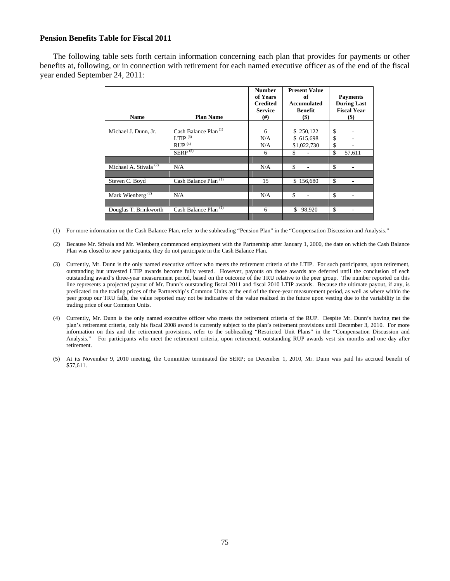### **Pension Benefits Table for Fiscal 2011**

The following table sets forth certain information concerning each plan that provides for payments or other benefits at, following, or in connection with retirement for each named executive officer as of the end of the fiscal year ended September 24, 2011:

| <b>Name</b>                       | <b>Plan Name</b>                 | <b>Number</b><br>of Years<br><b>Credited</b><br><b>Service</b><br>$^{(#)}$ | <b>Present Value</b><br>of<br>Accumulated<br>Benefit<br>$(\$)$ | <b>Payments</b><br><b>During Last</b><br><b>Fiscal Year</b><br>$(\$)$ |
|-----------------------------------|----------------------------------|----------------------------------------------------------------------------|----------------------------------------------------------------|-----------------------------------------------------------------------|
|                                   |                                  |                                                                            |                                                                |                                                                       |
| Michael J. Dunn, Jr.              | Cash Balance Plan <sup>(1)</sup> | 6                                                                          | \$250,122                                                      | \$                                                                    |
|                                   | LTIP <sup>(3)</sup>              | N/A                                                                        | \$615,698                                                      | \$                                                                    |
|                                   | RUP <sup>(4)</sup>               | N/A                                                                        | \$1,022,730                                                    | \$                                                                    |
|                                   | $SERP^{\frac{75}{5}}$            | 6                                                                          | \$                                                             | \$<br>57,611                                                          |
|                                   |                                  |                                                                            |                                                                |                                                                       |
| Michael A. Stivala <sup>(2)</sup> | N/A                              | N/A                                                                        | \$<br>٠                                                        | \$<br>$\overline{\phantom{0}}$                                        |
|                                   |                                  |                                                                            |                                                                |                                                                       |
| Steven C. Boyd                    | Cash Balance Plan <sup>(1)</sup> | 15                                                                         | \$156,680                                                      | \$<br>٠                                                               |
|                                   |                                  |                                                                            |                                                                |                                                                       |
| Mark Wienberg <sup>(2)</sup>      | N/A                              | N/A                                                                        | \$                                                             | \$                                                                    |
|                                   |                                  |                                                                            |                                                                |                                                                       |
| Douglas T. Brinkworth             | Cash Balance Plan <sup>(1)</sup> | 6                                                                          | \$<br>98,920                                                   | \$<br>۰                                                               |
|                                   |                                  |                                                                            |                                                                |                                                                       |

(1) For more information on the Cash Balance Plan, refer to the subheading "Pension Plan" in the "Compensation Discussion and Analysis."

- (2) Because Mr. Stivala and Mr. Wienberg commenced employment with the Partnership after January 1, 2000, the date on which the Cash Balance Plan was closed to new participants, they do not participate in the Cash Balance Plan.
- (3) Currently, Mr. Dunn is the only named executive officer who meets the retirement criteria of the LTIP. For such participants, upon retirement, outstanding but unvested LTIP awards become fully vested. However, payouts on those awards are deferred until the conclusion of each outstanding award's three-year measurement period, based on the outcome of the TRU relative to the peer group. The number reported on this line represents a projected payout of Mr. Dunn's outstanding fiscal 2011 and fiscal 2010 LTIP awards. Because the ultimate payout, if any, is predicated on the trading prices of the Partnership's Common Units at the end of the three-year measurement period, as well as where within the peer group our TRU falls, the value reported may not be indicative of the value realized in the future upon vesting due to the variability in the trading price of our Common Units.
- (4) Currently, Mr. Dunn is the only named executive officer who meets the retirement criteria of the RUP. Despite Mr. Dunn's having met the plan's retirement criteria, only his fiscal 2008 award is currently subject to the plan's retirement provisions until December 3, 2010. For more information on this and the retirement provisions, refer to the subheading "Restricted Unit Plans" in the "Compensation Discussion and Analysis." For participants who meet the retirement criteria, upon retirement, outstanding RUP awards vest six months and one day after retirement.
- (5) At its November 9, 2010 meeting, the Committee terminated the SERP; on December 1, 2010, Mr. Dunn was paid his accrued benefit of \$57,611.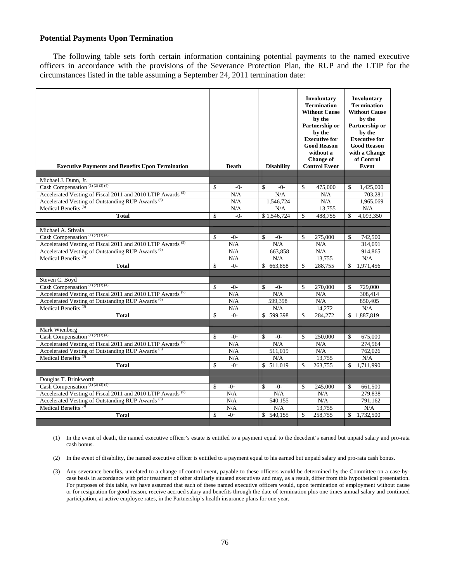## **Potential Payments Upon Termination**

The following table sets forth certain information containing potential payments to the named executive officers in accordance with the provisions of the Severance Protection Plan, the RUP and the LTIP for the circumstances listed in the table assuming a September 24, 2011 termination date:

| <b>Executive Payments and Benefits Upon Termination</b>                | Death                       | <b>Disability</b>        | <b>Involuntary</b><br><b>Termination</b><br><b>Without Cause</b><br>by the<br>Partnership or<br>by the<br><b>Executive for</b><br><b>Good Reason</b><br>without a<br><b>Change</b> of<br><b>Control Event</b> | <b>Involuntary</b><br><b>Termination</b><br><b>Without Cause</b><br>by the<br>Partnership or<br>by the<br><b>Executive for</b><br><b>Good Reason</b><br>with a Change<br>of Control<br>Event |
|------------------------------------------------------------------------|-----------------------------|--------------------------|---------------------------------------------------------------------------------------------------------------------------------------------------------------------------------------------------------------|----------------------------------------------------------------------------------------------------------------------------------------------------------------------------------------------|
| Michael J. Dunn, Jr.                                                   |                             |                          |                                                                                                                                                                                                               |                                                                                                                                                                                              |
| Cash Compensation <sup>(1)(2)(3)(4)</sup>                              | $\mathbb{S}$<br>$-0-$       | $\mathbb{S}$<br>$-0-$    | \$<br>475,000                                                                                                                                                                                                 | \$                                                                                                                                                                                           |
|                                                                        |                             |                          |                                                                                                                                                                                                               | 1,425,000                                                                                                                                                                                    |
| Accelerated Vesting of Fiscal 2011 and 2010 LTIP Awards <sup>(5)</sup> | N/A                         | N/A                      | N/A                                                                                                                                                                                                           | 703,281                                                                                                                                                                                      |
| Accelerated Vesting of Outstanding RUP Awards <sup>(6)</sup>           | N/A                         | 1,546,724                | N/A                                                                                                                                                                                                           | 1,965,069                                                                                                                                                                                    |
| Medical Benefits <sup>(3)</sup>                                        | N/A                         | N/A                      | 13,755                                                                                                                                                                                                        | N/A                                                                                                                                                                                          |
| <b>Total</b>                                                           | \$<br>$-()$ -               | \$1,546,724              | \$<br>488,755                                                                                                                                                                                                 | 4,093,350<br>\$                                                                                                                                                                              |
|                                                                        |                             |                          |                                                                                                                                                                                                               |                                                                                                                                                                                              |
| Michael A. Stivala                                                     |                             |                          |                                                                                                                                                                                                               |                                                                                                                                                                                              |
| Cash Compensation <sup>(1)(2)(3)(4)</sup>                              | \$<br>$-0-$                 | \$<br>$-0-$              | \$<br>275,000                                                                                                                                                                                                 | \$<br>742,500                                                                                                                                                                                |
| Accelerated Vesting of Fiscal 2011 and 2010 LTIP Awards <sup>(5)</sup> | N/A                         | N/A                      | N/A                                                                                                                                                                                                           | 314,091                                                                                                                                                                                      |
| Accelerated Vesting of Outstanding RUP Awards <sup>(6)</sup>           | N/A                         | 663.858                  | N/A                                                                                                                                                                                                           | 914.865                                                                                                                                                                                      |
| Medical Benefits <sup>(3)</sup>                                        | N/A                         | N/A                      | 13,755                                                                                                                                                                                                        | N/A                                                                                                                                                                                          |
| <b>Total</b>                                                           | $\mathbf{\hat{S}}$<br>$-0-$ | $\mathcal{S}$<br>663.858 | $\mathcal{S}$<br>288.755                                                                                                                                                                                      | 1.971.456<br>\$                                                                                                                                                                              |
|                                                                        |                             |                          |                                                                                                                                                                                                               |                                                                                                                                                                                              |
| Steven C. Boyd                                                         |                             |                          |                                                                                                                                                                                                               |                                                                                                                                                                                              |
| Cash Compensation <sup>(1)(2)(3)(4)</sup>                              | \$<br>$-0-$                 | \$<br>$-0-$              | \$<br>270,000                                                                                                                                                                                                 | \$<br>729,000                                                                                                                                                                                |
| Accelerated Vesting of Fiscal 2011 and 2010 LTIP Awards <sup>(5)</sup> | N/A                         | N/A                      | N/A                                                                                                                                                                                                           | 308,414                                                                                                                                                                                      |
| Accelerated Vesting of Outstanding RUP Awards <sup>(6)</sup>           | N/A                         | 599.398                  | N/A                                                                                                                                                                                                           | 850,405                                                                                                                                                                                      |
| Medical Benefits <sup>(3)</sup>                                        | N/A                         | N/A                      | 14,272                                                                                                                                                                                                        | N/A                                                                                                                                                                                          |
| <b>Total</b>                                                           | \$<br>$-0-$                 | \$<br>599.398            | 284.272<br>\$                                                                                                                                                                                                 | 1.887.819<br>\$                                                                                                                                                                              |
|                                                                        |                             |                          |                                                                                                                                                                                                               |                                                                                                                                                                                              |
| Mark Wienberg                                                          |                             |                          |                                                                                                                                                                                                               |                                                                                                                                                                                              |
| Cash Compensation <sup>(1)(2)(3)(4)</sup>                              | \$<br>$-0$ <sup>-</sup>     | \$<br>$-0-$              | \$<br>250,000                                                                                                                                                                                                 | 675,000<br>\$                                                                                                                                                                                |
| Accelerated Vesting of Fiscal 2011 and 2010 LTIP Awards <sup>(5)</sup> | N/A                         | N/A                      | N/A                                                                                                                                                                                                           | 274.964                                                                                                                                                                                      |
| Accelerated Vesting of Outstanding RUP Awards <sup>(6)</sup>           | N/A                         | 511.019                  | N/A                                                                                                                                                                                                           | 762,026                                                                                                                                                                                      |
| Medical Benefits <sup>(3)</sup>                                        | N/A                         | N/A                      | 13,755                                                                                                                                                                                                        | N/A                                                                                                                                                                                          |
| <b>Total</b>                                                           | $-()$<br>\$                 | \$511.019                | 263,755<br>\$                                                                                                                                                                                                 | 1,711,990<br>\$                                                                                                                                                                              |
|                                                                        |                             |                          |                                                                                                                                                                                                               |                                                                                                                                                                                              |
| Douglas T. Brinkworth                                                  |                             |                          |                                                                                                                                                                                                               |                                                                                                                                                                                              |
| Cash Compensation <sup>(1)(2)(3)(4)</sup>                              | \$<br>$-0-$                 | \$<br>$-0-$              | \$<br>245,000                                                                                                                                                                                                 | \$<br>661,500                                                                                                                                                                                |
| Accelerated Vesting of Fiscal 2011 and 2010 LTIP Awards <sup>(5)</sup> | N/A                         | N/A                      | N/A                                                                                                                                                                                                           | 279,838                                                                                                                                                                                      |
| Accelerated Vesting of Outstanding RUP Awards <sup>(6)</sup>           | N/A                         | 540,155                  | N/A                                                                                                                                                                                                           | 791,162                                                                                                                                                                                      |
| Medical Benefits $(3)$                                                 | N/A                         | N/A                      | 13,755                                                                                                                                                                                                        | N/A                                                                                                                                                                                          |
| <b>Total</b>                                                           | $-()$<br>\$                 | \$540,155                | \$<br>258,755                                                                                                                                                                                                 | \$<br>1,732,500                                                                                                                                                                              |
|                                                                        |                             |                          |                                                                                                                                                                                                               |                                                                                                                                                                                              |

(1) In the event of death, the named executive officer's estate is entitled to a payment equal to the decedent's earned but unpaid salary and pro-rata cash bonus.

- (2) In the event of disability, the named executive officer is entitled to a payment equal to his earned but unpaid salary and pro-rata cash bonus.
- (3) Any severance benefits, unrelated to a change of control event, payable to these officers would be determined by the Committee on a case-bycase basis in accordance with prior treatment of other similarly situated executives and may, as a result, differ from this hypothetical presentation. For purposes of this table, we have assumed that each of these named executive officers would, upon termination of employment without cause or for resignation for good reason, receive accrued salary and benefits through the date of termination plus one times annual salary and continued participation, at active employee rates, in the Partnership's health insurance plans for one year.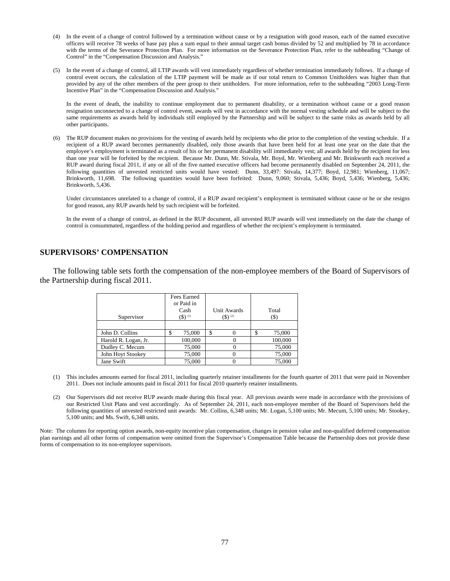- (4) In the event of a change of control followed by a termination without cause or by a resignation with good reason, each of the named executive officers will receive 78 weeks of base pay plus a sum equal to their annual target cash bonus divided by 52 and multiplied by 78 in accordance with the terms of the Severance Protection Plan. For more information on the Severance Protection Plan, refer to the subheading "Change of Control" in the "Compensation Discussion and Analysis."
- (5) In the event of a change of control, all LTIP awards will vest immediately regardless of whether termination immediately follows. If a change of control event occurs, the calculation of the LTIP payment will be made as if our total return to Common Unitholders was higher than that provided by any of the other members of the peer group to their unitholders. For more information, refer to the subheading "2003 Long-Term Incentive Plan" in the "Compensation Discussion and Analysis."

In the event of death, the inability to continue employment due to permanent disability, or a termination without cause or a good reason resignation unconnected to a change of control event, awards will vest in accordance with the normal vesting schedule and will be subject to the same requirements as awards held by individuals still employed by the Partnership and will be subject to the same risks as awards held by all other participants.

(6) The RUP document makes no provisions for the vesting of awards held by recipients who die prior to the completion of the vesting schedule. If a recipient of a RUP award becomes permanently disabled, only those awards that have been held for at least one year on the date that the employee's employment is terminated as a result of his or her permanent disability will immediately vest; all awards held by the recipient for less than one year will be forfeited by the recipient. Because Mr. Dunn, Mr. Stivala, Mr. Boyd, Mr. Wienberg and Mr. Brinkworth each received a RUP award during fiscal 2011, if any or all of the five named executive officers had become permanently disabled on September 24, 2011, the following quantities of unvested restricted units would have vested: Dunn, 33,497: Stivala, 14,377; Boyd, 12,981; Wienberg, 11,067; Brinkworth, 11,698. The following quantities would have been forfeited: Dunn, 9,060; Stivala, 5,436; Boyd, 5,436; Wienberg, 5,436; Brinkworth, 5,436.

Under circumstances unrelated to a change of control, if a RUP award recipient's employment is terminated without cause or he or she resigns for good reason, any RUP awards held by such recipient will be forfeited.

In the event of a change of control, as defined in the RUP document, all unvested RUP awards will vest immediately on the date the change of control is consummated, regardless of the holding period and regardless of whether the recipient's employment is terminated.

### **SUPERVISORS' COMPENSATION**

The following table sets forth the compensation of the non-employee members of the Board of Supervisors of the Partnership during fiscal 2011.

|                      | Fees Earned<br>or Paid in<br>Cash | Unit Awards      | Total   |
|----------------------|-----------------------------------|------------------|---------|
| Supervisor           | $($ \$) $^{(1)}$                  | $($ \$) $^{(2)}$ | $($ \$) |
|                      |                                   |                  |         |
| John D. Collins      | 75,000                            | \$               | 75,000  |
| Harold R. Logan, Jr. | 100,000                           |                  | 100,000 |
| Dudley C. Mecum      | 75,000                            |                  | 75,000  |
| John Hoyt Stookey    | 75,000                            |                  | 75,000  |
| Jane Swift           | 75,000                            |                  | 75,000  |

- (1) This includes amounts earned for fiscal 2011, including quarterly retainer installments for the fourth quarter of 2011 that were paid in November 2011. Does not include amounts paid in fiscal 2011 for fiscal 2010 quarterly retainer installments.
- (2) Our Supervisors did not receive RUP awards made during this fiscal year. All previous awards were made in accordance with the provisions of our Restricted Unit Plans and vest accordingly. As of September 24, 2011, each non-employee member of the Board of Supervisors held the following quantities of unvested restricted unit awards: Mr. Collins, 6,348 units; Mr. Logan, 5,100 units; Mr. Mecum, 5,100 units; Mr. Stookey, 5,100 units; and Ms. Swift, 6,348 units.

Note: The columns for reporting option awards, non-equity incentive plan compensation, changes in pension value and non-qualified deferred compensation plan earnings and all other forms of compensation were omitted from the Supervisor's Compensation Table because the Partnership does not provide these forms of compensation to its non-employee supervisors.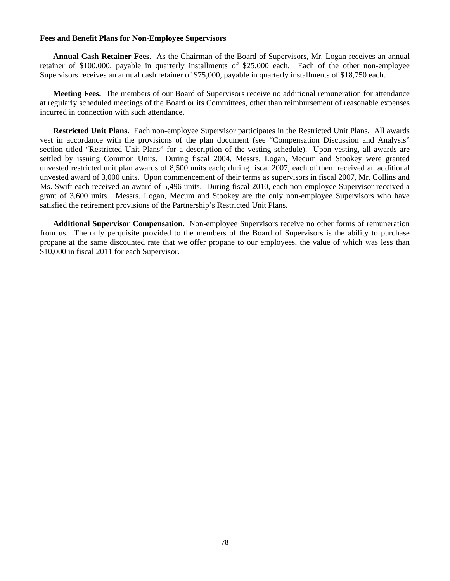#### **Fees and Benefit Plans for Non-Employee Supervisors**

**Annual Cash Retainer Fees**. As the Chairman of the Board of Supervisors, Mr. Logan receives an annual retainer of \$100,000, payable in quarterly installments of \$25,000 each. Each of the other non-employee Supervisors receives an annual cash retainer of \$75,000, payable in quarterly installments of \$18,750 each.

**Meeting Fees.** The members of our Board of Supervisors receive no additional remuneration for attendance at regularly scheduled meetings of the Board or its Committees, other than reimbursement of reasonable expenses incurred in connection with such attendance.

**Restricted Unit Plans.** Each non-employee Supervisor participates in the Restricted Unit Plans. All awards vest in accordance with the provisions of the plan document (see "Compensation Discussion and Analysis" section titled "Restricted Unit Plans" for a description of the vesting schedule). Upon vesting, all awards are settled by issuing Common Units. During fiscal 2004, Messrs. Logan, Mecum and Stookey were granted unvested restricted unit plan awards of 8,500 units each; during fiscal 2007, each of them received an additional unvested award of 3,000 units. Upon commencement of their terms as supervisors in fiscal 2007, Mr. Collins and Ms. Swift each received an award of 5,496 units. During fiscal 2010, each non-employee Supervisor received a grant of 3,600 units. Messrs. Logan, Mecum and Stookey are the only non-employee Supervisors who have satisfied the retirement provisions of the Partnership's Restricted Unit Plans.

**Additional Supervisor Compensation.** Non-employee Supervisors receive no other forms of remuneration from us. The only perquisite provided to the members of the Board of Supervisors is the ability to purchase propane at the same discounted rate that we offer propane to our employees, the value of which was less than \$10,000 in fiscal 2011 for each Supervisor.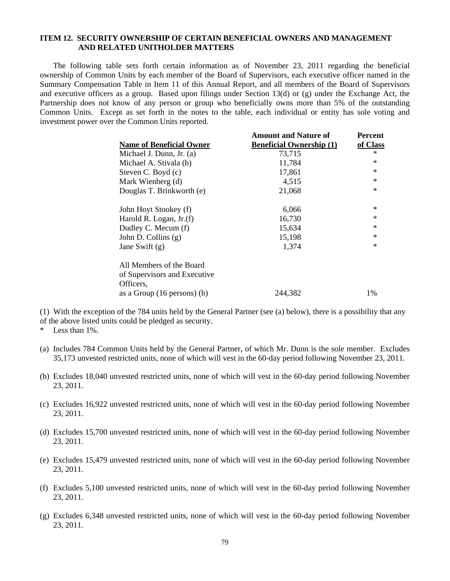### **ITEM 12. SECURITY OWNERSHIP OF CERTAIN BENEFICIAL OWNERS AND MANAGEMENT AND RELATED UNITHOLDER MATTERS**

The following table sets forth certain information as of November 23, 2011 regarding the beneficial ownership of Common Units by each member of the Board of Supervisors, each executive officer named in the Summary Compensation Table in Item 11 of this Annual Report, and all members of the Board of Supervisors and executive officers as a group. Based upon filings under Section 13(d) or (g) under the Exchange Act, the Partnership does not know of any person or group who beneficially owns more than 5% of the outstanding Common Units. Except as set forth in the notes to the table, each individual or entity has sole voting and investment power over the Common Units reported.

|                                 | <b>Amount and Nature of</b>     | Percent  |
|---------------------------------|---------------------------------|----------|
| <b>Name of Beneficial Owner</b> | <b>Beneficial Ownership (1)</b> | of Class |
| Michael J. Dunn, Jr. (a)        | 73,715                          | $\ast$   |
| Michael A. Stivala (b)          | 11,784                          | $\ast$   |
| Steven C. Boyd (c)              | 17,861                          | $\ast$   |
| Mark Wienberg (d)               | 4,515                           | $\ast$   |
| Douglas T. Brinkworth (e)       | 21,068                          | $\ast$   |
| John Hoyt Stookey (f)           | 6,066                           | $\ast$   |
| Harold R. Logan, Jr.(f)         | 16,730                          | $\ast$   |
| Dudley C. Mecum (f)             | 15,634                          | $\ast$   |
| John D. Collins $(g)$           | 15,198                          | $\ast$   |
| Jane Swift $(g)$                | 1,374                           | $\ast$   |
| All Members of the Board        |                                 |          |
| of Supervisors and Executive    |                                 |          |
| Officers,                       |                                 |          |
| as a Group (16 persons) (h)     | 244,382                         | 1%       |

(1) With the exception of the 784 units held by the General Partner (see (a) below), there is a possibility that any of the above listed units could be pledged as security.

Less than  $1\%$ .

- (a) Includes 784 Common Units held by the General Partner, of which Mr. Dunn is the sole member. Excludes 35,173 unvested restricted units, none of which will vest in the 60-day period following November 23, 2011.
- (b) Excludes 18,040 unvested restricted units, none of which will vest in the 60-day period following November 23, 2011.
- (c) Excludes 16,922 unvested restricted units, none of which will vest in the 60-day period following November 23, 2011.
- (d) Excludes 15,700 unvested restricted units, none of which will vest in the 60-day period following November 23, 2011.
- (e) Excludes 15,479 unvested restricted units, none of which will vest in the 60-day period following November 23, 2011.
- (f) Excludes 5,100 unvested restricted units, none of which will vest in the 60-day period following November 23, 2011.
- (g) Excludes 6,348 unvested restricted units, none of which will vest in the 60-day period following November 23, 2011.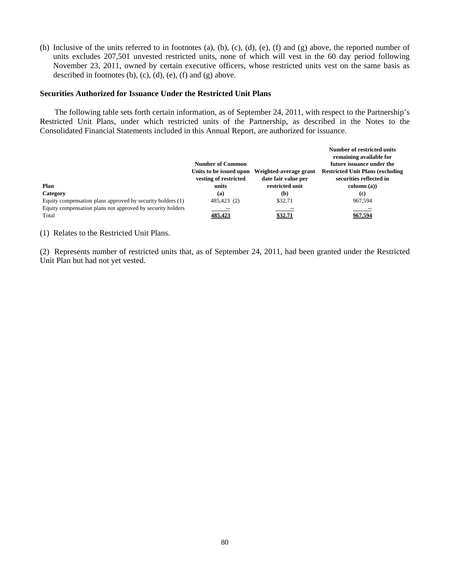(h) Inclusive of the units referred to in footnotes (a), (b), (c), (d), (e), (f) and (g) above, the reported number of units excludes 207,501 unvested restricted units, none of which will vest in the 60 day period following November 23, 2011, owned by certain executive officers, whose restricted units vest on the same basis as described in footnotes  $(b)$ ,  $(c)$ ,  $(d)$ ,  $(e)$ ,  $(f)$  and  $(g)$  above.

### **Securities Authorized for Issuance Under the Restricted Unit Plans**

The following table sets forth certain information, as of September 24, 2011, with respect to the Partnership's Restricted Unit Plans, under which restricted units of the Partnership, as described in the Notes to the Consolidated Financial Statements included in this Annual Report, are authorized for issuance.

|                                                            | Number of Common         |                        | Number of restricted units<br>remaining available for<br>future issuance under the |
|------------------------------------------------------------|--------------------------|------------------------|------------------------------------------------------------------------------------|
|                                                            | Units to be issued upon  | Weighted-average grant | <b>Restricted Unit Plans (excluding</b>                                            |
|                                                            | vesting of restricted    | date fair value per    | securities reflected in                                                            |
| Plan                                                       | units                    | restricted unit        | column (a))                                                                        |
| Category                                                   | (a)                      | (b)                    | (c)                                                                                |
| Equity compensation plans approved by security holders (1) | 485,423 (2)              | \$32.71                | 967,594                                                                            |
| Equity compensation plans not approved by security holders | $\overline{\phantom{a}}$ | $\sim$ $\sim$          | $\frac{1}{2}$                                                                      |
| Total                                                      | 485.423                  | \$32.71                | 967.594                                                                            |

(1) Relates to the Restricted Unit Plans.

(2) Represents number of restricted units that, as of September 24, 2011, had been granted under the Restricted Unit Plan but had not yet vested.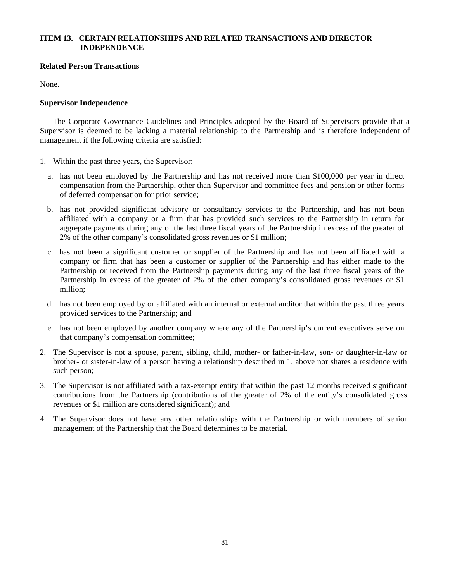## **ITEM 13. CERTAIN RELATIONSHIPS AND RELATED TRANSACTIONS AND DIRECTOR INDEPENDENCE**

### **Related Person Transactions**

None.

### **Supervisor Independence**

 The Corporate Governance Guidelines and Principles adopted by the Board of Supervisors provide that a Supervisor is deemed to be lacking a material relationship to the Partnership and is therefore independent of management if the following criteria are satisfied:

- 1. Within the past three years, the Supervisor:
	- a. has not been employed by the Partnership and has not received more than \$100,000 per year in direct compensation from the Partnership, other than Supervisor and committee fees and pension or other forms of deferred compensation for prior service;
	- b. has not provided significant advisory or consultancy services to the Partnership, and has not been affiliated with a company or a firm that has provided such services to the Partnership in return for aggregate payments during any of the last three fiscal years of the Partnership in excess of the greater of 2% of the other company's consolidated gross revenues or \$1 million;
	- c. has not been a significant customer or supplier of the Partnership and has not been affiliated with a company or firm that has been a customer or supplier of the Partnership and has either made to the Partnership or received from the Partnership payments during any of the last three fiscal years of the Partnership in excess of the greater of 2% of the other company's consolidated gross revenues or \$1 million;
	- d. has not been employed by or affiliated with an internal or external auditor that within the past three years provided services to the Partnership; and
	- e. has not been employed by another company where any of the Partnership's current executives serve on that company's compensation committee;
- 2. The Supervisor is not a spouse, parent, sibling, child, mother- or father-in-law, son- or daughter-in-law or brother- or sister-in-law of a person having a relationship described in 1. above nor shares a residence with such person;
- 3. The Supervisor is not affiliated with a tax-exempt entity that within the past 12 months received significant contributions from the Partnership (contributions of the greater of 2% of the entity's consolidated gross revenues or \$1 million are considered significant); and
- 4. The Supervisor does not have any other relationships with the Partnership or with members of senior management of the Partnership that the Board determines to be material.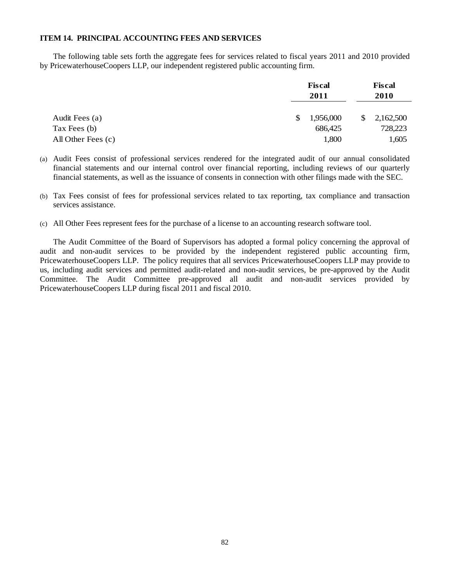## **ITEM 14. PRINCIPAL ACCOUNTING FEES AND SERVICES**

 The following table sets forth the aggregate fees for services related to fiscal years 2011 and 2010 provided by PricewaterhouseCoopers LLP, our independent registered public accounting firm.

|                    | <b>Fiscal</b>  | <b>Fiscal</b> |  |
|--------------------|----------------|---------------|--|
|                    | 2011           | 2010          |  |
| Audit Fees (a)     | 1,956,000<br>S | 2,162,500     |  |
| Tax Fees (b)       | 686,425        | 728,223       |  |
| All Other Fees (c) | 1,800          | 1,605         |  |

- (a) Audit Fees consist of professional services rendered for the integrated audit of our annual consolidated financial statements and our internal control over financial reporting, including reviews of our quarterly financial statements, as well as the issuance of consents in connection with other filings made with the SEC.
- (b) Tax Fees consist of fees for professional services related to tax reporting, tax compliance and transaction services assistance.
- (c) All Other Fees represent fees for the purchase of a license to an accounting research software tool.

The Audit Committee of the Board of Supervisors has adopted a formal policy concerning the approval of audit and non-audit services to be provided by the independent registered public accounting firm, PricewaterhouseCoopers LLP. The policy requires that all services PricewaterhouseCoopers LLP may provide to us, including audit services and permitted audit-related and non-audit services, be pre-approved by the Audit Committee. The Audit Committee pre-approved all audit and non-audit services provided by PricewaterhouseCoopers LLP during fiscal 2011 and fiscal 2010.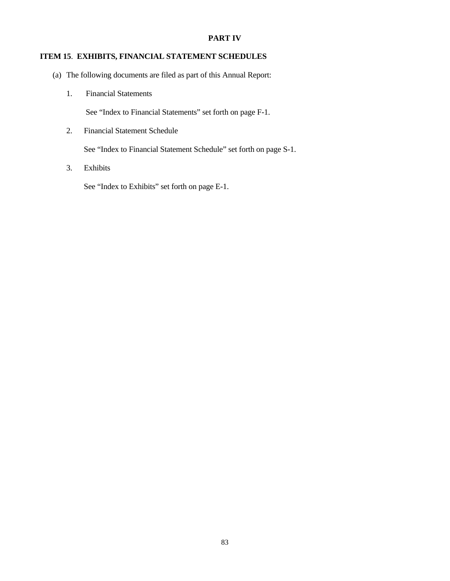## **PART IV**

# **ITEM 15**. **EXHIBITS, FINANCIAL STATEMENT SCHEDULES**

- (a) The following documents are filed as part of this Annual Report:
	- 1. Financial Statements

See "Index to Financial Statements" set forth on page F-1.

2. Financial Statement Schedule

See "Index to Financial Statement Schedule" set forth on page S-1.

3. Exhibits

See "Index to Exhibits" set forth on page E-1.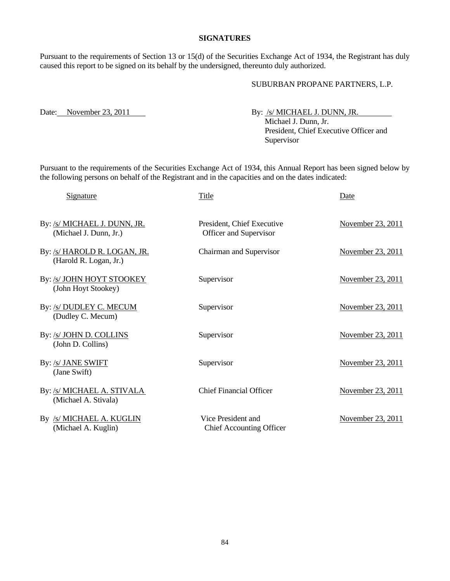### **SIGNATURES**

Pursuant to the requirements of Section 13 or 15(d) of the Securities Exchange Act of 1934, the Registrant has duly caused this report to be signed on its behalf by the undersigned, thereunto duly authorized.

### SUBURBAN PROPANE PARTNERS, L.P.

Date: November 23, 2011 By: /s/ MICHAEL J. DUNN, JR.

 Michael J. Dunn, Jr. President, Chief Executive Officer and Supervisor

Pursuant to the requirements of the Securities Exchange Act of 1934, this Annual Report has been signed below by the following persons on behalf of the Registrant and in the capacities and on the dates indicated:

| Signature                                              | Title                                                 | Date              |
|--------------------------------------------------------|-------------------------------------------------------|-------------------|
| By: /s/ MICHAEL J. DUNN, JR.<br>(Michael J. Dunn, Jr.) | President, Chief Executive<br>Officer and Supervisor  | November 23, 2011 |
| By: /s/ HAROLD R. LOGAN, JR.<br>(Harold R. Logan, Jr.) | Chairman and Supervisor                               | November 23, 2011 |
| By: /s/ JOHN HOYT STOOKEY<br>(John Hoyt Stookey)       | Supervisor                                            | November 23, 2011 |
| By: /s/ DUDLEY C. MECUM<br>(Dudley C. Mecum)           | Supervisor                                            | November 23, 2011 |
| By: /s/ JOHN D. COLLINS<br>(John D. Collins)           | Supervisor                                            | November 23, 2011 |
| By: /s/ JANE SWIFT<br>(Jane Swift)                     | Supervisor                                            | November 23, 2011 |
| By: /s/ MICHAEL A. STIVALA<br>(Michael A. Stivala)     | <b>Chief Financial Officer</b>                        | November 23, 2011 |
| By /s/ MICHAEL A. KUGLIN<br>(Michael A. Kuglin)        | Vice President and<br><b>Chief Accounting Officer</b> | November 23, 2011 |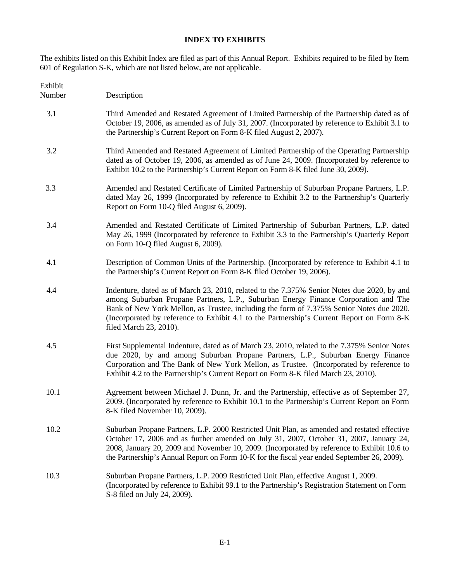# **INDEX TO EXHIBITS**

The exhibits listed on this Exhibit Index are filed as part of this Annual Report. Exhibits required to be filed by Item 601 of Regulation S-K, which are not listed below, are not applicable.

| Exhibit<br><u>Number</u> | Description                                                                                                                                                                                                                                                                                                                                                                                         |
|--------------------------|-----------------------------------------------------------------------------------------------------------------------------------------------------------------------------------------------------------------------------------------------------------------------------------------------------------------------------------------------------------------------------------------------------|
| 3.1                      | Third Amended and Restated Agreement of Limited Partnership of the Partnership dated as of<br>October 19, 2006, as amended as of July 31, 2007. (Incorporated by reference to Exhibit 3.1 to<br>the Partnership's Current Report on Form 8-K filed August 2, 2007).                                                                                                                                 |
| 3.2                      | Third Amended and Restated Agreement of Limited Partnership of the Operating Partnership<br>dated as of October 19, 2006, as amended as of June 24, 2009. (Incorporated by reference to<br>Exhibit 10.2 to the Partnership's Current Report on Form 8-K filed June 30, 2009).                                                                                                                       |
| 3.3                      | Amended and Restated Certificate of Limited Partnership of Suburban Propane Partners, L.P.<br>dated May 26, 1999 (Incorporated by reference to Exhibit 3.2 to the Partnership's Quarterly<br>Report on Form 10-Q filed August 6, 2009).                                                                                                                                                             |
| 3.4                      | Amended and Restated Certificate of Limited Partnership of Suburban Partners, L.P. dated<br>May 26, 1999 (Incorporated by reference to Exhibit 3.3 to the Partnership's Quarterly Report<br>on Form 10-Q filed August 6, 2009).                                                                                                                                                                     |
| 4.1                      | Description of Common Units of the Partnership. (Incorporated by reference to Exhibit 4.1 to<br>the Partnership's Current Report on Form 8-K filed October 19, 2006).                                                                                                                                                                                                                               |
| 4.4                      | Indenture, dated as of March 23, 2010, related to the 7.375% Senior Notes due 2020, by and<br>among Suburban Propane Partners, L.P., Suburban Energy Finance Corporation and The<br>Bank of New York Mellon, as Trustee, including the form of 7.375% Senior Notes due 2020.<br>(Incorporated by reference to Exhibit 4.1 to the Partnership's Current Report on Form 8-K<br>filed March 23, 2010). |
| 4.5                      | First Supplemental Indenture, dated as of March 23, 2010, related to the 7.375% Senior Notes<br>due 2020, by and among Suburban Propane Partners, L.P., Suburban Energy Finance<br>Corporation and The Bank of New York Mellon, as Trustee. (Incorporated by reference to<br>Exhibit 4.2 to the Partnership's Current Report on Form 8-K filed March 23, 2010).                                     |
| 10.1                     | Agreement between Michael J. Dunn, Jr. and the Partnership, effective as of September 27,<br>2009. (Incorporated by reference to Exhibit 10.1 to the Partnership's Current Report on Form<br>8-K filed November 10, 2009).                                                                                                                                                                          |
| 10.2                     | Suburban Propane Partners, L.P. 2000 Restricted Unit Plan, as amended and restated effective<br>October 17, 2006 and as further amended on July 31, 2007, October 31, 2007, January 24,<br>2008, January 20, 2009 and November 10, 2009. (Incorporated by reference to Exhibit 10.6 to<br>the Partnership's Annual Report on Form 10-K for the fiscal year ended September 26, 2009).               |
| 10.3                     | Suburban Propane Partners, L.P. 2009 Restricted Unit Plan, effective August 1, 2009.<br>(Incorporated by reference to Exhibit 99.1 to the Partnership's Registration Statement on Form<br>S-8 filed on July 24, 2009).                                                                                                                                                                              |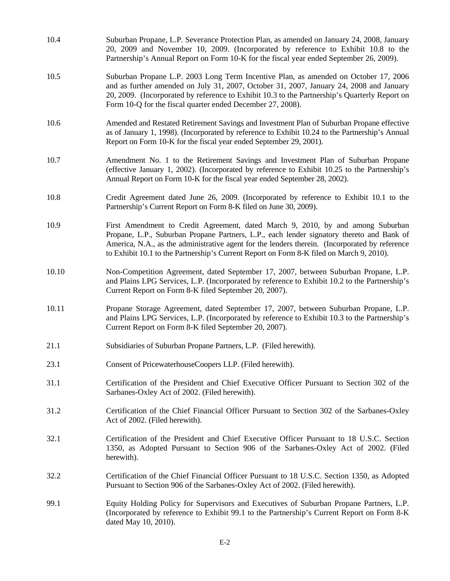| 10.4  | Suburban Propane, L.P. Severance Protection Plan, as amended on January 24, 2008, January<br>20, 2009 and November 10, 2009. (Incorporated by reference to Exhibit 10.8 to the<br>Partnership's Annual Report on Form 10-K for the fiscal year ended September 26, 2009).                                                                                                  |
|-------|----------------------------------------------------------------------------------------------------------------------------------------------------------------------------------------------------------------------------------------------------------------------------------------------------------------------------------------------------------------------------|
| 10.5  | Suburban Propane L.P. 2003 Long Term Incentive Plan, as amended on October 17, 2006<br>and as further amended on July 31, 2007, October 31, 2007, January 24, 2008 and January<br>20, 2009. (Incorporated by reference to Exhibit 10.3 to the Partnership's Quarterly Report on<br>Form 10-Q for the fiscal quarter ended December 27, 2008).                              |
| 10.6  | Amended and Restated Retirement Savings and Investment Plan of Suburban Propane effective<br>as of January 1, 1998). (Incorporated by reference to Exhibit 10.24 to the Partnership's Annual<br>Report on Form 10-K for the fiscal year ended September 29, 2001).                                                                                                         |
| 10.7  | Amendment No. 1 to the Retirement Savings and Investment Plan of Suburban Propane<br>(effective January 1, 2002). (Incorporated by reference to Exhibit 10.25 to the Partnership's<br>Annual Report on Form 10-K for the fiscal year ended September 28, 2002).                                                                                                            |
| 10.8  | Credit Agreement dated June 26, 2009. (Incorporated by reference to Exhibit 10.1 to the<br>Partnership's Current Report on Form 8-K filed on June 30, 2009).                                                                                                                                                                                                               |
| 10.9  | First Amendment to Credit Agreement, dated March 9, 2010, by and among Suburban<br>Propane, L.P., Suburban Propane Partners, L.P., each lender signatory thereto and Bank of<br>America, N.A., as the administrative agent for the lenders therein. (Incorporated by reference<br>to Exhibit 10.1 to the Partnership's Current Report on Form 8-K filed on March 9, 2010). |
| 10.10 | Non-Competition Agreement, dated September 17, 2007, between Suburban Propane, L.P.<br>and Plains LPG Services, L.P. (Incorporated by reference to Exhibit 10.2 to the Partnership's<br>Current Report on Form 8-K filed September 20, 2007).                                                                                                                              |
| 10.11 | Propane Storage Agreement, dated September 17, 2007, between Suburban Propane, L.P.<br>and Plains LPG Services, L.P. (Incorporated by reference to Exhibit 10.3 to the Partnership's<br>Current Report on Form 8-K filed September 20, 2007).                                                                                                                              |
| 21.1  | Subsidiaries of Suburban Propane Partners, L.P. (Filed herewith).                                                                                                                                                                                                                                                                                                          |
| 23.1  | Consent of PricewaterhouseCoopers LLP. (Filed herewith).                                                                                                                                                                                                                                                                                                                   |
| 31.1  | Certification of the President and Chief Executive Officer Pursuant to Section 302 of the<br>Sarbanes-Oxley Act of 2002. (Filed herewith).                                                                                                                                                                                                                                 |
| 31.2  | Certification of the Chief Financial Officer Pursuant to Section 302 of the Sarbanes-Oxley<br>Act of 2002. (Filed herewith).                                                                                                                                                                                                                                               |
| 32.1  | Certification of the President and Chief Executive Officer Pursuant to 18 U.S.C. Section<br>1350, as Adopted Pursuant to Section 906 of the Sarbanes-Oxley Act of 2002. (Filed<br>herewith).                                                                                                                                                                               |
| 32.2  | Certification of the Chief Financial Officer Pursuant to 18 U.S.C. Section 1350, as Adopted<br>Pursuant to Section 906 of the Sarbanes-Oxley Act of 2002. (Filed herewith).                                                                                                                                                                                                |
| 99.1  | Equity Holding Policy for Supervisors and Executives of Suburban Propane Partners, L.P.<br>(Incorporated by reference to Exhibit 99.1 to the Partnership's Current Report on Form 8-K<br>dated May 10, 2010).                                                                                                                                                              |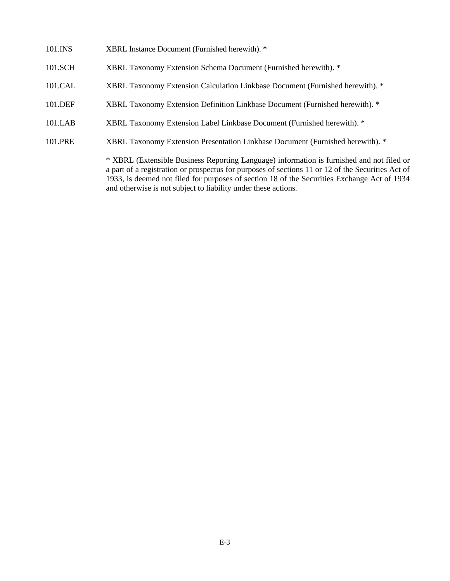- 101.INS XBRL Instance Document (Furnished herewith). \*
- 101.SCH XBRL Taxonomy Extension Schema Document (Furnished herewith). \*
- 101.CAL XBRL Taxonomy Extension Calculation Linkbase Document (Furnished herewith). \*
- 101.DEF XBRL Taxonomy Extension Definition Linkbase Document (Furnished herewith). \*
- 101.LAB XBRL Taxonomy Extension Label Linkbase Document (Furnished herewith). \*
- 101.PRE XBRL Taxonomy Extension Presentation Linkbase Document (Furnished herewith). \*

\* XBRL (Extensible Business Reporting Language) information is furnished and not filed or a part of a registration or prospectus for purposes of sections 11 or 12 of the Securities Act of 1933, is deemed not filed for purposes of section 18 of the Securities Exchange Act of 1934 and otherwise is not subject to liability under these actions.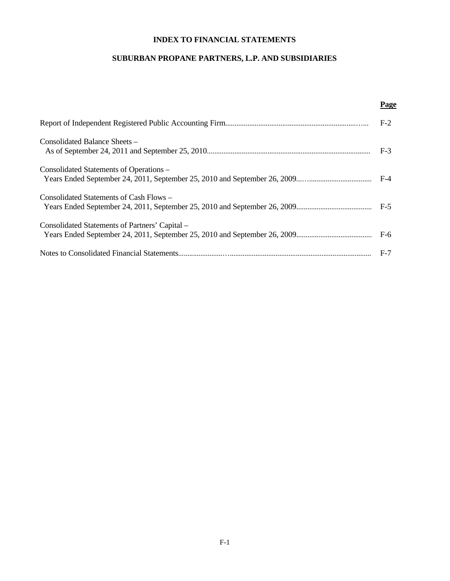# **INDEX TO FINANCIAL STATEMENTS**

# **SUBURBAN PROPANE PARTNERS, L.P. AND SUBSIDIARIES**

|                                                | Page  |
|------------------------------------------------|-------|
|                                                | $F-2$ |
| Consolidated Balance Sheets –                  | $F-3$ |
| Consolidated Statements of Operations –        |       |
| Consolidated Statements of Cash Flows –        |       |
| Consolidated Statements of Partners' Capital – |       |
|                                                | $F-7$ |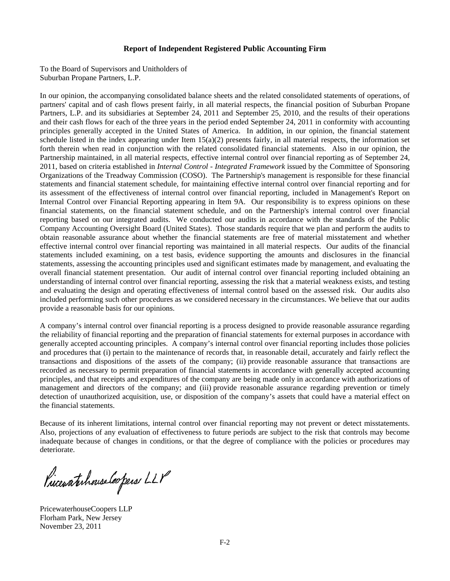#### **Report of Independent Registered Public Accounting Firm**

To the Board of Supervisors and Unitholders of Suburban Propane Partners, L.P.

In our opinion, the accompanying consolidated balance sheets and the related consolidated statements of operations, of partners' capital and of cash flows present fairly, in all material respects, the financial position of Suburban Propane Partners, L.P. and its subsidiaries at September 24, 2011 and September 25, 2010, and the results of their operations and their cash flows for each of the three years in the period ended September 24, 2011 in conformity with accounting principles generally accepted in the United States of America. In addition, in our opinion, the financial statement schedule listed in the index appearing under Item  $15(a)(2)$  presents fairly, in all material respects, the information set forth therein when read in conjunction with the related consolidated financial statements. Also in our opinion, the Partnership maintained, in all material respects, effective internal control over financial reporting as of September 24, 2011, based on criteria established in *Internal Control - Integrated Framework* issued by the Committee of Sponsoring Organizations of the Treadway Commission (COSO). The Partnership's management is responsible for these financial statements and financial statement schedule, for maintaining effective internal control over financial reporting and for its assessment of the effectiveness of internal control over financial reporting, included in Management's Report on Internal Control over Financial Reporting appearing in Item 9A. Our responsibility is to express opinions on these financial statements, on the financial statement schedule, and on the Partnership's internal control over financial reporting based on our integrated audits. We conducted our audits in accordance with the standards of the Public Company Accounting Oversight Board (United States). Those standards require that we plan and perform the audits to obtain reasonable assurance about whether the financial statements are free of material misstatement and whether effective internal control over financial reporting was maintained in all material respects. Our audits of the financial statements included examining, on a test basis, evidence supporting the amounts and disclosures in the financial statements, assessing the accounting principles used and significant estimates made by management, and evaluating the overall financial statement presentation. Our audit of internal control over financial reporting included obtaining an understanding of internal control over financial reporting, assessing the risk that a material weakness exists, and testing and evaluating the design and operating effectiveness of internal control based on the assessed risk. Our audits also included performing such other procedures as we considered necessary in the circumstances. We believe that our audits provide a reasonable basis for our opinions.

A company's internal control over financial reporting is a process designed to provide reasonable assurance regarding the reliability of financial reporting and the preparation of financial statements for external purposes in accordance with generally accepted accounting principles. A company's internal control over financial reporting includes those policies and procedures that (i) pertain to the maintenance of records that, in reasonable detail, accurately and fairly reflect the transactions and dispositions of the assets of the company; (ii) provide reasonable assurance that transactions are recorded as necessary to permit preparation of financial statements in accordance with generally accepted accounting principles, and that receipts and expenditures of the company are being made only in accordance with authorizations of management and directors of the company; and (iii) provide reasonable assurance regarding prevention or timely detection of unauthorized acquisition, use, or disposition of the company's assets that could have a material effect on the financial statements.

Because of its inherent limitations, internal control over financial reporting may not prevent or detect misstatements. Also, projections of any evaluation of effectiveness to future periods are subject to the risk that controls may become inadequate because of changes in conditions, or that the degree of compliance with the policies or procedures may deteriorate.

Pricevatishmese loopers LLP

PricewaterhouseCoopers LLP Florham Park, New Jersey November 23, 2011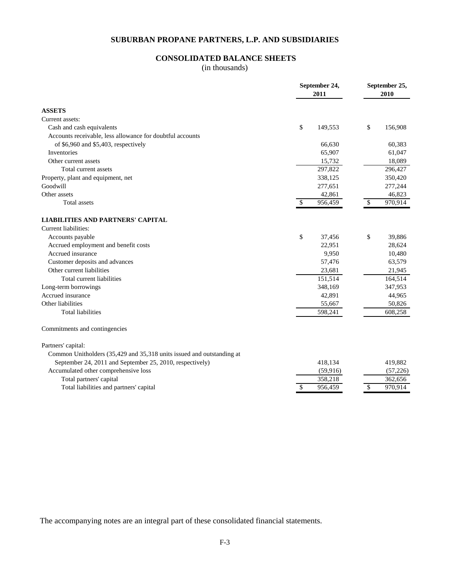# **CONSOLIDATED BALANCE SHEETS**

(in thousands)

|                                                                       | September 24,<br>2011 |           | September 25,<br>2010 |           |
|-----------------------------------------------------------------------|-----------------------|-----------|-----------------------|-----------|
|                                                                       |                       |           |                       |           |
| <b>ASSETS</b>                                                         |                       |           |                       |           |
| Current assets:                                                       |                       |           |                       |           |
| Cash and cash equivalents                                             | \$                    | 149,553   | \$                    | 156,908   |
| Accounts receivable, less allowance for doubtful accounts             |                       |           |                       |           |
| of \$6,960 and \$5,403, respectively                                  |                       | 66,630    |                       | 60,383    |
| Inventories                                                           |                       | 65,907    |                       | 61,047    |
| Other current assets                                                  |                       | 15,732    |                       | 18,089    |
| Total current assets                                                  |                       | 297,822   |                       | 296,427   |
| Property, plant and equipment, net                                    |                       | 338,125   |                       | 350,420   |
| Goodwill                                                              |                       | 277,651   |                       | 277,244   |
| Other assets                                                          |                       | 42,861    |                       | 46,823    |
| Total assets                                                          | $\mathbb{S}$          | 956,459   | \$                    | 970,914   |
| <b>LIABILITIES AND PARTNERS' CAPITAL</b>                              |                       |           |                       |           |
| Current liabilities:                                                  |                       |           |                       |           |
| Accounts payable                                                      | \$                    | 37,456    | \$                    | 39,886    |
| Accrued employment and benefit costs                                  |                       | 22,951    |                       | 28,624    |
| Accrued insurance                                                     |                       | 9,950     |                       | 10,480    |
| Customer deposits and advances                                        |                       | 57,476    |                       | 63,579    |
| Other current liabilities                                             |                       | 23,681    |                       | 21,945    |
| Total current liabilities                                             |                       | 151,514   |                       | 164,514   |
| Long-term borrowings                                                  |                       | 348,169   |                       | 347,953   |
| Accrued insurance                                                     |                       | 42,891    |                       | 44,965    |
| Other liabilities                                                     |                       | 55,667    |                       | 50,826    |
| <b>Total liabilities</b>                                              |                       | 598,241   |                       | 608,258   |
| Commitments and contingencies                                         |                       |           |                       |           |
| Partners' capital:                                                    |                       |           |                       |           |
| Common Unitholders (35,429 and 35,318 units issued and outstanding at |                       |           |                       |           |
| September 24, 2011 and September 25, 2010, respectively)              |                       | 418,134   |                       | 419,882   |
| Accumulated other comprehensive loss                                  |                       | (59, 916) |                       | (57, 226) |
| Total partners' capital                                               |                       | 358,218   |                       | 362,656   |
| Total liabilities and partners' capital                               | \$                    | 956,459   | \$                    | 970,914   |
|                                                                       |                       |           |                       |           |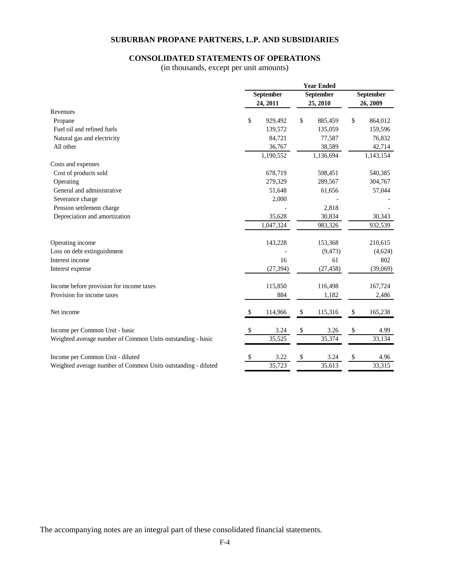## **CONSOLIDATED STATEMENTS OF OPERATIONS**

(in thousands, except per unit amounts)

| Revenues<br>\$<br>Propane                                     | <b>September</b><br>24, 2011<br>929,492 | September<br>25, 2010 | September<br>26, 2009 |
|---------------------------------------------------------------|-----------------------------------------|-----------------------|-----------------------|
|                                                               |                                         |                       |                       |
|                                                               |                                         |                       |                       |
|                                                               |                                         | \$<br>885,459         | \$<br>864,012         |
| Fuel oil and refined fuels                                    | 139,572                                 | 135,059               | 159,596               |
| Natural gas and electricity                                   | 84,721                                  | 77,587                | 76,832                |
| All other                                                     | 36,767                                  | 38,589                | 42,714                |
|                                                               | 1,190,552                               | 1,136,694             | 1,143,154             |
| Costs and expenses                                            |                                         |                       |                       |
| Cost of products sold                                         | 678,719                                 | 598,451               | 540,385               |
| Operating                                                     | 279,329                                 | 289,567               | 304,767               |
| General and administrative                                    | 51,648                                  | 61,656                | 57,044                |
| Severance charge                                              | 2,000                                   |                       |                       |
| Pension settlement charge                                     |                                         | 2,818                 |                       |
| Depreciation and amortization                                 | 35,628                                  | 30,834                | 30,343                |
|                                                               | 1,047,324                               | 983,326               | 932,539               |
| Operating income                                              | 143,228                                 | 153,368               | 210,615               |
| Loss on debt extinguishment                                   |                                         | (9, 473)              | (4,624)               |
| Interest income                                               | 16                                      | 61                    | 802                   |
| Interest expense                                              | (27, 394)                               | (27, 458)             | (39,069)              |
| Income before provision for income taxes                      | 115,850                                 | 116,498               | 167,724               |
| Provision for income taxes                                    | 884                                     | 1,182                 | 2,486                 |
| Net income<br>S                                               | 114,966                                 | \$<br>115,316         | \$<br>165,238         |
| Income per Common Unit - basic<br>\$                          | 3.24                                    | \$<br>3.26            | \$<br>4.99            |
| Weighted average number of Common Units outstanding - basic   | 35,525                                  | 35,374                | 33,134                |
| Income per Common Unit - diluted<br>\$                        | 3.22                                    | \$<br>3.24            | \$<br>4.96            |
| Weighted average number of Common Units outstanding - diluted | 35,723                                  | 35,613                | 33,315                |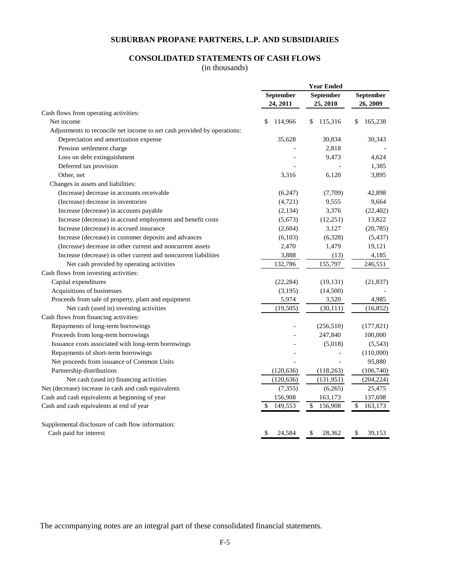# **CONSOLIDATED STATEMENTS OF CASH FLOWS**

(in thousands)

|                                                                         | <b>Year Ended</b> |               |               |  |
|-------------------------------------------------------------------------|-------------------|---------------|---------------|--|
|                                                                         | <b>September</b>  | September     | September     |  |
|                                                                         | 24, 2011          | 25, 2010      | 26, 2009      |  |
| Cash flows from operating activities:                                   |                   |               |               |  |
| Net income                                                              | 114,966<br>\$     | 115,316<br>\$ | \$<br>165,238 |  |
| Adjustments to reconcile net income to net cash provided by operations: |                   |               |               |  |
| Depreciation and amortization expense                                   | 35,628            | 30,834        | 30,343        |  |
| Pension settlement charge                                               |                   | 2,818         |               |  |
| Loss on debt extinguishment                                             |                   | 9,473         | 4,624         |  |
| Deferred tax provision                                                  |                   |               | 1,385         |  |
| Other, net                                                              | 3,316             | 6,120         | 3,895         |  |
| Changes in assets and liabilities:                                      |                   |               |               |  |
| (Increase) decrease in accounts receivable                              | (6,247)           | (7,709)       | 42,898        |  |
| (Increase) decrease in inventories                                      | (4, 721)          | 9,555         | 9,664         |  |
| Increase (decrease) in accounts payable                                 | (2, 134)          | 3,376         | (22, 402)     |  |
| Increase (decrease) in accrued employment and benefit costs             | (5,673)           | (12,251)      | 13,822        |  |
| Increase (decrease) in accrued insurance                                | (2,604)           | 3,127         | (20, 785)     |  |
| Increase (decrease) in customer deposits and advances                   | (6,103)           | (6,328)       | (5, 437)      |  |
| (Increase) decrease in other current and noncurrent assets              | 2,470             | 1,479         | 19,121        |  |
| Increase (decrease) in other current and noncurrent liabilities         | 3,888             | (13)          | 4,185         |  |
| Net cash provided by operating activities                               | 132,786           | 155,797       | 246,551       |  |
| Cash flows from investing activities:                                   |                   |               |               |  |
| Capital expenditures                                                    | (22, 284)         | (19, 131)     | (21, 837)     |  |
| Acquisitions of businesses                                              | (3,195)           | (14,500)      |               |  |
| Proceeds from sale of property, plant and equipment                     | 5,974             | 3,520         | 4,985         |  |
| Net cash (used in) investing activities                                 | (19, 505)         | (30, 111)     | (16, 852)     |  |
| Cash flows from financing activities:                                   |                   |               |               |  |
| Repayments of long-term borrowings                                      |                   | (256, 510)    | (177, 821)    |  |
| Proceeds from long-term borrowings                                      |                   | 247,840       | 100,000       |  |
| Issuance costs associated with long-term borrowings                     |                   | (5,018)       | (5,543)       |  |
| Repayments of short-term borrowings                                     |                   |               | (110,000)     |  |
| Net proceeds from issuance of Common Units                              |                   |               | 95,880        |  |
| Partnership distributions                                               | (120, 636)        | (118, 263)    | (106,740)     |  |
| Net cash (used in) financing activities                                 | (120, 636)        | (131,951)     | (204, 224)    |  |
| Net (decrease) increase in cash and cash equivalents                    | (7, 355)          | (6,265)       | 25,475        |  |
| Cash and cash equivalents at beginning of year                          | 156,908           | 163,173       | 137,698       |  |
| Cash and cash equivalents at end of year                                | \$<br>149,553     | \$<br>156,908 | \$<br>163,173 |  |
| Supplemental disclosure of cash flow information:                       |                   |               |               |  |
| Cash paid for interest                                                  | \$<br>24,584      | \$<br>28,362  | \$<br>39,153  |  |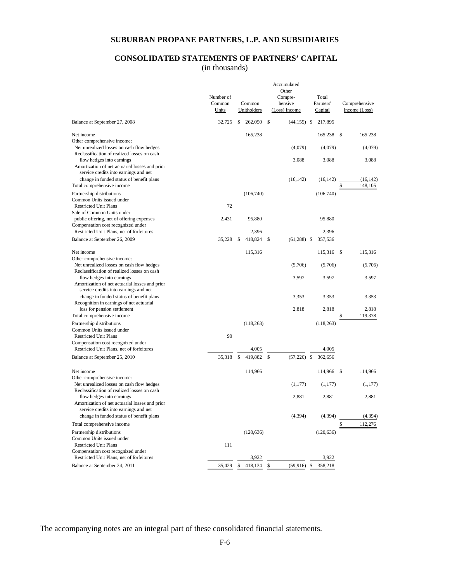# **CONSOLIDATED STATEMENTS OF PARTNERS' CAPITAL**

(in thousands)

|                                                                                                                         | Number of<br>Common<br>Units | Common<br>Unitholders | Accumulated<br>Other<br>Compre-<br>hensive<br>(Loss) Income | Total<br>Partners'<br><b>Capital</b> | Comprehensive<br>Income (Loss) |
|-------------------------------------------------------------------------------------------------------------------------|------------------------------|-----------------------|-------------------------------------------------------------|--------------------------------------|--------------------------------|
| Balance at September 27, 2008                                                                                           | 32,725                       | 262,050<br>\$         | \$<br>$(44, 155)$ \$                                        | 217,895                              |                                |
| Net income                                                                                                              |                              | 165,238               |                                                             | 165,238                              | -\$<br>165,238                 |
| Other comprehensive income:<br>Net unrealized losses on cash flow hedges<br>Reclassification of realized losses on cash |                              |                       | (4,079)                                                     | (4,079)                              | (4,079)                        |
| flow hedges into earnings<br>Amortization of net actuarial losses and prior<br>service credits into earnings and net    |                              |                       | 3,088                                                       | 3,088                                | 3,088                          |
| change in funded status of benefit plans<br>Total comprehensive income                                                  |                              |                       | (16, 142)                                                   | (16, 142)                            | (16, 142)<br>\$<br>148,105     |
| Partnership distributions<br>Common Units issued under                                                                  |                              | (106,740)             |                                                             | (106,740)                            |                                |
| <b>Restricted Unit Plans</b><br>Sale of Common Units under                                                              | 72                           |                       |                                                             |                                      |                                |
| public offering, net of offering expenses<br>Compensation cost recognized under                                         | 2,431                        | 95,880                |                                                             | 95,880                               |                                |
| Restricted Unit Plans, net of forfeitures                                                                               |                              | 2,396                 |                                                             | 2,396                                |                                |
| Balance at September 26, 2009                                                                                           | 35,228                       | \$<br>418.824         | \$<br>(61, 288)                                             | \$<br>357,536                        |                                |
| Net income<br>Other comprehensive income:                                                                               |                              | 115,316               |                                                             | 115,316                              | 115,316<br>- \$                |
| Net unrealized losses on cash flow hedges<br>Reclassification of realized losses on cash                                |                              |                       | (5,706)                                                     | (5,706)                              | (5,706)                        |
| flow hedges into earnings<br>Amortization of net actuarial losses and prior<br>service credits into earnings and net    |                              |                       | 3,597                                                       | 3,597                                | 3,597                          |
| change in funded status of benefit plans<br>Recognition in earnings of net actuarial                                    |                              |                       | 3,353                                                       | 3,353                                | 3,353                          |
| loss for pension settlement<br>Total comprehensive income                                                               |                              |                       | 2,818                                                       | 2,818                                | 2,818<br>\$<br>119,378         |
| Partnership distributions<br>Common Units issued under                                                                  |                              | (118, 263)            |                                                             | (118, 263)                           |                                |
| <b>Restricted Unit Plans</b><br>Compensation cost recognized under                                                      | 90                           |                       |                                                             |                                      |                                |
| Restricted Unit Plans, net of forfeitures                                                                               |                              | 4,005                 |                                                             | 4,005                                |                                |
| Balance at September 25, 2010                                                                                           | 35,318                       | \$<br>419,882         | -\$<br>$(57,226)$ \$                                        | 362,656                              |                                |
| Net income<br>Other comprehensive income:                                                                               |                              | 114,966               |                                                             | 114,966                              | -\$<br>114,966                 |
| Net unrealized losses on cash flow hedges<br>Reclassification of realized losses on cash                                |                              |                       | (1,177)                                                     | (1,177)                              | (1,177)                        |
| flow hedges into earnings<br>Amortization of net actuarial losses and prior<br>service credits into earnings and net    |                              |                       | 2,881                                                       | 2,881                                | 2,881                          |
| change in funded status of benefit plans                                                                                |                              |                       | (4, 394)                                                    | (4, 394)                             | (4,394)                        |
| Total comprehensive income                                                                                              |                              |                       |                                                             |                                      | 112,276                        |
| Partnership distributions<br>Common Units issued under                                                                  |                              | (120, 636)            |                                                             | (120, 636)                           |                                |
| <b>Restricted Unit Plans</b><br>Compensation cost recognized under                                                      | 111                          |                       |                                                             |                                      |                                |
| Restricted Unit Plans, net of forfeitures                                                                               |                              | 3,922                 |                                                             | 3,922                                |                                |
| Balance at September 24, 2011                                                                                           | 35,429                       | \$<br>418,134         | - \$<br>$(59,916)$ \$                                       | 358,218                              |                                |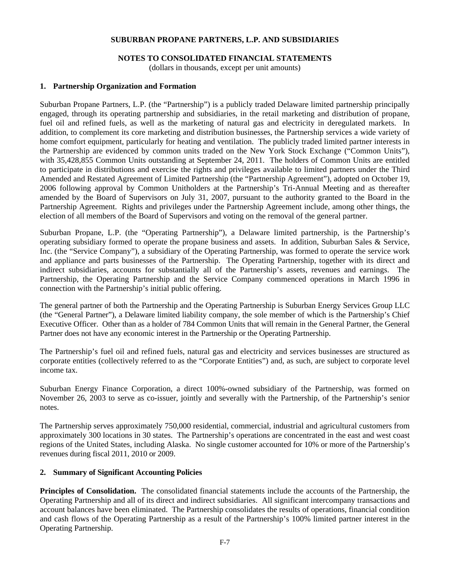## **NOTES TO CONSOLIDATED FINANCIAL STATEMENTS**

(dollars in thousands, except per unit amounts)

### **1. Partnership Organization and Formation**

Suburban Propane Partners, L.P. (the "Partnership") is a publicly traded Delaware limited partnership principally engaged, through its operating partnership and subsidiaries, in the retail marketing and distribution of propane, fuel oil and refined fuels, as well as the marketing of natural gas and electricity in deregulated markets. In addition, to complement its core marketing and distribution businesses, the Partnership services a wide variety of home comfort equipment, particularly for heating and ventilation. The publicly traded limited partner interests in the Partnership are evidenced by common units traded on the New York Stock Exchange ("Common Units"), with 35,428,855 Common Units outstanding at September 24, 2011. The holders of Common Units are entitled to participate in distributions and exercise the rights and privileges available to limited partners under the Third Amended and Restated Agreement of Limited Partnership (the "Partnership Agreement"), adopted on October 19, 2006 following approval by Common Unitholders at the Partnership's Tri-Annual Meeting and as thereafter amended by the Board of Supervisors on July 31, 2007, pursuant to the authority granted to the Board in the Partnership Agreement. Rights and privileges under the Partnership Agreement include, among other things, the election of all members of the Board of Supervisors and voting on the removal of the general partner.

Suburban Propane, L.P. (the "Operating Partnership"), a Delaware limited partnership, is the Partnership's operating subsidiary formed to operate the propane business and assets. In addition, Suburban Sales & Service, Inc. (the "Service Company"), a subsidiary of the Operating Partnership, was formed to operate the service work and appliance and parts businesses of the Partnership. The Operating Partnership, together with its direct and indirect subsidiaries, accounts for substantially all of the Partnership's assets, revenues and earnings. The Partnership, the Operating Partnership and the Service Company commenced operations in March 1996 in connection with the Partnership's initial public offering.

The general partner of both the Partnership and the Operating Partnership is Suburban Energy Services Group LLC (the "General Partner"), a Delaware limited liability company, the sole member of which is the Partnership's Chief Executive Officer. Other than as a holder of 784 Common Units that will remain in the General Partner, the General Partner does not have any economic interest in the Partnership or the Operating Partnership.

The Partnership's fuel oil and refined fuels, natural gas and electricity and services businesses are structured as corporate entities (collectively referred to as the "Corporate Entities") and, as such, are subject to corporate level income tax.

Suburban Energy Finance Corporation, a direct 100%-owned subsidiary of the Partnership, was formed on November 26, 2003 to serve as co-issuer, jointly and severally with the Partnership, of the Partnership's senior notes.

The Partnership serves approximately 750,000 residential, commercial, industrial and agricultural customers from approximately 300 locations in 30 states. The Partnership's operations are concentrated in the east and west coast regions of the United States, including Alaska. No single customer accounted for 10% or more of the Partnership's revenues during fiscal 2011, 2010 or 2009.

## **2. Summary of Significant Accounting Policies**

**Principles of Consolidation.** The consolidated financial statements include the accounts of the Partnership, the Operating Partnership and all of its direct and indirect subsidiaries. All significant intercompany transactions and account balances have been eliminated. The Partnership consolidates the results of operations, financial condition and cash flows of the Operating Partnership as a result of the Partnership's 100% limited partner interest in the Operating Partnership.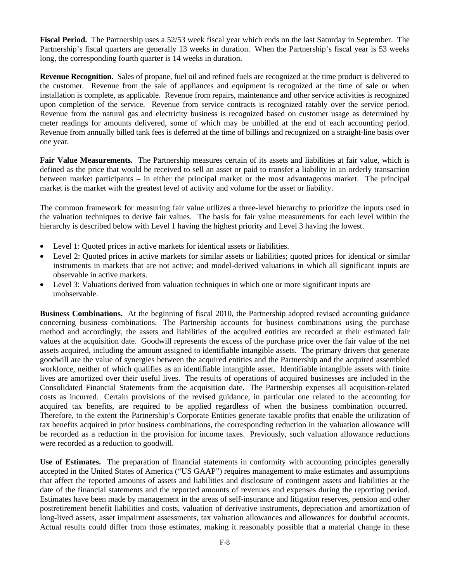**Fiscal Period.** The Partnership uses a 52/53 week fiscal year which ends on the last Saturday in September. The Partnership's fiscal quarters are generally 13 weeks in duration. When the Partnership's fiscal year is 53 weeks long, the corresponding fourth quarter is 14 weeks in duration.

**Revenue Recognition.** Sales of propane, fuel oil and refined fuels are recognized at the time product is delivered to the customer. Revenue from the sale of appliances and equipment is recognized at the time of sale or when installation is complete, as applicable. Revenue from repairs, maintenance and other service activities is recognized upon completion of the service. Revenue from service contracts is recognized ratably over the service period. Revenue from the natural gas and electricity business is recognized based on customer usage as determined by meter readings for amounts delivered, some of which may be unbilled at the end of each accounting period. Revenue from annually billed tank fees is deferred at the time of billings and recognized on a straight-line basis over one year.

**Fair Value Measurements.** The Partnership measures certain of its assets and liabilities at fair value, which is defined as the price that would be received to sell an asset or paid to transfer a liability in an orderly transaction between market participants – in either the principal market or the most advantageous market. The principal market is the market with the greatest level of activity and volume for the asset or liability.

The common framework for measuring fair value utilizes a three-level hierarchy to prioritize the inputs used in the valuation techniques to derive fair values. The basis for fair value measurements for each level within the hierarchy is described below with Level 1 having the highest priority and Level 3 having the lowest.

- Level 1: Quoted prices in active markets for identical assets or liabilities.
- Level 2: Quoted prices in active markets for similar assets or liabilities; quoted prices for identical or similar instruments in markets that are not active; and model-derived valuations in which all significant inputs are observable in active markets.
- Level 3: Valuations derived from valuation techniques in which one or more significant inputs are unobservable.

**Business Combinations.** At the beginning of fiscal 2010, the Partnership adopted revised accounting guidance concerning business combinations. The Partnership accounts for business combinations using the purchase method and accordingly, the assets and liabilities of the acquired entities are recorded at their estimated fair values at the acquisition date. Goodwill represents the excess of the purchase price over the fair value of the net assets acquired, including the amount assigned to identifiable intangible assets. The primary drivers that generate goodwill are the value of synergies between the acquired entities and the Partnership and the acquired assembled workforce, neither of which qualifies as an identifiable intangible asset. Identifiable intangible assets with finite lives are amortized over their useful lives. The results of operations of acquired businesses are included in the Consolidated Financial Statements from the acquisition date. The Partnership expenses all acquisition-related costs as incurred. Certain provisions of the revised guidance, in particular one related to the accounting for acquired tax benefits, are required to be applied regardless of when the business combination occurred. Therefore, to the extent the Partnership's Corporate Entities generate taxable profits that enable the utilization of tax benefits acquired in prior business combinations, the corresponding reduction in the valuation allowance will be recorded as a reduction in the provision for income taxes. Previously, such valuation allowance reductions were recorded as a reduction to goodwill.

**Use of Estimates.** The preparation of financial statements in conformity with accounting principles generally accepted in the United States of America ("US GAAP") requires management to make estimates and assumptions that affect the reported amounts of assets and liabilities and disclosure of contingent assets and liabilities at the date of the financial statements and the reported amounts of revenues and expenses during the reporting period. Estimates have been made by management in the areas of self-insurance and litigation reserves, pension and other postretirement benefit liabilities and costs, valuation of derivative instruments, depreciation and amortization of long-lived assets, asset impairment assessments, tax valuation allowances and allowances for doubtful accounts. Actual results could differ from those estimates, making it reasonably possible that a material change in these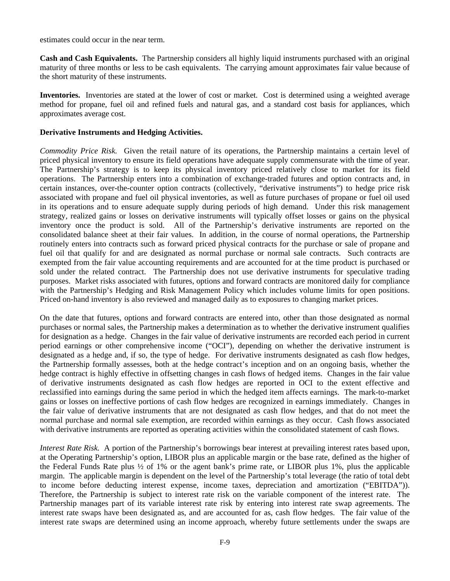estimates could occur in the near term.

**Cash and Cash Equivalents.** The Partnership considers all highly liquid instruments purchased with an original maturity of three months or less to be cash equivalents. The carrying amount approximates fair value because of the short maturity of these instruments.

**Inventories.** Inventories are stated at the lower of cost or market. Cost is determined using a weighted average method for propane, fuel oil and refined fuels and natural gas, and a standard cost basis for appliances, which approximates average cost.

### **Derivative Instruments and Hedging Activities.**

*Commodity Price Risk.* Given the retail nature of its operations, the Partnership maintains a certain level of priced physical inventory to ensure its field operations have adequate supply commensurate with the time of year. The Partnership's strategy is to keep its physical inventory priced relatively close to market for its field operations. The Partnership enters into a combination of exchange-traded futures and option contracts and, in certain instances, over-the-counter option contracts (collectively, "derivative instruments") to hedge price risk associated with propane and fuel oil physical inventories, as well as future purchases of propane or fuel oil used in its operations and to ensure adequate supply during periods of high demand. Under this risk management strategy, realized gains or losses on derivative instruments will typically offset losses or gains on the physical inventory once the product is sold. All of the Partnership's derivative instruments are reported on the consolidated balance sheet at their fair values. In addition, in the course of normal operations, the Partnership routinely enters into contracts such as forward priced physical contracts for the purchase or sale of propane and fuel oil that qualify for and are designated as normal purchase or normal sale contracts. Such contracts are exempted from the fair value accounting requirements and are accounted for at the time product is purchased or sold under the related contract. The Partnership does not use derivative instruments for speculative trading purposes. Market risks associated with futures, options and forward contracts are monitored daily for compliance with the Partnership's Hedging and Risk Management Policy which includes volume limits for open positions. Priced on-hand inventory is also reviewed and managed daily as to exposures to changing market prices.

On the date that futures, options and forward contracts are entered into, other than those designated as normal purchases or normal sales, the Partnership makes a determination as to whether the derivative instrument qualifies for designation as a hedge. Changes in the fair value of derivative instruments are recorded each period in current period earnings or other comprehensive income ("OCI"), depending on whether the derivative instrument is designated as a hedge and, if so, the type of hedge. For derivative instruments designated as cash flow hedges, the Partnership formally assesses, both at the hedge contract's inception and on an ongoing basis, whether the hedge contract is highly effective in offsetting changes in cash flows of hedged items. Changes in the fair value of derivative instruments designated as cash flow hedges are reported in OCI to the extent effective and reclassified into earnings during the same period in which the hedged item affects earnings. The mark-to-market gains or losses on ineffective portions of cash flow hedges are recognized in earnings immediately. Changes in the fair value of derivative instruments that are not designated as cash flow hedges, and that do not meet the normal purchase and normal sale exemption, are recorded within earnings as they occur. Cash flows associated with derivative instruments are reported as operating activities within the consolidated statement of cash flows.

*Interest Rate Risk.* A portion of the Partnership's borrowings bear interest at prevailing interest rates based upon, at the Operating Partnership's option, LIBOR plus an applicable margin or the base rate, defined as the higher of the Federal Funds Rate plus ½ of 1% or the agent bank's prime rate, or LIBOR plus 1%, plus the applicable margin. The applicable margin is dependent on the level of the Partnership's total leverage (the ratio of total debt to income before deducting interest expense, income taxes, depreciation and amortization ("EBITDA")). Therefore, the Partnership is subject to interest rate risk on the variable component of the interest rate. The Partnership manages part of its variable interest rate risk by entering into interest rate swap agreements. The interest rate swaps have been designated as, and are accounted for as, cash flow hedges. The fair value of the interest rate swaps are determined using an income approach, whereby future settlements under the swaps are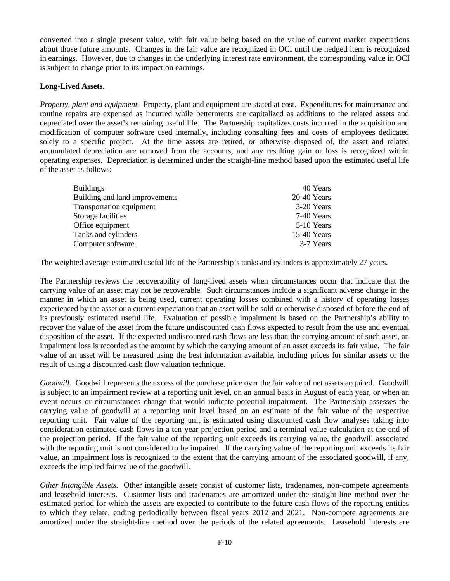converted into a single present value, with fair value being based on the value of current market expectations about those future amounts. Changes in the fair value are recognized in OCI until the hedged item is recognized in earnings. However, due to changes in the underlying interest rate environment, the corresponding value in OCI is subject to change prior to its impact on earnings.

## **Long-Lived Assets.**

*Property, plant and equipment.* Property, plant and equipment are stated at cost. Expenditures for maintenance and routine repairs are expensed as incurred while betterments are capitalized as additions to the related assets and depreciated over the asset's remaining useful life. The Partnership capitalizes costs incurred in the acquisition and modification of computer software used internally, including consulting fees and costs of employees dedicated solely to a specific project. At the time assets are retired, or otherwise disposed of, the asset and related accumulated depreciation are removed from the accounts, and any resulting gain or loss is recognized within operating expenses. Depreciation is determined under the straight-line method based upon the estimated useful life of the asset as follows:

| <b>Buildings</b>               | 40 Years      |
|--------------------------------|---------------|
| Building and land improvements | 20-40 Years   |
| Transportation equipment       | 3-20 Years    |
| Storage facilities             | 7-40 Years    |
| Office equipment               | 5-10 Years    |
| Tanks and cylinders            | $15-40$ Years |
| Computer software              | 3-7 Years     |

The weighted average estimated useful life of the Partnership's tanks and cylinders is approximately 27 years.

The Partnership reviews the recoverability of long-lived assets when circumstances occur that indicate that the carrying value of an asset may not be recoverable. Such circumstances include a significant adverse change in the manner in which an asset is being used, current operating losses combined with a history of operating losses experienced by the asset or a current expectation that an asset will be sold or otherwise disposed of before the end of its previously estimated useful life. Evaluation of possible impairment is based on the Partnership's ability to recover the value of the asset from the future undiscounted cash flows expected to result from the use and eventual disposition of the asset. If the expected undiscounted cash flows are less than the carrying amount of such asset, an impairment loss is recorded as the amount by which the carrying amount of an asset exceeds its fair value. The fair value of an asset will be measured using the best information available, including prices for similar assets or the result of using a discounted cash flow valuation technique.

*Goodwill.* Goodwill represents the excess of the purchase price over the fair value of net assets acquired. Goodwill is subject to an impairment review at a reporting unit level, on an annual basis in August of each year, or when an event occurs or circumstances change that would indicate potential impairment. The Partnership assesses the carrying value of goodwill at a reporting unit level based on an estimate of the fair value of the respective reporting unit. Fair value of the reporting unit is estimated using discounted cash flow analyses taking into consideration estimated cash flows in a ten-year projection period and a terminal value calculation at the end of the projection period. If the fair value of the reporting unit exceeds its carrying value, the goodwill associated with the reporting unit is not considered to be impaired. If the carrying value of the reporting unit exceeds its fair value, an impairment loss is recognized to the extent that the carrying amount of the associated goodwill, if any, exceeds the implied fair value of the goodwill.

*Other Intangible Assets.* Other intangible assets consist of customer lists, tradenames, non-compete agreements and leasehold interests. Customer lists and tradenames are amortized under the straight-line method over the estimated period for which the assets are expected to contribute to the future cash flows of the reporting entities to which they relate, ending periodically between fiscal years 2012 and 2021. Non-compete agreements are amortized under the straight-line method over the periods of the related agreements. Leasehold interests are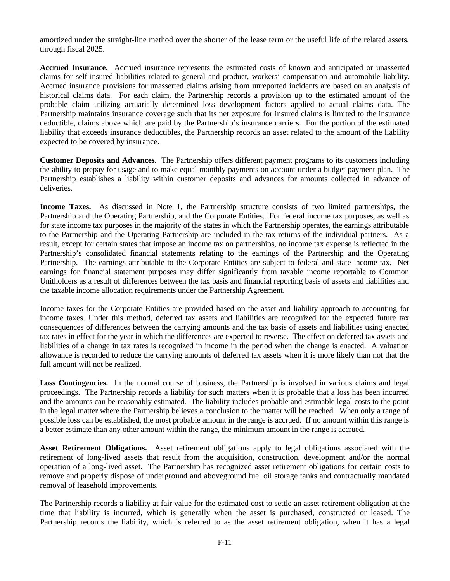amortized under the straight-line method over the shorter of the lease term or the useful life of the related assets, through fiscal 2025.

**Accrued Insurance.** Accrued insurance represents the estimated costs of known and anticipated or unasserted claims for self-insured liabilities related to general and product, workers' compensation and automobile liability. Accrued insurance provisions for unasserted claims arising from unreported incidents are based on an analysis of historical claims data. For each claim, the Partnership records a provision up to the estimated amount of the probable claim utilizing actuarially determined loss development factors applied to actual claims data. The Partnership maintains insurance coverage such that its net exposure for insured claims is limited to the insurance deductible, claims above which are paid by the Partnership's insurance carriers. For the portion of the estimated liability that exceeds insurance deductibles, the Partnership records an asset related to the amount of the liability expected to be covered by insurance.

**Customer Deposits and Advances.** The Partnership offers different payment programs to its customers including the ability to prepay for usage and to make equal monthly payments on account under a budget payment plan. The Partnership establishes a liability within customer deposits and advances for amounts collected in advance of deliveries.

**Income Taxes.** As discussed in Note 1, the Partnership structure consists of two limited partnerships, the Partnership and the Operating Partnership, and the Corporate Entities. For federal income tax purposes, as well as for state income tax purposes in the majority of the states in which the Partnership operates, the earnings attributable to the Partnership and the Operating Partnership are included in the tax returns of the individual partners. As a result, except for certain states that impose an income tax on partnerships, no income tax expense is reflected in the Partnership's consolidated financial statements relating to the earnings of the Partnership and the Operating Partnership. The earnings attributable to the Corporate Entities are subject to federal and state income tax. Net earnings for financial statement purposes may differ significantly from taxable income reportable to Common Unitholders as a result of differences between the tax basis and financial reporting basis of assets and liabilities and the taxable income allocation requirements under the Partnership Agreement.

Income taxes for the Corporate Entities are provided based on the asset and liability approach to accounting for income taxes. Under this method, deferred tax assets and liabilities are recognized for the expected future tax consequences of differences between the carrying amounts and the tax basis of assets and liabilities using enacted tax rates in effect for the year in which the differences are expected to reverse. The effect on deferred tax assets and liabilities of a change in tax rates is recognized in income in the period when the change is enacted. A valuation allowance is recorded to reduce the carrying amounts of deferred tax assets when it is more likely than not that the full amount will not be realized.

**Loss Contingencies.** In the normal course of business, the Partnership is involved in various claims and legal proceedings. The Partnership records a liability for such matters when it is probable that a loss has been incurred and the amounts can be reasonably estimated. The liability includes probable and estimable legal costs to the point in the legal matter where the Partnership believes a conclusion to the matter will be reached. When only a range of possible loss can be established, the most probable amount in the range is accrued. If no amount within this range is a better estimate than any other amount within the range, the minimum amount in the range is accrued.

**Asset Retirement Obligations.** Asset retirement obligations apply to legal obligations associated with the retirement of long-lived assets that result from the acquisition, construction, development and/or the normal operation of a long-lived asset. The Partnership has recognized asset retirement obligations for certain costs to remove and properly dispose of underground and aboveground fuel oil storage tanks and contractually mandated removal of leasehold improvements.

The Partnership records a liability at fair value for the estimated cost to settle an asset retirement obligation at the time that liability is incurred, which is generally when the asset is purchased, constructed or leased. The Partnership records the liability, which is referred to as the asset retirement obligation, when it has a legal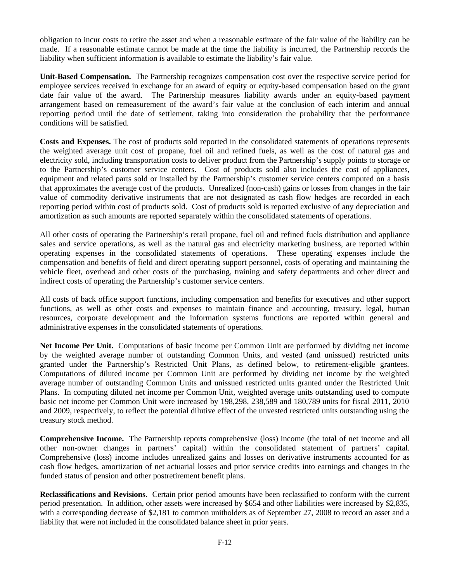obligation to incur costs to retire the asset and when a reasonable estimate of the fair value of the liability can be made. If a reasonable estimate cannot be made at the time the liability is incurred, the Partnership records the liability when sufficient information is available to estimate the liability's fair value.

**Unit-Based Compensation.** The Partnership recognizes compensation cost over the respective service period for employee services received in exchange for an award of equity or equity-based compensation based on the grant date fair value of the award. The Partnership measures liability awards under an equity-based payment arrangement based on remeasurement of the award's fair value at the conclusion of each interim and annual reporting period until the date of settlement, taking into consideration the probability that the performance conditions will be satisfied.

**Costs and Expenses.** The cost of products sold reported in the consolidated statements of operations represents the weighted average unit cost of propane, fuel oil and refined fuels, as well as the cost of natural gas and electricity sold, including transportation costs to deliver product from the Partnership's supply points to storage or to the Partnership's customer service centers. Cost of products sold also includes the cost of appliances, equipment and related parts sold or installed by the Partnership's customer service centers computed on a basis that approximates the average cost of the products. Unrealized (non-cash) gains or losses from changes in the fair value of commodity derivative instruments that are not designated as cash flow hedges are recorded in each reporting period within cost of products sold. Cost of products sold is reported exclusive of any depreciation and amortization as such amounts are reported separately within the consolidated statements of operations.

All other costs of operating the Partnership's retail propane, fuel oil and refined fuels distribution and appliance sales and service operations, as well as the natural gas and electricity marketing business, are reported within operating expenses in the consolidated statements of operations. These operating expenses include the compensation and benefits of field and direct operating support personnel, costs of operating and maintaining the vehicle fleet, overhead and other costs of the purchasing, training and safety departments and other direct and indirect costs of operating the Partnership's customer service centers.

All costs of back office support functions, including compensation and benefits for executives and other support functions, as well as other costs and expenses to maintain finance and accounting, treasury, legal, human resources, corporate development and the information systems functions are reported within general and administrative expenses in the consolidated statements of operations.

**Net Income Per Unit.** Computations of basic income per Common Unit are performed by dividing net income by the weighted average number of outstanding Common Units, and vested (and unissued) restricted units granted under the Partnership's Restricted Unit Plans, as defined below, to retirement-eligible grantees. Computations of diluted income per Common Unit are performed by dividing net income by the weighted average number of outstanding Common Units and unissued restricted units granted under the Restricted Unit Plans. In computing diluted net income per Common Unit, weighted average units outstanding used to compute basic net income per Common Unit were increased by 198,298, 238,589 and 180,789 units for fiscal 2011, 2010 and 2009, respectively, to reflect the potential dilutive effect of the unvested restricted units outstanding using the treasury stock method.

**Comprehensive Income.** The Partnership reports comprehensive (loss) income (the total of net income and all other non-owner changes in partners' capital) within the consolidated statement of partners' capital. Comprehensive (loss) income includes unrealized gains and losses on derivative instruments accounted for as cash flow hedges, amortization of net actuarial losses and prior service credits into earnings and changes in the funded status of pension and other postretirement benefit plans.

**Reclassifications and Revisions.** Certain prior period amounts have been reclassified to conform with the current period presentation. In addition, other assets were increased by \$654 and other liabilities were increased by \$2,835, with a corresponding decrease of \$2,181 to common unitholders as of September 27, 2008 to record an asset and a liability that were not included in the consolidated balance sheet in prior years.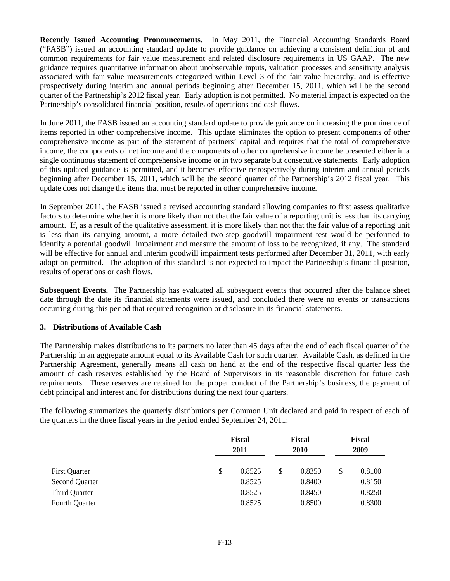**Recently Issued Accounting Pronouncements.** In May 2011, the Financial Accounting Standards Board ("FASB") issued an accounting standard update to provide guidance on achieving a consistent definition of and common requirements for fair value measurement and related disclosure requirements in US GAAP. The new guidance requires quantitative information about unobservable inputs, valuation processes and sensitivity analysis associated with fair value measurements categorized within Level 3 of the fair value hierarchy, and is effective prospectively during interim and annual periods beginning after December 15, 2011, which will be the second quarter of the Partnership's 2012 fiscal year. Early adoption is not permitted. No material impact is expected on the Partnership's consolidated financial position, results of operations and cash flows.

In June 2011, the FASB issued an accounting standard update to provide guidance on increasing the prominence of items reported in other comprehensive income. This update eliminates the option to present components of other comprehensive income as part of the statement of partners' capital and requires that the total of comprehensive income, the components of net income and the components of other comprehensive income be presented either in a single continuous statement of comprehensive income or in two separate but consecutive statements. Early adoption of this updated guidance is permitted, and it becomes effective retrospectively during interim and annual periods beginning after December 15, 2011, which will be the second quarter of the Partnership's 2012 fiscal year. This update does not change the items that must be reported in other comprehensive income.

In September 2011, the FASB issued a revised accounting standard allowing companies to first assess qualitative factors to determine whether it is more likely than not that the fair value of a reporting unit is less than its carrying amount. If, as a result of the qualitative assessment, it is more likely than not that the fair value of a reporting unit is less than its carrying amount, a more detailed two-step goodwill impairment test would be performed to identify a potential goodwill impairment and measure the amount of loss to be recognized, if any. The standard will be effective for annual and interim goodwill impairment tests performed after December 31, 2011, with early adoption permitted. The adoption of this standard is not expected to impact the Partnership's financial position, results of operations or cash flows.

**Subsequent Events.** The Partnership has evaluated all subsequent events that occurred after the balance sheet date through the date its financial statements were issued, and concluded there were no events or transactions occurring during this period that required recognition or disclosure in its financial statements.

## **3. Distributions of Available Cash**

The Partnership makes distributions to its partners no later than 45 days after the end of each fiscal quarter of the Partnership in an aggregate amount equal to its Available Cash for such quarter. Available Cash, as defined in the Partnership Agreement, generally means all cash on hand at the end of the respective fiscal quarter less the amount of cash reserves established by the Board of Supervisors in its reasonable discretion for future cash requirements. These reserves are retained for the proper conduct of the Partnership's business, the payment of debt principal and interest and for distributions during the next four quarters.

The following summarizes the quarterly distributions per Common Unit declared and paid in respect of each of the quarters in the three fiscal years in the period ended September 24, 2011:

|                      | <b>Fiscal</b><br>2011 | <b>Fiscal</b><br>2010 |        | <b>Fiscal</b><br>2009 |        |
|----------------------|-----------------------|-----------------------|--------|-----------------------|--------|
| <b>First Quarter</b> | \$<br>0.8525          | S                     | 0.8350 | \$                    | 0.8100 |
| Second Quarter       | 0.8525                |                       | 0.8400 |                       | 0.8150 |
| Third Quarter        | 0.8525                |                       | 0.8450 |                       | 0.8250 |
| Fourth Quarter       | 0.8525                |                       | 0.8500 |                       | 0.8300 |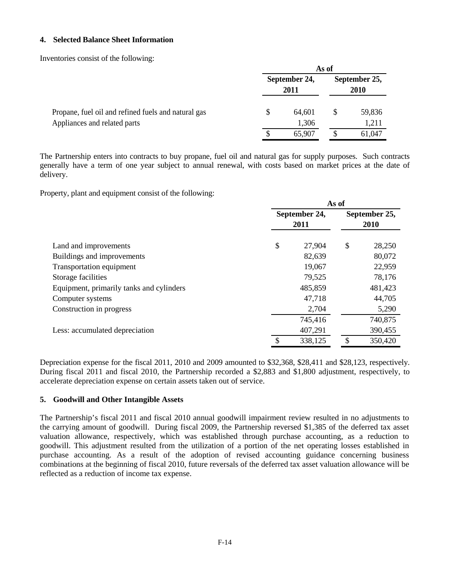## **4. Selected Balance Sheet Information**

Inventories consist of the following:

|                                                                                     | As of |                       |  |                       |  |  |  |
|-------------------------------------------------------------------------------------|-------|-----------------------|--|-----------------------|--|--|--|
|                                                                                     |       | September 24,<br>2011 |  | September 25,<br>2010 |  |  |  |
| Propane, fuel oil and refined fuels and natural gas<br>Appliances and related parts | S     | 64,601<br>1,306       |  | 59,836<br>1,211       |  |  |  |
|                                                                                     |       | 65,907                |  | 61,047                |  |  |  |

The Partnership enters into contracts to buy propane, fuel oil and natural gas for supply purposes. Such contracts generally have a term of one year subject to annual renewal, with costs based on market prices at the date of delivery.

Property, plant and equipment consist of the following:

|                                          | As of |                       |    |                              |  |  |
|------------------------------------------|-------|-----------------------|----|------------------------------|--|--|
|                                          |       | September 24,<br>2011 |    | September 25,<br><b>2010</b> |  |  |
|                                          |       |                       |    |                              |  |  |
| Land and improvements                    | \$    | 27,904                | \$ | 28,250                       |  |  |
| Buildings and improvements               |       | 82,639                |    | 80,072                       |  |  |
| Transportation equipment                 |       | 19,067                |    | 22,959                       |  |  |
| Storage facilities                       |       | 79,525                |    | 78,176                       |  |  |
| Equipment, primarily tanks and cylinders |       | 485,859               |    | 481,423                      |  |  |
| Computer systems                         |       | 47,718                |    | 44,705                       |  |  |
| Construction in progress                 |       | 2,704                 |    | 5,290                        |  |  |
|                                          |       | 745,416               |    | 740,875                      |  |  |
| Less: accumulated depreciation           |       | 407,291               |    | 390,455                      |  |  |
|                                          |       | 338,125               |    | 350,420                      |  |  |

Depreciation expense for the fiscal 2011, 2010 and 2009 amounted to \$32,368, \$28,411 and \$28,123, respectively. During fiscal 2011 and fiscal 2010, the Partnership recorded a \$2,883 and \$1,800 adjustment, respectively, to accelerate depreciation expense on certain assets taken out of service.

## **5. Goodwill and Other Intangible Assets**

The Partnership's fiscal 2011 and fiscal 2010 annual goodwill impairment review resulted in no adjustments to the carrying amount of goodwill. During fiscal 2009, the Partnership reversed \$1,385 of the deferred tax asset valuation allowance, respectively, which was established through purchase accounting, as a reduction to goodwill. This adjustment resulted from the utilization of a portion of the net operating losses established in purchase accounting. As a result of the adoption of revised accounting guidance concerning business combinations at the beginning of fiscal 2010, future reversals of the deferred tax asset valuation allowance will be reflected as a reduction of income tax expense.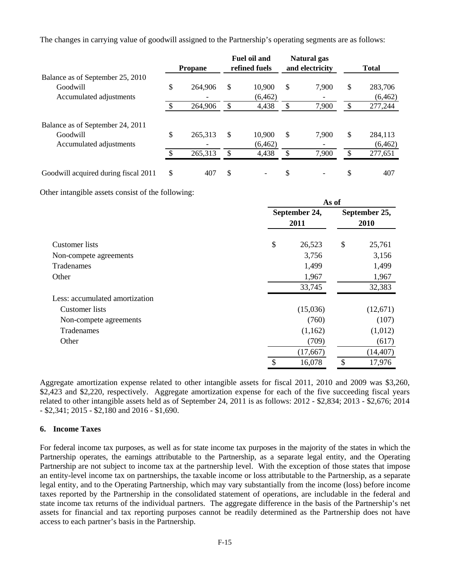The changes in carrying value of goodwill assigned to the Partnership's operating segments are as follows:

|                                      | <b>Propane</b> |    | <b>Fuel oil and</b><br>refined fuels |    | Natural gas<br>and electricity | <b>Total</b>  |
|--------------------------------------|----------------|----|--------------------------------------|----|--------------------------------|---------------|
| Balance as of September 25, 2010     |                |    |                                      |    |                                |               |
| Goodwill                             | \$<br>264,906  | S  | 10,900                               | -S | 7,900                          | \$<br>283,706 |
| Accumulated adjustments              |                |    | (6, 462)                             |    |                                | (6, 462)      |
|                                      | 264,906        |    | 4,438                                |    | 7,900                          | \$<br>277,244 |
| Balance as of September 24, 2011     |                |    |                                      |    |                                |               |
| Goodwill                             | \$<br>265,313  | \$ | 10.900                               | -S | 7,900                          | \$<br>284.113 |
| Accumulated adjustments              |                |    | (6, 462)                             |    |                                | (6, 462)      |
|                                      | 265,313        |    | 4,438                                |    | 7,900                          | \$<br>277,651 |
| Goodwill acquired during fiscal 2011 | \$<br>407      |    |                                      |    |                                | \$<br>407     |

Other intangible assets consist of the following:

|                                |               | As of         |               |               |  |  |  |
|--------------------------------|---------------|---------------|---------------|---------------|--|--|--|
|                                |               | September 24, |               | September 25, |  |  |  |
|                                |               | 2011          |               | 2010          |  |  |  |
| Customer lists                 | \$            | 26,523        | \$            | 25,761        |  |  |  |
| Non-compete agreements         |               | 3,756         |               | 3,156         |  |  |  |
| Tradenames                     |               | 1,499         |               | 1,499         |  |  |  |
| Other                          |               | 1,967         |               | 1,967         |  |  |  |
|                                |               | 33,745        |               | 32,383        |  |  |  |
| Less: accumulated amortization |               |               |               |               |  |  |  |
| Customer lists                 |               | (15,036)      |               | (12,671)      |  |  |  |
| Non-compete agreements         |               | (760)         |               | (107)         |  |  |  |
| Tradenames                     |               | (1,162)       |               | (1,012)       |  |  |  |
| Other                          |               | (709)         |               | (617)         |  |  |  |
|                                |               | (17,667)      |               | (14, 407)     |  |  |  |
|                                | $\mathcal{S}$ | 16,078        | $\mathcal{S}$ | 17,976        |  |  |  |

Aggregate amortization expense related to other intangible assets for fiscal 2011, 2010 and 2009 was \$3,260, \$2,423 and \$2,220, respectively. Aggregate amortization expense for each of the five succeeding fiscal years related to other intangible assets held as of September 24, 2011 is as follows: 2012 - \$2,834; 2013 - \$2,676; 2014 - \$2,341; 2015 - \$2,180 and 2016 - \$1,690.

## **6. Income Taxes**

For federal income tax purposes, as well as for state income tax purposes in the majority of the states in which the Partnership operates, the earnings attributable to the Partnership, as a separate legal entity, and the Operating Partnership are not subject to income tax at the partnership level. With the exception of those states that impose an entity-level income tax on partnerships, the taxable income or loss attributable to the Partnership, as a separate legal entity, and to the Operating Partnership, which may vary substantially from the income (loss) before income taxes reported by the Partnership in the consolidated statement of operations, are includable in the federal and state income tax returns of the individual partners. The aggregate difference in the basis of the Partnership's net assets for financial and tax reporting purposes cannot be readily determined as the Partnership does not have access to each partner's basis in the Partnership.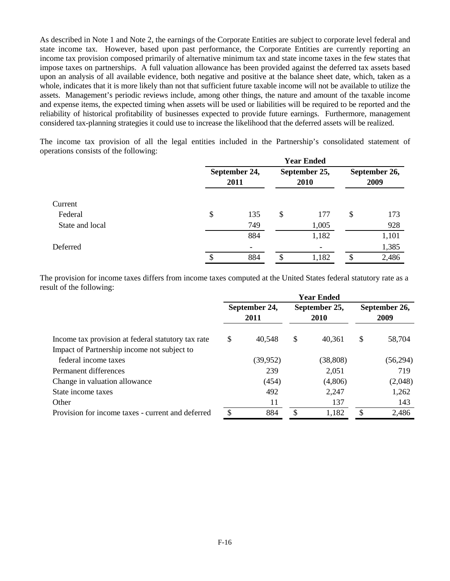As described in Note 1 and Note 2, the earnings of the Corporate Entities are subject to corporate level federal and state income tax. However, based upon past performance, the Corporate Entities are currently reporting an income tax provision composed primarily of alternative minimum tax and state income taxes in the few states that impose taxes on partnerships. A full valuation allowance has been provided against the deferred tax assets based upon an analysis of all available evidence, both negative and positive at the balance sheet date, which, taken as a whole, indicates that it is more likely than not that sufficient future taxable income will not be available to utilize the assets. Management's periodic reviews include, among other things, the nature and amount of the taxable income and expense items, the expected timing when assets will be used or liabilities will be required to be reported and the reliability of historical profitability of businesses expected to provide future earnings. Furthermore, management considered tax-planning strategies it could use to increase the likelihood that the deferred assets will be realized.

The income tax provision of all the legal entities included in the Partnership's consolidated statement of operations consists of the following:

|                 | <b>Year Ended</b>     |     |                       |       |                       |       |  |  |
|-----------------|-----------------------|-----|-----------------------|-------|-----------------------|-------|--|--|
|                 | September 24,<br>2011 |     | September 25,<br>2010 |       | September 26,<br>2009 |       |  |  |
| Current         |                       |     |                       |       |                       |       |  |  |
| Federal         | \$                    | 135 | \$                    | 177   | \$                    | 173   |  |  |
| State and local |                       | 749 |                       | 1,005 |                       | 928   |  |  |
|                 |                       | 884 |                       | 1,182 |                       | 1,101 |  |  |
| Deferred        |                       | -   |                       |       |                       | 1,385 |  |  |
|                 | \$.                   | 884 | \$                    | 1,182 | S                     | 2,486 |  |  |

The provision for income taxes differs from income taxes computed at the United States federal statutory rate as a result of the following:

|                                                    | <b>Year Ended</b> |               |     |               |               |          |  |  |
|----------------------------------------------------|-------------------|---------------|-----|---------------|---------------|----------|--|--|
|                                                    |                   | September 24, |     | September 25, | September 26, |          |  |  |
|                                                    |                   | 2011          |     | 2010          |               | 2009     |  |  |
| Income tax provision at federal statutory tax rate | \$                | 40,548        | \$  | 40,361        | \$            | 58,704   |  |  |
| Impact of Partnership income not subject to        |                   |               |     |               |               |          |  |  |
| federal income taxes                               |                   | (39, 952)     |     | (38, 808)     |               | (56,294) |  |  |
| Permanent differences                              |                   | 239           |     | 2,051         |               | 719      |  |  |
| Change in valuation allowance                      |                   | (454)         |     | (4,806)       |               | (2,048)  |  |  |
| State income taxes                                 |                   | 492           |     | 2,247         |               | 1,262    |  |  |
| Other                                              |                   | 11            |     | 137           |               | 143      |  |  |
| Provision for income taxes - current and deferred  | \$                | 884           | \$. | 1,182         |               | 2,486    |  |  |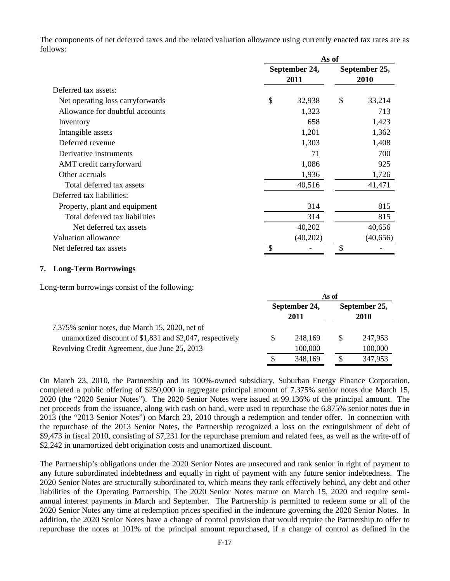The components of net deferred taxes and the related valuation allowance using currently enacted tax rates are as follows:

|                                  | As of |               |    |               |  |
|----------------------------------|-------|---------------|----|---------------|--|
|                                  |       | September 24, |    | September 25, |  |
|                                  |       | 2011          |    | 2010          |  |
| Deferred tax assets:             |       |               |    |               |  |
| Net operating loss carryforwards | \$    | 32,938        | \$ | 33,214        |  |
| Allowance for doubtful accounts  |       | 1,323         |    | 713           |  |
| Inventory                        |       | 658           |    | 1,423         |  |
| Intangible assets                |       | 1,201         |    | 1,362         |  |
| Deferred revenue                 |       | 1,303         |    | 1,408         |  |
| Derivative instruments           |       | 71            |    | 700           |  |
| AMT credit carryforward          |       | 1,086         |    | 925           |  |
| Other accruals                   |       | 1,936         |    | 1,726         |  |
| Total deferred tax assets        |       | 40,516        |    | 41,471        |  |
| Deferred tax liabilities:        |       |               |    |               |  |
| Property, plant and equipment    |       | 314           |    | 815           |  |
| Total deferred tax liabilities   |       | 314           |    | 815           |  |
| Net deferred tax assets          |       | 40,202        |    | 40,656        |  |
| Valuation allowance              |       | (40,202)      |    | (40, 656)     |  |
| Net deferred tax assets          | \$    |               | \$ |               |  |

#### **7. Long-Term Borrowings**

Long-term borrowings consist of the following:

|                                                           | As of |                       |                       |         |  |  |
|-----------------------------------------------------------|-------|-----------------------|-----------------------|---------|--|--|
|                                                           |       | September 24,<br>2011 | September 25,<br>2010 |         |  |  |
| 7.375% senior notes, due March 15, 2020, net of           |       |                       |                       |         |  |  |
| unamortized discount of \$1,831 and \$2,047, respectively | S     | 248.169               |                       | 247,953 |  |  |
| Revolving Credit Agreement, due June 25, 2013             |       | 100,000               |                       | 100,000 |  |  |
|                                                           | S     | 348.169               |                       | 347,953 |  |  |

 On March 23, 2010, the Partnership and its 100%-owned subsidiary, Suburban Energy Finance Corporation, completed a public offering of \$250,000 in aggregate principal amount of 7.375% senior notes due March 15, 2020 (the "2020 Senior Notes"). The 2020 Senior Notes were issued at 99.136% of the principal amount. The net proceeds from the issuance, along with cash on hand, were used to repurchase the 6.875% senior notes due in 2013 (the "2013 Senior Notes") on March 23, 2010 through a redemption and tender offer. In connection with the repurchase of the 2013 Senior Notes, the Partnership recognized a loss on the extinguishment of debt of \$9,473 in fiscal 2010, consisting of \$7,231 for the repurchase premium and related fees, as well as the write-off of \$2,242 in unamortized debt origination costs and unamortized discount.

The Partnership's obligations under the 2020 Senior Notes are unsecured and rank senior in right of payment to any future subordinated indebtedness and equally in right of payment with any future senior indebtedness. The 2020 Senior Notes are structurally subordinated to, which means they rank effectively behind, any debt and other liabilities of the Operating Partnership. The 2020 Senior Notes mature on March 15, 2020 and require semiannual interest payments in March and September. The Partnership is permitted to redeem some or all of the 2020 Senior Notes any time at redemption prices specified in the indenture governing the 2020 Senior Notes. In addition, the 2020 Senior Notes have a change of control provision that would require the Partnership to offer to repurchase the notes at 101% of the principal amount repurchased, if a change of control as defined in the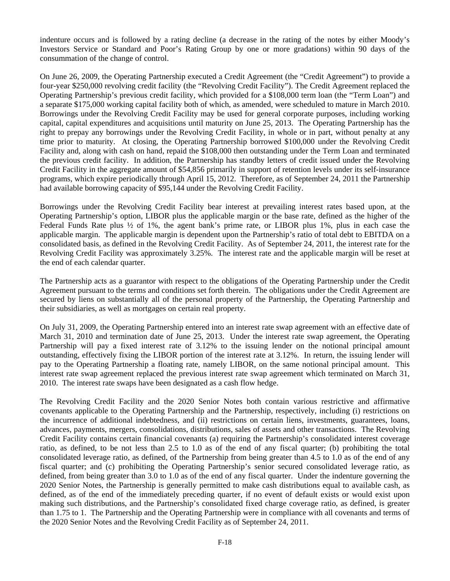indenture occurs and is followed by a rating decline (a decrease in the rating of the notes by either Moody's Investors Service or Standard and Poor's Rating Group by one or more gradations) within 90 days of the consummation of the change of control.

On June 26, 2009, the Operating Partnership executed a Credit Agreement (the "Credit Agreement") to provide a four-year \$250,000 revolving credit facility (the "Revolving Credit Facility"). The Credit Agreement replaced the Operating Partnership's previous credit facility, which provided for a \$108,000 term loan (the "Term Loan") and a separate \$175,000 working capital facility both of which, as amended, were scheduled to mature in March 2010. Borrowings under the Revolving Credit Facility may be used for general corporate purposes, including working capital, capital expenditures and acquisitions until maturity on June 25, 2013. The Operating Partnership has the right to prepay any borrowings under the Revolving Credit Facility, in whole or in part, without penalty at any time prior to maturity. At closing, the Operating Partnership borrowed \$100,000 under the Revolving Credit Facility and, along with cash on hand, repaid the \$108,000 then outstanding under the Term Loan and terminated the previous credit facility. In addition, the Partnership has standby letters of credit issued under the Revolving Credit Facility in the aggregate amount of \$54,856 primarily in support of retention levels under its self-insurance programs, which expire periodically through April 15, 2012. Therefore, as of September 24, 2011 the Partnership had available borrowing capacity of \$95,144 under the Revolving Credit Facility.

Borrowings under the Revolving Credit Facility bear interest at prevailing interest rates based upon, at the Operating Partnership's option, LIBOR plus the applicable margin or the base rate, defined as the higher of the Federal Funds Rate plus ½ of 1%, the agent bank's prime rate, or LIBOR plus 1%, plus in each case the applicable margin. The applicable margin is dependent upon the Partnership's ratio of total debt to EBITDA on a consolidated basis, as defined in the Revolving Credit Facility. As of September 24, 2011, the interest rate for the Revolving Credit Facility was approximately 3.25%. The interest rate and the applicable margin will be reset at the end of each calendar quarter.

The Partnership acts as a guarantor with respect to the obligations of the Operating Partnership under the Credit Agreement pursuant to the terms and conditions set forth therein. The obligations under the Credit Agreement are secured by liens on substantially all of the personal property of the Partnership, the Operating Partnership and their subsidiaries, as well as mortgages on certain real property.

On July 31, 2009, the Operating Partnership entered into an interest rate swap agreement with an effective date of March 31, 2010 and termination date of June 25, 2013. Under the interest rate swap agreement, the Operating Partnership will pay a fixed interest rate of 3.12% to the issuing lender on the notional principal amount outstanding, effectively fixing the LIBOR portion of the interest rate at 3.12%. In return, the issuing lender will pay to the Operating Partnership a floating rate, namely LIBOR, on the same notional principal amount. This interest rate swap agreement replaced the previous interest rate swap agreement which terminated on March 31, 2010. The interest rate swaps have been designated as a cash flow hedge.

The Revolving Credit Facility and the 2020 Senior Notes both contain various restrictive and affirmative covenants applicable to the Operating Partnership and the Partnership, respectively, including (i) restrictions on the incurrence of additional indebtedness, and (ii) restrictions on certain liens, investments, guarantees, loans, advances, payments, mergers, consolidations, distributions, sales of assets and other transactions. The Revolving Credit Facility contains certain financial covenants (a) requiring the Partnership's consolidated interest coverage ratio, as defined, to be not less than 2.5 to 1.0 as of the end of any fiscal quarter; (b) prohibiting the total consolidated leverage ratio, as defined, of the Partnership from being greater than 4.5 to 1.0 as of the end of any fiscal quarter; and (c) prohibiting the Operating Partnership's senior secured consolidated leverage ratio, as defined, from being greater than 3.0 to 1.0 as of the end of any fiscal quarter. Under the indenture governing the 2020 Senior Notes, the Partnership is generally permitted to make cash distributions equal to available cash, as defined, as of the end of the immediately preceding quarter, if no event of default exists or would exist upon making such distributions, and the Partnership's consolidated fixed charge coverage ratio, as defined, is greater than 1.75 to 1. The Partnership and the Operating Partnership were in compliance with all covenants and terms of the 2020 Senior Notes and the Revolving Credit Facility as of September 24, 2011.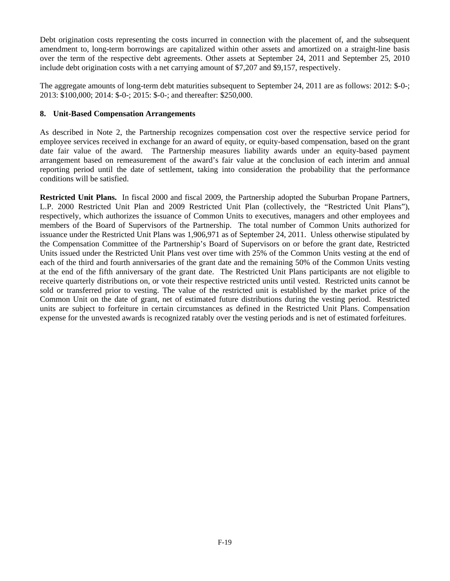Debt origination costs representing the costs incurred in connection with the placement of, and the subsequent amendment to, long-term borrowings are capitalized within other assets and amortized on a straight-line basis over the term of the respective debt agreements. Other assets at September 24, 2011 and September 25, 2010 include debt origination costs with a net carrying amount of \$7,207 and \$9,157, respectively.

The aggregate amounts of long-term debt maturities subsequent to September 24, 2011 are as follows: 2012: \$-0-; 2013: \$100,000; 2014: \$-0-; 2015: \$-0-; and thereafter: \$250,000.

# **8. Unit-Based Compensation Arrangements**

As described in Note 2, the Partnership recognizes compensation cost over the respective service period for employee services received in exchange for an award of equity, or equity-based compensation, based on the grant date fair value of the award. The Partnership measures liability awards under an equity-based payment arrangement based on remeasurement of the award's fair value at the conclusion of each interim and annual reporting period until the date of settlement, taking into consideration the probability that the performance conditions will be satisfied.

**Restricted Unit Plans.** In fiscal 2000 and fiscal 2009, the Partnership adopted the Suburban Propane Partners, L.P. 2000 Restricted Unit Plan and 2009 Restricted Unit Plan (collectively, the "Restricted Unit Plans"), respectively, which authorizes the issuance of Common Units to executives, managers and other employees and members of the Board of Supervisors of the Partnership. The total number of Common Units authorized for issuance under the Restricted Unit Plans was 1,906,971 as of September 24, 2011. Unless otherwise stipulated by the Compensation Committee of the Partnership's Board of Supervisors on or before the grant date, Restricted Units issued under the Restricted Unit Plans vest over time with 25% of the Common Units vesting at the end of each of the third and fourth anniversaries of the grant date and the remaining 50% of the Common Units vesting at the end of the fifth anniversary of the grant date. The Restricted Unit Plans participants are not eligible to receive quarterly distributions on, or vote their respective restricted units until vested. Restricted units cannot be sold or transferred prior to vesting. The value of the restricted unit is established by the market price of the Common Unit on the date of grant, net of estimated future distributions during the vesting period. Restricted units are subject to forfeiture in certain circumstances as defined in the Restricted Unit Plans. Compensation expense for the unvested awards is recognized ratably over the vesting periods and is net of estimated forfeitures.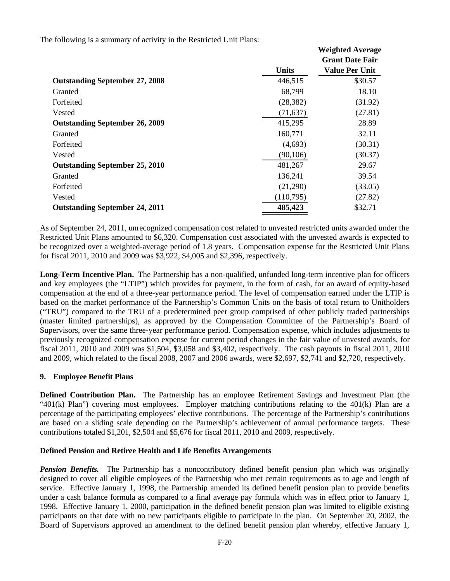The following is a summary of activity in the Restricted Unit Plans:

|                                       |              | <b>Weighted Average</b> |
|---------------------------------------|--------------|-------------------------|
|                                       |              | <b>Grant Date Fair</b>  |
|                                       | <b>Units</b> | <b>Value Per Unit</b>   |
| <b>Outstanding September 27, 2008</b> | 446,515      | \$30.57                 |
| Granted                               | 68,799       | 18.10                   |
| Forfeited                             | (28, 382)    | (31.92)                 |
| Vested                                | (71, 637)    | (27.81)                 |
| <b>Outstanding September 26, 2009</b> | 415,295      | 28.89                   |
| Granted                               | 160,771      | 32.11                   |
| Forfeited                             | (4,693)      | (30.31)                 |
| Vested                                | (90, 106)    | (30.37)                 |
| <b>Outstanding September 25, 2010</b> | 481,267      | 29.67                   |
| Granted                               | 136,241      | 39.54                   |
| Forfeited                             | (21,290)     | (33.05)                 |
| Vested                                | (110,795)    | (27.82)                 |
| <b>Outstanding September 24, 2011</b> | 485,423      | \$32.71                 |

As of September 24, 2011, unrecognized compensation cost related to unvested restricted units awarded under the Restricted Unit Plans amounted to \$6,320. Compensation cost associated with the unvested awards is expected to be recognized over a weighted-average period of 1.8 years. Compensation expense for the Restricted Unit Plans for fiscal 2011, 2010 and 2009 was \$3,922, \$4,005 and \$2,396, respectively.

**Long-Term Incentive Plan.** The Partnership has a non-qualified, unfunded long-term incentive plan for officers and key employees (the "LTIP") which provides for payment, in the form of cash, for an award of equity-based compensation at the end of a three-year performance period. The level of compensation earned under the LTIP is based on the market performance of the Partnership's Common Units on the basis of total return to Unitholders ("TRU") compared to the TRU of a predetermined peer group comprised of other publicly traded partnerships (master limited partnerships), as approved by the Compensation Committee of the Partnership's Board of Supervisors, over the same three-year performance period. Compensation expense, which includes adjustments to previously recognized compensation expense for current period changes in the fair value of unvested awards, for fiscal 2011, 2010 and 2009 was \$1,504, \$3,058 and \$3,402, respectively. The cash payouts in fiscal 2011, 2010 and 2009, which related to the fiscal 2008, 2007 and 2006 awards, were \$2,697, \$2,741 and \$2,720, respectively.

# **9. Employee Benefit Plans**

**Defined Contribution Plan.** The Partnership has an employee Retirement Savings and Investment Plan (the "401(k) Plan") covering most employees. Employer matching contributions relating to the 401(k) Plan are a percentage of the participating employees' elective contributions. The percentage of the Partnership's contributions are based on a sliding scale depending on the Partnership's achievement of annual performance targets. These contributions totaled \$1,201, \$2,504 and \$5,676 for fiscal 2011, 2010 and 2009, respectively.

# **Defined Pension and Retiree Health and Life Benefits Arrangements**

*Pension Benefits.* The Partnership has a noncontributory defined benefit pension plan which was originally designed to cover all eligible employees of the Partnership who met certain requirements as to age and length of service. Effective January 1, 1998, the Partnership amended its defined benefit pension plan to provide benefits under a cash balance formula as compared to a final average pay formula which was in effect prior to January 1, 1998. Effective January 1, 2000, participation in the defined benefit pension plan was limited to eligible existing participants on that date with no new participants eligible to participate in the plan. On September 20, 2002, the Board of Supervisors approved an amendment to the defined benefit pension plan whereby, effective January 1,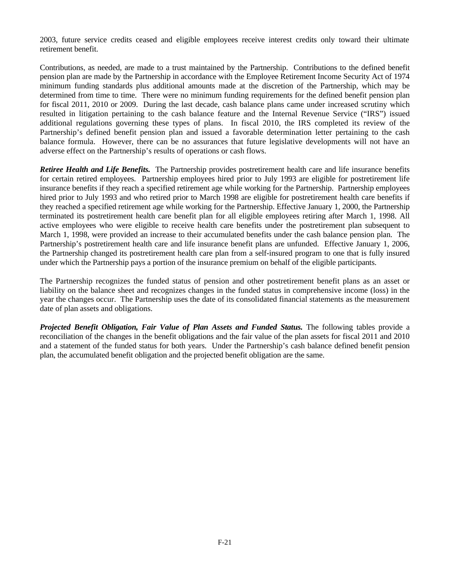2003, future service credits ceased and eligible employees receive interest credits only toward their ultimate retirement benefit.

Contributions, as needed, are made to a trust maintained by the Partnership. Contributions to the defined benefit pension plan are made by the Partnership in accordance with the Employee Retirement Income Security Act of 1974 minimum funding standards plus additional amounts made at the discretion of the Partnership, which may be determined from time to time. There were no minimum funding requirements for the defined benefit pension plan for fiscal 2011, 2010 or 2009. During the last decade, cash balance plans came under increased scrutiny which resulted in litigation pertaining to the cash balance feature and the Internal Revenue Service ("IRS") issued additional regulations governing these types of plans. In fiscal 2010, the IRS completed its review of the Partnership's defined benefit pension plan and issued a favorable determination letter pertaining to the cash balance formula. However, there can be no assurances that future legislative developments will not have an adverse effect on the Partnership's results of operations or cash flows.

*Retiree Health and Life Benefits.*The Partnership provides postretirement health care and life insurance benefits for certain retired employees. Partnership employees hired prior to July 1993 are eligible for postretirement life insurance benefits if they reach a specified retirement age while working for the Partnership. Partnership employees hired prior to July 1993 and who retired prior to March 1998 are eligible for postretirement health care benefits if they reached a specified retirement age while working for the Partnership. Effective January 1, 2000, the Partnership terminated its postretirement health care benefit plan for all eligible employees retiring after March 1, 1998. All active employees who were eligible to receive health care benefits under the postretirement plan subsequent to March 1, 1998, were provided an increase to their accumulated benefits under the cash balance pension plan. The Partnership's postretirement health care and life insurance benefit plans are unfunded. Effective January 1, 2006, the Partnership changed its postretirement health care plan from a self-insured program to one that is fully insured under which the Partnership pays a portion of the insurance premium on behalf of the eligible participants.

The Partnership recognizes the funded status of pension and other postretirement benefit plans as an asset or liability on the balance sheet and recognizes changes in the funded status in comprehensive income (loss) in the year the changes occur. The Partnership uses the date of its consolidated financial statements as the measurement date of plan assets and obligations.

*Projected Benefit Obligation, Fair Value of Plan Assets and Funded Status.* The following tables provide a reconciliation of the changes in the benefit obligations and the fair value of the plan assets for fiscal 2011 and 2010 and a statement of the funded status for both years. Under the Partnership's cash balance defined benefit pension plan, the accumulated benefit obligation and the projected benefit obligation are the same.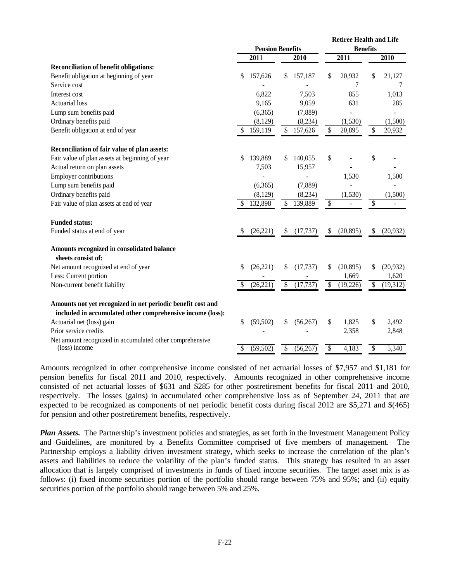|                                                                                                                           |                         |           |    |                 | <b>Retiree Health and Life</b> |           |    |           |
|---------------------------------------------------------------------------------------------------------------------------|-------------------------|-----------|----|-----------------|--------------------------------|-----------|----|-----------|
|                                                                                                                           | <b>Pension Benefits</b> |           |    | <b>Benefits</b> |                                |           |    |           |
|                                                                                                                           | 2011<br>2010            |           |    |                 | 2011                           |           |    | 2010      |
| <b>Reconciliation of benefit obligations:</b>                                                                             |                         |           |    |                 |                                |           |    |           |
| Benefit obligation at beginning of year                                                                                   | \$                      | 157,626   | \$ | 157,187         | \$                             | 20,932    | \$ | 21,127    |
| Service cost                                                                                                              |                         |           |    |                 |                                | 7         |    |           |
| Interest cost                                                                                                             |                         | 6,822     |    | 7,503           |                                | 855       |    | 1,013     |
| <b>Actuarial</b> loss                                                                                                     |                         | 9,165     |    | 9,059           |                                | 631       |    | 285       |
| Lump sum benefits paid                                                                                                    |                         | (6,365)   |    | (7,889)         |                                |           |    |           |
| Ordinary benefits paid                                                                                                    |                         | (8, 129)  |    | (8,234)         |                                | (1,530)   |    | (1,500)   |
| Benefit obligation at end of year                                                                                         |                         | \$159,119 |    | \$157,626       | $\boldsymbol{\mathsf{S}}$      | 20,895    | \$ | 20,932    |
| Reconciliation of fair value of plan assets:                                                                              |                         |           |    |                 |                                |           |    |           |
| Fair value of plan assets at beginning of year                                                                            | \$                      | 139,889   | \$ | 140,055         | \$                             |           | \$ |           |
| Actual return on plan assets                                                                                              |                         | 7,503     |    | 15,957          |                                |           |    |           |
| <b>Employer contributions</b>                                                                                             |                         |           |    |                 |                                | 1,530     |    | 1,500     |
| Lump sum benefits paid                                                                                                    |                         | (6,365)   |    | (7,889)         |                                |           |    |           |
| Ordinary benefits paid                                                                                                    |                         | (8,129)   |    | (8,234)         |                                | (1,530)   |    | (1,500)   |
| Fair value of plan assets at end of year                                                                                  | \$                      | 132,898   | \$ | 139,889         | $\$\,$                         |           | \$ |           |
| <b>Funded status:</b>                                                                                                     |                         |           |    |                 |                                |           |    |           |
| Funded status at end of year                                                                                              |                         | (26, 221) | \$ | (17, 737)       | \$                             | (20, 895) | \$ | (20, 932) |
| Amounts recognized in consolidated balance<br>sheets consist of:                                                          |                         |           |    |                 |                                |           |    |           |
| Net amount recognized at end of year                                                                                      | \$                      | (26, 221) | \$ | (17, 737)       | \$                             | (20, 895) | \$ | (20, 932) |
| Less: Current portion                                                                                                     |                         |           |    |                 |                                | 1,669     |    | 1,620     |
| Non-current benefit liability                                                                                             |                         | (26, 221) | \$ | (17, 737)       | \$                             | (19,226)  | \$ | (19, 312) |
| Amounts not yet recognized in net periodic benefit cost and<br>included in accumulated other comprehensive income (loss): |                         |           |    |                 |                                |           |    |           |
| Actuarial net (loss) gain                                                                                                 | \$                      | (59, 502) | \$ | (56, 267)       | \$                             | 1,825     | \$ | 2,492     |
| Prior service credits                                                                                                     |                         |           |    |                 |                                | 2,358     |    | 2,848     |
| Net amount recognized in accumulated other comprehensive<br>(loss) income                                                 | \$                      | (59, 502) | \$ | (56, 267)       | $\boldsymbol{\mathsf{S}}$      | 4,183     | \$ | 5,340     |

Amounts recognized in other comprehensive income consisted of net actuarial losses of \$7,957 and \$1,181 for pension benefits for fiscal 2011 and 2010, respectively. Amounts recognized in other comprehensive income consisted of net actuarial losses of \$631 and \$285 for other postretirement benefits for fiscal 2011 and 2010, respectively. The losses (gains) in accumulated other comprehensive loss as of September 24, 2011 that are expected to be recognized as components of net periodic benefit costs during fiscal 2012 are \$5,271 and \$(465) for pension and other postretirement benefits, respectively.

*Plan Assets.* The Partnership's investment policies and strategies, as set forth in the Investment Management Policy and Guidelines, are monitored by a Benefits Committee comprised of five members of management. The Partnership employs a liability driven investment strategy, which seeks to increase the correlation of the plan's assets and liabilities to reduce the volatility of the plan's funded status. This strategy has resulted in an asset allocation that is largely comprised of investments in funds of fixed income securities. The target asset mix is as follows: (i) fixed income securities portion of the portfolio should range between 75% and 95%; and (ii) equity securities portion of the portfolio should range between 5% and 25%.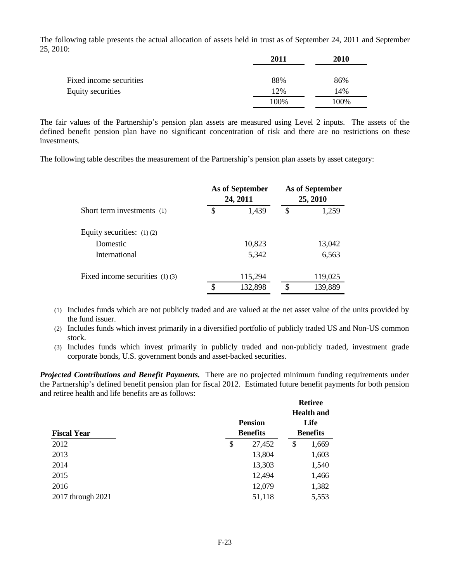The following table presents the actual allocation of assets held in trust as of September 24, 2011 and September 25, 2010:

|                          | 2011 | 2010 |
|--------------------------|------|------|
| Fixed income securities  | 88%  | 86%  |
| <b>Equity securities</b> | 12%  | 14%  |
|                          | 100% | 100% |

The fair values of the Partnership's pension plan assets are measured using Level 2 inputs. The assets of the defined benefit pension plan have no significant concentration of risk and there are no restrictions on these investments.

The following table describes the measurement of the Partnership's pension plan assets by asset category:

|                                  | As of September<br>24, 2011 | As of September<br>25, 2010 |
|----------------------------------|-----------------------------|-----------------------------|
| Short term investments (1)       | \$<br>1,439                 | \$<br>1,259                 |
| Equity securities: $(1)(2)$      |                             |                             |
| Domestic                         | 10,823                      | 13,042                      |
| International                    | 5,342                       | 6,563                       |
| Fixed income securities $(1)(3)$ | 115,294                     | 119,025                     |
|                                  | \$<br>132,898               | \$<br>139,889               |

(1) Includes funds which are not publicly traded and are valued at the net asset value of the units provided by the fund issuer.

(2) Includes funds which invest primarily in a diversified portfolio of publicly traded US and Non-US common stock.

(3) Includes funds which invest primarily in publicly traded and non-publicly traded, investment grade corporate bonds, U.S. government bonds and asset-backed securities.

**Retiree** 

*Projected Contributions and Benefit Payments.* There are no projected minimum funding requirements under the Partnership's defined benefit pension plan for fiscal 2012. Estimated future benefit payments for both pension and retiree health and life benefits are as follows:

| <b>Fiscal Year</b> | <b>Pension</b><br><b>Benefits</b> | ncurce<br><b>Health and</b><br>Life<br><b>Benefits</b> |
|--------------------|-----------------------------------|--------------------------------------------------------|
| 2012               | \$<br>27,452                      | \$<br>1,669                                            |
| 2013               | 13,804                            | 1,603                                                  |
| 2014               | 13,303                            | 1,540                                                  |
| 2015               | 12,494                            | 1,466                                                  |
| 2016               | 12,079                            | 1,382                                                  |
| 2017 through 2021  | 51,118                            | 5,553                                                  |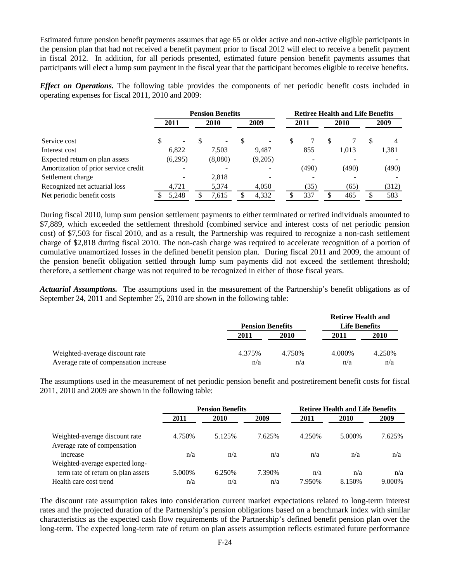Estimated future pension benefit payments assumes that age 65 or older active and non-active eligible participants in the pension plan that had not received a benefit payment prior to fiscal 2012 will elect to receive a benefit payment in fiscal 2012. In addition, for all periods presented, estimated future pension benefit payments assumes that participants will elect a lump sum payment in the fiscal year that the participant becomes eligible to receive benefits.

*Effect on Operations.* The following table provides the components of net periodic benefit costs included in operating expenses for fiscal 2011, 2010 and 2009:

|                                      | <b>Pension Benefits</b> |                          |  |         |  | <b>Retiree Health and Life Benefits</b> |  |       |  |       |    |       |
|--------------------------------------|-------------------------|--------------------------|--|---------|--|-----------------------------------------|--|-------|--|-------|----|-------|
|                                      |                         | 2011                     |  | 2010    |  | 2009                                    |  | 2011  |  | 2010  |    | 2009  |
| Service cost                         |                         | $\overline{\phantom{0}}$ |  | ۰       |  |                                         |  |       |  |       | S  |       |
| Interest cost                        |                         | 6.822                    |  | 7.503   |  | 9.487                                   |  | 855   |  | 1.013 |    | 1,381 |
| Expected return on plan assets       |                         | (6,295)                  |  | (8,080) |  | (9,205)                                 |  |       |  |       |    |       |
| Amortization of prior service credit |                         |                          |  |         |  |                                         |  | (490) |  | (490) |    | (490) |
| Settlement charge                    |                         |                          |  | 2,818   |  |                                         |  |       |  |       |    |       |
| Recognized net actuarial loss        |                         | 4,721                    |  | 5,374   |  | 4,050                                   |  | (35)  |  | (65)  |    | (312) |
| Net periodic benefit costs           |                         | 5.248                    |  | 7,615   |  | 4.332                                   |  | 337   |  | 465   | \$ | 583   |

During fiscal 2010, lump sum pension settlement payments to either terminated or retired individuals amounted to \$7,889, which exceeded the settlement threshold (combined service and interest costs of net periodic pension cost) of \$7,503 for fiscal 2010, and as a result, the Partnership was required to recognize a non-cash settlement charge of \$2,818 during fiscal 2010. The non-cash charge was required to accelerate recognition of a portion of cumulative unamortized losses in the defined benefit pension plan. During fiscal 2011 and 2009, the amount of the pension benefit obligation settled through lump sum payments did not exceed the settlement threshold; therefore, a settlement charge was not required to be recognized in either of those fiscal years.

*Actuarial Assumptions.* The assumptions used in the measurement of the Partnership's benefit obligations as of September 24, 2011 and September 25, 2010 are shown in the following table:

|                                       | <b>Pension Benefits</b> |         | <b>Retiree Health and</b><br><b>Life Benefits</b> |         |
|---------------------------------------|-------------------------|---------|---------------------------------------------------|---------|
|                                       | 2011                    | 2010    | 2011                                              | 2010    |
| Weighted-average discount rate        | 4.375%                  | 4.750\% | 4.000\%                                           | 4.250\% |
| Average rate of compensation increase | n/a                     | n/a     | n/a                                               | n/a     |

The assumptions used in the measurement of net periodic pension benefit and postretirement benefit costs for fiscal 2011, 2010 and 2009 are shown in the following table:

|                                                                |        | <b>Pension Benefits</b> |        |             | <b>Retiree Health and Life Benefits</b> |         |  |
|----------------------------------------------------------------|--------|-------------------------|--------|-------------|-----------------------------------------|---------|--|
|                                                                | 2011   | 2010                    | 2009   | <b>2011</b> | 2010                                    | 2009    |  |
| Weighted-average discount rate<br>Average rate of compensation | 4.750% | 5.125%                  | 7.625% | 4.250\%     | 5.000\%                                 | 7.625%  |  |
| increase                                                       | n/a    | n/a                     | n/a    | n/a         | n/a                                     | n/a     |  |
| Weighted-average expected long-                                |        |                         |        |             |                                         |         |  |
| term rate of return on plan assets                             | 5.000% | 6.250\%                 | 7.390% | n/a         | n/a                                     | n/a     |  |
| Health care cost trend                                         | n/a    | n/a                     | n/a    | 7.950%      | 8.150%                                  | 9.000\% |  |

The discount rate assumption takes into consideration current market expectations related to long-term interest rates and the projected duration of the Partnership's pension obligations based on a benchmark index with similar characteristics as the expected cash flow requirements of the Partnership's defined benefit pension plan over the long-term. The expected long-term rate of return on plan assets assumption reflects estimated future performance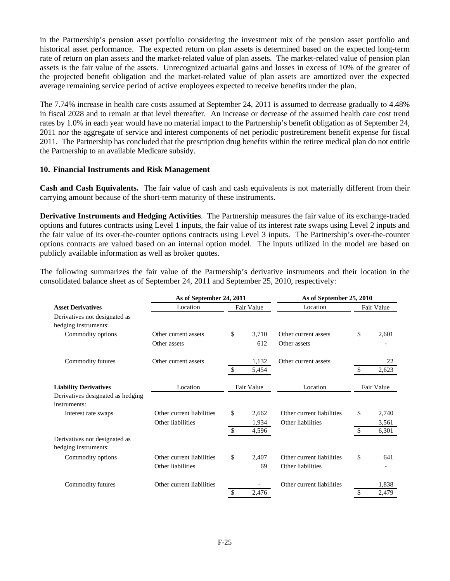in the Partnership's pension asset portfolio considering the investment mix of the pension asset portfolio and historical asset performance. The expected return on plan assets is determined based on the expected long-term rate of return on plan assets and the market-related value of plan assets. The market-related value of pension plan assets is the fair value of the assets. Unrecognized actuarial gains and losses in excess of 10% of the greater of the projected benefit obligation and the market-related value of plan assets are amortized over the expected average remaining service period of active employees expected to receive benefits under the plan.

The 7.74% increase in health care costs assumed at September 24, 2011 is assumed to decrease gradually to 4.48% in fiscal 2028 and to remain at that level thereafter. An increase or decrease of the assumed health care cost trend rates by 1.0% in each year would have no material impact to the Partnership's benefit obligation as of September 24, 2011 nor the aggregate of service and interest components of net periodic postretirement benefit expense for fiscal 2011. The Partnership has concluded that the prescription drug benefits within the retiree medical plan do not entitle the Partnership to an available Medicare subsidy.

# **10. Financial Instruments and Risk Management**

**Cash and Cash Equivalents.** The fair value of cash and cash equivalents is not materially different from their carrying amount because of the short-term maturity of these instruments.

**Derivative Instruments and Hedging Activities**. The Partnership measures the fair value of its exchange-traded options and futures contracts using Level 1 inputs, the fair value of its interest rate swaps using Level 2 inputs and the fair value of its over-the-counter options contracts using Level 3 inputs. The Partnership's over-the-counter options contracts are valued based on an internal option model. The inputs utilized in the model are based on publicly available information as well as broker quotes.

The following summarizes the fair value of the Partnership's derivative instruments and their location in the consolidated balance sheet as of September 24, 2011 and September 25, 2010, respectively:

|                                                       | As of September 24, 2011  |              |       | As of September 25, 2010  |    |            |  |
|-------------------------------------------------------|---------------------------|--------------|-------|---------------------------|----|------------|--|
| <b>Asset Derivatives</b>                              | Location<br>Fair Value    |              |       | Location                  |    | Fair Value |  |
| Derivatives not designated as                         |                           |              |       |                           |    |            |  |
| hedging instruments:                                  |                           |              |       |                           |    |            |  |
| Commodity options                                     | Other current assets      | \$           | 3,710 | Other current assets      | \$ | 2,601      |  |
|                                                       | Other assets              |              | 612   | Other assets              |    |            |  |
| Commodity futures                                     | Other current assets      |              | 1,132 | Other current assets      |    | 22         |  |
|                                                       | $\mathbb{S}$              |              | 5,454 |                           | \$ |            |  |
| <b>Liability Derivatives</b>                          | Location                  | Fair Value   |       | Location                  |    | Fair Value |  |
| Derivatives designated as hedging                     |                           |              |       |                           |    |            |  |
| instruments:                                          |                           |              |       |                           |    |            |  |
| Interest rate swaps                                   | Other current liabilities | \$           | 2,662 | Other current liabilities | \$ | 2,740      |  |
|                                                       | Other liabilities         |              | 1,934 | Other liabilities         |    | 3,561      |  |
|                                                       |                           | $\mathbb{S}$ | 4,596 |                           | \$ | 6,301      |  |
| Derivatives not designated as<br>hedging instruments: |                           |              |       |                           |    |            |  |
| Commodity options                                     | Other current liabilities | \$           | 2,407 | Other current liabilities | \$ | 641        |  |
|                                                       | Other liabilities         |              | 69    | Other liabilities         |    |            |  |
| Commodity futures                                     | Other current liabilities |              |       | Other current liabilities |    | 1,838      |  |
|                                                       |                           | \$           | 2,476 |                           | \$ | 2,479      |  |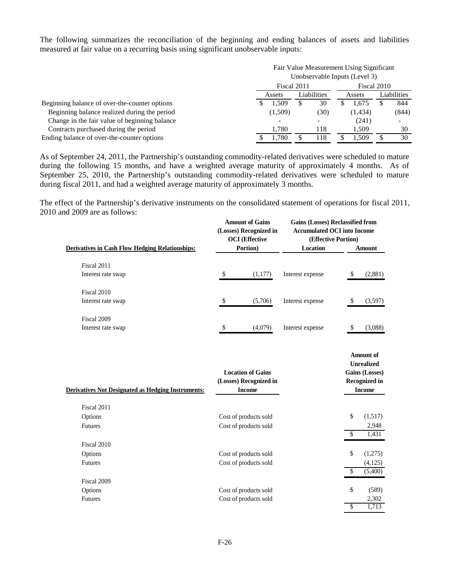The following summarizes the reconciliation of the beginning and ending balances of assets and liabilities measured at fair value on a recurring basis using significant unobservable inputs:

|                                               | Fair Value Measurement Using Significant |                          |               |      |  |         |             |                          |  |  |
|-----------------------------------------------|------------------------------------------|--------------------------|---------------|------|--|---------|-------------|--------------------------|--|--|
|                                               | Unobservable Inputs (Level 3)            |                          |               |      |  |         | Fiscal 2010 |                          |  |  |
|                                               | Fiscal 2011<br>Liabilities<br>Assets     |                          |               |      |  | Assets  | Liabilities |                          |  |  |
| Beginning balance of over-the-counter options |                                          | 1.509                    | <sup>\$</sup> | 30   |  | 1.675   |             | 844                      |  |  |
| Beginning balance realized during the period  |                                          | (1,509)                  |               | (30) |  | (1,434) |             | (844)                    |  |  |
| Change in the fair value of beginning balance |                                          | $\overline{\phantom{a}}$ |               |      |  | (241)   |             | $\overline{\phantom{0}}$ |  |  |
| Contracts purchased during the period         |                                          | 1.780                    |               | 118  |  | 1.509   |             | 30                       |  |  |
| Ending balance of over-the-counter options    |                                          | 1.780                    |               | 118  |  | 1.509   |             | 30                       |  |  |

As of September 24, 2011, the Partnership's outstanding commodity-related derivatives were scheduled to mature during the following 15 months, and have a weighted average maturity of approximately 4 months. As of September 25, 2010, the Partnership's outstanding commodity-related derivatives were scheduled to mature during fiscal 2011, and had a weighted average maturity of approximately 3 months.

The effect of the Partnership's derivative instruments on the consolidated statement of operations for fiscal 2011, 2010 and 2009 are as follows:

| <b>Derivatives in Cash Flow Hedging Relationships:</b>    | <b>Amount of Gains</b><br>(Losses) Recognized in<br><b>OCI</b> (Effective<br>Portion) | <b>Gains (Losses) Reclassified from</b><br><b>Accumulated OCI into Income</b><br>(Effective Portion)<br>Location<br><b>Amount</b> |                                                                                                  |  |  |
|-----------------------------------------------------------|---------------------------------------------------------------------------------------|-----------------------------------------------------------------------------------------------------------------------------------|--------------------------------------------------------------------------------------------------|--|--|
| Fiscal 2011                                               |                                                                                       |                                                                                                                                   |                                                                                                  |  |  |
| Interest rate swap                                        | \$<br>(1,177)                                                                         | Interest expense                                                                                                                  | (2,881)<br>\$                                                                                    |  |  |
| Fiscal 2010                                               |                                                                                       |                                                                                                                                   |                                                                                                  |  |  |
| Interest rate swap                                        | \$<br>(5,706)                                                                         | Interest expense                                                                                                                  | (3,597)<br>\$                                                                                    |  |  |
| Fiscal 2009                                               |                                                                                       |                                                                                                                                   |                                                                                                  |  |  |
| Interest rate swap                                        | \$<br>(4,079)                                                                         | Interest expense                                                                                                                  | (3,088)<br>\$                                                                                    |  |  |
| <b>Derivatives Not Designated as Hedging Instruments:</b> | <b>Location of Gains</b><br>(Losses) Recognized in<br><b>Income</b>                   |                                                                                                                                   | Amount of<br><b>Unrealized</b><br><b>Gains (Losses)</b><br><b>Recognized in</b><br><b>Income</b> |  |  |
| Fiscal 2011                                               |                                                                                       |                                                                                                                                   |                                                                                                  |  |  |
| Options                                                   | Cost of products sold                                                                 |                                                                                                                                   | \$<br>(1,517)                                                                                    |  |  |
| <b>Futures</b>                                            | Cost of products sold                                                                 |                                                                                                                                   | 2,948                                                                                            |  |  |
|                                                           |                                                                                       |                                                                                                                                   | 1,431<br>\$                                                                                      |  |  |
| Fiscal 2010                                               |                                                                                       |                                                                                                                                   |                                                                                                  |  |  |
| Options                                                   | Cost of products sold                                                                 |                                                                                                                                   | \$<br>(1,275)                                                                                    |  |  |
| <b>Futures</b>                                            | Cost of products sold                                                                 |                                                                                                                                   | (4,125)<br>\$<br>(5,400)                                                                         |  |  |
| Fiscal 2009                                               |                                                                                       |                                                                                                                                   |                                                                                                  |  |  |
| Options                                                   | Cost of products sold                                                                 |                                                                                                                                   | \$<br>(589)                                                                                      |  |  |
| Futures                                                   | Cost of products sold                                                                 |                                                                                                                                   | 2,302                                                                                            |  |  |
|                                                           |                                                                                       |                                                                                                                                   | \$<br>1,713                                                                                      |  |  |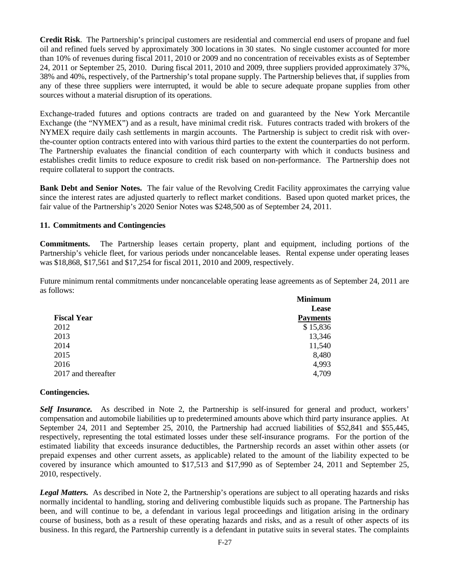**Credit Risk**. The Partnership's principal customers are residential and commercial end users of propane and fuel oil and refined fuels served by approximately 300 locations in 30 states. No single customer accounted for more than 10% of revenues during fiscal 2011, 2010 or 2009 and no concentration of receivables exists as of September 24, 2011 or September 25, 2010. During fiscal 2011, 2010 and 2009, three suppliers provided approximately 37%, 38% and 40%, respectively, of the Partnership's total propane supply. The Partnership believes that, if supplies from any of these three suppliers were interrupted, it would be able to secure adequate propane supplies from other sources without a material disruption of its operations.

Exchange-traded futures and options contracts are traded on and guaranteed by the New York Mercantile Exchange (the "NYMEX") and as a result, have minimal credit risk. Futures contracts traded with brokers of the NYMEX require daily cash settlements in margin accounts. The Partnership is subject to credit risk with overthe-counter option contracts entered into with various third parties to the extent the counterparties do not perform. The Partnership evaluates the financial condition of each counterparty with which it conducts business and establishes credit limits to reduce exposure to credit risk based on non-performance. The Partnership does not require collateral to support the contracts.

**Bank Debt and Senior Notes.** The fair value of the Revolving Credit Facility approximates the carrying value since the interest rates are adjusted quarterly to reflect market conditions. Based upon quoted market prices, the fair value of the Partnership's 2020 Senior Notes was \$248,500 as of September 24, 2011.

# **11. Commitments and Contingencies**

**Commitments.** The Partnership leases certain property, plant and equipment, including portions of the Partnership's vehicle fleet, for various periods under noncancelable leases. Rental expense under operating leases was \$18,868, \$17,561 and \$17,254 for fiscal 2011, 2010 and 2009, respectively.

Future minimum rental commitments under noncancelable operating lease agreements as of September 24, 2011 are as follows:

|                     | <b>Minimum</b>  |
|---------------------|-----------------|
|                     | Lease           |
| <b>Fiscal Year</b>  | <b>Payments</b> |
| 2012                | \$15,836        |
| 2013                | 13,346          |
| 2014                | 11,540          |
| 2015                | 8,480           |
| 2016                | 4,993           |
| 2017 and thereafter | 4,709           |

# **Contingencies.**

**Self Insurance.** As described in Note 2, the Partnership is self-insured for general and product, workers' compensation and automobile liabilities up to predetermined amounts above which third party insurance applies. At September 24, 2011 and September 25, 2010, the Partnership had accrued liabilities of \$52,841 and \$55,445, respectively, representing the total estimated losses under these self-insurance programs. For the portion of the estimated liability that exceeds insurance deductibles, the Partnership records an asset within other assets (or prepaid expenses and other current assets, as applicable) related to the amount of the liability expected to be covered by insurance which amounted to \$17,513 and \$17,990 as of September 24, 2011 and September 25, 2010, respectively.

*Legal Matters.* As described in Note 2, the Partnership's operations are subject to all operating hazards and risks normally incidental to handling, storing and delivering combustible liquids such as propane. The Partnership has been, and will continue to be, a defendant in various legal proceedings and litigation arising in the ordinary course of business, both as a result of these operating hazards and risks, and as a result of other aspects of its business. In this regard, the Partnership currently is a defendant in putative suits in several states. The complaints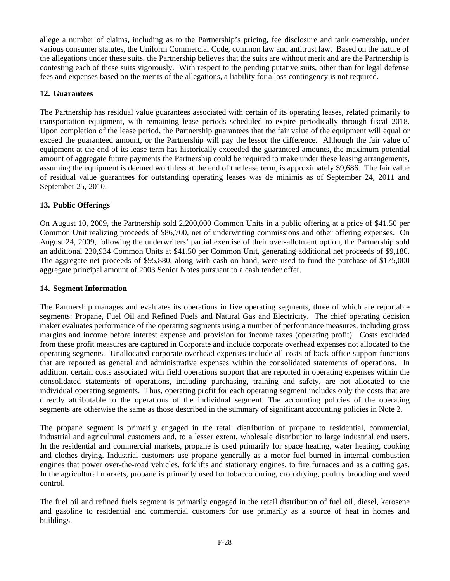allege a number of claims, including as to the Partnership's pricing, fee disclosure and tank ownership, under various consumer statutes, the Uniform Commercial Code, common law and antitrust law. Based on the nature of the allegations under these suits, the Partnership believes that the suits are without merit and are the Partnership is contesting each of these suits vigorously. With respect to the pending putative suits, other than for legal defense fees and expenses based on the merits of the allegations, a liability for a loss contingency is not required.

# **12. Guarantees**

The Partnership has residual value guarantees associated with certain of its operating leases, related primarily to transportation equipment, with remaining lease periods scheduled to expire periodically through fiscal 2018. Upon completion of the lease period, the Partnership guarantees that the fair value of the equipment will equal or exceed the guaranteed amount, or the Partnership will pay the lessor the difference. Although the fair value of equipment at the end of its lease term has historically exceeded the guaranteed amounts, the maximum potential amount of aggregate future payments the Partnership could be required to make under these leasing arrangements, assuming the equipment is deemed worthless at the end of the lease term, is approximately \$9,686. The fair value of residual value guarantees for outstanding operating leases was de minimis as of September 24, 2011 and September 25, 2010.

# **13. Public Offerings**

On August 10, 2009, the Partnership sold 2,200,000 Common Units in a public offering at a price of \$41.50 per Common Unit realizing proceeds of \$86,700, net of underwriting commissions and other offering expenses. On August 24, 2009, following the underwriters' partial exercise of their over-allotment option, the Partnership sold an additional 230,934 Common Units at \$41.50 per Common Unit, generating additional net proceeds of \$9,180. The aggregate net proceeds of \$95,880, along with cash on hand, were used to fund the purchase of \$175,000 aggregate principal amount of 2003 Senior Notes pursuant to a cash tender offer.

# **14. Segment Information**

The Partnership manages and evaluates its operations in five operating segments, three of which are reportable segments: Propane, Fuel Oil and Refined Fuels and Natural Gas and Electricity. The chief operating decision maker evaluates performance of the operating segments using a number of performance measures, including gross margins and income before interest expense and provision for income taxes (operating profit). Costs excluded from these profit measures are captured in Corporate and include corporate overhead expenses not allocated to the operating segments. Unallocated corporate overhead expenses include all costs of back office support functions that are reported as general and administrative expenses within the consolidated statements of operations. In addition, certain costs associated with field operations support that are reported in operating expenses within the consolidated statements of operations, including purchasing, training and safety, are not allocated to the individual operating segments. Thus, operating profit for each operating segment includes only the costs that are directly attributable to the operations of the individual segment. The accounting policies of the operating segments are otherwise the same as those described in the summary of significant accounting policies in Note 2.

The propane segment is primarily engaged in the retail distribution of propane to residential, commercial, industrial and agricultural customers and, to a lesser extent, wholesale distribution to large industrial end users. In the residential and commercial markets, propane is used primarily for space heating, water heating, cooking and clothes drying. Industrial customers use propane generally as a motor fuel burned in internal combustion engines that power over-the-road vehicles, forklifts and stationary engines, to fire furnaces and as a cutting gas. In the agricultural markets, propane is primarily used for tobacco curing, crop drying, poultry brooding and weed control.

The fuel oil and refined fuels segment is primarily engaged in the retail distribution of fuel oil, diesel, kerosene and gasoline to residential and commercial customers for use primarily as a source of heat in homes and buildings.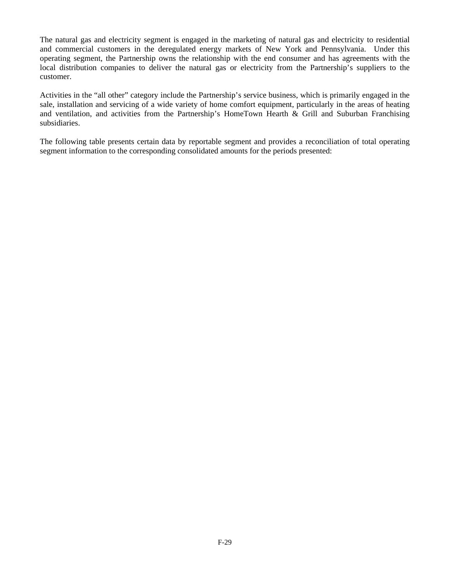The natural gas and electricity segment is engaged in the marketing of natural gas and electricity to residential and commercial customers in the deregulated energy markets of New York and Pennsylvania. Under this operating segment, the Partnership owns the relationship with the end consumer and has agreements with the local distribution companies to deliver the natural gas or electricity from the Partnership's suppliers to the customer.

Activities in the "all other" category include the Partnership's service business, which is primarily engaged in the sale, installation and servicing of a wide variety of home comfort equipment, particularly in the areas of heating and ventilation, and activities from the Partnership's HomeTown Hearth & Grill and Suburban Franchising subsidiaries.

The following table presents certain data by reportable segment and provides a reconciliation of total operating segment information to the corresponding consolidated amounts for the periods presented: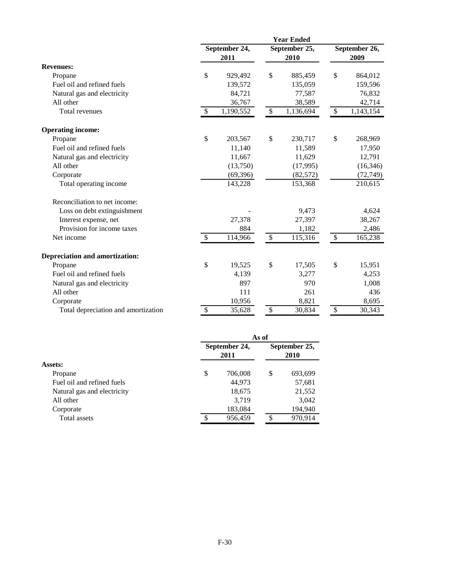|                                     | <b>Year Ended</b>         |                       |        |                       |                       |           |  |
|-------------------------------------|---------------------------|-----------------------|--------|-----------------------|-----------------------|-----------|--|
|                                     |                           | September 24,<br>2011 |        | September 25,<br>2010 | September 26,<br>2009 |           |  |
| <b>Revenues:</b>                    |                           |                       |        |                       |                       |           |  |
| Propane                             | \$                        | 929,492               | \$     | 885,459               | \$                    | 864,012   |  |
| Fuel oil and refined fuels          |                           | 139,572               |        | 135,059               |                       | 159,596   |  |
| Natural gas and electricity         |                           | 84,721                |        | 77,587                |                       | 76,832    |  |
| All other                           |                           | 36,767                |        | 38,589                |                       | 42,714    |  |
| Total revenues                      | $\boldsymbol{\mathsf{S}}$ | 1,190,552             | $\$$   | 1,136,694             | $\$$                  | 1,143,154 |  |
| <b>Operating income:</b>            |                           |                       |        |                       |                       |           |  |
| Propane                             | \$                        | 203,567               | \$     | 230,717               | \$                    | 268,969   |  |
| Fuel oil and refined fuels          |                           | 11,140                |        | 11,589                |                       | 17,950    |  |
| Natural gas and electricity         |                           | 11,667                |        | 11,629                |                       | 12,791    |  |
| All other                           |                           | (13,750)              |        | (17,995)              |                       | (16, 346) |  |
| Corporate                           |                           | (69, 396)             |        | (82, 572)             |                       | (72, 749) |  |
| Total operating income              |                           | 143,228               |        | 153,368               |                       | 210,615   |  |
| Reconciliation to net income:       |                           |                       |        |                       |                       |           |  |
| Loss on debt extinguishment         |                           |                       |        | 9,473                 |                       | 4,624     |  |
| Interest expense, net               |                           | 27,378                |        | 27,397                |                       | 38,267    |  |
| Provision for income taxes          |                           | 884                   |        | 1,182                 |                       | 2,486     |  |
| Net income                          | $\mathcal{S}$             | 114,966               | $\$\,$ | 115,316               | $\$$                  | 165,238   |  |
| Depreciation and amortization:      |                           |                       |        |                       |                       |           |  |
| Propane                             | \$                        | 19,525                | \$     | 17,505                | \$                    | 15,951    |  |
| Fuel oil and refined fuels          |                           | 4,139                 |        | 3,277                 |                       | 4,253     |  |
| Natural gas and electricity         |                           | 897                   |        | 970                   |                       | 1,008     |  |
| All other                           |                           | 111                   |        | 261                   |                       | 436       |  |
| Corporate                           |                           | 10,956                |        | 8,821                 |                       | 8,695     |  |
| Total depreciation and amortization | \$                        | 35,628                | \$     | 30,834                | \$                    | 30,343    |  |

|                             | As of                 |     |         |  |  |  |  |  |
|-----------------------------|-----------------------|-----|---------|--|--|--|--|--|
|                             | September 24,<br>2011 |     |         |  |  |  |  |  |
| Assets:                     |                       |     |         |  |  |  |  |  |
| Propane                     | \$<br>706,008         | \$  | 693,699 |  |  |  |  |  |
| Fuel oil and refined fuels  | 44.973                |     | 57,681  |  |  |  |  |  |
| Natural gas and electricity | 18,675                |     | 21,552  |  |  |  |  |  |
| All other                   | 3,719                 |     | 3,042   |  |  |  |  |  |
| Corporate                   | 183,084               |     | 194,940 |  |  |  |  |  |
| Total assets                | \$<br>956,459         | \$. | 970,914 |  |  |  |  |  |
|                             |                       |     |         |  |  |  |  |  |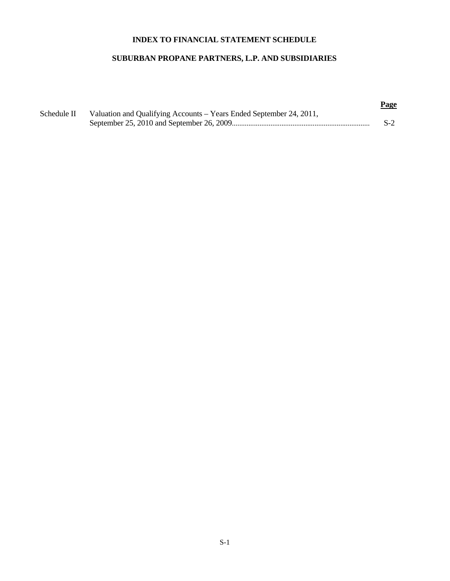# **INDEX TO FINANCIAL STATEMENT SCHEDULE**

# **SUBURBAN PROPANE PARTNERS, L.P. AND SUBSIDIARIES**

|             |                                                                     | <u>Page</u> |
|-------------|---------------------------------------------------------------------|-------------|
| Schedule II | Valuation and Qualifying Accounts – Years Ended September 24, 2011, |             |
|             |                                                                     | $S-2$       |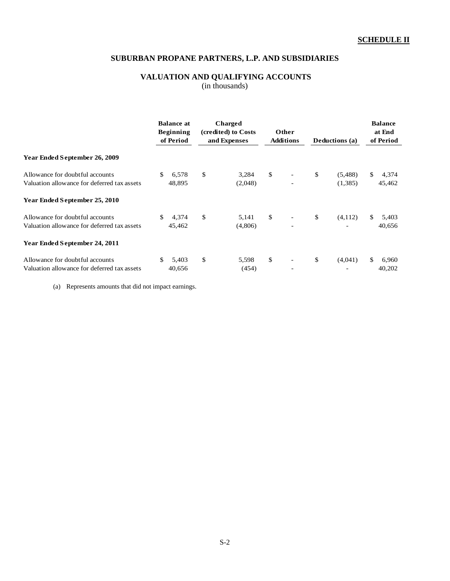# **SUBURBAN PROPANE PARTNERS, L.P. AND SUBSIDIARIES**

# **VALUATION AND QUALIFYING ACCOUNTS**

(in thousands)

|                                             | <b>Balance</b> at<br><b>Beginning</b><br>of Period |        | <b>Charged</b><br>(credited) to Costs<br>and Expenses |         | Other<br><b>Additions</b> | Deductions (a)           |    |         | <b>Balance</b><br>at End<br>of Period |        |
|---------------------------------------------|----------------------------------------------------|--------|-------------------------------------------------------|---------|---------------------------|--------------------------|----|---------|---------------------------------------|--------|
| <b>Year Ended September 26, 2009</b>        |                                                    |        |                                                       |         |                           |                          |    |         |                                       |        |
| Allowance for doubtful accounts             | \$                                                 | 6,578  | \$                                                    | 3,284   | $\mathbb{S}$              |                          | \$ | (5,488) | \$.                                   | 4,374  |
| Valuation allowance for deferred tax assets |                                                    | 48,895 |                                                       | (2,048) |                           |                          |    | (1,385) |                                       | 45,462 |
| Year Ended September 25, 2010               |                                                    |        |                                                       |         |                           |                          |    |         |                                       |        |
| Allowance for doubtful accounts             | \$                                                 | 4,374  | \$                                                    | 5,141   | \$                        |                          | \$ | (4,112) | \$                                    | 5,403  |
| Valuation allowance for deferred tax assets |                                                    | 45,462 |                                                       | (4,806) |                           | $\overline{a}$           |    |         |                                       | 40,656 |
| Year Ended September 24, 2011               |                                                    |        |                                                       |         |                           |                          |    |         |                                       |        |
| Allowance for doubtful accounts             | \$                                                 | 5,403  | \$                                                    | 5,598   | \$                        | $\overline{\phantom{a}}$ | \$ | (4,041) | \$                                    | 6,960  |
| Valuation allowance for deferred tax assets |                                                    | 40,656 |                                                       | (454)   |                           |                          |    |         |                                       | 40,202 |

(a) Represents amounts that did not impact earnings.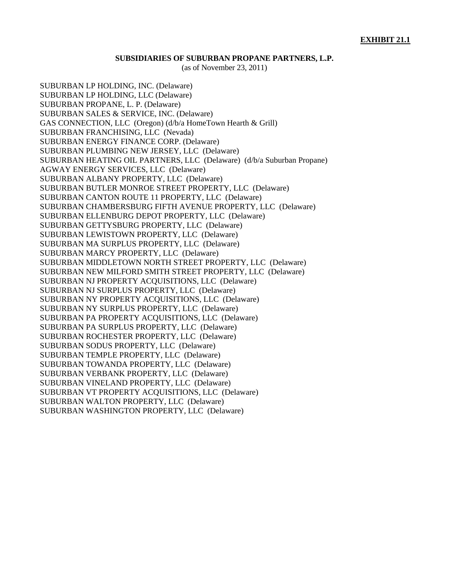#### **SUBSIDIARIES OF SUBURBAN PROPANE PARTNERS, L.P.**

(as of November 23, 2011)

SUBURBAN LP HOLDING, INC. (Delaware) SUBURBAN LP HOLDING, LLC (Delaware) SUBURBAN PROPANE, L. P. (Delaware) SUBURBAN SALES & SERVICE, INC. (Delaware) GAS CONNECTION, LLC (Oregon) (d/b/a HomeTown Hearth & Grill) SUBURBAN FRANCHISING, LLC (Nevada) SUBURBAN ENERGY FINANCE CORP. (Delaware) SUBURBAN PLUMBING NEW JERSEY, LLC (Delaware) SUBURBAN HEATING OIL PARTNERS, LLC (Delaware) (d/b/a Suburban Propane) AGWAY ENERGY SERVICES, LLC (Delaware) SUBURBAN ALBANY PROPERTY, LLC (Delaware) SUBURBAN BUTLER MONROE STREET PROPERTY, LLC (Delaware) SUBURBAN CANTON ROUTE 11 PROPERTY, LLC (Delaware) SUBURBAN CHAMBERSBURG FIFTH AVENUE PROPERTY, LLC (Delaware) SUBURBAN ELLENBURG DEPOT PROPERTY, LLC (Delaware) SUBURBAN GETTYSBURG PROPERTY, LLC (Delaware) SUBURBAN LEWISTOWN PROPERTY, LLC (Delaware) SUBURBAN MA SURPLUS PROPERTY, LLC (Delaware) SUBURBAN MARCY PROPERTY, LLC (Delaware) SUBURBAN MIDDLETOWN NORTH STREET PROPERTY, LLC (Delaware) SUBURBAN NEW MILFORD SMITH STREET PROPERTY, LLC (Delaware) SUBURBAN NJ PROPERTY ACQUISITIONS, LLC (Delaware) SUBURBAN NJ SURPLUS PROPERTY, LLC (Delaware) SUBURBAN NY PROPERTY ACQUISITIONS, LLC (Delaware) SUBURBAN NY SURPLUS PROPERTY, LLC (Delaware) SUBURBAN PA PROPERTY ACQUISITIONS, LLC (Delaware) SUBURBAN PA SURPLUS PROPERTY, LLC (Delaware) SUBURBAN ROCHESTER PROPERTY, LLC (Delaware) SUBURBAN SODUS PROPERTY, LLC (Delaware) SUBURBAN TEMPLE PROPERTY, LLC (Delaware) SUBURBAN TOWANDA PROPERTY, LLC (Delaware) SUBURBAN VERBANK PROPERTY, LLC (Delaware) SUBURBAN VINELAND PROPERTY, LLC (Delaware) SUBURBAN VT PROPERTY ACQUISITIONS, LLC (Delaware) SUBURBAN WALTON PROPERTY, LLC (Delaware) SUBURBAN WASHINGTON PROPERTY, LLC (Delaware)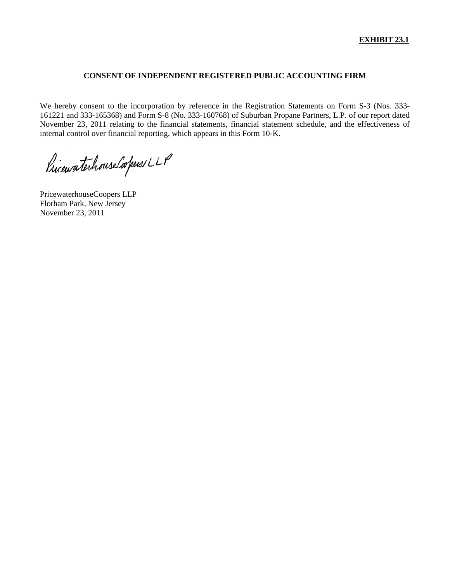#### **EXHIBIT 23.1**

#### **CONSENT OF INDEPENDENT REGISTERED PUBLIC ACCOUNTING FIRM**

We hereby consent to the incorporation by reference in the Registration Statements on Form S-3 (Nos. 333- 161221 and 333-165368) and Form S-8 (No. 333-160768) of Suburban Propane Partners, L.P. of our report dated November 23, 2011 relating to the financial statements, financial statement schedule, and the effectiveness of internal control over financial reporting, which appears in this Form 10-K.

PricewaterhouseCoopers LLP

PricewaterhouseCoopers LLP Florham Park, New Jersey November 23, 2011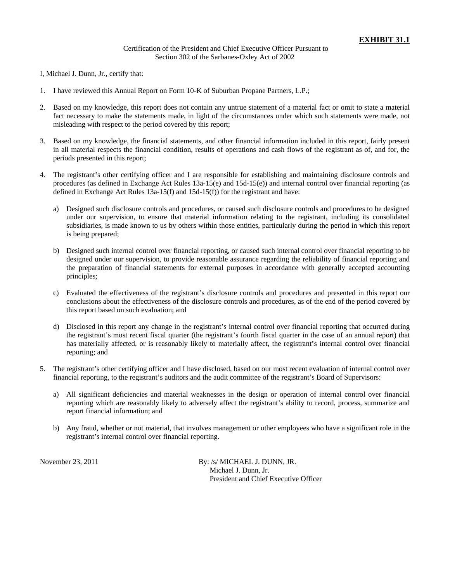#### Certification of the President and Chief Executive Officer Pursuant to Section 302 of the Sarbanes-Oxley Act of 2002

I, Michael J. Dunn, Jr., certify that:

- 1. I have reviewed this Annual Report on Form 10-K of Suburban Propane Partners, L.P.;
- 2. Based on my knowledge, this report does not contain any untrue statement of a material fact or omit to state a material fact necessary to make the statements made, in light of the circumstances under which such statements were made, not misleading with respect to the period covered by this report;
- 3. Based on my knowledge, the financial statements, and other financial information included in this report, fairly present in all material respects the financial condition, results of operations and cash flows of the registrant as of, and for, the periods presented in this report;
- 4. The registrant's other certifying officer and I are responsible for establishing and maintaining disclosure controls and procedures (as defined in Exchange Act Rules 13a-15(e) and 15d-15(e)) and internal control over financial reporting (as defined in Exchange Act Rules 13a-15(f) and 15d-15(f)) for the registrant and have:
	- a) Designed such disclosure controls and procedures, or caused such disclosure controls and procedures to be designed under our supervision, to ensure that material information relating to the registrant, including its consolidated subsidiaries, is made known to us by others within those entities, particularly during the period in which this report is being prepared;
	- b) Designed such internal control over financial reporting, or caused such internal control over financial reporting to be designed under our supervision, to provide reasonable assurance regarding the reliability of financial reporting and the preparation of financial statements for external purposes in accordance with generally accepted accounting principles;
	- c) Evaluated the effectiveness of the registrant's disclosure controls and procedures and presented in this report our conclusions about the effectiveness of the disclosure controls and procedures, as of the end of the period covered by this report based on such evaluation; and
	- d) Disclosed in this report any change in the registrant's internal control over financial reporting that occurred during the registrant's most recent fiscal quarter (the registrant's fourth fiscal quarter in the case of an annual report) that has materially affected, or is reasonably likely to materially affect, the registrant's internal control over financial reporting; and
- 5. The registrant's other certifying officer and I have disclosed, based on our most recent evaluation of internal control over financial reporting, to the registrant's auditors and the audit committee of the registrant's Board of Supervisors:
	- a) All significant deficiencies and material weaknesses in the design or operation of internal control over financial reporting which are reasonably likely to adversely affect the registrant's ability to record, process, summarize and report financial information; and
	- b) Any fraud, whether or not material, that involves management or other employees who have a significant role in the registrant's internal control over financial reporting.

November 23, 2011 **By:** /s/ MICHAEL J. DUNN, JR. Michael J. Dunn, Jr. President and Chief Executive Officer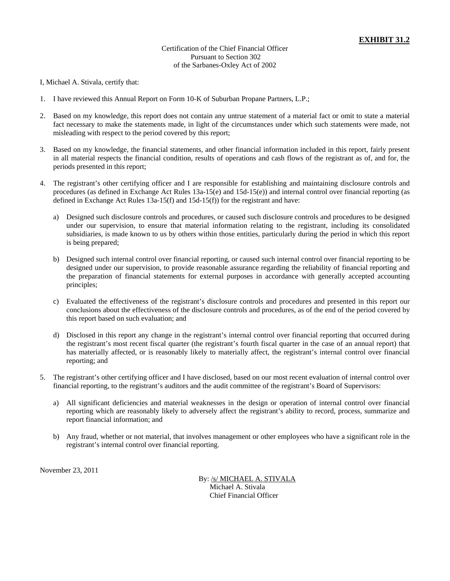Certification of the Chief Financial Officer Pursuant to Section 302 of the Sarbanes-Oxley Act of 2002

I, Michael A. Stivala, certify that:

- 1. I have reviewed this Annual Report on Form 10-K of Suburban Propane Partners, L.P.;
- 2. Based on my knowledge, this report does not contain any untrue statement of a material fact or omit to state a material fact necessary to make the statements made, in light of the circumstances under which such statements were made, not misleading with respect to the period covered by this report;
- 3. Based on my knowledge, the financial statements, and other financial information included in this report, fairly present in all material respects the financial condition, results of operations and cash flows of the registrant as of, and for, the periods presented in this report;
- 4. The registrant's other certifying officer and I are responsible for establishing and maintaining disclosure controls and procedures (as defined in Exchange Act Rules 13a-15(e) and 15d-15(e)) and internal control over financial reporting (as defined in Exchange Act Rules 13a-15(f) and 15d-15(f)) for the registrant and have:
	- a) Designed such disclosure controls and procedures, or caused such disclosure controls and procedures to be designed under our supervision, to ensure that material information relating to the registrant, including its consolidated subsidiaries, is made known to us by others within those entities, particularly during the period in which this report is being prepared;
	- b) Designed such internal control over financial reporting, or caused such internal control over financial reporting to be designed under our supervision, to provide reasonable assurance regarding the reliability of financial reporting and the preparation of financial statements for external purposes in accordance with generally accepted accounting principles;
	- c) Evaluated the effectiveness of the registrant's disclosure controls and procedures and presented in this report our conclusions about the effectiveness of the disclosure controls and procedures, as of the end of the period covered by this report based on such evaluation; and
	- d) Disclosed in this report any change in the registrant's internal control over financial reporting that occurred during the registrant's most recent fiscal quarter (the registrant's fourth fiscal quarter in the case of an annual report) that has materially affected, or is reasonably likely to materially affect, the registrant's internal control over financial reporting; and
- 5. The registrant's other certifying officer and I have disclosed, based on our most recent evaluation of internal control over financial reporting, to the registrant's auditors and the audit committee of the registrant's Board of Supervisors:
	- a) All significant deficiencies and material weaknesses in the design or operation of internal control over financial reporting which are reasonably likely to adversely affect the registrant's ability to record, process, summarize and report financial information; and
	- b) Any fraud, whether or not material, that involves management or other employees who have a significant role in the registrant's internal control over financial reporting.

November 23, 2011

By: /s/ MICHAEL A. STIVALA Michael A. Stivala Chief Financial Officer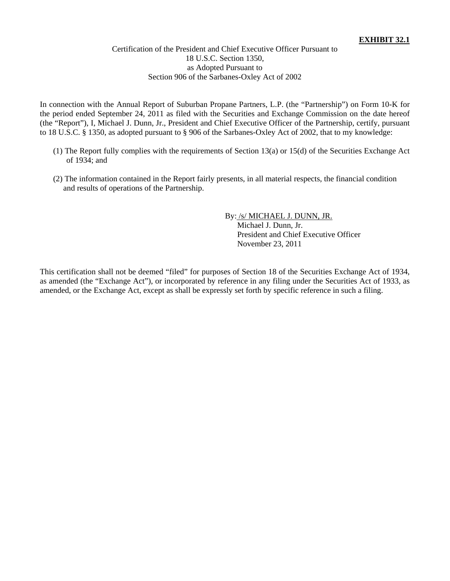# Certification of the President and Chief Executive Officer Pursuant to 18 U.S.C. Section 1350, as Adopted Pursuant to Section 906 of the Sarbanes-Oxley Act of 2002

In connection with the Annual Report of Suburban Propane Partners, L.P. (the "Partnership") on Form 10-K for the period ended September 24, 2011 as filed with the Securities and Exchange Commission on the date hereof (the "Report"), I, Michael J. Dunn, Jr., President and Chief Executive Officer of the Partnership, certify, pursuant to 18 U.S.C. § 1350, as adopted pursuant to § 906 of the Sarbanes-Oxley Act of 2002, that to my knowledge:

- (1) The Report fully complies with the requirements of Section 13(a) or 15(d) of the Securities Exchange Act of 1934; and
- (2) The information contained in the Report fairly presents, in all material respects, the financial condition and results of operations of the Partnership.

By: /s/ MICHAEL J. DUNN, JR.

 Michael J. Dunn, Jr. President and Chief Executive Officer November 23, 2011

This certification shall not be deemed "filed" for purposes of Section 18 of the Securities Exchange Act of 1934, as amended (the "Exchange Act"), or incorporated by reference in any filing under the Securities Act of 1933, as amended, or the Exchange Act, except as shall be expressly set forth by specific reference in such a filing.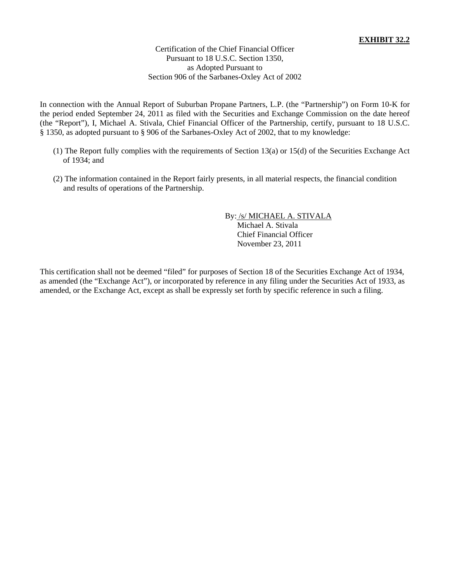Certification of the Chief Financial Officer Pursuant to 18 U.S.C. Section 1350, as Adopted Pursuant to Section 906 of the Sarbanes-Oxley Act of 2002

In connection with the Annual Report of Suburban Propane Partners, L.P. (the "Partnership") on Form 10-K for the period ended September 24, 2011 as filed with the Securities and Exchange Commission on the date hereof (the "Report"), I, Michael A. Stivala, Chief Financial Officer of the Partnership, certify, pursuant to 18 U.S.C. § 1350, as adopted pursuant to § 906 of the Sarbanes-Oxley Act of 2002, that to my knowledge:

- (1) The Report fully complies with the requirements of Section 13(a) or 15(d) of the Securities Exchange Act of 1934; and
- (2) The information contained in the Report fairly presents, in all material respects, the financial condition and results of operations of the Partnership.

By: /s/ MICHAEL A. STIVALA

 Michael A. Stivala Chief Financial Officer November 23, 2011

This certification shall not be deemed "filed" for purposes of Section 18 of the Securities Exchange Act of 1934, as amended (the "Exchange Act"), or incorporated by reference in any filing under the Securities Act of 1933, as amended, or the Exchange Act, except as shall be expressly set forth by specific reference in such a filing.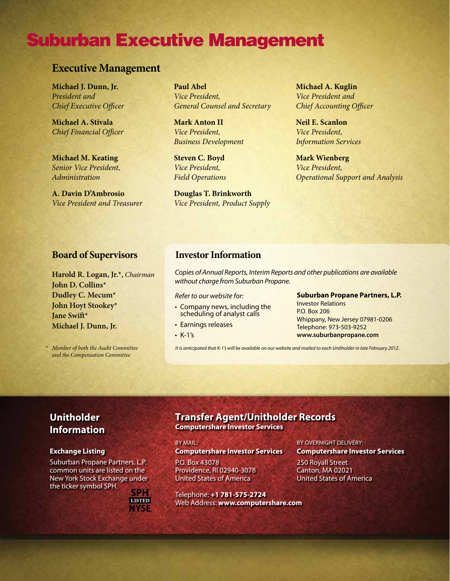# Suburban Executive Management

# **Executive Management**

**Michael J. Dunn, Jr.**  *President and Chief Executive Officer*

**Michael A. Stivala** *Chief Financial Officer*

**Michael M. Keating** *Senior Vice President, Administration* 

**A. Davin D'Ambrosio** *Vice President and Treasurer*  **Paul Abel** *Vice President, General Counsel and Secretary* 

**Mark Anton II** *Vice President, Business Development* 

**Steven C. Boyd**  *Vice President, Field Operations*

**Douglas T. Brinkworth** *Vice President, Product Supply*  **Michael A. Kuglin** *Vice President and Chief Accounting Officer* 

**Neil E. Scanlon** *Vice President, Information Services* 

**Mark Wienberg** *Vice President, Operational Support and Analysis*

# **Board of Supervisors**

**Harold R. Logan, Jr.\*,** *Chairman* **John D. Collins\* Dudley C. Mecum\* John Hoyt Stookey\* Jane Swift\* Michael J. Dunn, Jr.** 

*\* Member of both the Audit Committee and the Compensation Committee*

# **Investor Information**

*Copies of Annual Reports, Interim Reports and other publications are available without charge from Suburban Propane.*

*Refer to our website for:*

- Company news, including the scheduling of analyst calls
- Earnings releases
- K-1's

# **Suburban Propane Partners, L.P.**

Investor Relations P.O. Box 206 Whippany, New Jersey 07981-0206 Telephone: 973-503-9252 **www.suburbanpropane.com**

*It is anticipated that K-1's will be available on our website and mailed to each Unitholder in late February 2012.*

# **Unitholder Information**

#### **Exchange Listing**

Suburban Propane Partners, L.P. common units are listed on the New York Stock Exchange under the ticker symbol SPH.



# **Transfer Agent/Unitholder Records Computershare Investor Services**

By Mail: **Computershare Investor Services**

P.O. Box 43078 Providence, RI 02940-3078 United States of America

Telephone: **+1 781-575-2724** Web Address: **www.computershare.com**

By Overnight Delivery: **Computershare Investor Services**

250 Royall Street Canton, MA 02021 United States of America